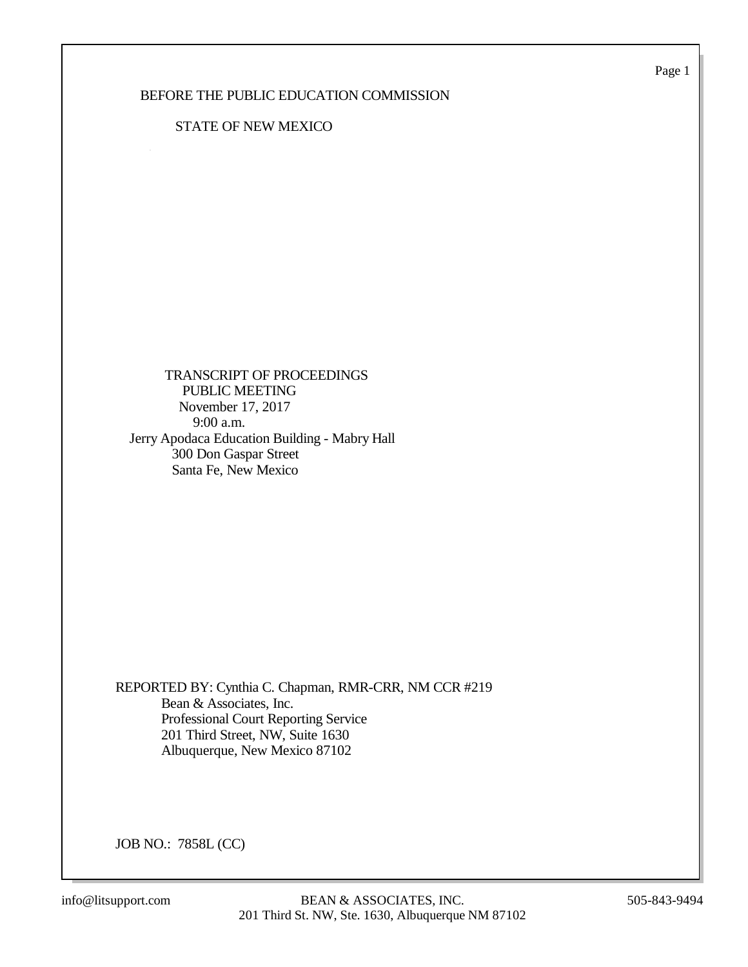Page 1

## BEFORE THE PUBLIC EDUCATION COMMISSION

## STATE OF NEW MEXICO

 TRANSCRIPT OF PROCEEDINGS PUBLIC MEETING November 17, 2017 9:00 a.m. Jerry Apodaca Education Building - Mabry Hall 300 Don Gaspar Street Santa Fe, New Mexico

REPORTED BY: Cynthia C. Chapman, RMR-CRR, NM CCR #219 Bean & Associates, Inc. Professional Court Reporting Service 201 Third Street, NW, Suite 1630 Albuquerque, New Mexico 87102

JOB NO.: 7858L (CC)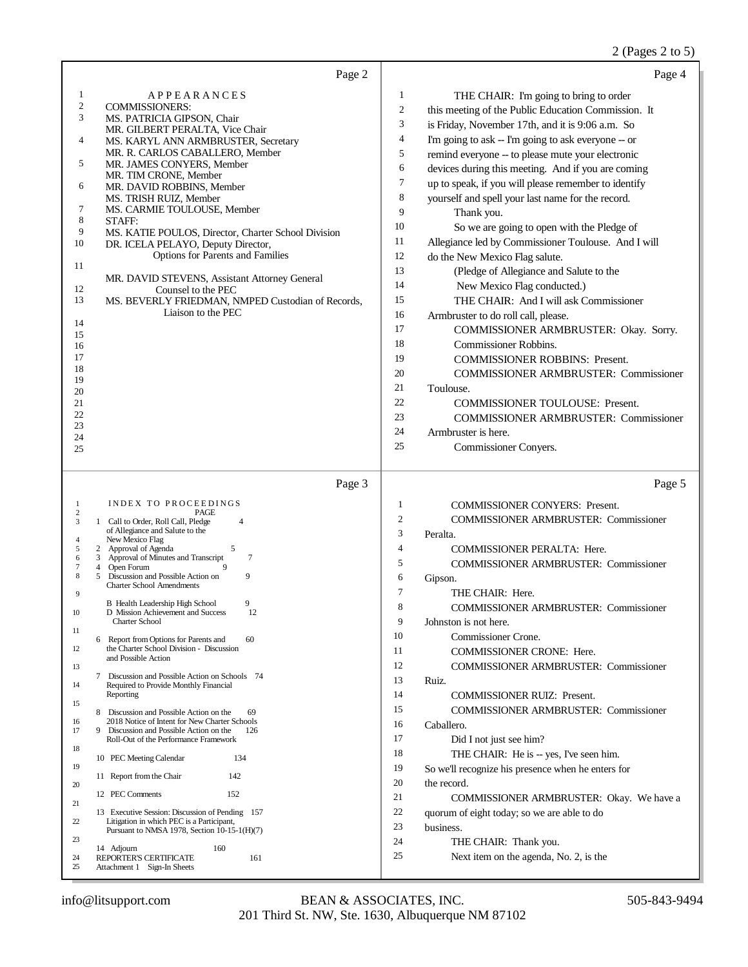## 2 (Pages 2 to 5)

| Page 2                                                                                                                                                                                                                                                                                                                                                                                                                                                                                                                                                                                                                                                                                                                                                                                                                                                                                                                                                                                                                                                                                                                                                                                                                                                                                                                            | Page 4                                                                                                                                                                                                                                                                                                                                                                                                                                                                                                                                                                                                                                                                                                                                                                                                                                                                                                                                                                                                                                                                                                                                                                                                                                                  |
|-----------------------------------------------------------------------------------------------------------------------------------------------------------------------------------------------------------------------------------------------------------------------------------------------------------------------------------------------------------------------------------------------------------------------------------------------------------------------------------------------------------------------------------------------------------------------------------------------------------------------------------------------------------------------------------------------------------------------------------------------------------------------------------------------------------------------------------------------------------------------------------------------------------------------------------------------------------------------------------------------------------------------------------------------------------------------------------------------------------------------------------------------------------------------------------------------------------------------------------------------------------------------------------------------------------------------------------|---------------------------------------------------------------------------------------------------------------------------------------------------------------------------------------------------------------------------------------------------------------------------------------------------------------------------------------------------------------------------------------------------------------------------------------------------------------------------------------------------------------------------------------------------------------------------------------------------------------------------------------------------------------------------------------------------------------------------------------------------------------------------------------------------------------------------------------------------------------------------------------------------------------------------------------------------------------------------------------------------------------------------------------------------------------------------------------------------------------------------------------------------------------------------------------------------------------------------------------------------------|
| APPEARANCES<br>1<br>$\overline{\mathbf{c}}$<br><b>COMMISSIONERS:</b><br>3<br>MS. PATRICIA GIPSON, Chair<br>MR. GILBERT PERALTA, Vice Chair<br>4<br>MS. KARYL ANN ARMBRUSTER, Secretary<br>MR. R. CARLOS CABALLERO, Member<br>5<br>MR. JAMES CONYERS, Member<br>MR. TIM CRONE, Member<br>6<br>MR. DAVID ROBBINS, Member<br>MS. TRISH RUIZ, Member<br>7<br>MS. CARMIE TOULOUSE, Member<br>8<br>STAFF:<br>9<br>MS. KATIE POULOS, Director, Charter School Division<br>10<br>DR. ICELA PELAYO, Deputy Director,<br><b>Options for Parents and Families</b><br>11<br>MR. DAVID STEVENS, Assistant Attorney General<br>12<br>Counsel to the PEC<br>13<br>MS. BEVERLY FRIEDMAN, NMPED Custodian of Records,<br>Liaison to the PEC<br>14<br>15<br>16<br>17<br>18<br>19<br>20<br>21<br>22<br>23<br>24<br>25                                                                                                                                                                                                                                                                                                                                                                                                                                                                                                                                | 1<br>THE CHAIR: I'm going to bring to order<br>$\boldsymbol{2}$<br>this meeting of the Public Education Commission. It<br>3<br>is Friday, November 17th, and it is 9:06 a.m. So<br>$\overline{4}$<br>I'm going to ask -- I'm going to ask everyone -- or<br>5<br>remind everyone -- to please mute your electronic<br>6<br>devices during this meeting. And if you are coming<br>$\tau$<br>up to speak, if you will please remember to identify<br>8<br>yourself and spell your last name for the record.<br>9<br>Thank you.<br>10<br>So we are going to open with the Pledge of<br>11<br>Allegiance led by Commissioner Toulouse. And I will<br>12<br>do the New Mexico Flag salute.<br>13<br>(Pledge of Allegiance and Salute to the<br>14<br>New Mexico Flag conducted.)<br>15<br>THE CHAIR: And I will ask Commissioner<br>16<br>Armbruster to do roll call, please.<br>17<br>COMMISSIONER ARMBRUSTER: Okay. Sorry.<br>18<br><b>Commissioner Robbins.</b><br>19<br><b>COMMISSIONER ROBBINS: Present.</b><br>20<br><b>COMMISSIONER ARMBRUSTER: Commissioner</b><br>21<br>Toulouse.<br>22<br><b>COMMISSIONER TOULOUSE: Present.</b><br>23<br><b>COMMISSIONER ARMBRUSTER: Commissioner</b><br>24<br>Armbruster is here.<br>25<br>Commissioner Conyers. |
|                                                                                                                                                                                                                                                                                                                                                                                                                                                                                                                                                                                                                                                                                                                                                                                                                                                                                                                                                                                                                                                                                                                                                                                                                                                                                                                                   |                                                                                                                                                                                                                                                                                                                                                                                                                                                                                                                                                                                                                                                                                                                                                                                                                                                                                                                                                                                                                                                                                                                                                                                                                                                         |
| Page 3<br>INDEX TO PROCEEDINGS<br>1<br>$\overline{c}$<br>PAGE<br>1 Call to Order, Roll Call, Pledge<br>3<br>4<br>of Allegiance and Salute to the<br>New Mexico Flag<br>4<br>5<br>5<br>2 Approval of Agenda<br>$\tau$<br>Approval of Minutes and Transcript<br>6<br>3<br>7<br>Open Forum<br>4<br>Discussion and Possible Action on<br>9<br>8<br>5<br><b>Charter School Amendments</b><br>9<br>9<br>B Health Leadership High School<br>12<br>10<br>D Mission Achievement and Success<br><b>Charter School</b><br>11<br>Report from Options for Parents and<br>60<br>6<br>the Charter School Division - Discussion<br>12<br>and Possible Action<br>13<br>7 Discussion and Possible Action on Schools 74<br>14<br>Required to Provide Monthly Financial<br>Reporting<br>15<br>8 Discussion and Possible Action on the<br>69<br>2018 Notice of Intent for New Charter Schools<br>16<br>17<br>Discussion and Possible Action on the<br>9<br>126<br>Roll-Out of the Performance Framework<br>18<br>134<br>10 PEC Meeting Calendar<br>19<br>11 Report from the Chair<br>142<br>20<br>12 PEC Comments<br>152<br>21<br>13 Executive Session: Discussion of Pending 157<br>Litigation in which PEC is a Participant,<br>22<br>Pursuant to NMSA 1978, Section 10-15-1(H)(7)<br>23<br>14 Adjourn<br>160<br>REPORTER'S CERTIFICATE<br>161<br>24 | Page 5<br>1<br><b>COMMISSIONER CONYERS: Present.</b><br>2<br>COMMISSIONER ARMBRUSTER: Commissioner<br>3<br>Peralta.<br>$\overline{4}$<br>COMMISSIONER PERALTA: Here.<br>5<br>COMMISSIONER ARMBRUSTER: Commissioner<br>6<br>Gipson.<br>7<br>THE CHAIR: Here.<br>8<br>COMMISSIONER ARMBRUSTER: Commissioner<br>9<br>Johnston is not here.<br>10<br>Commissioner Crone.<br>11<br>COMMISSIONER CRONE: Here.<br>12<br>COMMISSIONER ARMBRUSTER: Commissioner<br>13<br>Ruiz.<br>14<br><b>COMMISSIONER RUIZ: Present.</b><br>15<br><b>COMMISSIONER ARMBRUSTER: Commissioner</b><br>16<br>Caballero.<br>17<br>Did I not just see him?<br>18<br>THE CHAIR: He is -- yes, I've seen him.<br>19<br>So we'll recognize his presence when he enters for<br>20<br>the record.<br>21<br>COMMISSIONER ARMBRUSTER: Okay. We have a<br>22<br>quorum of eight today; so we are able to do<br>23<br>business.<br>24<br>THE CHAIR: Thank you.<br>25<br>Next item on the agenda, No. 2, is the                                                                                                                                                                                                                                                                                 |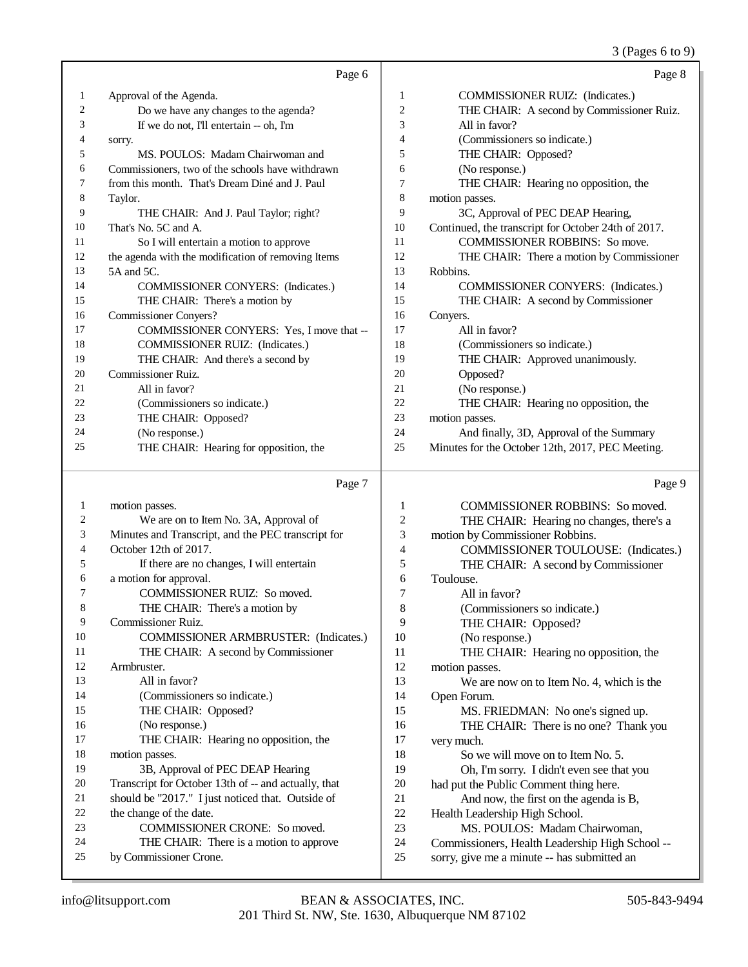### 3 (Pages 6 to 9)

|                          | Page 6                                             |                | Page 8                                              |
|--------------------------|----------------------------------------------------|----------------|-----------------------------------------------------|
| $\mathbf{1}$             | Approval of the Agenda.                            | $\mathbf{1}$   | COMMISSIONER RUIZ: (Indicates.)                     |
| $\overline{c}$           | Do we have any changes to the agenda?              | $\overline{c}$ | THE CHAIR: A second by Commissioner Ruiz.           |
| 3                        | If we do not, I'll entertain -- oh, I'm            | 3              | All in favor?                                       |
| $\overline{\mathcal{L}}$ | sorry.                                             | $\overline{4}$ | (Commissioners so indicate.)                        |
| 5                        | MS. POULOS: Madam Chairwoman and                   | 5              | THE CHAIR: Opposed?                                 |
| 6                        | Commissioners, two of the schools have withdrawn   | 6              | (No response.)                                      |
| 7                        | from this month. That's Dream Diné and J. Paul     | 7              | THE CHAIR: Hearing no opposition, the               |
| 8                        | Taylor.                                            | $\,$ 8 $\,$    | motion passes.                                      |
| 9                        | THE CHAIR: And J. Paul Taylor; right?              | 9              | 3C, Approval of PEC DEAP Hearing,                   |
| 10                       | That's No. 5C and A.                               | 10             | Continued, the transcript for October 24th of 2017. |
| 11                       | So I will entertain a motion to approve            | 11             | <b>COMMISSIONER ROBBINS: So move.</b>               |
| 12                       | the agenda with the modification of removing Items | 12             | THE CHAIR: There a motion by Commissioner           |
| 13                       | 5A and 5C.                                         | 13             | Robbins.                                            |
| 14                       | COMMISSIONER CONYERS: (Indicates.)                 | 14             | <b>COMMISSIONER CONYERS:</b> (Indicates.)           |
| 15                       | THE CHAIR: There's a motion by                     | 15             | THE CHAIR: A second by Commissioner                 |
| 16                       | <b>Commissioner Convers?</b>                       | 16             | Conyers.                                            |
| 17                       | COMMISSIONER CONYERS: Yes, I move that --          | 17             | All in favor?                                       |
| 18                       | COMMISSIONER RUIZ: (Indicates.)                    | 18             | (Commissioners so indicate.)                        |
| 19                       | THE CHAIR: And there's a second by                 | 19             | THE CHAIR: Approved unanimously.                    |
| 20                       | Commissioner Ruiz.                                 | 20             | Opposed?                                            |
| 21                       | All in favor?                                      | 21             | (No response.)                                      |
| 22                       | (Commissioners so indicate.)                       | 22             | THE CHAIR: Hearing no opposition, the               |
| 23                       | THE CHAIR: Opposed?                                | 23             | motion passes.                                      |
| 24                       | (No response.)                                     | 24             | And finally, 3D, Approval of the Summary            |
| 25                       | THE CHAIR: Hearing for opposition, the             | 25             | Minutes for the October 12th, 2017, PEC Meeting.    |
|                          |                                                    |                |                                                     |
|                          | Page 7                                             |                | Page 9                                              |
| $\mathbf{1}$             | motion passes.                                     | 1              | COMMISSIONER ROBBINS: So moved.                     |
| 2                        | We are on to Item No. 3A, Approval of              | $\overline{c}$ | THE CHAIR: Hearing no changes, there's a            |
| 3                        | Minutes and Transcript, and the PEC transcript for | 3              | motion by Commissioner Robbins.                     |
| 4                        | October 12th of 2017.                              | $\overline{4}$ | <b>COMMISSIONER TOULOUSE:</b> (Indicates.)          |
| 5                        | If there are no changes, I will entertain          | 5              | THE CHAIR: A second by Commissioner                 |
| 6                        | a motion for approval.                             | 6              | Toulouse.                                           |
| 7                        | COMMISSIONER RUIZ: So moved.                       | 7              | All in favor?                                       |
| 8                        | THE CHAIR: There's a motion by                     | 8              | (Commissioners so indicate.)                        |

| (Commissioners so indicate.) |
|------------------------------|
|                              |

- 9 THE CHAIR: Opposed?<br>10 (No response.)
- 10 (No response.)<br>11 THE CHAIR:
- THE CHAIR: Hearing no opposition, the motion passes. 13 We are now on to Item No. 4, which is the Open Forum.
- 15 MS. FRIEDMAN: No one's signed up. 16 THE CHAIR: There is no one? Thank you 17 very much. very much. 18 So we will move on to Item No. 5.<br>19 Oh. I'm sorry. I didn't even see that Oh, I'm sorry. I didn't even see that you 20 had put the Public Comment thing here.<br>21 And now, the first on the agenda i 21 And now, the first on the agenda is B,<br>22 Health Leadership High School.
- 22 Health Leadership High School.<br>23 MS. POULOS: Madam C
- 23 MS. POULOS: Madam Chairwoman,<br>24 Commissioners. Health Leadershin High Sch
	- Commissioners, Health Leadership High School --
- sorry, give me a minute -- has submitted an

Commissioner Ruiz.

(No response.)

the change of the date.

by Commissioner Crone.

motion passes.

 (Commissioners so indicate.) THE CHAIR: Opposed?

17 THE CHAIR: Hearing no opposition, the

 3B, Approval of PEC DEAP Hearing Transcript for October 13th of -- and actually, that should be "2017." I just noticed that. Outside of

 COMMISSIONER CRONE: So moved. THE CHAIR: There is a motion to approve

 Armbruster. All in favor?

 COMMISSIONER ARMBRUSTER: (Indicates.) THE CHAIR: A second by Commissioner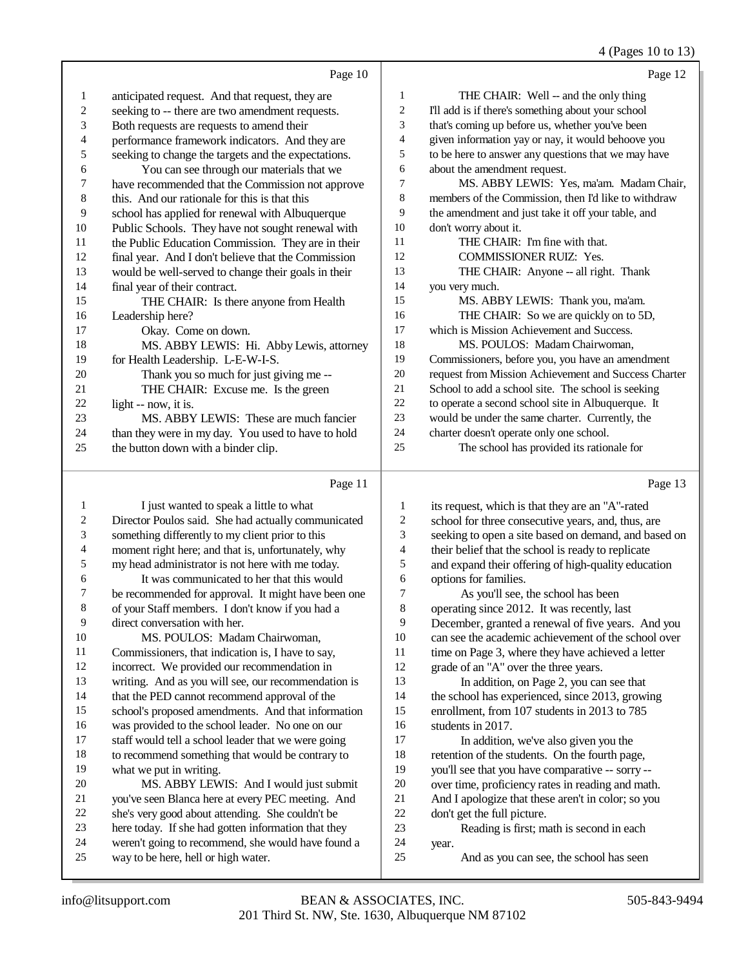(Pages 10 to 13)

|    |                                                     |    | $4$ (F ages TV tO TJ)                                |
|----|-----------------------------------------------------|----|------------------------------------------------------|
|    | Page 10                                             |    | Page 12                                              |
| 1  | anticipated request. And that request, they are     | 1  | THE CHAIR: Well -- and the only thing                |
| 2  | seeking to -- there are two amendment requests.     | 2  | I'll add is if there's something about your school   |
| 3  | Both requests are requests to amend their           | 3  | that's coming up before us, whether you've been      |
| 4  | performance framework indicators. And they are      | 4  | given information yay or nay, it would behoove you   |
| 5  | seeking to change the targets and the expectations. | 5  | to be here to answer any questions that we may have  |
| 6  | You can see through our materials that we           | 6  | about the amendment request.                         |
| 7  | have recommended that the Commission not approve    | 7  | MS. ABBY LEWIS: Yes, ma'am. Madam Chair,             |
| 8  | this. And our rationale for this is that this       | 8  | members of the Commission, then I'd like to withdraw |
| 9  | school has applied for renewal with Albuquerque     | 9  | the amendment and just take it off your table, and   |
| 10 | Public Schools. They have not sought renewal with   | 10 | don't worry about it.                                |
| 11 | the Public Education Commission. They are in their  | 11 | THE CHAIR: I'm fine with that.                       |
| 12 | final year. And I don't believe that the Commission | 12 | <b>COMMISSIONER RUIZ: Yes.</b>                       |
| 13 | would be well-served to change their goals in their | 13 | THE CHAIR: Anyone -- all right. Thank                |
| 14 | final year of their contract.                       | 14 | you very much.                                       |
| 15 | THE CHAIR: Is there anyone from Health              | 15 | MS. ABBY LEWIS: Thank you, ma'am.                    |
| 16 | Leadership here?                                    | 16 | THE CHAIR: So we are quickly on to 5D,               |
| 17 | Okay. Come on down.                                 | 17 | which is Mission Achievement and Success.            |
| 18 | MS. ABBY LEWIS: Hi. Abby Lewis, attorney            | 18 | MS. POULOS: Madam Chairwoman,                        |
| 19 | for Health Leadership. L-E-W-I-S.                   | 19 | Commissioners, before you, you have an amendment     |
| 20 | Thank you so much for just giving me --             | 20 | request from Mission Achievement and Success Charter |
| 21 | THE CHAIR: Excuse me. Is the green                  | 21 | School to add a school site. The school is seeking   |
| 22 | light -- now, it is.                                | 22 | to operate a second school site in Albuquerque. It   |
| 23 | MS. ABBY LEWIS: These are much fancier              | 23 | would be under the same charter. Currently, the      |
| 24 | than they were in my day. You used to have to hold  | 24 | charter doesn't operate only one school.             |
| 25 | the button down with a binder clip.                 | 25 | The school has provided its rationale for            |
|    | Page 11                                             |    | Page 13                                              |

### Director Poulos said. She had actually communicated be recommended for approval. It might have been one school's proposed amendments. And that information 1 its request, which is that they are an "A"-rated<br>2 school for three consecutive vears, and, thus, a 2 school for three consecutive years, and, thus, are<br>3 seeking to open a site based on demand, and base seeking to open a site based on demand, and based on 4 their belief that the school is ready to replicate<br>5 and expand their offering of high-quality education 5 and expand their offering of high-quality education<br>6 options for families. 6 options for families.<br>7 As you'll see 1 7 As you'll see, the school has been<br>8 operating since 2012. It was recently 1 operating since 2012. It was recently, last December, granted a renewal of five years. And you 10 can see the academic achievement of the school over<br>11 time on Page 3, where they have achieved a letter time on Page 3, where they have achieved a letter grade of an "A" over the three years. In addition, on Page 2, you can see that the school has experienced, since 2013, growing enrollment, from 107 students in 2013 to 785 16 students in 2017.<br>17 In addition. In addition, we've also given you the 18 retention of the students. On the fourth page,<br>19 vou<sup>'ll</sup> see that you have comparative -- sorry you'll see that you have comparative -- sorry --20 over time, proficiency rates in reading and math.<br>21 And I apologize that these aren't in color: so you

21 And I apologize that these aren't in color; so you<br>22 don't get the full picture. 22 don't get the full picture.<br>23 Reading is first: m

Reading is first; math is second in each

- year.
- And as you can see, the school has seen

1 I just wanted to speak a little to what

 something differently to my client prior to this moment right here; and that is, unfortunately, why my head administrator is not here with me today. It was communicated to her that this would

of your Staff members. I don't know if you had a

 was provided to the school leader. No one on our staff would tell a school leader that we were going to recommend something that would be contrary to

 MS. ABBY LEWIS: And I would just submit you've seen Blanca here at every PEC meeting. And she's very good about attending. She couldn't be here today. If she had gotten information that they weren't going to recommend, she would have found a

 MS. POULOS: Madam Chairwoman, Commissioners, that indication is, I have to say, incorrect. We provided our recommendation in writing. And as you will see, our recommendation is that the PED cannot recommend approval of the

direct conversation with her.

what we put in writing.

way to be here, hell or high water.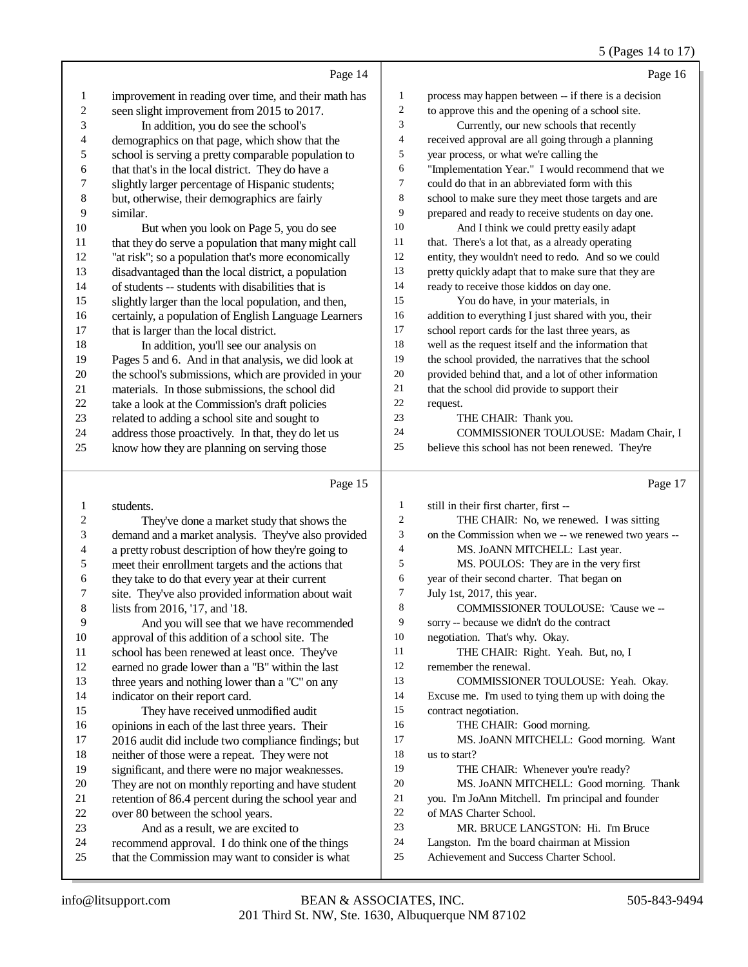## 5 (Pages 14 to 17)

|                | Page 14                                              |                | Page 16                                              |
|----------------|------------------------------------------------------|----------------|------------------------------------------------------|
| 1              | improvement in reading over time, and their math has | 1              | process may happen between -- if there is a decision |
| $\overline{c}$ | seen slight improvement from 2015 to 2017.           | $\overline{c}$ | to approve this and the opening of a school site.    |
| 3              | In addition, you do see the school's                 | 3              | Currently, our new schools that recently             |
| 4              | demographics on that page, which show that the       | 4              | received approval are all going through a planning   |
| 5              | school is serving a pretty comparable population to  | 5              | year process, or what we're calling the              |
| 6              | that that's in the local district. They do have a    | 6              | "Implementation Year." I would recommend that we     |
| 7              | slightly larger percentage of Hispanic students;     | 7              | could do that in an abbreviated form with this       |
| 8              | but, otherwise, their demographics are fairly        | 8              | school to make sure they meet those targets and are  |
| 9              | similar.                                             | 9              | prepared and ready to receive students on day one.   |
| 10             | But when you look on Page 5, you do see              | 10             | And I think we could pretty easily adapt             |
| 11             | that they do serve a population that many might call | 11             | that. There's a lot that, as a already operating     |
| 12             | "at risk"; so a population that's more economically  | 12             | entity, they wouldn't need to redo. And so we could  |
| 13             | disadvantaged than the local district, a population  | 13             | pretty quickly adapt that to make sure that they are |
| 14             | of students -- students with disabilities that is    | 14             | ready to receive those kiddos on day one.            |
| 15             | slightly larger than the local population, and then, | 15             | You do have, in your materials, in                   |
| 16             | certainly, a population of English Language Learners | 16             | addition to everything I just shared with you, their |
| 17             | that is larger than the local district.              | 17             | school report cards for the last three years, as     |
| 18             | In addition, you'll see our analysis on              | 18             | well as the request itself and the information that  |
| 19             | Pages 5 and 6. And in that analysis, we did look at  | 19             | the school provided, the narratives that the school  |
| 20             | the school's submissions, which are provided in your | $20\,$         | provided behind that, and a lot of other information |
| 21             | materials. In those submissions, the school did      | 21             | that the school did provide to support their         |
| 22             | take a look at the Commission's draft policies       | 22             | request.                                             |
| 23             | related to adding a school site and sought to        | 23             | THE CHAIR: Thank you.                                |
| 24             | address those proactively. In that, they do let us   | 24             | COMMISSIONER TOULOUSE: Madam Chair, I                |
| 25             | know how they are planning on serving those          | 25             | believe this school has not been renewed. They're    |
|                |                                                      |                |                                                      |
|                | Page 15                                              |                | Page 17                                              |
| 1              | students.                                            | 1              | still in their first charter, first --               |
| 2              | They've done a market study that shows the           | 2              | THE CHAIR: No, we renewed. I was sitting             |
| 3              | demand and a market analysis. They've also provided  | 3              | on the Commission when we -- we renewed two years -- |
| 4              | a pretty robust description of how they're going to  | 4              | MS. JoANN MITCHELL: Last year.                       |
| 5              | meet their enrollment targets and the actions that   | 5              | MS. POULOS: They are in the very first               |
| 6              | they take to do that every year at their current     | 6              | year of their second charter. That began on          |
| 7              | site. They've also provided information about wait   | 7              | July 1st, 2017, this year.                           |
| 8              | lists from 2016, '17, and '18.                       | 8              | COMMISSIONER TOULOUSE: 'Cause we --                  |
| 9              | And you will see that we have recommended            | 9              | sorry -- because we didn't do the contract           |
| 10             | approval of this addition of a school site. The      | 10             | negotiation. That's why. Okay.                       |
| 11             | school has been renewed at least once. They've       | 11             | THE CHAIR: Right. Yeah. But, no, I                   |
| 12             | earned no grade lower than a "B" within the last     | 12             | remember the renewal.                                |
| 13             | three years and nothing lower than a "C" on any      | 13             | COMMISSIONER TOULOUSE: Yeah. Okay.                   |
| 14             | indicator on their report card.                      | 14             | Excuse me. I'm used to tying them up with doing the  |
| 15             | They have received unmodified audit                  | 15             | contract negotiation.                                |
| 16             | opinions in each of the last three years. Their      | 16             | THE CHAIR: Good morning.                             |
| 17             | 2016 audit did include two compliance findings; but  | 17             | MS. JoANN MITCHELL: Good morning. Want               |
| 18             | neither of those were a repeat. They were not        | 18             | us to start?                                         |
| 19             | significant, and there were no major weaknesses.     | 19             | THE CHAIR: Whenever you're ready?                    |
| 20             | They are not on monthly reporting and have student   | 20             | MS. JOANN MITCHELL: Good morning. Thank              |
| 21             | retention of 86.4 percent during the school year and | 21             | you. I'm JoAnn Mitchell. I'm principal and founder   |
| 22             | over 80 between the school years.                    | 22             | of MAS Charter School.                               |
| 23             | And as a result, we are excited to                   | 23             | MR. BRUCE LANGSTON: Hi. I'm Bruce                    |
| 24             | recommend approval I do think one of the things      | 24             | Langston. I'm the board chairman at Mission          |

- 24 recommend approval. I do think one of the things<br>25 that the Commission may want to consider is what that the Commission may want to consider is what
- 24 Langston. I'm the board chairman at Mission<br>25 Achievement and Success Charter School. Achievement and Success Charter School.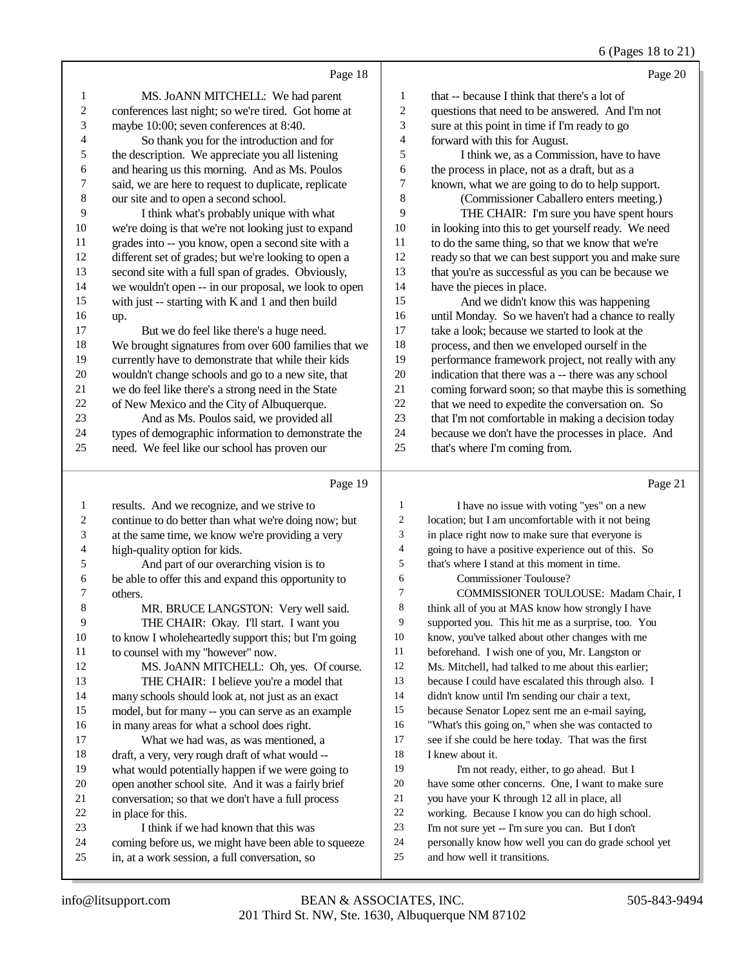|    |                                                      |    | 6 (Pages 18 to 21)                                  |
|----|------------------------------------------------------|----|-----------------------------------------------------|
|    | Page 18                                              |    | Page 20                                             |
|    | MS. JoANN MITCHELL: We had parent                    |    | that -- because I think that there's a lot of       |
|    | conferences last night; so we're tired. Got home at  |    | questions that need to be answered. And I'm not     |
| 3  | maybe 10:00; seven conferences at 8:40.              | 3  | sure at this point in time if I'm ready to go       |
| 4  | So thank you for the introduction and for            |    | forward with this for August.                       |
| 5  | the description. We appreciate you all listening     |    | I think we, as a Commission, have to have           |
| 6  | and hearing us this morning. And as Ms. Poulos       | 6  | the process in place, not as a draft, but as a      |
|    | said, we are here to request to duplicate, replicate |    | known, what we are going to do to help support.     |
| 8  | our site and to open a second school.                | 8  | (Commissioner Caballero enters meeting.)            |
| 9  | I think what's probably unique with what             | 9  | THE CHAIR: I'm sure you have spent hours            |
| 10 | we're doing is that we're not looking just to expand | 10 | in looking into this to get yourself ready. We need |
| 11 | grades into -- you know, open a second site with a   | 11 | to do the same thing, so that we know that we're    |
| 12 | different set of grades; but we're looking to open a | 12 | ready so that we can best support you and make sure |

 that you're as successful as you can be because we have the pieces in place. And we didn't know this was happening until Monday. So we haven't had a chance to really take a look; because we started to look at the process, and then we enveloped ourself in the performance framework project, not really with any indication that there was a -- there was any school coming forward soon; so that maybe this is something 22 that we need to expedite the conversation on. So<br>23 that I'm not comfortable in making a decision toda that I'm not comfortable in making a decision today because we don't have the processes in place. And

that's where I'm coming from.

e 21

|                | Page 19                                              |                | Page 2                                               |
|----------------|------------------------------------------------------|----------------|------------------------------------------------------|
| 1              | results. And we recognize, and we strive to          | 1              | I have no issue with voting "yes" on a new           |
| 2              | continue to do better than what we're doing now; but | $\overline{c}$ | location; but I am uncomfortable with it not being   |
| 3              | at the same time, we know we're providing a very     | 3              | in place right now to make sure that everyone is     |
| $\overline{4}$ | high-quality option for kids.                        | 4              | going to have a positive experience out of this. So  |
| 5              | And part of our overarching vision is to             | 5              | that's where I stand at this moment in time.         |
| 6              | be able to offer this and expand this opportunity to | 6              | Commissioner Toulouse?                               |
| 7              | others.                                              | 7              | COMMISSIONER TOULOUSE: Madam Chair, I                |
| 8              | MR. BRUCE LANGSTON: Very well said.                  | 8              | think all of you at MAS know how strongly I have     |
| $\overline{9}$ | THE CHAIR: Okay. I'll start. I want you              | 9              | supported you. This hit me as a surprise, too. You   |
| 10             | to know I wholeheartedly support this; but I'm going | 10             | know, you've talked about other changes with me      |
| 11             | to counsel with my "however" now.                    | 11             | beforehand. I wish one of you, Mr. Langston or       |
| 12             | MS. JoANN MITCHELL: Oh, yes. Of course.              | 12             | Ms. Mitchell, had talked to me about this earlier;   |
| 13             | THE CHAIR: I believe you're a model that             | 13             | because I could have escalated this through also. I  |
| 14             | many schools should look at, not just as an exact    | 14             | didn't know until I'm sending our chair a text,      |
| 15             | model, but for many -- you can serve as an example   | 15             | because Senator Lopez sent me an e-mail saying,      |
| 16             | in many areas for what a school does right.          | 16             | "What's this going on," when she was contacted to    |
| 17             | What we had was, as was mentioned, a                 | 17             | see if she could be here today. That was the first   |
| 18             | draft, a very, very rough draft of what would --     | 18             | I knew about it.                                     |
| 19             | what would potentially happen if we were going to    | 19             | I'm not ready, either, to go ahead. But I            |
| 20             | open another school site. And it was a fairly brief  | 20             | have some other concerns. One, I want to make sure   |
| 21             | conversation; so that we don't have a full process   | 21             | you have your K through 12 all in place, all         |
| 22             | in place for this.                                   | 22             | working. Because I know you can do high school.      |
| 23             | I think if we had known that this was                | 23             | I'm not sure yet -- I'm sure you can. But I don't    |
| 24             | coming before us, we might have been able to squeeze | 24             | personally know how well you can do grade school yet |
| 25             | in, at a work session, a full conversation, so       | 25             | and how well it transitions.                         |
|                |                                                      |                |                                                      |

 second site with a full span of grades. Obviously, we wouldn't open -- in our proposal, we look to open with just -- starting with K and 1 and then build

But we do feel like there's a huge need.

 We brought signatures from over 600 families that we currently have to demonstrate that while their kids wouldn't change schools and go to a new site, that we do feel like there's a strong need in the State of New Mexico and the City of Albuquerque. And as Ms. Poulos said, we provided all types of demographic information to demonstrate the need. We feel like our school has proven our

up.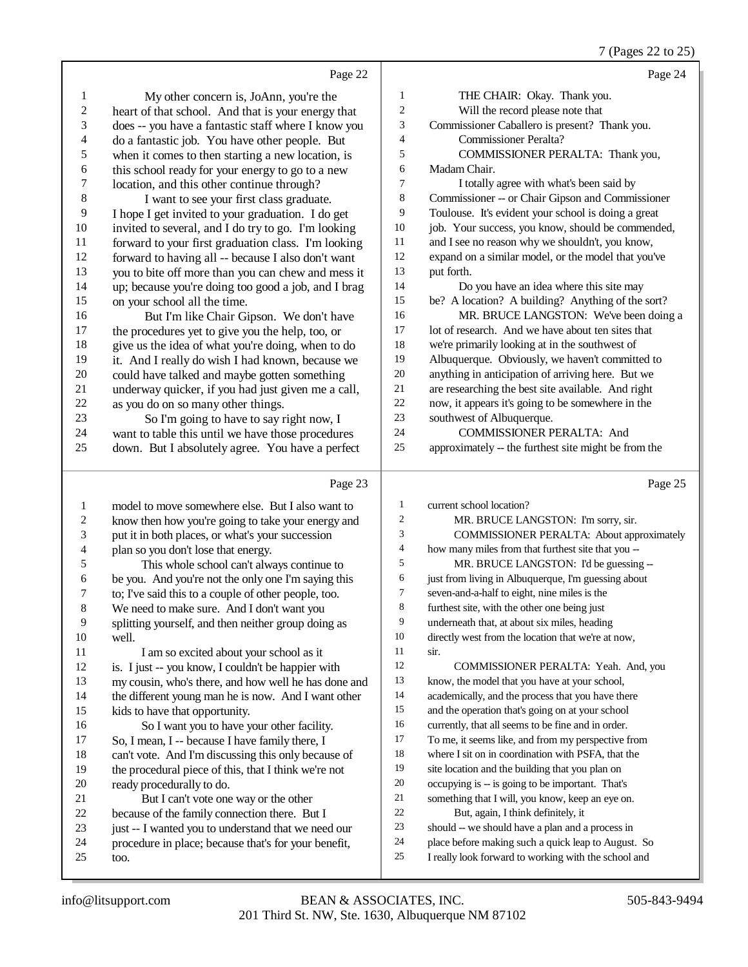|                  | Page 22                                              |                | Page 24                                              |
|------------------|------------------------------------------------------|----------------|------------------------------------------------------|
| $\mathbf{1}$     | My other concern is, JoAnn, you're the               | 1              | THE CHAIR: Okay. Thank you.                          |
| $\boldsymbol{2}$ | heart of that school. And that is your energy that   | $\sqrt{2}$     | Will the record please note that                     |
| 3                | does -- you have a fantastic staff where I know you  | 3              | Commissioner Caballero is present? Thank you.        |
| $\overline{4}$   | do a fantastic job. You have other people. But       | $\overline{4}$ | <b>Commissioner Peralta?</b>                         |
| 5                | when it comes to then starting a new location, is    | 5              | COMMISSIONER PERALTA: Thank you,                     |
| 6                | this school ready for your energy to go to a new     | 6              | Madam Chair.                                         |
| 7                | location, and this other continue through?           | $\tau$         | I totally agree with what's been said by             |
| $\,8\,$          | I want to see your first class graduate.             | 8              | Commissioner -- or Chair Gipson and Commissioner     |
| 9                | I hope I get invited to your graduation. I do get    | 9              | Toulouse. It's evident your school is doing a great  |
| 10               | invited to several, and I do try to go. I'm looking  | 10             | job. Your success, you know, should be commended,    |
| 11               | forward to your first graduation class. I'm looking  | 11             | and I see no reason why we shouldn't, you know,      |
| 12               | forward to having all -- because I also don't want   | 12             | expand on a similar model, or the model that you've  |
| 13               | you to bite off more than you can chew and mess it   | 13             | put forth.                                           |
| 14               | up; because you're doing too good a job, and I brag  | 14             | Do you have an idea where this site may              |
| 15               | on your school all the time.                         | 15             | be? A location? A building? Anything of the sort?    |
| 16               | But I'm like Chair Gipson. We don't have             | 16             | MR. BRUCE LANGSTON: We've been doing a               |
| 17               | the procedures yet to give you the help, too, or     | $17\,$         | lot of research. And we have about ten sites that    |
| 18               | give us the idea of what you're doing, when to do    | 18             | we're primarily looking at in the southwest of       |
| 19               | it. And I really do wish I had known, because we     | 19             | Albuquerque. Obviously, we haven't committed to      |
| 20               | could have talked and maybe gotten something         | $20\,$         | anything in anticipation of arriving here. But we    |
| 21               | underway quicker, if you had just given me a call,   | 21             | are researching the best site available. And right   |
| 22               | as you do on so many other things.                   | 22             | now, it appears it's going to be somewhere in the    |
| 23               | So I'm going to have to say right now, I             | 23             | southwest of Albuquerque.                            |
| 24               | want to table this until we have those procedures    | 24             | <b>COMMISSIONER PERALTA: And</b>                     |
| 25               | down. But I absolutely agree. You have a perfect     | 25             | approximately -- the furthest site might be from the |
|                  | Page 23                                              |                | Page 25                                              |
| $\mathbf{1}$     | model to move somewhere else. But I also want to     | $\mathbf{1}$   | current school location?                             |
| 2                | know then how you're going to take your energy and   | $\overline{c}$ | MR. BRUCE LANGSTON: I'm sorry, sir.                  |
| $\mathfrak{Z}$   | put it in both places, or what's your succession     | 3              | COMMISSIONER PERALTA: About approximately            |
| 4                | plan so you don't lose that energy.                  | $\overline{4}$ | how many miles from that furthest site that you --   |
| 5                | This whole school can't always continue to           | 5              | MR. BRUCE LANGSTON: I'd be guessing --               |
| 6                | be you. And you're not the only one I'm saying this  | 6              | just from living in Albuquerque, I'm guessing about  |
| 7                | to; I've said this to a couple of other people, too. | $\tau$         | seven-and-a-half to eight, nine miles is the         |
| 8                | We need to make sure. And I don't want you           | 8              | furthest site, with the other one being just         |
| 9                | splitting yourself, and then neither group doing as  | 9              | underneath that, at about six miles, heading         |
| 10               | well.                                                | 10             | directly west from the location that we're at now,   |
| 11               | I am so excited about your school as it              | 11             | sir.                                                 |
| 12               | is. I just -- you know, I couldn't be happier with   | 12             | COMMISSIONER PERALTA: Yeah. And, you                 |
| 13               | my cousin, who's there, and how well he has done and | 13             | know, the model that you have at your school,        |
| 14               | the different young man he is now. And I want other  | 14             | academically, and the process that you have there    |
| 15               | kids to have that opportunity.                       | 15             | and the operation that's going on at your school     |
| 16               | So I want you to have your other facility.           | 16             | currently, that all seems to be fine and in order.   |
| 17               | So, I mean, I -- because I have family there, I      | 17             | To me, it seems like, and from my perspective from   |
| 18               | can't vote. And I'm discussing this only because of  | 18             | where I sit on in coordination with PSFA, that the   |
| 19               | the procedural piece of this, that I think we're not | 19             | site location and the building that you plan on      |
| 20               | ready procedurally to do.                            | 20             | occupying is -- is going to be important. That's     |
| 21               | But I can't vote one way or the other                | 21             | something that I will, you know, keep an eye on.     |
| 22               | because of the family connection there. But I        | 22             | But, again, I think definitely, it                   |
| 23               | just -- I wanted you to understand that we need our  | 23             | should -- we should have a plan and a process in     |

- 23 just -- I wanted you to understand that we need our<br>24 procedure in place; because that's for your benefit,
- 24 procedure in place; because that's for your benefit,<br>25 too.
- too.

place before making such a quick leap to August. So

## 7 (Pages 22 to 25)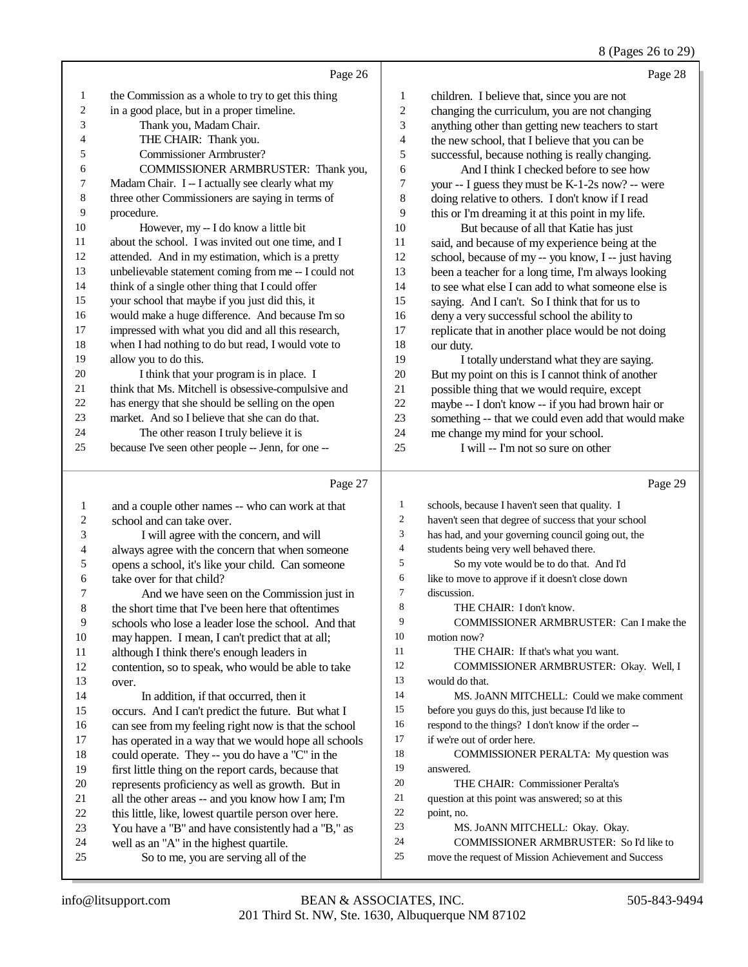8 (Pages 26 to 29)

|                         |                                                                                                 |                          | 8 (Pages 26 to 29)                                   |
|-------------------------|-------------------------------------------------------------------------------------------------|--------------------------|------------------------------------------------------|
|                         | Page 26                                                                                         |                          | Page 28                                              |
| $\mathbf{1}$            | the Commission as a whole to try to get this thing                                              | 1                        | children. I believe that, since you are not          |
| $\boldsymbol{2}$        | in a good place, but in a proper timeline.                                                      | $\sqrt{2}$               | changing the curriculum, you are not changing        |
| 3                       | Thank you, Madam Chair.                                                                         | 3                        | anything other than getting new teachers to start    |
| 4                       | THE CHAIR: Thank you.                                                                           | $\overline{\mathcal{L}}$ | the new school, that I believe that you can be       |
| 5                       | Commissioner Armbruster?                                                                        | 5                        | successful, because nothing is really changing.      |
| 6                       | COMMISSIONER ARMBRUSTER: Thank you,                                                             | 6                        | And I think I checked before to see how              |
| 7                       | Madam Chair. I -- I actually see clearly what my                                                | $\sqrt{ }$               | your -- I guess they must be K-1-2s now? -- were     |
| 8                       | three other Commissioners are saying in terms of                                                | 8                        | doing relative to others. I don't know if I read     |
| 9                       | procedure.                                                                                      | 9                        | this or I'm dreaming it at this point in my life.    |
| 10                      | However, my -- I do know a little bit                                                           | 10                       | But because of all that Katie has just               |
| 11                      | about the school. I was invited out one time, and I                                             | 11                       | said, and because of my experience being at the      |
| 12                      | attended. And in my estimation, which is a pretty                                               | 12                       | school, because of my -- you know, I -- just having  |
| 13                      | unbelievable statement coming from me -- I could not                                            | 13                       | been a teacher for a long time, I'm always looking   |
| 14                      | think of a single other thing that I could offer                                                | 14                       | to see what else I can add to what someone else is   |
| 15                      | your school that maybe if you just did this, it                                                 | 15                       | saying. And I can't. So I think that for us to       |
| 16                      | would make a huge difference. And because I'm so                                                | 16                       | deny a very successful school the ability to         |
| 17                      | impressed with what you did and all this research,                                              | 17                       |                                                      |
| 18                      | when I had nothing to do but read, I would vote to                                              | 18                       | replicate that in another place would be not doing   |
| 19                      | allow you to do this.                                                                           | 19                       | our duty.                                            |
| 20                      |                                                                                                 |                          | I totally understand what they are saying.           |
| 21                      | I think that your program is in place. I<br>think that Ms. Mitchell is obsessive-compulsive and | $20\,$                   | But my point on this is I cannot think of another    |
| $22\,$                  |                                                                                                 | 21                       | possible thing that we would require, except         |
| 23                      | has energy that she should be selling on the open                                               | $22\,$                   | maybe -- I don't know -- if you had brown hair or    |
| 24                      | market. And so I believe that she can do that.                                                  | 23                       | something -- that we could even add that would make  |
|                         | The other reason I truly believe it is                                                          | 24                       | me change my mind for your school.                   |
| 25                      | because I've seen other people -- Jenn, for one --                                              | 25                       | I will -- I'm not so sure on other                   |
|                         | Page 27                                                                                         |                          | Page 29                                              |
| $\mathbf{1}$            | and a couple other names -- who can work at that                                                | $\mathbf{1}$             | schools, because I haven't seen that quality. I      |
| $\overline{\mathbf{c}}$ | school and can take over.                                                                       | 2                        | haven't seen that degree of success that your school |
| 3                       | I will agree with the concern, and will                                                         | 3                        | has had, and your governing council going out, the   |
| 4                       | always agree with the concern that when someone                                                 | 4                        | students being very well behaved there.              |
| 5                       | opens a school, it's like your child. Can someone                                               | 5                        | So my vote would be to do that. And I'd              |
| 6                       | take over for that child?                                                                       | 6                        | like to move to approve if it doesn't close down     |
| 7                       | And we have seen on the Commission just in                                                      | 7                        | discussion.                                          |
| 8                       | the short time that I've been here that oftentimes                                              | 8                        | THE CHAIR: I don't know.                             |
| 9                       | schools who lose a leader lose the school. And that                                             | 9                        | COMMISSIONER ARMBRUSTER: Can I make the              |
| 10                      | may happen. I mean, I can't predict that at all;                                                | 10                       | motion now?                                          |
| 11                      | although I think there's enough leaders in                                                      | 11                       | THE CHAIR: If that's what you want.                  |
| 12                      | contention, so to speak, who would be able to take                                              | 12                       | COMMISSIONER ARMBRUSTER: Okay. Well, I               |
| 13                      | over.                                                                                           | 13                       | would do that.                                       |
| 14                      | In addition, if that occurred, then it                                                          | 14                       | MS. JoANN MITCHELL: Could we make comment            |
| 15                      | occurs. And I can't predict the future. But what I                                              | 15                       | before you guys do this, just because I'd like to    |
| 16                      | can see from my feeling right now is that the school                                            | 16                       | respond to the things? I don't know if the order --  |
| 17                      | has operated in a way that we would hope all schools                                            | 17                       | if we're out of order here.                          |
| 18                      | could operate. They -- you do have a "C" in the                                                 | 18                       | COMMISSIONER PERALTA: My question was                |
| 19                      | first little thing on the report cards, because that                                            | 19                       | answered.                                            |
| $20\,$                  | represents proficiency as well as growth. But in                                                | 20                       | THE CHAIR: Commissioner Peralta's                    |
| 21                      | all the other areas -- and you know how I am; I'm                                               | 21                       | question at this point was answered; so at this      |
|                         |                                                                                                 |                          |                                                      |

- question at this point was answered; so at this
- point, no.
- MS. JoANN MITCHELL: Okay. Okay.
- COMMISSIONER ARMBRUSTER: So I'd like to
- move the request of Mission Achievement and Success

21 all the other areas -- and you know how I am; I'm<br>22 this little. like, lowest quartile person over here. 22 this little, like, lowest quartile person over here.<br>23 You have a "B" and have consistently had a "B." 23 You have a "B" and have consistently had a "B," as well as an "A" in the highest quartile.

So to me, you are serving all of the

24 well as an "A" in the highest quartile.<br>25 So to me, you are serving all of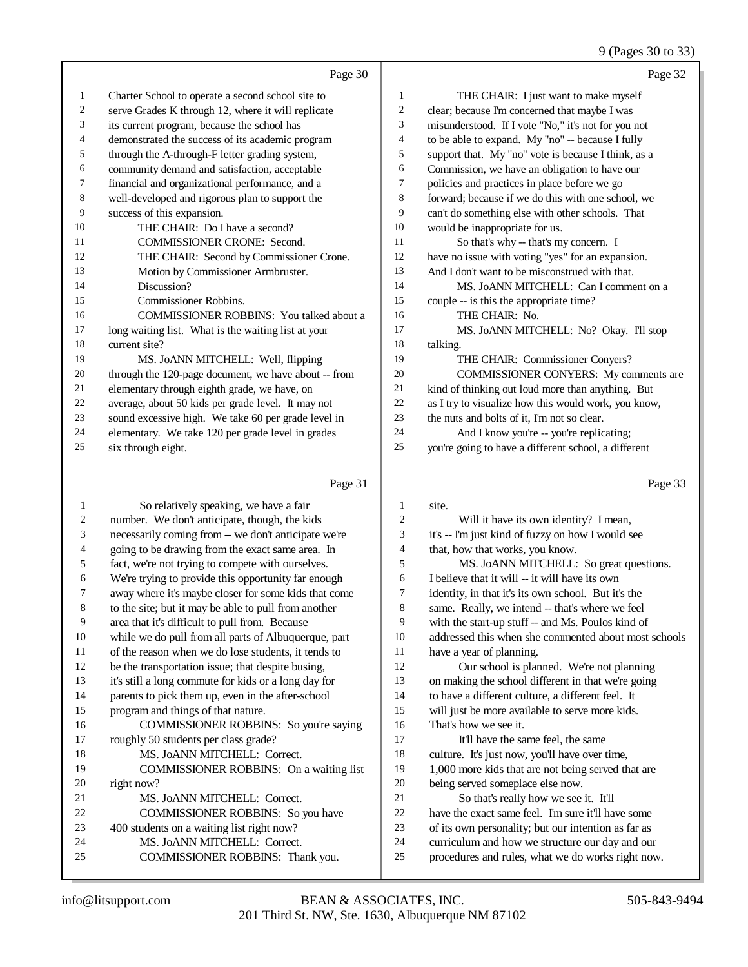# 9 (Pages 30 to 33)

|    | Page 30                                              |                | Page 32                                              |
|----|------------------------------------------------------|----------------|------------------------------------------------------|
| 1  | Charter School to operate a second school site to    | 1              | THE CHAIR: I just want to make myself                |
| 2  | serve Grades K through 12, where it will replicate   | 2              | clear; because I'm concerned that maybe I was        |
| 3  | its current program, because the school has          | 3              | misunderstood. If I vote "No," it's not for you not  |
| 4  | demonstrated the success of its academic program     | $\overline{4}$ | to be able to expand. My "no" -- because I fully     |
| 5  | through the A-through-F letter grading system,       | 5              | support that. My "no" vote is because I think, as a  |
| 6  | community demand and satisfaction, acceptable        | 6              | Commission, we have an obligation to have our        |
| 7  | financial and organizational performance, and a      | 7              | policies and practices in place before we go         |
| 8  | well-developed and rigorous plan to support the      | 8              | forward; because if we do this with one school, we   |
| 9  | success of this expansion.                           | 9              | can't do something else with other schools. That     |
| 10 | THE CHAIR: Do I have a second?                       | 10             | would be inappropriate for us.                       |
| 11 | <b>COMMISSIONER CRONE: Second.</b>                   | 11             | So that's why -- that's my concern. I                |
| 12 | THE CHAIR: Second by Commissioner Crone.             | 12             | have no issue with voting "yes" for an expansion.    |
| 13 | Motion by Commissioner Armbruster.                   | 13             | And I don't want to be misconstrued with that.       |
| 14 | Discussion?                                          | 14             | MS. JOANN MITCHELL: Can I comment on a               |
| 15 | Commissioner Robbins.                                | 15             | couple -- is this the appropriate time?              |
| 16 | <b>COMMISSIONER ROBBINS:</b> You talked about a      | 16             | THE CHAIR: No.                                       |
| 17 | long waiting list. What is the waiting list at your  | 17             | MS. JOANN MITCHELL: No? Okay. I'll stop              |
| 18 | current site?                                        | 18             | talking.                                             |
| 19 | MS. JoANN MITCHELL: Well, flipping                   | 19             | THE CHAIR: Commissioner Conyers?                     |
| 20 | through the 120-page document, we have about -- from | 20             | COMMISSIONER CONYERS: My comments are                |
| 21 | elementary through eighth grade, we have, on         | 21             | kind of thinking out loud more than anything. But    |
| 22 | average, about 50 kids per grade level. It may not   | 22             | as I try to visualize how this would work, you know, |
| 23 | sound excessive high. We take 60 per grade level in  | 23             | the nuts and bolts of it, I'm not so clear.          |
| 24 | elementary. We take 120 per grade level in grades    | 24             | And I know you're -- you're replicating;             |
| 25 | six through eight.                                   | 25             | you're going to have a different school, a different |
|    | Page 31                                              |                | Page 33                                              |
| 1  | So relatively speaking, we have a fair               | 1              | site.                                                |
|    |                                                      |                |                                                      |

|    | So relatively speaking, we have a fair               | 1              | site.                                                |
|----|------------------------------------------------------|----------------|------------------------------------------------------|
| 2  | number. We don't anticipate, though, the kids        | 2              | Will it have its own identity? I mean,               |
| 3  | necessarily coming from -- we don't anticipate we're | 3              | it's -- I'm just kind of fuzzy on how I would see    |
| 4  | going to be drawing from the exact same area. In     | $\overline{4}$ | that, how that works, you know.                      |
| 5  | fact, we're not trying to compete with ourselves.    | 5              | MS. JoANN MITCHELL: So great questions.              |
| 6  | We're trying to provide this opportunity far enough  | 6              | I believe that it will -- it will have its own       |
| 7  | away where it's maybe closer for some kids that come | 7              | identity, in that it's its own school. But it's the  |
| 8  | to the site; but it may be able to pull from another | 8              | same. Really, we intend -- that's where we feel      |
| 9  | area that it's difficult to pull from. Because       | 9              | with the start-up stuff -- and Ms. Poulos kind of    |
| 10 | while we do pull from all parts of Albuquerque, part | 10             | addressed this when she commented about most schools |
| 11 | of the reason when we do lose students, it tends to  | 11             | have a year of planning.                             |
| 12 | be the transportation issue; that despite busing,    | 12             | Our school is planned. We're not planning            |
| 13 | it's still a long commute for kids or a long day for | 13             | on making the school different in that we're going   |
| 14 | parents to pick them up, even in the after-school    | 14             | to have a different culture, a different feel. It    |
| 15 | program and things of that nature.                   | 15             | will just be more available to serve more kids.      |
| 16 | COMMISSIONER ROBBINS: So you're saying               | 16             | That's how we see it.                                |
| 17 | roughly 50 students per class grade?                 | 17             | It'll have the same feel, the same                   |
| 18 | MS. JoANN MITCHELL: Correct.                         | 18             | culture. It's just now, you'll have over time,       |
| 19 | COMMISSIONER ROBBINS: On a waiting list              | 19             | 1,000 more kids that are not being served that are   |
| 20 | right now?                                           | 20             | being served someplace else now.                     |
| 21 | MS. JoANN MITCHELL: Correct.                         | 21             | So that's really how we see it. It'll                |
| 22 | COMMISSIONER ROBBINS: So you have                    | 22             | have the exact same feel. I'm sure it'll have some   |
| 23 | 400 students on a waiting list right now?            | 23             | of its own personality; but our intention as far as  |
| 24 | MS. JoANN MITCHELL: Correct.                         | 24             | curriculum and how we structure our day and our      |
| 25 | COMMISSIONER ROBBINS: Thank you.                     | 25             | procedures and rules, what we do works right now.    |
|    |                                                      |                |                                                      |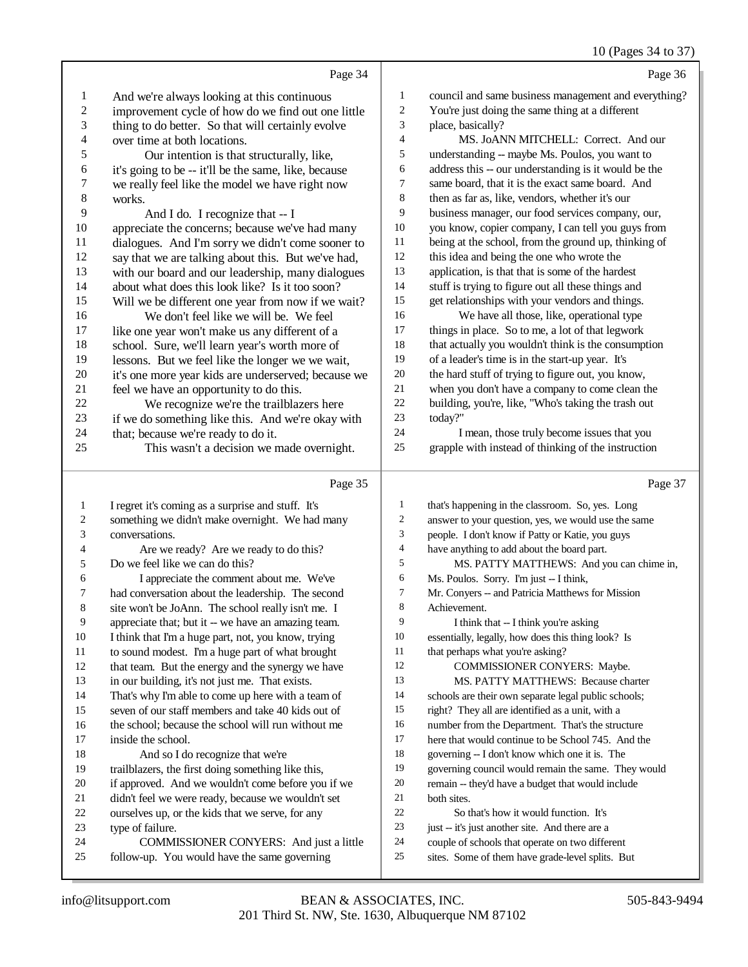## 10 (Pages 34 to 37)

|                         | Page 34                                                     |                         | Page 36                                                                                            |
|-------------------------|-------------------------------------------------------------|-------------------------|----------------------------------------------------------------------------------------------------|
| $\mathbf{1}$            | And we're always looking at this continuous                 | 1                       | council and same business management and everything?                                               |
| 2                       | improvement cycle of how do we find out one little          | 2                       | You're just doing the same thing at a different                                                    |
| 3                       | thing to do better. So that will certainly evolve           | 3                       | place, basically?                                                                                  |
| $\overline{\mathbf{4}}$ | over time at both locations.                                | 4                       | MS. JoANN MITCHELL: Correct. And our                                                               |
| 5                       | Our intention is that structurally, like,                   | 5                       | understanding -- maybe Ms. Poulos, you want to                                                     |
| 6                       | it's going to be -- it'll be the same, like, because        | 6                       | address this -- our understanding is it would be the                                               |
| 7                       | we really feel like the model we have right now             | 7                       | same board, that it is the exact same board. And                                                   |
| $8\,$                   | works.                                                      | 8                       | then as far as, like, vendors, whether it's our                                                    |
| 9                       | And I do. I recognize that -- I                             | 9                       | business manager, our food services company, our,                                                  |
| 10                      | appreciate the concerns; because we've had many             | 10                      | you know, copier company, I can tell you guys from                                                 |
| 11                      | dialogues. And I'm sorry we didn't come sooner to           | 11                      | being at the school, from the ground up, thinking of                                               |
| 12                      | say that we are talking about this. But we've had,          | 12                      | this idea and being the one who wrote the                                                          |
| 13                      | with our board and our leadership, many dialogues           | 13                      | application, is that that is some of the hardest                                                   |
| 14                      | about what does this look like? Is it too soon?             | 14                      | stuff is trying to figure out all these things and                                                 |
| 15                      | Will we be different one year from now if we wait?          | 15                      | get relationships with your vendors and things.                                                    |
| 16                      | We don't feel like we will be. We feel                      | 16                      | We have all those, like, operational type                                                          |
| 17                      | like one year won't make us any different of a              | 17                      | things in place. So to me, a lot of that legwork                                                   |
| 18                      | school. Sure, we'll learn year's worth more of              | 18                      | that actually you wouldn't think is the consumption                                                |
| 19                      | lessons. But we feel like the longer we we wait,            | 19                      | of a leader's time is in the start-up year. It's                                                   |
| $20\,$                  | it's one more year kids are underserved; because we         | $20\,$                  | the hard stuff of trying to figure out, you know,                                                  |
| 21                      | feel we have an opportunity to do this.                     | 21                      | when you don't have a company to come clean the                                                    |
| $22\,$                  | We recognize we're the trailblazers here                    | $22\,$                  | building, you're, like, "Who's taking the trash out                                                |
| 23                      | if we do something like this. And we're okay with           | 23                      | today?"                                                                                            |
| 24                      | that; because we're ready to do it.                         | 24                      | I mean, those truly become issues that you                                                         |
| 25                      | This wasn't a decision we made overnight.                   | 25                      | grapple with instead of thinking of the instruction                                                |
|                         | Page 35                                                     |                         | Page 37                                                                                            |
| $\mathbf{1}$            | I regret it's coming as a surprise and stuff. It's          | $\mathbf{1}$            | that's happening in the classroom. So, yes. Long                                                   |
| 2                       | something we didn't make overnight. We had many             | $\overline{\mathbf{c}}$ | answer to your question, yes, we would use the same                                                |
| 3                       | conversations.                                              | 3                       | people. I don't know if Patty or Katie, you guys                                                   |
| 4                       | Are we ready? Are we ready to do this?                      | 4                       | have anything to add about the board part.                                                         |
| 5                       | Do we feel like we can do this?                             | 5                       | MS. PATTY MATTHEWS: And you can chime in,                                                          |
| 6                       | I appreciate the comment about me. We've                    | 6                       | Ms. Poulos. Sorry. I'm just -- I think,                                                            |
| 7                       | had conversation about the leadership. The second           | 7                       | Mr. Conyers -- and Patricia Matthews for Mission                                                   |
| 8                       | site won't be JoAnn. The school really isn't me. I          | 8                       | Achievement.                                                                                       |
| 9                       | appreciate that; but it -- we have an amazing team.         | 9                       | I think that -- I think you're asking                                                              |
| 10                      | I think that I'm a huge part, not, you know, trying         | 10                      | essentially, legally, how does this thing look? Is                                                 |
| 11                      | to sound modest. I'm a huge part of what brought            | 11                      | that perhaps what you're asking?                                                                   |
| 12                      | that team. But the energy and the synergy we have           | 12                      | COMMISSIONER CONYERS: Maybe.                                                                       |
| 13                      | in our building, it's not just me. That exists.             | 13                      | MS. PATTY MATTHEWS: Because charter                                                                |
| 14                      | That's why I'm able to come up here with a team of          | 14                      | schools are their own separate legal public schools;                                               |
| 15                      | seven of our staff members and take 40 kids out of          | 15                      | right? They all are identified as a unit, with a                                                   |
| 16                      | the school; because the school will run without me          | 16                      | number from the Department. That's the structure                                                   |
| 17                      | inside the school.                                          | 17                      | here that would continue to be School 745. And the                                                 |
| 18                      | And so I do recognize that we're                            | 18                      | governing -- I don't know which one it is. The                                                     |
| 19                      | trailblazers, the first doing something like this,          | 19                      | governing council would remain the same. They would                                                |
| 20                      | if approved. And we wouldn't come before you if we          | 20                      | remain -- they'd have a budget that would include                                                  |
| 21                      | didn't feel we were ready, because we wouldn't set          | 21                      | both sites.                                                                                        |
| 22<br>23                | ourselves up, or the kids that we serve, for any            | 22<br>23                | So that's how it would function. It's                                                              |
| 24                      | type of failure.<br>COMMISSIONER CONYERS: And just a little | 24                      | just -- it's just another site. And there are a<br>couple of schools that operate on two different |
|                         |                                                             |                         |                                                                                                    |

sites. Some of them have grade-level splits. But

follow-up. You would have the same governing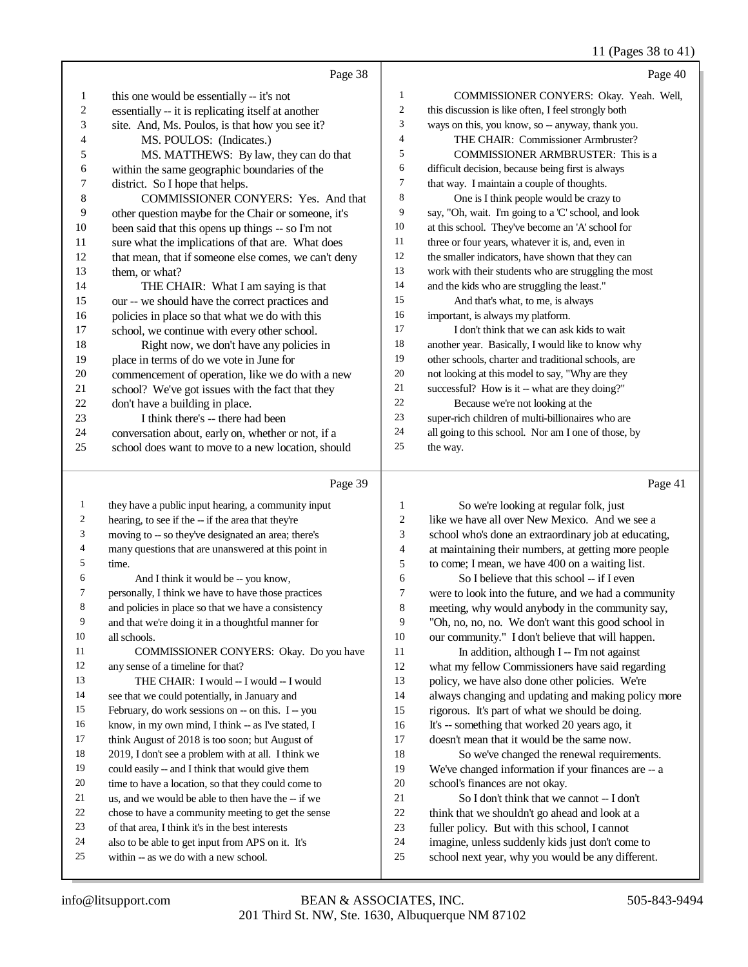### 11 (Pages 38 to 41)

|    | Page 38                                              |                | Page 40                                              |
|----|------------------------------------------------------|----------------|------------------------------------------------------|
| 1  | this one would be essentially -- it's not            | 1              | COMMISSIONER CONYERS: Okay. Yeah. Well,              |
| 2  | essentially -- it is replicating itself at another   | $\overline{2}$ | this discussion is like often, I feel strongly both  |
| 3  | site. And, Ms. Poulos, is that how you see it?       | 3              | ways on this, you know, so -- anyway, thank you.     |
| 4  | MS. POULOS: (Indicates.)                             | $\overline{4}$ | THE CHAIR: Commissioner Armbruster?                  |
| 5  | MS. MATTHEWS: By law, they can do that               | 5              | <b>COMMISSIONER ARMBRUSTER:</b> This is a            |
| 6  | within the same geographic boundaries of the         | 6              | difficult decision, because being first is always    |
| 7  | district. So I hope that helps.                      | $\overline{7}$ | that way. I maintain a couple of thoughts.           |
| 8  | <b>COMMISSIONER CONYERS:</b> Yes. And that           | 8              | One is I think people would be crazy to              |
| 9  | other question maybe for the Chair or someone, it's  | 9              | say, "Oh, wait. I'm going to a 'C' school, and look  |
| 10 | been said that this opens up things -- so I'm not    | 10             | at this school. They've become an 'A' school for     |
| 11 | sure what the implications of that are. What does    | 11             | three or four years, whatever it is, and, even in    |
| 12 | that mean, that if someone else comes, we can't deny | 12             | the smaller indicators, have shown that they can     |
| 13 | them, or what?                                       | 13             | work with their students who are struggling the most |
| 14 | THE CHAIR: What I am saying is that                  | 14             | and the kids who are struggling the least."          |
| 15 | our -- we should have the correct practices and      | 15             | And that's what, to me, is always                    |
| 16 | policies in place so that what we do with this       | 16             | important, is always my platform.                    |
| 17 | school, we continue with every other school.         | 17             | I don't think that we can ask kids to wait           |
| 18 | Right now, we don't have any policies in             | 18             | another year. Basically, I would like to know why    |
| 19 | place in terms of do we vote in June for             | 19             | other schools, charter and traditional schools, are  |
| 20 | commencement of operation, like we do with a new     | 20             | not looking at this model to say, "Why are they      |
| 21 | school? We've got issues with the fact that they     | 21             | successful? How is it -- what are they doing?"       |
| 22 | don't have a building in place.                      | 22             | Because we're not looking at the                     |
| 23 | I think there's -- there had been                    | 23             | super-rich children of multi-billionaires who are    |
| 24 | conversation about, early on, whether or not, if a   | 24             | all going to this school. Nor am I one of those, by  |
| 25 | school does want to move to a new location, should   | 25             | the way.                                             |
|    | Page 39                                              |                | Page 41                                              |

## Page |

| 1              | they have a public input hearing, a community input |
|----------------|-----------------------------------------------------|
| $\overline{c}$ | hearing, to see if the -- if the area that they're  |
| 3              | moving to -- so they've designated an area; there's |
| 4              | many questions that are unanswered at this point in |
| 5              | time.                                               |
| 6              | And I think it would be -- you know,                |
| 7              | personally, I think we have to have those practices |
| 8              | and policies in place so that we have a consistency |
| 9              | and that we're doing it in a thoughtful manner for  |
| 10             | all schools.                                        |
| 11             | COMMISSIONER CONYERS: Okay. Do you have             |
| 12             | any sense of a timeline for that?                   |
| 13             | THE CHAIR: I would -- I would -- I would            |
| 14             | see that we could potentially, in January and       |
| 15             | February, do work sessions on -- on this. I -- you  |
| 16             | know, in my own mind, I think -- as I've stated, I  |
| 17             | think August of 2018 is too soon; but August of     |
| 18             | 2019, I don't see a problem with at all. I think we |
| 19             | could easily -- and I think that would give them    |
| 20             | time to have a location, so that they could come to |
| 21             | us, and we would be able to then have the -- if we  |
| 22             | chose to have a community meeting to get the sense  |
| 23             | of that area, I think it's in the best interests    |
| 24             | also to be able to get input from APS on it. It's   |
| 25             | within -- as we do with a new school.               |

 So we're looking at regular folk, just like we have all over New Mexico. And we see a school who's done an extraordinary job at educating, at maintaining their numbers, at getting more people to come; I mean, we have 400 on a waiting list. So I believe that this school -- if I even were to look into the future, and we had a community meeting, why would anybody in the community say, "Oh, no, no, no. We don't want this good school in our community." I don't believe that will happen. 11 In addition, although I -- I'm not against what my fellow Commissioners have said regarding policy, we have also done other policies. We're always changing and updating and making policy more rigorous. It's part of what we should be doing. It's -- something that worked 20 years ago, it doesn't mean that it would be the same now. So we've changed the renewal requirements. We've changed information if your finances are -- a school's finances are not okay. So I don't think that we cannot -- I don't think that we shouldn't go ahead and look at a

- fuller policy. But with this school, I cannot
- imagine, unless suddenly kids just don't come to
- school next year, why you would be any different.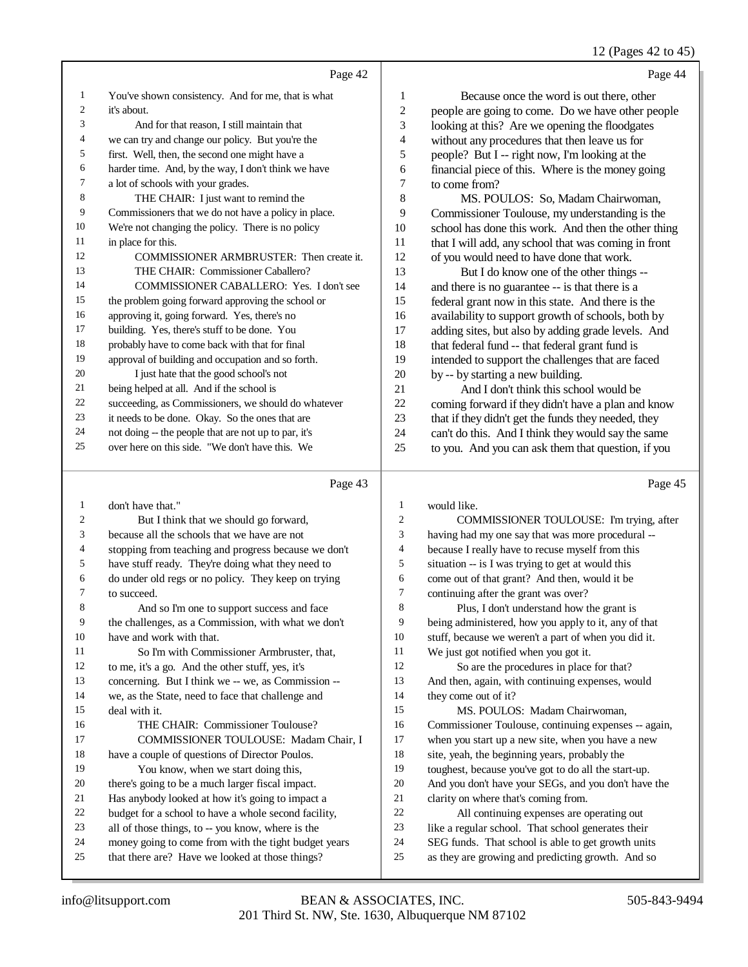## 12 (Pages 42 to 45)

|    | Page 42                                              |                | Page 44                                              |
|----|------------------------------------------------------|----------------|------------------------------------------------------|
| 1  | You've shown consistency. And for me, that is what   | 1              | Because once the word is out there, other            |
| 2  | it's about.                                          | $\overline{c}$ | people are going to come. Do we have other people    |
| 3  | And for that reason, I still maintain that           | 3              | looking at this? Are we opening the floodgates       |
| 4  | we can try and change our policy. But you're the     | 4              | without any procedures that then leave us for        |
| 5  | first. Well, then, the second one might have a       | 5              | people? But I -- right now, I'm looking at the       |
| 6  | harder time. And, by the way, I don't think we have  | 6              | financial piece of this. Where is the money going    |
| 7  | a lot of schools with your grades.                   | 7              | to come from?                                        |
| 8  | THE CHAIR: I just want to remind the                 | 8              | MS. POULOS: So, Madam Chairwoman,                    |
| 9  | Commissioners that we do not have a policy in place. | 9              | Commissioner Toulouse, my understanding is the       |
| 10 | We're not changing the policy. There is no policy    | 10             | school has done this work. And then the other thing  |
| 11 | in place for this.                                   | 11             | that I will add, any school that was coming in front |
| 12 | COMMISSIONER ARMBRUSTER: Then create it.             | 12             | of you would need to have done that work.            |
| 13 | THE CHAIR: Commissioner Caballero?                   | 13             | But I do know one of the other things --             |
| 14 | COMMISSIONER CABALLERO: Yes. I don't see             | 14             | and there is no guarantee -- is that there is a      |
| 15 | the problem going forward approving the school or    | 15             | federal grant now in this state. And there is the    |
| 16 | approving it, going forward. Yes, there's no         | 16             | availability to support growth of schools, both by   |
| 17 | building. Yes, there's stuff to be done. You         | 17             | adding sites, but also by adding grade levels. And   |
| 18 | probably have to come back with that for final       | 18             | that federal fund -- that federal grant fund is      |
| 19 | approval of building and occupation and so forth.    | 19             | intended to support the challenges that are faced    |
| 20 | I just hate that the good school's not               | 20             | by -- by starting a new building.                    |
| 21 | being helped at all. And if the school is            | 21             | And I don't think this school would be               |
| 22 | succeeding, as Commissioners, we should do whatever  | 22             | coming forward if they didn't have a plan and know   |
| 23 | it needs to be done. Okay. So the ones that are      | 23             | that if they didn't get the funds they needed, they  |
| 24 | not doing -- the people that are not up to par, it's | 24             | can't do this. And I think they would say the same   |
| 25 | over here on this side. "We don't have this. We      | 25             | to you. And you can ask them that question, if you   |
|    | Page 43                                              |                | Page 45                                              |

## Page 43  $\vert$

| 1  | don't have that."                                    | 1  | would like.                                          |
|----|------------------------------------------------------|----|------------------------------------------------------|
| 2  | But I think that we should go forward,               | 2  | COMMISSIONER TOULOUSE: I'm trying, after             |
| 3  | because all the schools that we have are not         | 3  | having had my one say that was more procedural --    |
| 4  | stopping from teaching and progress because we don't | 4  | because I really have to recuse myself from this     |
| 5  | have stuff ready. They're doing what they need to    | 5  | situation -- is I was trying to get at would this    |
| 6  | do under old regs or no policy. They keep on trying  | 6  | come out of that grant? And then, would it be        |
| 7  | to succeed.                                          | 7  | continuing after the grant was over?                 |
| 8  | And so I'm one to support success and face           | 8  | Plus, I don't understand how the grant is            |
| 9  | the challenges, as a Commission, with what we don't  | 9  | being administered, how you apply to it, any of that |
| 10 | have and work with that.                             | 10 | stuff, because we weren't a part of when you did it. |
| 11 | So I'm with Commissioner Armbruster, that,           | 11 | We just got notified when you got it.                |
| 12 | to me, it's a go. And the other stuff, yes, it's     | 12 | So are the procedures in place for that?             |
| 13 | concerning. But I think we -- we, as Commission --   | 13 | And then, again, with continuing expenses, would     |
|    |                                                      | 14 |                                                      |
| 14 | we, as the State, need to face that challenge and    |    | they come out of it?                                 |
| 15 | deal with it.                                        | 15 | MS. POULOS: Madam Chairwoman,                        |
| 16 | THE CHAIR: Commissioner Toulouse?                    | 16 | Commissioner Toulouse, continuing expenses -- again, |
| 17 | <b>COMMISSIONER TOULOUSE: Madam Chair, I</b>         | 17 | when you start up a new site, when you have a new    |
| 18 | have a couple of questions of Director Poulos.       | 18 | site, yeah, the beginning years, probably the        |
| 19 | You know, when we start doing this,                  | 19 | toughest, because you've got to do all the start-up. |
| 20 | there's going to be a much larger fiscal impact.     | 20 | And you don't have your SEGs, and you don't have the |
| 21 | Has anybody looked at how it's going to impact a     | 21 | clarity on where that's coming from.                 |
| 22 | budget for a school to have a whole second facility, | 22 | All continuing expenses are operating out            |
| 23 | all of those things, to -- you know, where is the    | 23 | like a regular school. That school generates their   |
| 24 | money going to come from with the tight budget years | 24 | SEG funds. That school is able to get growth units   |
| 25 | that there are? Have we looked at those things?      | 25 | as they are growing and predicting growth. And so    |
|    |                                                      |    |                                                      |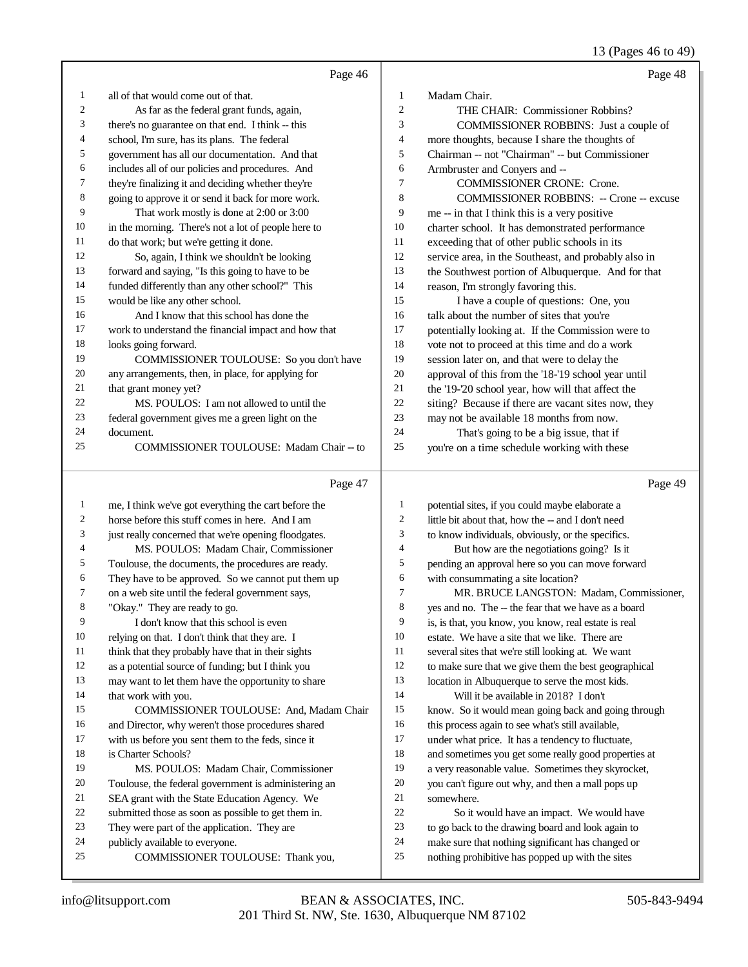## 13 (Pages 46 to 49)

|              | Page 46                                              |                | Page 48                                              |
|--------------|------------------------------------------------------|----------------|------------------------------------------------------|
| 1            | all of that would come out of that.                  | 1              | Madam Chair.                                         |
| 2            | As far as the federal grant funds, again,            | $\overline{c}$ | THE CHAIR: Commissioner Robbins?                     |
| 3            | there's no guarantee on that end. I think -- this    | 3              | COMMISSIONER ROBBINS: Just a couple of               |
| 4            | school, I'm sure, has its plans. The federal         | 4              | more thoughts, because I share the thoughts of       |
| 5            | government has all our documentation. And that       | 5              | Chairman -- not "Chairman" -- but Commissioner       |
| 6            | includes all of our policies and procedures. And     | 6              | Armbruster and Conyers and --                        |
| 7            | they're finalizing it and deciding whether they're   | 7              | <b>COMMISSIONER CRONE: Crone.</b>                    |
| 8            | going to approve it or send it back for more work.   | 8              | <b>COMMISSIONER ROBBINS: -- Crone -- excuse</b>      |
| 9            | That work mostly is done at 2:00 or 3:00             | 9              | me -- in that I think this is a very positive        |
| 10           | in the morning. There's not a lot of people here to  | 10             | charter school. It has demonstrated performance      |
| 11           | do that work; but we're getting it done.             | 11             | exceeding that of other public schools in its        |
| 12           | So, again, I think we shouldn't be looking           | 12             | service area, in the Southeast, and probably also in |
| 13           | forward and saying, "Is this going to have to be     | 13             | the Southwest portion of Albuquerque. And for that   |
| 14           | funded differently than any other school?" This      | 14             | reason, I'm strongly favoring this.                  |
| 15           | would be like any other school.                      | 15             | I have a couple of questions: One, you               |
| 16           | And I know that this school has done the             | 16             | talk about the number of sites that you're           |
| 17           | work to understand the financial impact and how that | 17             | potentially looking at. If the Commission were to    |
| 18           | looks going forward.                                 | 18             | vote not to proceed at this time and do a work       |
| 19           | COMMISSIONER TOULOUSE: So you don't have             | 19             | session later on, and that were to delay the         |
| 20           | any arrangements, then, in place, for applying for   | 20             | approval of this from the '18-'19 school year until  |
| 21           | that grant money yet?                                | 21             | the '19-'20 school year, how will that affect the    |
| 22           | MS. POULOS: I am not allowed to until the            | 22             | siting? Because if there are vacant sites now, they  |
| 23           | federal government gives me a green light on the     | 23             | may not be available 18 months from now.             |
| 24           | document.                                            | 24             | That's going to be a big issue, that if              |
| 25           | COMMISSIONER TOULOUSE: Madam Chair -- to             | 25             | you're on a time schedule working with these         |
|              | Page 47                                              |                | Page 49                                              |
|              |                                                      |                |                                                      |
| $\mathbf{1}$ | me, I think we've got everything the cart before the | 1<br>2         | potential sites, if you could maybe elaborate a      |
| 2            | horse before this stuff comes in here. And I am      | 3              | little bit about that, how the -- and I don't need   |
| 3            | just really concerned that we're opening floodgates. | 4              | to know individuals, obviously, or the specifics.    |
| 4            | MS. POULOS: Madam Chair, Commissioner                | 5              | But how are the negotiations going? Is it            |
| 5            | Toulouse, the documents, the procedures are ready.   |                | pending an approval here so you can move forward     |
| 6<br>7       | They have to be approved. So we cannot put them up   | 6<br>$\tau$    | with consummating a site location?                   |
|              | on a web site until the federal government says,     |                | MR. BRUCE LANGSTON: Madam, Commissioner,             |
| 8<br>9       | "Okay." They are ready to go.                        | 8<br>9         | yes and no. The -- the fear that we have as a board  |
|              | I don't know that this school is even                | 10             | is, is that, you know, you know, real estate is real |
| 10           | relying on that. I don't think that they are. I      |                | estate. We have a site that we like. There are       |
| 11           | think that they probably have that in their sights   | 11             | several sites that we're still looking at. We want   |
| 12           | as a potential source of funding; but I think you    | 12             | to make sure that we give them the best geographical |
| 13           | may want to let them have the opportunity to share   | 13             | location in Albuquerque to serve the most kids.      |
| 14           | that work with you.                                  | 14             | Will it be available in 2018? I don't                |
| 15           | COMMISSIONER TOULOUSE: And, Madam Chair              | 15             | know. So it would mean going back and going through  |
| 16           | and Director, why weren't those procedures shared    | 16             | this process again to see what's still available,    |
| 17           | with us before you sent them to the feds, since it   | 17<br>18       | under what price. It has a tendency to fluctuate,    |
| 18           | is Charter Schools?                                  | 19             | and sometimes you get some really good properties at |
| 19           | MS. POULOS: Madam Chair, Commissioner                |                | a very reasonable value. Sometimes they skyrocket,   |
| 20<br>21     | Toulouse, the federal government is administering an | 20<br>21       | you can't figure out why, and then a mall pops up    |
|              | SEA grant with the State Education Agency. We        |                | somewhere.                                           |

- submitted those as soon as possible to get them in.
- They were part of the application. They are
- publicly available to everyone.
- COMMISSIONER TOULOUSE: Thank you,
- 201 Third St. NW, Ste. 1630, Albuquerque NM 87102 info@litsupport.com BEAN & ASSOCIATES, INC. 505-843-9494

 So it would have an impact. We would have to go back to the drawing board and look again to make sure that nothing significant has changed or nothing prohibitive has popped up with the sites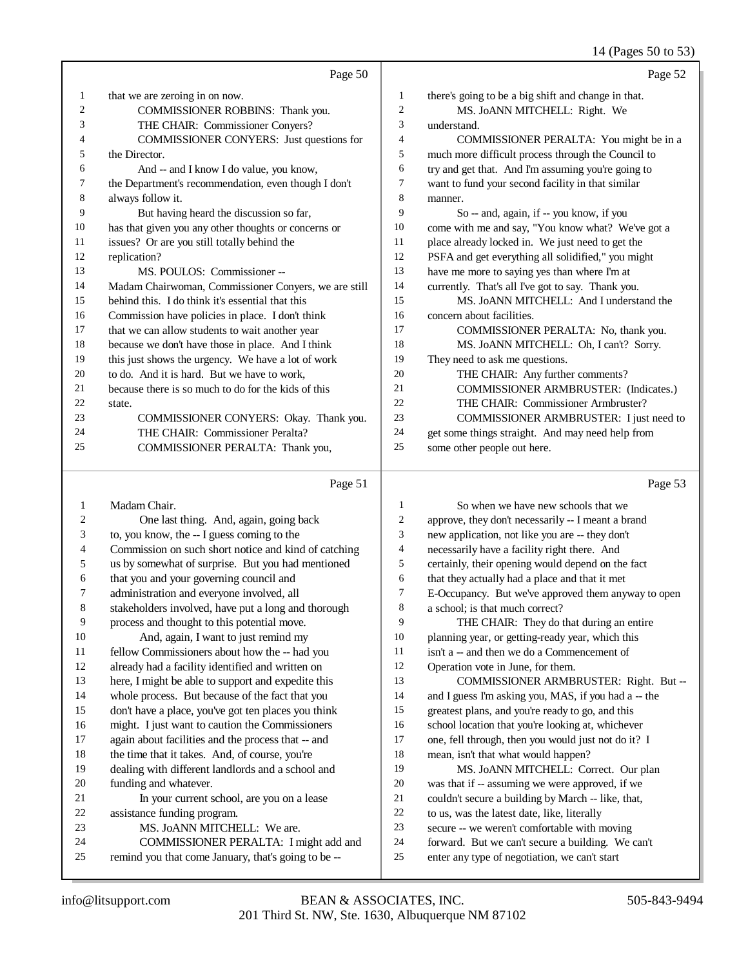# 14 (Pages 50 to 53)

|                         | Page 50                                                                                            |                | Page 52                                                                                               |
|-------------------------|----------------------------------------------------------------------------------------------------|----------------|-------------------------------------------------------------------------------------------------------|
| $\mathbf{1}$            | that we are zeroing in on now.                                                                     | $\mathbf{1}$   | there's going to be a big shift and change in that.                                                   |
| $\overline{\mathbf{c}}$ | COMMISSIONER ROBBINS: Thank you.                                                                   | $\overline{c}$ | MS. JoANN MITCHELL: Right. We                                                                         |
| 3                       | THE CHAIR: Commissioner Conyers?                                                                   | $\mathfrak{Z}$ | understand.                                                                                           |
| 4                       | COMMISSIONER CONYERS: Just questions for                                                           | $\overline{4}$ | COMMISSIONER PERALTA: You might be in a                                                               |
| 5                       | the Director.                                                                                      | 5              | much more difficult process through the Council to                                                    |
| 6                       | And -- and I know I do value, you know,                                                            | 6              | try and get that. And I'm assuming you're going to                                                    |
| 7                       | the Department's recommendation, even though I don't                                               | 7              | want to fund your second facility in that similar                                                     |
| 8                       | always follow it.                                                                                  | $\,8\,$        | manner.                                                                                               |
| 9                       | But having heard the discussion so far,                                                            | 9              | So -- and, again, if -- you know, if you                                                              |
| 10                      | has that given you any other thoughts or concerns or                                               | 10             | come with me and say, "You know what? We've got a                                                     |
| 11                      | issues? Or are you still totally behind the                                                        | 11             | place already locked in. We just need to get the                                                      |
| 12                      | replication?                                                                                       | 12             | PSFA and get everything all solidified," you might                                                    |
| 13                      | MS. POULOS: Commissioner --                                                                        | 13             | have me more to saying yes than where I'm at                                                          |
| 14                      | Madam Chairwoman, Commissioner Conyers, we are still                                               | 14             | currently. That's all I've got to say. Thank you.                                                     |
| 15                      | behind this. I do think it's essential that this                                                   | 15             | MS. JOANN MITCHELL: And I understand the                                                              |
| 16                      | Commission have policies in place. I don't think                                                   | 16             | concern about facilities.                                                                             |
| 17                      | that we can allow students to wait another year                                                    | 17             | COMMISSIONER PERALTA: No, thank you.                                                                  |
| 18                      | because we don't have those in place. And I think                                                  | 18             | MS. JOANN MITCHELL: Oh, I can't? Sorry.                                                               |
| 19                      | this just shows the urgency. We have a lot of work                                                 | 19             | They need to ask me questions.                                                                        |
| 20                      | to do. And it is hard. But we have to work,                                                        | 20             | THE CHAIR: Any further comments?                                                                      |
| 21                      | because there is so much to do for the kids of this                                                | 21             | COMMISSIONER ARMBRUSTER: (Indicates.)                                                                 |
| 22                      | state.                                                                                             | 22             | THE CHAIR: Commissioner Armbruster?                                                                   |
| 23                      | COMMISSIONER CONYERS: Okay. Thank you.                                                             | 23             | COMMISSIONER ARMBRUSTER: I just need to                                                               |
| 24                      | THE CHAIR: Commissioner Peralta?                                                                   | 24             | get some things straight. And may need help from                                                      |
| 25                      | COMMISSIONER PERALTA: Thank you,                                                                   | 25             | some other people out here.                                                                           |
|                         |                                                                                                    |                |                                                                                                       |
|                         | Page 51                                                                                            |                | Page 53                                                                                               |
| 1                       | Madam Chair.                                                                                       | $\mathbf{1}$   | So when we have new schools that we                                                                   |
| 2                       |                                                                                                    | 2              |                                                                                                       |
| 3                       | One last thing. And, again, going back                                                             | 3              | approve, they don't necessarily -- I meant a brand                                                    |
| 4                       | to, you know, the -- I guess coming to the<br>Commission on such short notice and kind of catching | 4              | new application, not like you are -- they don't                                                       |
| 5                       |                                                                                                    | 5              | necessarily have a facility right there. And                                                          |
| 6                       | us by somewhat of surprise. But you had mentioned<br>that you and your governing council and       | 6              | certainly, their opening would depend on the fact                                                     |
| 7                       | administration and everyone involved, all                                                          | 7              | that they actually had a place and that it met<br>E-Occupancy. But we've approved them anyway to open |
| 8                       | stakeholders involved, have put a long and thorough                                                | 8              | a school; is that much correct?                                                                       |
| 9                       | process and thought to this potential move.                                                        | 9              | THE CHAIR: They do that during an entire                                                              |
| 10                      | And, again, I want to just remind my                                                               | 10             | planning year, or getting-ready year, which this                                                      |
| 11                      | fellow Commissioners about how the -- had you                                                      | 11             | isn't a -- and then we do a Commencement of                                                           |
| 12                      | already had a facility identified and written on                                                   | 12             | Operation vote in June, for them.                                                                     |
| 13                      | here, I might be able to support and expedite this                                                 | 13             | COMMISSIONER ARMBRUSTER: Right. But --                                                                |
| 14                      | whole process. But because of the fact that you                                                    | 14             | and I guess I'm asking you, MAS, if you had a -- the                                                  |
| 15                      | don't have a place, you've got ten places you think                                                | 15             | greatest plans, and you're ready to go, and this                                                      |
| 16                      | might. I just want to caution the Commissioners                                                    | 16             | school location that you're looking at, whichever                                                     |
| 17                      | again about facilities and the process that -- and                                                 | 17             | one, fell through, then you would just not do it? I                                                   |
| 18                      | the time that it takes. And, of course, you're                                                     | 18             | mean, isn't that what would happen?                                                                   |
| 19                      | dealing with different landlords and a school and                                                  | 19             | MS. JoANN MITCHELL: Correct. Our plan                                                                 |
| 20                      | funding and whatever.                                                                              | 20             | was that if -- assuming we were approved, if we                                                       |
| 21                      | In your current school, are you on a lease                                                         | 21             | couldn't secure a building by March -- like, that,                                                    |
| 22                      | assistance funding program.                                                                        | $22\,$         | to us, was the latest date, like, literally                                                           |
| 23                      | MS. JoANN MITCHELL: We are.                                                                        | 23             | secure -- we weren't comfortable with moving                                                          |
| 24<br>25                | COMMISSIONER PERALTA: I might add and<br>remind you that come January, that's going to be --       | 24<br>25       | forward. But we can't secure a building. We can't<br>enter any type of negotiation, we can't start    |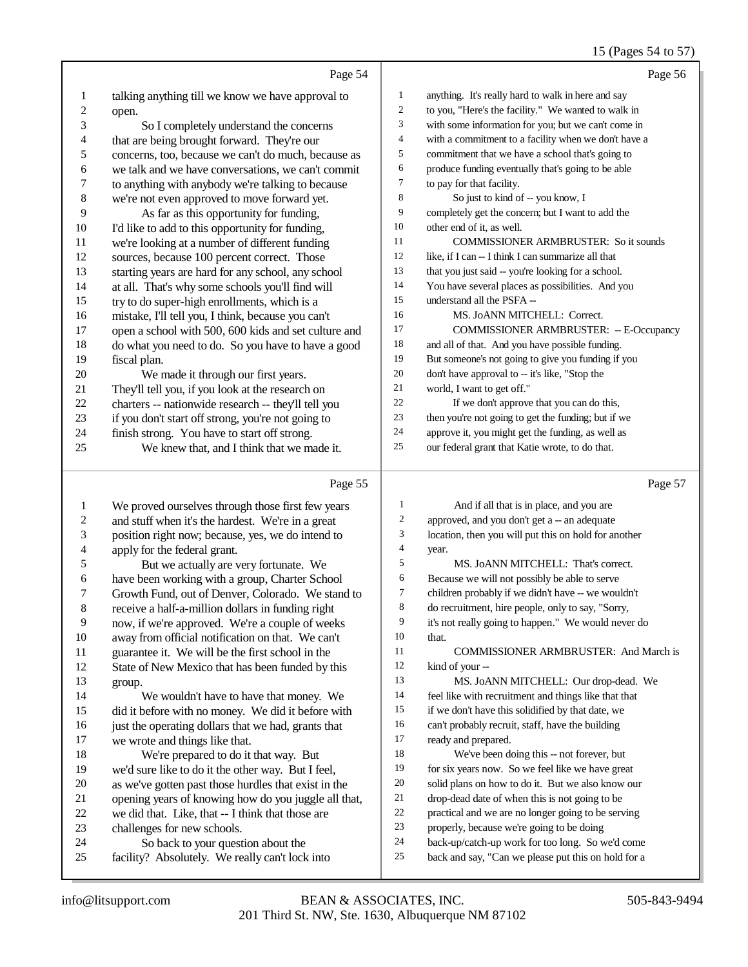|                         |                                                      |                  | 15 (Pages 54 to 57)                                  |
|-------------------------|------------------------------------------------------|------------------|------------------------------------------------------|
|                         | Page 54                                              |                  | Page 56                                              |
| 1                       | talking anything till we know we have approval to    | 1                | anything. It's really hard to walk in here and say   |
| $\overline{\mathbf{c}}$ | open.                                                | $\boldsymbol{2}$ | to you, "Here's the facility." We wanted to walk in  |
| 3                       | So I completely understand the concerns              | 3                | with some information for you; but we can't come in  |
| 4                       | that are being brought forward. They're our          | 4                | with a commitment to a facility when we don't have a |
| 5                       | concerns, too, because we can't do much, because as  | 5                | commitment that we have a school that's going to     |
| 6                       | we talk and we have conversations, we can't commit   | 6                | produce funding eventually that's going to be able   |
| $\overline{7}$          | to anything with anybody we're talking to because    | 7                | to pay for that facility.                            |
| $\,$ 8 $\,$             | we're not even approved to move forward yet.         | 8                | So just to kind of -- you know, I                    |
| 9                       | As far as this opportunity for funding,              | 9                | completely get the concern; but I want to add the    |
| 10                      | I'd like to add to this opportunity for funding,     | 10               | other end of it, as well.                            |
| 11                      | we're looking at a number of different funding       | 11               | COMMISSIONER ARMBRUSTER: So it sounds                |
| 12                      | sources, because 100 percent correct. Those          | 12               | like, if I can -- I think I can summarize all that   |
| 13                      | starting years are hard for any school, any school   | 13               | that you just said -- you're looking for a school.   |
| 14                      | at all. That's why some schools you'll find will     | 14               | You have several places as possibilities. And you    |
| 15                      | try to do super-high enrollments, which is a         | 15               | understand all the PSFA --                           |
| 16                      | mistake, I'll tell you, I think, because you can't   | 16               | MS. JoANN MITCHELL: Correct.                         |
| 17                      | open a school with 500, 600 kids and set culture and | 17               | <b>COMMISSIONER ARMBRUSTER: -- E-Occupancy</b>       |
| 18                      | do what you need to do. So you have to have a good   | 18               | and all of that. And you have possible funding.      |
| 19                      | fiscal plan.                                         | 19               | But someone's not going to give you funding if you   |
| 20                      | We made it through our first years.                  | $20\,$           | don't have approval to -- it's like, "Stop the       |
| 21                      | They'll tell you, if you look at the research on     | 21               | world, I want to get off."                           |
| 22                      | charters -- nationwide research -- they'll tell you  | 22               | If we don't approve that you can do this,            |
| 23                      | if you don't start off strong, you're not going to   | 23               | then you're not going to get the funding; but if we  |
| 24                      | finish strong. You have to start off strong.         | 24               | approve it, you might get the funding, as well as    |
| 25                      | We knew that, and I think that we made it.           | 25               | our federal grant that Katie wrote, to do that.      |
|                         | Page 55                                              |                  | Page 57                                              |
|                         |                                                      |                  |                                                      |
| 1                       | We proved ourselves through those first few years    | 1                | And if all that is in place, and you are             |
| $\overline{\mathbf{c}}$ | and stuff when it's the hardest. We're in a great    | 2                | approved, and you don't get a -- an adequate         |
| 3                       | position right now; because, yes, we do intend to    | 3                | location, then you will put this on hold for another |
| 4                       | apply for the federal grant.                         | 4                | year.                                                |
| 5                       | But we actually are very fortunate. We               | 5                | MS. JoANN MITCHELL: That's correct.                  |
| 6                       | have been working with a group, Charter School       | 6                | Because we will not possibly be able to serve        |
| 7                       | Growth Fund, out of Denver, Colorado. We stand to    | 7                | children probably if we didn't have -- we wouldn't   |
| 8                       | receive a half-a-million dollars in funding right    | 8                | do recruitment, hire people, only to say, "Sorry,    |
| 9                       | now, if we're approved. We're a couple of weeks      | 9                | it's not really going to happen." We would never do  |
| 10                      | away from official notification on that. We can't    | 10               | that.                                                |
| 11                      | guarantee it. We will be the first school in the     | 11               | COMMISSIONER ARMBRUSTER: And March is                |
| 12                      | State of New Mexico that has been funded by this     | 12               | kind of your --                                      |
| 13                      | group.                                               | 13               | MS. JoANN MITCHELL: Our drop-dead. We                |
| 14                      | We wouldn't have to have that money. We              | 14               | feel like with recruitment and things like that that |
| 15                      | did it before with no money. We did it before with   | 15               | if we don't have this solidified by that date, we    |
| 16                      | just the operating dollars that we had, grants that  | 16               | can't probably recruit, staff, have the building     |
| 17                      | we wrote and things like that.                       | 17               | ready and prepared.                                  |
| 18                      | We're prepared to do it that way. But                | 18               | We've been doing this -- not forever, but            |
| 19                      | we'd sure like to do it the other way. But I feel,   | 19               | for six years now. So we feel like we have great     |
| 20                      | as we've gotten past those hurdles that exist in the | 20               | solid plans on how to do it. But we also know our    |
| 21                      | opening years of knowing how do you juggle all that, | 21               | drop-dead date of when this is not going to be       |
| $22\,$                  | we did that. Like, that -- I think that those are    | 22               | practical and we are no longer going to be serving   |

- 23 challenges for new schools.<br>24 So back to your quest
- 24 So back to your question about the<br>25 facility? Absolutely. We really can't lock
- facility? Absolutely. We really can't lock into
- back-up/catch-up work for too long. So we'd come back and say, "Can we please put this on hold for a

properly, because we're going to be doing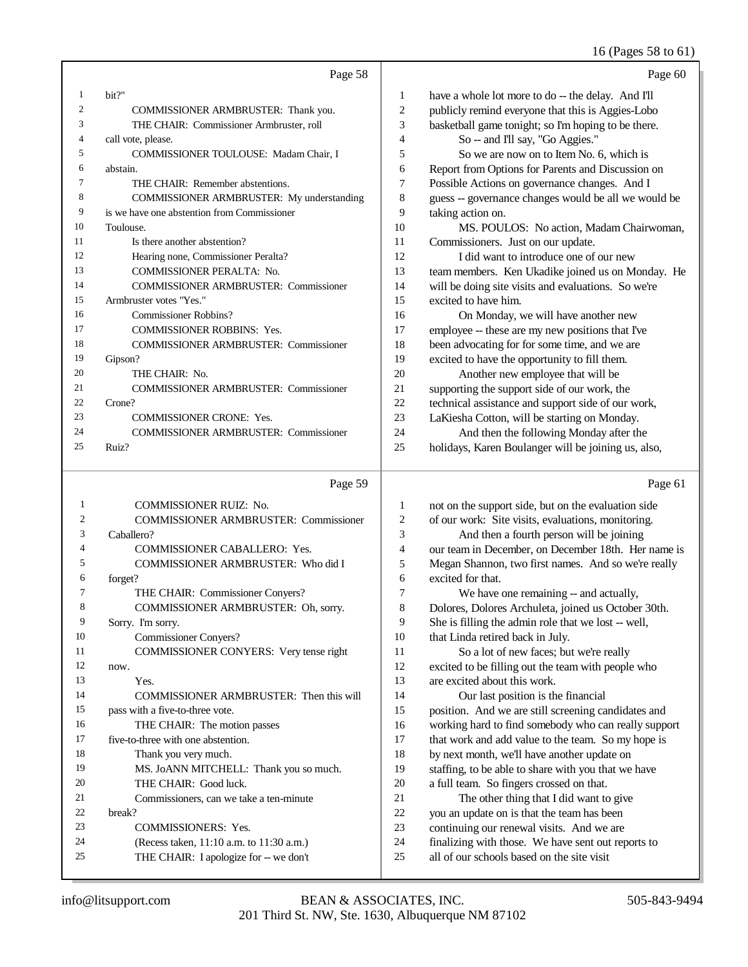## 61)

|  | 16 (Pages 58 to |  |
|--|-----------------|--|
|  |                 |  |

|    | Page 58                                      |                | Page 60                                              |
|----|----------------------------------------------|----------------|------------------------------------------------------|
|    | bit?"                                        | 1              | have a whole lot more to do -- the delay. And I'll   |
| 2  | COMMISSIONER ARMBRUSTER: Thank you.          | $\overline{c}$ | publicly remind everyone that this is Aggies-Lobo    |
| 3  | THE CHAIR: Commissioner Armbruster, roll     | 3              | basketball game tonight; so I'm hoping to be there.  |
| 4  | call vote, please.                           | 4              | So -- and I'll say, "Go Aggies."                     |
| 5  | COMMISSIONER TOULOUSE: Madam Chair, I        | 5              | So we are now on to Item No. 6, which is             |
| 6  | abstain.                                     | 6              | Report from Options for Parents and Discussion on    |
|    | THE CHAIR: Remember abstentions.             | $\tau$         | Possible Actions on governance changes. And I        |
| 8  | COMMISSIONER ARMBRUSTER: My understanding    | 8              | guess -- governance changes would be all we would be |
| 9  | is we have one abstention from Commissioner  | 9              | taking action on.                                    |
| 10 | Toulouse.                                    | 10             | MS. POULOS: No action, Madam Chairwoman,             |
| 11 | Is there another abstention?                 | 11             | Commissioners. Just on our update.                   |
| 12 | Hearing none, Commissioner Peralta?          | 12             | I did want to introduce one of our new               |
| 13 | <b>COMMISSIONER PERALTA: No.</b>             | 13             | team members. Ken Ukadike joined us on Monday. He    |
| 14 | <b>COMMISSIONER ARMBRUSTER: Commissioner</b> | 14             | will be doing site visits and evaluations. So we're  |
| 15 | Armbruster votes "Yes."                      | 15             | excited to have him.                                 |
| 16 | Commissioner Robbins?                        | 16             | On Monday, we will have another new                  |
| 17 | <b>COMMISSIONER ROBBINS: Yes.</b>            | 17             | employee -- these are my new positions that I've     |
| 18 | <b>COMMISSIONER ARMBRUSTER: Commissioner</b> | 18             | been advocating for for some time, and we are        |
| 19 | Gipson?                                      | 19             | excited to have the opportunity to fill them.        |
| 20 | THE CHAIR: No.                               | 20             | Another new employee that will be                    |
| 21 | <b>COMMISSIONER ARMBRUSTER: Commissioner</b> | 21             | supporting the support side of our work, the         |
| 22 | Crone?                                       | 22             | technical assistance and support side of our work,   |
| 23 | <b>COMMISSIONER CRONE: Yes.</b>              | 23             | LaKiesha Cotton, will be starting on Monday.         |
| 24 | <b>COMMISSIONER ARMBRUSTER: Commissioner</b> | 24             | And then the following Monday after the              |
| 25 | Ruiz?                                        | 25             | holidays, Karen Boulanger will be joining us, also,  |
|    | $\sim$<br>$\sim$ $\sim$                      |                |                                                      |

# Page 59

| 1              | <b>COMMISSIONER RUIZ: No.</b>                |
|----------------|----------------------------------------------|
| $\overline{c}$ | <b>COMMISSIONER ARMBRUSTER: Commissioner</b> |
| 3              | Caballero?                                   |
| 4              | COMMISSIONER CABALLERO: Yes.                 |
| 5              | COMMISSIONER ARMBRUSTER: Who did I           |
| 6              | forget?                                      |
| 7              | THE CHAIR: Commissioner Conyers?             |
| 8              | COMMISSIONER ARMBRUSTER: Oh, sorry.          |
| 9              | Sorry. I'm sorry.                            |
| 10             | Commissioner Conyers?                        |
| 11             | COMMISSIONER CONYERS: Very tense right       |
| 12             | now.                                         |
| 13             | Yes.                                         |
| 14             | COMMISSIONER ARMBRUSTER: Then this will      |
| 15             | pass with a five-to-three vote.              |
| 16             | THE CHAIR: The motion passes                 |
| 17             | five-to-three with one abstention.           |
| 18             | Thank you very much.                         |
| 19             | MS. JOANN MITCHELL: Thank you so much.       |
| 20             | THE CHAIR: Good luck.                        |
| 21             | Commissioners, can we take a ten-minute.     |
| 22             | hreak?                                       |
| 23             | <b>COMMISSIONERS: Yes.</b>                   |
| 24             | (Recess taken, 11:10 a.m. to 11:30 a.m.)     |
| 25             | THE CHAIR: I apologize for -- we don't       |
|                |                                              |

Page 61

| 1              | not on the support side, but on the evaluation side  |
|----------------|------------------------------------------------------|
| 2              | of our work: Site visits, evaluations, monitoring.   |
| 3              | And then a fourth person will be joining             |
| $\overline{4}$ | our team in December, on December 18th. Her name is  |
| 5              | Megan Shannon, two first names. And so we're really  |
| 6              | excited for that.                                    |
| 7              | We have one remaining -- and actually,               |
| 8              | Dolores, Dolores Archuleta, joined us October 30th.  |
| 9              | She is filling the admin role that we lost -- well,  |
| 10             | that Linda retired back in July.                     |
| 11             | So a lot of new faces; but we're really              |
| 12             | excited to be filling out the team with people who   |
| 13             | are excited about this work.                         |
| 14             | Our last position is the financial                   |
| 15             | position. And we are still screening candidates and  |
| 16             | working hard to find somebody who can really support |
| 17             | that work and add value to the team. So my hope is   |
| 18             | by next month, we'll have another update on          |
| 19             | staffing, to be able to share with you that we have  |
| 20             | a full team. So fingers crossed on that.             |
| 21             | The other thing that I did want to give              |
| 22             | you an update on is that the team has been           |
| 23             | continuing our renewal visits. And we are            |
| 24             | finalizing with those. We have sent out reports to   |
| 25             | all of our schools based on the site visit           |
|                |                                                      |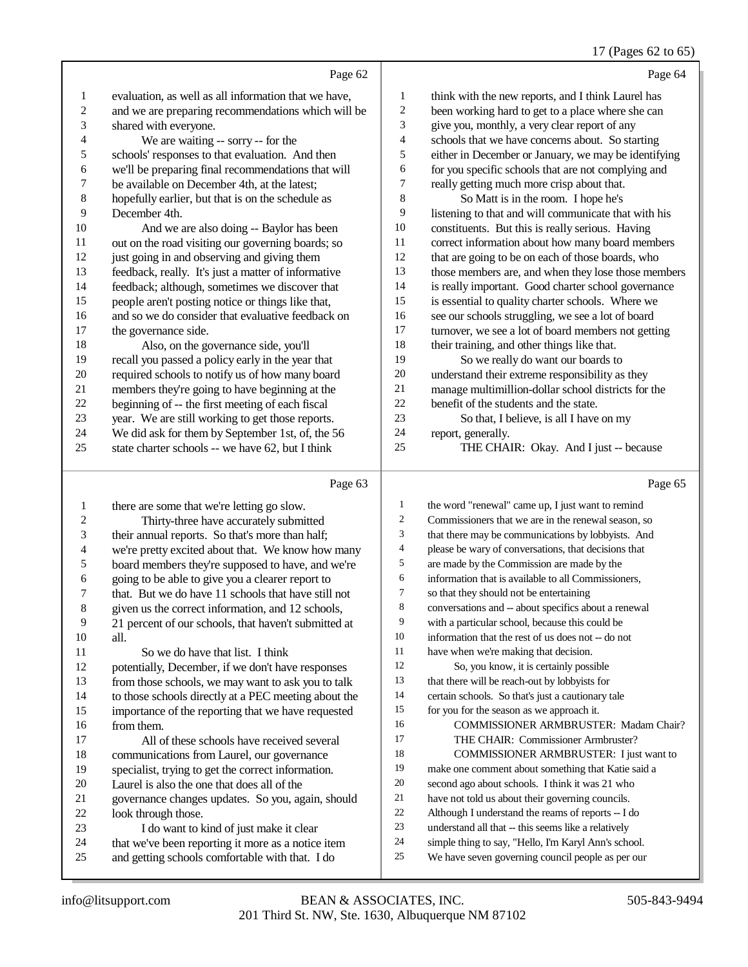## 17 (Pages 62 to 65)

|                         |                                                      |                          | 17 (1 ages 02 to 02                                  |
|-------------------------|------------------------------------------------------|--------------------------|------------------------------------------------------|
|                         | Page 62                                              |                          | Page 64                                              |
| $\mathbf{1}$            | evaluation, as well as all information that we have, | 1                        | think with the new reports, and I think Laurel has   |
| $\overline{c}$          | and we are preparing recommendations which will be   | $\boldsymbol{2}$         | been working hard to get to a place where she can    |
| 3                       | shared with everyone.                                | 3                        | give you, monthly, a very clear report of any        |
| 4                       | We are waiting -- sorry -- for the                   | $\overline{\mathcal{A}}$ | schools that we have concerns about. So starting     |
| 5                       | schools' responses to that evaluation. And then      | 5                        | either in December or January, we may be identifying |
| 6                       | we'll be preparing final recommendations that will   | 6                        | for you specific schools that are not complying and  |
| 7                       | be available on December 4th, at the latest;         | $\boldsymbol{7}$         | really getting much more crisp about that.           |
| $\,8\,$                 | hopefully earlier, but that is on the schedule as    | $\,$ 8 $\,$              | So Matt is in the room. I hope he's                  |
| 9                       | December 4th.                                        | 9                        | listening to that and will communicate that with his |
| 10                      | And we are also doing -- Baylor has been             | 10                       | constituents. But this is really serious. Having     |
| 11                      | out on the road visiting our governing boards; so    | 11                       | correct information about how many board members     |
| 12                      | just going in and observing and giving them          | 12                       | that are going to be on each of those boards, who    |
| 13                      | feedback, really. It's just a matter of informative  | 13                       | those members are, and when they lose those members  |
| 14                      | feedback; although, sometimes we discover that       | 14                       | is really important. Good charter school governance  |
| 15                      | people aren't posting notice or things like that,    | 15                       | is essential to quality charter schools. Where we    |
| 16                      | and so we do consider that evaluative feedback on    | 16                       | see our schools struggling, we see a lot of board    |
| 17                      | the governance side.                                 | $17\,$                   | turnover, we see a lot of board members not getting  |
| 18                      | Also, on the governance side, you'll                 | 18                       | their training, and other things like that.          |
| 19                      | recall you passed a policy early in the year that    | 19                       | So we really do want our boards to                   |
| $20\,$                  | required schools to notify us of how many board      | $20\,$                   | understand their extreme responsibility as they      |
| 21                      | members they're going to have beginning at the       | 21                       | manage multimillion-dollar school districts for the  |
| $22\,$                  | beginning of -- the first meeting of each fiscal     | 22                       | benefit of the students and the state.               |
| 23                      | year. We are still working to get those reports.     | 23                       | So that, I believe, is all I have on my              |
| 24                      | We did ask for them by September 1st, of, the 56     | 24                       | report, generally.                                   |
| 25                      | state charter schools -- we have 62, but I think     | 25                       | THE CHAIR: Okay. And I just -- because               |
|                         | Page 63                                              |                          | Page 65                                              |
| 1                       | there are some that we're letting go slow.           | 1                        | the word "renewal" came up, I just want to remind    |
| $\overline{\mathbf{c}}$ | Thirty-three have accurately submitted               | 2                        | Commissioners that we are in the renewal season, so  |
| 3                       | their annual reports. So that's more than half;      | 3                        | that there may be communications by lobbyists. And   |
| 4                       | we're pretty excited about that. We know how many    | 4                        | please be wary of conversations, that decisions that |
| 5                       | board members they're supposed to have, and we're    | 5                        | are made by the Commission are made by the           |
| 6                       | going to be able to give you a clearer report to     | 6                        | information that is available to all Commissioners,  |
| 7                       | that. But we do have 11 schools that have still not  | 7                        | so that they should not be entertaining              |
| $\,8\,$                 | given us the correct information, and 12 schools,    | 8                        | conversations and -- about specifics about a renewal |
| 9                       | 21 percent of our schools, that haven't submitted at | 9                        | with a particular school, because this could be      |
| 10                      | all.                                                 | $10\,$                   | information that the rest of us does not -- do not   |
| 11                      | So we do have that list. I think                     | $11\,$                   | have when we're making that decision.                |
| 12                      | potentially, December, if we don't have responses    | $12\,$                   | So, you know, it is certainly possible               |
| 13                      | from those schools, we may want to ask you to talk   | 13                       | that there will be reach-out by lobbyists for        |
| 14                      | to those schools directly at a PEC meeting about the | 14                       | certain schools. So that's just a cautionary tale    |

- to those schools directly at a PEC meeting about the importance of the reporting that we have requested
- 16 from them.<br>17 All o All of these schools have received several
- 18 communications from Laurel, our governance<br>19 specialist, trying to get the correct information
- specialist, trying to get the correct information.
- 20 Laurel is also the one that does all of the<br>21 governance changes updates. So you, as 21 governance changes updates. So you, again, should<br>22 look through those.
- 22 look through those.<br>23 I do want to k
- 23 I do want to kind of just make it clear<br>24 that we've been reporting it more as a notice
- 24 that we've been reporting it more as a notice item<br>25 and getting schools comfortable with that. I do and getting schools comfortable with that. I do
- THE CHAIR: Commissioner Armbruster? COMMISSIONER ARMBRUSTER: I just want to make one comment about something that Katie said a second ago about schools. I think it was 21 who have not told us about their governing councils.

COMMISSIONER ARMBRUSTER: Madam Chair?

- Although I understand the reams of reports -- I do
- understand all that -- this seems like a relatively

for you for the season as we approach it.

- simple thing to say, "Hello, I'm Karyl Ann's school.
- We have seven governing council people as per our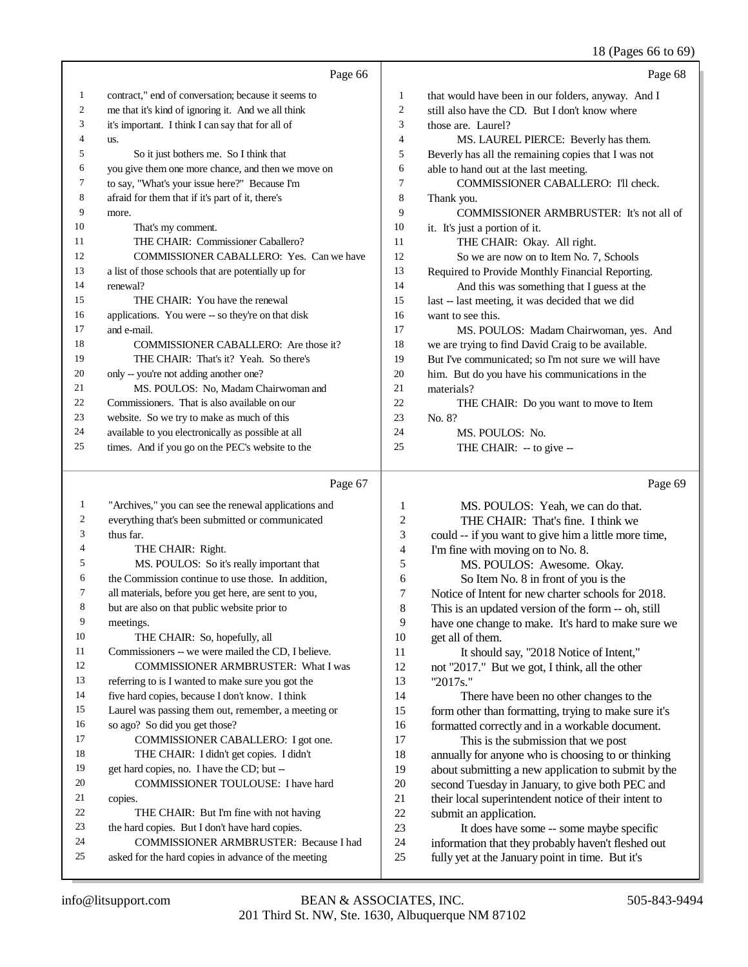### 18 (Pages 66 to 69)

|    | Page 66                                             |                | Page 68                                             |
|----|-----------------------------------------------------|----------------|-----------------------------------------------------|
| 1  | contract," end of conversation; because it seems to | 1              | that would have been in our folders, anyway. And I  |
| 2  | me that it's kind of ignoring it. And we all think  | $\overline{2}$ | still also have the CD. But I don't know where      |
| 3  | it's important. I think I can say that for all of   | 3              | those are. Laurel?                                  |
| 4  | us.                                                 | $\overline{4}$ | MS. LAUREL PIERCE: Beverly has them.                |
| 5  | So it just bothers me. So I think that              | 5              | Beverly has all the remaining copies that I was not |
| 6  | you give them one more chance, and then we move on  | 6              | able to hand out at the last meeting.               |
| 7  | to say, "What's your issue here?" Because I'm       | 7              | <b>COMMISSIONER CABALLERO: I'll check.</b>          |
| 8  | afraid for them that if it's part of it, there's    | 8              | Thank you.                                          |
| 9  | more.                                               | 9              | <b>COMMISSIONER ARMBRUSTER:</b> It's not all of     |
| 10 | That's my comment.                                  | 10             | it. It's just a portion of it.                      |
| 11 | THE CHAIR: Commissioner Caballero?                  | 11             | THE CHAIR: Okay. All right.                         |
| 12 | <b>COMMISSIONER CABALLERO:</b> Yes. Can we have     | 12             | So we are now on to Item No. 7, Schools             |
| 13 | a list of those schools that are potentially up for | 13             | Required to Provide Monthly Financial Reporting.    |
| 14 | renewal?                                            | 14             | And this was something that I guess at the          |
| 15 | THE CHAIR: You have the renewal                     | 15             | last -- last meeting, it was decided that we did    |
| 16 | applications. You were -- so they're on that disk   | 16             | want to see this.                                   |
| 17 | and e-mail.                                         | 17             | MS. POULOS: Madam Chairwoman, yes. And              |
| 18 | COMMISSIONER CABALLERO: Are those it?               | 18             | we are trying to find David Craig to be available.  |
| 19 | THE CHAIR: That's it? Yeah. So there's              | 19             | But I've communicated; so I'm not sure we will have |
| 20 | only -- you're not adding another one?              | 20             | him. But do you have his communications in the      |
| 21 | MS. POULOS: No, Madam Chairwoman and                | 21             | materials?                                          |
| 22 | Commissioners. That is also available on our        | 22             | THE CHAIR: Do you want to move to Item              |
| 23 | website. So we try to make as much of this          | 23             | No. 8?                                              |
| 24 | available to you electronically as possible at all  | 24             | MS. POULOS: No.                                     |
| 25 | times. And if you go on the PEC's website to the    | 25             | THE CHAIR: -- to give --                            |

### Page 67

 "Archives," you can see the renewal applications and everything that's been submitted or communicated thus far. THE CHAIR: Right. MS. POULOS: So it's really important that the Commission continue to use those. In addition, all materials, before you get here, are sent to you, but are also on that public website prior to meetings. THE CHAIR: So, hopefully, all Commissioners -- we were mailed the CD, I believe. COMMISSIONER ARMBRUSTER: What I was referring to is I wanted to make sure you got the five hard copies, because I don't know. I think Laurel was passing them out, remember, a meeting or so ago? So did you get those? COMMISSIONER CABALLERO: I got one. THE CHAIR: I didn't get copies. I didn't get hard copies, no. I have the CD; but -- COMMISSIONER TOULOUSE: I have hard copies. THE CHAIR: But I'm fine with not having the hard copies. But I don't have hard copies. COMMISSIONER ARMBRUSTER: Because I had asked for the hard copies in advance of the meeting Page 69 MS. POULOS: Yeah, we can do that. THE CHAIR: That's fine. I think we could -- if you want to give him a little more time, I'm fine with moving on to No. 8. 5 MS. POULOS: Awesome. Okay.<br>6 So Item No. 8 in front of you is the 6 So Item No. 8 in front of you is the<br>
7 Notice of Intent for new charter schools for 7 Notice of Intent for new charter schools for 2018.<br>8 This is an undated version of the form -- oh. still This is an updated version of the form -- oh, still have one change to make. It's hard to make sure we 10 get all of them.<br>11 It should It should say, "2018 Notice of Intent," not "2017." But we got, I think, all the other "2017s." There have been no other changes to the form other than formatting, trying to make sure it's 16 formatted correctly and in a workable document.<br>17 This is the submission that we nost This is the submission that we post 18 annually for anyone who is choosing to or thinking<br>19 about submitting a new application to submit by the about submitting a new application to submit by the 20 second Tuesday in January, to give both PEC and<br>21 their local superintendent notice of their intent to 21 their local superintendent notice of their intent to<br>22 submit an application. 22 submit an application.<br>23 It does have some It does have some -- some maybe specific information that they probably haven't fleshed out fully yet at the January point in time. But it's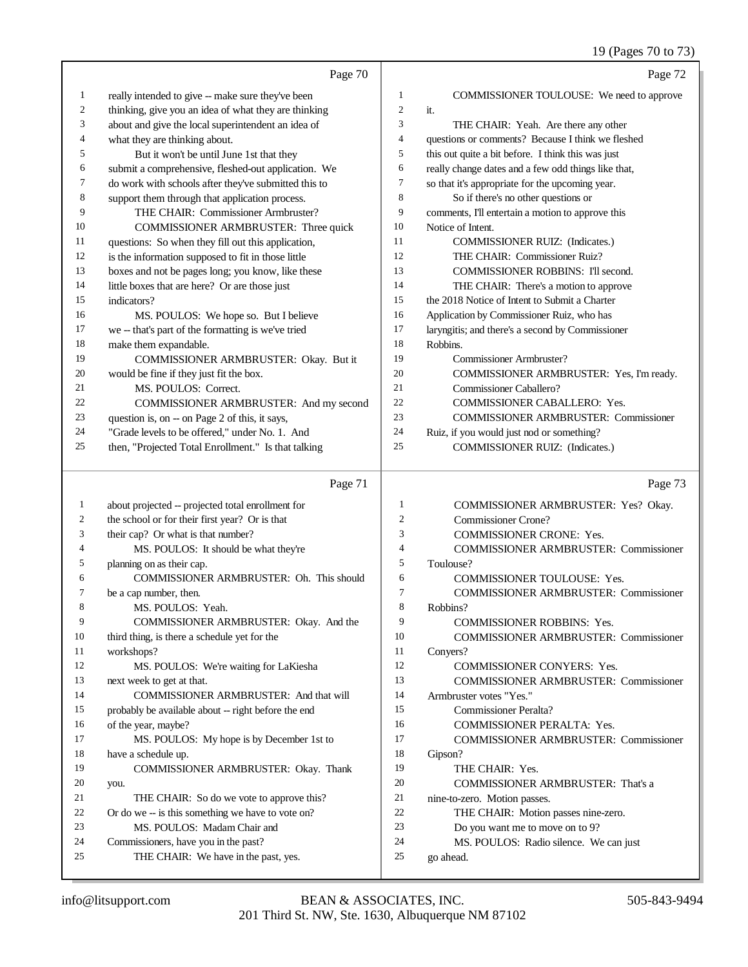19 (Pages 70 to 73)

|          | Page 70                                                                                          |                | Page 72                                                                            |
|----------|--------------------------------------------------------------------------------------------------|----------------|------------------------------------------------------------------------------------|
| 1        | really intended to give -- make sure they've been                                                | $\mathbf{1}$   | COMMISSIONER TOULOUSE: We need to approve                                          |
| 2        | thinking, give you an idea of what they are thinking                                             | $\mathfrak{2}$ | it.                                                                                |
| 3        | about and give the local superintendent an idea of                                               | 3              | THE CHAIR: Yeah. Are there any other                                               |
| 4        | what they are thinking about.                                                                    | 4              | questions or comments? Because I think we fleshed                                  |
| 5        | But it won't be until June 1st that they                                                         | 5              | this out quite a bit before. I think this was just                                 |
| 6        | submit a comprehensive, fleshed-out application. We                                              | 6              | really change dates and a few odd things like that,                                |
| 7        | do work with schools after they've submitted this to                                             | 7              | so that it's appropriate for the upcoming year.                                    |
| 8        | support them through that application process.                                                   | $\,$ 8 $\,$    | So if there's no other questions or                                                |
| 9        | THE CHAIR: Commissioner Armbruster?                                                              | 9              | comments, I'll entertain a motion to approve this                                  |
| 10       | COMMISSIONER ARMBRUSTER: Three quick                                                             | 10             | Notice of Intent.                                                                  |
| 11       | questions: So when they fill out this application,                                               | 11             | COMMISSIONER RUIZ: (Indicates.)                                                    |
| 12       | is the information supposed to fit in those little                                               | 12             | THE CHAIR: Commissioner Ruiz?                                                      |
| 13       | boxes and not be pages long; you know, like these                                                | 13             | COMMISSIONER ROBBINS: I'll second.                                                 |
| 14       | little boxes that are here? Or are those just                                                    | 14             | THE CHAIR: There's a motion to approve                                             |
| 15       | indicators?                                                                                      | 15             | the 2018 Notice of Intent to Submit a Charter                                      |
| 16       | MS. POULOS: We hope so. But I believe                                                            | 16             | Application by Commissioner Ruiz, who has                                          |
| 17       | we -- that's part of the formatting is we've tried                                               | 17             | laryngitis; and there's a second by Commissioner                                   |
| 18       | make them expandable.                                                                            | 18             | Robbins.                                                                           |
| 19       | COMMISSIONER ARMBRUSTER: Okay. But it                                                            | 19             | Commissioner Armbruster?                                                           |
| 20       | would be fine if they just fit the box.                                                          | 20             | COMMISSIONER ARMBRUSTER: Yes, I'm ready.                                           |
| 21       | MS. POULOS: Correct.                                                                             | 21             | Commissioner Caballero?                                                            |
| 22<br>23 | COMMISSIONER ARMBRUSTER: And my second                                                           | 22<br>23       | COMMISSIONER CABALLERO: Yes.                                                       |
| 24       | question is, on -- on Page 2 of this, it says,<br>"Grade levels to be offered," under No. 1. And | 24             | COMMISSIONER ARMBRUSTER: Commissioner<br>Ruiz, if you would just nod or something? |
| 25       | then, "Projected Total Enrollment." Is that talking                                              | 25             | COMMISSIONER RUIZ: (Indicates.)                                                    |
|          |                                                                                                  |                |                                                                                    |
|          |                                                                                                  |                |                                                                                    |
|          | Page 71                                                                                          |                | Page 73                                                                            |
| 1        | about projected -- projected total enrollment for                                                | $\mathbf{1}$   | COMMISSIONER ARMBRUSTER: Yes? Okay.                                                |
| 2        | the school or for their first year? Or is that                                                   | $\overline{c}$ | Commissioner Crone?                                                                |
| 3        | their cap? Or what is that number?                                                               | 3              | <b>COMMISSIONER CRONE: Yes.</b>                                                    |
| 4        | MS. POULOS: It should be what they're                                                            | 4              | COMMISSIONER ARMBRUSTER: Commissioner                                              |
| 5        | planning on as their cap.                                                                        | 5              | Toulouse?                                                                          |
| 6        | COMMISSIONER ARMBRUSTER: Oh. This should                                                         | 6              | COMMISSIONER TOULOUSE: Yes.                                                        |
| 7        | be a cap number, then.                                                                           | 7              | <b>COMMISSIONER ARMBRUSTER: Commissioner</b>                                       |
|          | MS. POULOS: Yeah.                                                                                | 8              | Robbins?                                                                           |
| 9        | COMMISSIONER ARMBRUSTER: Okay. And the                                                           | 9              | COMMISSIONER ROBBINS: Yes.                                                         |
| 10       | third thing, is there a schedule yet for the                                                     | 10             | <b>COMMISSIONER ARMBRUSTER: Commissioner</b>                                       |
| 11       | workshops?                                                                                       | 11             | Conyers?                                                                           |
| 12<br>13 | MS. POULOS: We're waiting for LaKiesha                                                           | 12<br>13       | <b>COMMISSIONER CONYERS: Yes.</b>                                                  |
| 14       | next week to get at that.<br>COMMISSIONER ARMBRUSTER: And that will                              | 14             | <b>COMMISSIONER ARMBRUSTER: Commissioner</b><br>Armbruster votes "Yes."            |
| 15       |                                                                                                  | 15             | <b>Commissioner Peralta?</b>                                                       |
| 16       | probably be available about -- right before the end<br>of the year, maybe?                       | 16             |                                                                                    |
| 17       | MS. POULOS: My hope is by December 1st to                                                        | 17             | COMMISSIONER PERALTA: Yes.<br><b>COMMISSIONER ARMBRUSTER: Commissioner</b>         |
| 18       | have a schedule up.                                                                              | 18             | Gipson?                                                                            |
| 19       | COMMISSIONER ARMBRUSTER: Okay. Thank                                                             | 19             | THE CHAIR: Yes.                                                                    |
| 20       | you.                                                                                             | 20             | COMMISSIONER ARMBRUSTER: That's a                                                  |
| 21       | THE CHAIR: So do we vote to approve this?                                                        | 21             | nine-to-zero. Motion passes.                                                       |
| 22       | Or do we -- is this something we have to vote on?                                                | 22             | THE CHAIR: Motion passes nine-zero.                                                |
| 23       | MS. POULOS: Madam Chair and                                                                      | 23             | Do you want me to move on to 9?                                                    |
| 24<br>25 | Commissioners, have you in the past?<br>THE CHAIR: We have in the past, yes.                     | 24<br>25       | MS. POULOS: Radio silence. We can just<br>go ahead.                                |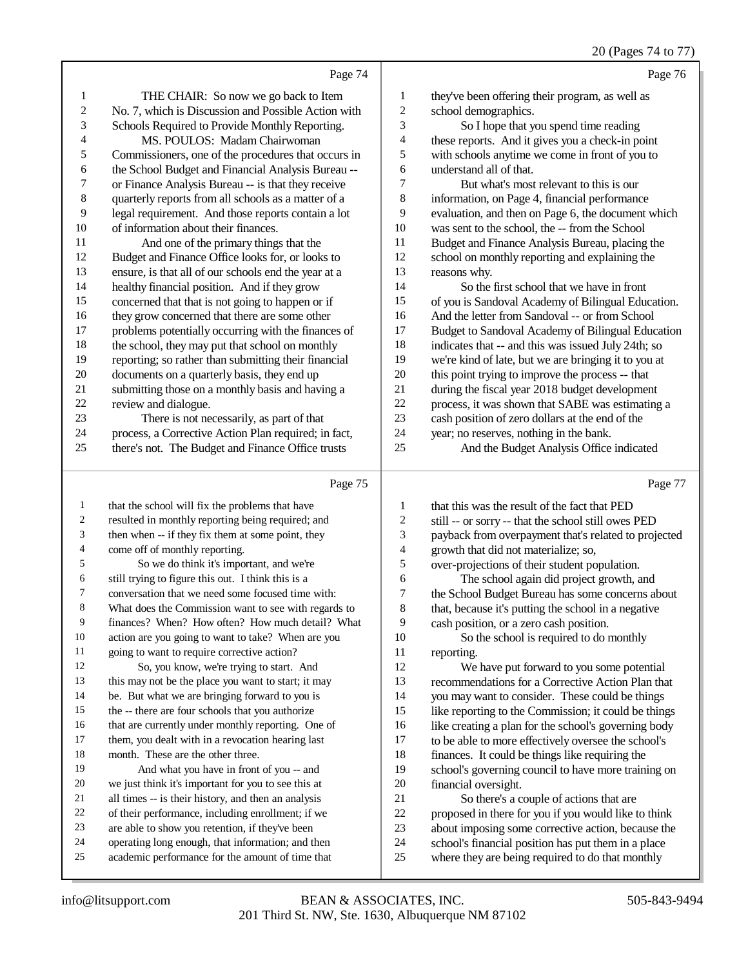| 20 (Pages 74 to 77) |  |  |
|---------------------|--|--|
|                     |  |  |

| $20 \text{ (14g/s)}$ $7 \text{ m}$                            |                                                      |                |
|---------------------------------------------------------------|------------------------------------------------------|----------------|
| Page 76<br>Page 74                                            |                                                      |                |
| 1<br>they've been offering their program, as well as          | THE CHAIR: So now we go back to Item                 | $\mathbf{1}$   |
| $\overline{c}$<br>school demographics.                        | No. 7, which is Discussion and Possible Action with  | $\overline{2}$ |
| 3<br>So I hope that you spend time reading                    | Schools Required to Provide Monthly Reporting.       | 3              |
| these reports. And it gives you a check-in point<br>4         | MS. POULOS: Madam Chairwoman                         | 4              |
| 5<br>with schools anytime we come in front of you to          | Commissioners, one of the procedures that occurs in  | 5              |
| understand all of that.<br>6                                  | the School Budget and Financial Analysis Bureau --   | 6              |
| 7<br>But what's most relevant to this is our                  | or Finance Analysis Bureau -- is that they receive   | 7              |
| 8<br>information, on Page 4, financial performance            | quarterly reports from all schools as a matter of a  | 8              |
| 9<br>evaluation, and then on Page 6, the document which       | legal requirement. And those reports contain a lot   | 9              |
| 10<br>was sent to the school, the -- from the School          | of information about their finances.                 | 10             |
| 11<br>Budget and Finance Analysis Bureau, placing the         | And one of the primary things that the               | 11             |
| 12<br>school on monthly reporting and explaining the          | Budget and Finance Office looks for, or looks to     | 12             |
| 13<br>reasons why.                                            | ensure, is that all of our schools end the year at a | 13             |
| 14<br>So the first school that we have in front               | healthy financial position. And if they grow         | 14             |
| 15<br>of you is Sandoval Academy of Bilingual Education.      | concerned that that is not going to happen or if     | 15             |
| 16<br>And the letter from Sandoval -- or from School          | they grow concerned that there are some other        | 16             |
| 17<br>Budget to Sandoval Academy of Bilingual Education       | problems potentially occurring with the finances of  | 17             |
| 18<br>indicates that -- and this was issued July 24th; so     | the school, they may put that school on monthly      | 18             |
| 19<br>we're kind of late, but we are bringing it to you at    | reporting; so rather than submitting their financial | 19             |
| 20<br>this point trying to improve the process -- that        | documents on a quarterly basis, they end up          | 20             |
| 21<br>during the fiscal year 2018 budget development          | submitting those on a monthly basis and having a     | 21             |
| 22<br>process, it was shown that SABE was estimating a        | review and dialogue.                                 | 22             |
| 23<br>cash position of zero dollars at the end of the         | There is not necessarily, as part of that            | 23             |
| 24<br>year; no reserves, nothing in the bank.                 | process, a Corrective Action Plan required; in fact, | 24             |
| 25<br>And the Budget Analysis Office indicated                | there's not. The Budget and Finance Office trusts    | 25             |
| Page 75<br>Page 77                                            |                                                      |                |
| that this was the result of the fact that PED<br>$\mathbf{1}$ | that the school will fix the problems that have      | $\overline{1}$ |

|    | that the school will fix the problems that have      | 1  | that this was the result of the fact that PED        |
|----|------------------------------------------------------|----|------------------------------------------------------|
| 2  | resulted in monthly reporting being required; and    | 2  | still -- or sorry -- that the school still owes PED  |
| 3  | then when -- if they fix them at some point, they    | 3  | payback from overpayment that's related to projected |
| 4  | come off of monthly reporting.                       | 4  | growth that did not materialize; so,                 |
| 5  | So we do think it's important, and we're             | 5  | over-projections of their student population.        |
| 6  | still trying to figure this out. I think this is a   | 6  | The school again did project growth, and             |
| 7  | conversation that we need some focused time with:    | 7  | the School Budget Bureau has some concerns about     |
| 8  | What does the Commission want to see with regards to | 8  | that, because it's putting the school in a negative  |
| 9  | finances? When? How often? How much detail? What     | 9  | cash position, or a zero cash position.              |
| 10 | action are you going to want to take? When are you   | 10 | So the school is required to do monthly              |
| 11 | going to want to require corrective action?          | 11 | reporting.                                           |
| 12 | So, you know, we're trying to start. And             | 12 | We have put forward to you some potential            |
| 13 | this may not be the place you want to start; it may  | 13 | recommendations for a Corrective Action Plan that    |
| 14 | be. But what we are bringing forward to you is       | 14 | you may want to consider. These could be things      |
| 15 | the -- there are four schools that you authorize     | 15 | like reporting to the Commission; it could be things |
| 16 | that are currently under monthly reporting. One of   | 16 | like creating a plan for the school's governing body |
| 17 | them, you dealt with in a revocation hearing last    | 17 | to be able to more effectively oversee the school's  |
| 18 | month. These are the other three.                    | 18 | finances. It could be things like requiring the      |
| 19 | And what you have in front of you -- and             | 19 | school's governing council to have more training on  |
| 20 | we just think it's important for you to see this at  | 20 | financial oversight.                                 |
| 21 | all times -- is their history, and then an analysis  | 21 | So there's a couple of actions that are              |
| 22 | of their performance, including enrollment; if we    | 22 | proposed in there for you if you would like to think |
| 23 | are able to show you retention, if they've been      | 23 | about imposing some corrective action, because the   |
| 24 | operating long enough, that information; and then    | 24 | school's financial position has put them in a place  |
| 25 | academic performance for the amount of time that     | 25 | where they are being required to do that monthly     |
|    |                                                      |    |                                                      |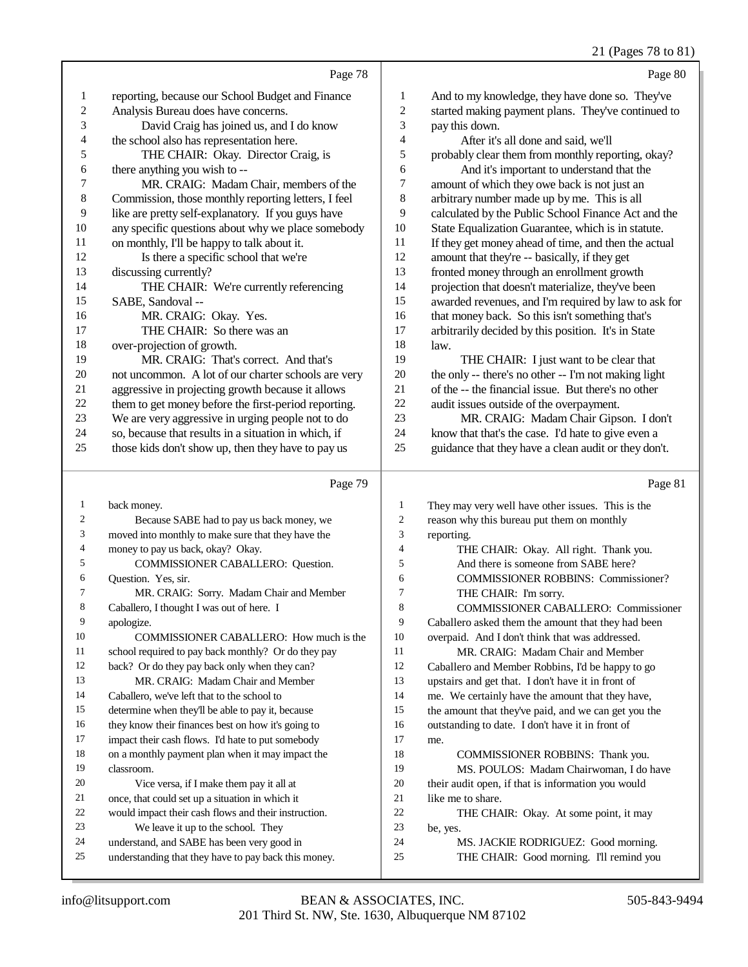## 21 (Pages 78 to 81)

|              | Page 78                                              |                | Page 80                                              |
|--------------|------------------------------------------------------|----------------|------------------------------------------------------|
| $\mathbf{1}$ | reporting, because our School Budget and Finance     | 1              | And to my knowledge, they have done so. They've      |
| 2            | Analysis Bureau does have concerns.                  | $\overline{c}$ | started making payment plans. They've continued to   |
| 3            | David Craig has joined us, and I do know             | 3              | pay this down.                                       |
| 4            | the school also has representation here.             | 4              | After it's all done and said, we'll                  |
| 5            | THE CHAIR: Okay. Director Craig, is                  | 5              | probably clear them from monthly reporting, okay?    |
| 6            | there anything you wish to --                        | 6              | And it's important to understand that the            |
| 7            | MR. CRAIG: Madam Chair, members of the               | 7              | amount of which they owe back is not just an         |
| $\,8\,$      | Commission, those monthly reporting letters, I feel  | 8              | arbitrary number made up by me. This is all          |
| 9            | like are pretty self-explanatory. If you guys have   | 9              | calculated by the Public School Finance Act and the  |
| 10           | any specific questions about why we place somebody   | 10             | State Equalization Guarantee, which is in statute.   |
| 11           | on monthly, I'll be happy to talk about it.          | 11             | If they get money ahead of time, and then the actual |
| 12           | Is there a specific school that we're                | 12             | amount that they're -- basically, if they get        |
| 13           | discussing currently?                                | 13             | fronted money through an enrollment growth           |
| 14           | THE CHAIR: We're currently referencing               | 14             | projection that doesn't materialize, they've been    |
| 15           | SABE, Sandoval --                                    | 15             | awarded revenues, and I'm required by law to ask for |
| 16           | MR. CRAIG: Okay. Yes.                                | 16             | that money back. So this isn't something that's      |
| 17           | THE CHAIR: So there was an                           | 17             | arbitrarily decided by this position. It's in State  |
| 18           | over-projection of growth.                           | 18             | law.                                                 |
| 19           | MR. CRAIG: That's correct. And that's                | 19             | THE CHAIR: I just want to be clear that              |
| 20           | not uncommon. A lot of our charter schools are very  | 20             | the only -- there's no other -- I'm not making light |
| 21           | aggressive in projecting growth because it allows    | 21             | of the -- the financial issue. But there's no other  |
| 22           | them to get money before the first-period reporting. | 22             | audit issues outside of the overpayment.             |
| 23           | We are very aggressive in urging people not to do    | 23             | MR. CRAIG: Madam Chair Gipson. I don't               |
| 24           | so, because that results in a situation in which, if | 24             | know that that's the case. I'd hate to give even a   |
| 25           | those kids don't show up, then they have to pay us   | 25             | guidance that they have a clean audit or they don't. |
|              |                                                      |                |                                                      |

# $P_{\text{90e}}$  79

|                | Page 79                                              |                | Page 81                                              |
|----------------|------------------------------------------------------|----------------|------------------------------------------------------|
| 1              | back money.                                          | 1              | They may very well have other issues. This is the    |
| $\overline{c}$ | Because SABE had to pay us back money, we            | $\overline{c}$ | reason why this bureau put them on monthly           |
| 3              | moved into monthly to make sure that they have the   | 3              | reporting.                                           |
| 4              | money to pay us back, okay? Okay.                    | $\overline{4}$ | THE CHAIR: Okay. All right. Thank you.               |
| 5              | <b>COMMISSIONER CABALLERO: Question.</b>             | 5              | And there is someone from SABE here?                 |
| 6              | Question. Yes, sir.                                  | 6              | <b>COMMISSIONER ROBBINS: Commissioner?</b>           |
| 7              | MR. CRAIG: Sorry. Madam Chair and Member             | 7              | THE CHAIR: I'm sorry.                                |
| 8              | Caballero, I thought I was out of here. I            | 8              | <b>COMMISSIONER CABALLERO: Commissioner</b>          |
| 9              | apologize.                                           | 9              | Caballero asked them the amount that they had been   |
| 10             | COMMISSIONER CABALLERO: How much is the              | 10             | overpaid. And I don't think that was addressed.      |
| 11             | school required to pay back monthly? Or do they pay  | 11             | MR. CRAIG: Madam Chair and Member                    |
| 12             | back? Or do they pay back only when they can?        | 12             | Caballero and Member Robbins, I'd be happy to go     |
| 13             | MR. CRAIG: Madam Chair and Member                    | 13             | upstairs and get that. I don't have it in front of   |
| 14             | Caballero, we've left that to the school to          | 14             | me. We certainly have the amount that they have,     |
| 15             | determine when they'll be able to pay it, because    | 15             | the amount that they've paid, and we can get you the |
| 16             | they know their finances best on how it's going to   | 16             | outstanding to date. I don't have it in front of     |
| 17             | impact their cash flows. I'd hate to put somebody    | 17             | me.                                                  |
| 18             | on a monthly payment plan when it may impact the     | 18             | COMMISSIONER ROBBINS: Thank you.                     |
| 19             | classroom.                                           | 19             | MS. POULOS: Madam Chairwoman, I do have              |
| 20             | Vice versa, if I make them pay it all at             | 20             | their audit open, if that is information you would   |
| 21             | once, that could set up a situation in which it      | 21             | like me to share.                                    |
| 22             | would impact their cash flows and their instruction. | 22             | THE CHAIR: Okay. At some point, it may               |
| 23             | We leave it up to the school. They                   | 23             | be, yes.                                             |
| 24             | understand, and SABE has been very good in           | 24             | MS. JACKIE RODRIGUEZ: Good morning.                  |
| 25             | understanding that they have to pay back this money. | 25             | THE CHAIR: Good morning. I'll remind you             |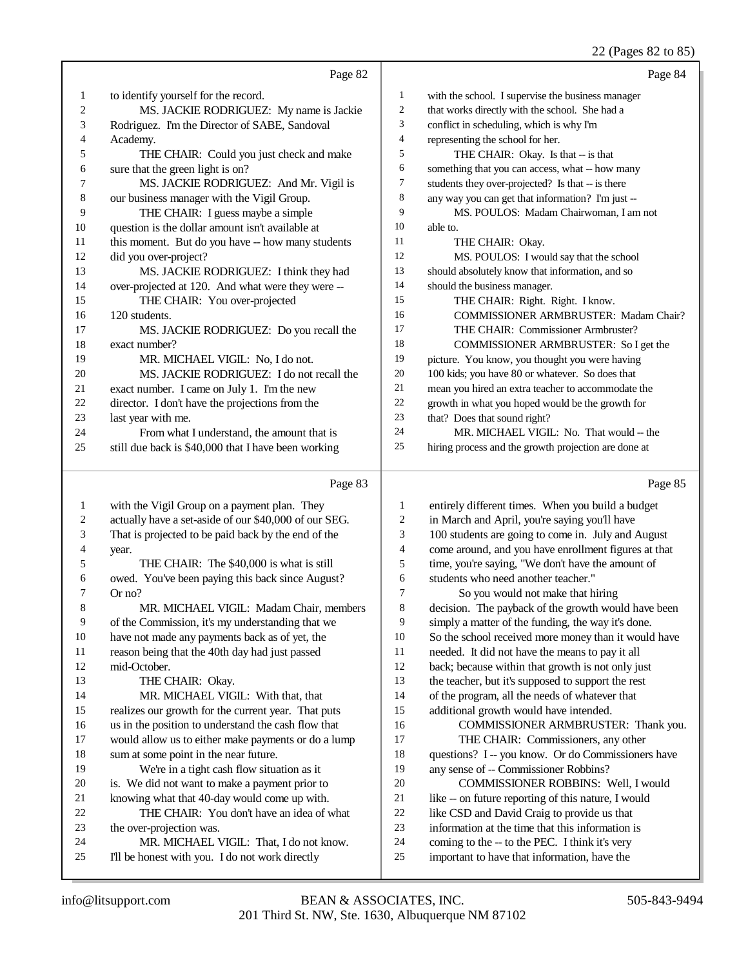22 (Pages 82 to 85)

|              |                                                       |                          | 22 (Pages 62 to 63)                                  |
|--------------|-------------------------------------------------------|--------------------------|------------------------------------------------------|
|              | Page 82                                               |                          | Page 84                                              |
| $\mathbf{1}$ | to identify yourself for the record.                  | $\mathbf{1}$             | with the school. I supervise the business manager    |
| 2            | MS. JACKIE RODRIGUEZ: My name is Jackie               | $\mathbf{2}$             | that works directly with the school. She had a       |
| 3            | Rodriguez. I'm the Director of SABE, Sandoval         | 3                        | conflict in scheduling, which is why I'm             |
| 4            | Academy.                                              | $\overline{\mathcal{L}}$ | representing the school for her.                     |
| 5            | THE CHAIR: Could you just check and make              | 5                        | THE CHAIR: Okay. Is that -- is that                  |
| 6            | sure that the green light is on?                      | 6                        | something that you can access, what -- how many      |
| 7            | MS. JACKIE RODRIGUEZ: And Mr. Vigil is                | $\tau$                   | students they over-projected? Is that -- is there    |
| $\,$ 8 $\,$  | our business manager with the Vigil Group.            | 8                        | any way you can get that information? I'm just --    |
| 9            | THE CHAIR: I guess maybe a simple                     | 9                        | MS. POULOS: Madam Chairwoman, I am not               |
| 10           | question is the dollar amount isn't available at      | 10                       | able to.                                             |
| 11           | this moment. But do you have -- how many students     | 11                       | THE CHAIR: Okay.                                     |
| 12           | did you over-project?                                 | 12                       | MS. POULOS: I would say that the school              |
| 13           | MS. JACKIE RODRIGUEZ: I think they had                | 13                       | should absolutely know that information, and so      |
| 14           | over-projected at 120. And what were they were --     | 14                       | should the business manager.                         |
| 15           | THE CHAIR: You over-projected                         | 15                       | THE CHAIR: Right. Right. I know.                     |
| 16           | 120 students.                                         | 16                       | COMMISSIONER ARMBRUSTER: Madam Chair?                |
| 17           | MS. JACKIE RODRIGUEZ: Do you recall the               | 17                       | THE CHAIR: Commissioner Armbruster?                  |
| 18           | exact number?                                         | 18                       | COMMISSIONER ARMBRUSTER: So I get the                |
| 19           | MR. MICHAEL VIGIL: No, I do not.                      | 19                       | picture. You know, you thought you were having       |
| 20           | MS. JACKIE RODRIGUEZ: I do not recall the             | 20                       | 100 kids; you have 80 or whatever. So does that      |
| 21           | exact number. I came on July 1. I'm the new           | 21                       | mean you hired an extra teacher to accommodate the   |
| 22           | director. I don't have the projections from the       | $22\,$                   | growth in what you hoped would be the growth for     |
| 23           | last year with me.                                    | 23                       | that? Does that sound right?                         |
| 24           | From what I understand, the amount that is            | 24                       | MR. MICHAEL VIGIL: No. That would -- the             |
| 25           | still due back is \$40,000 that I have been working   | 25                       | hiring process and the growth projection are done at |
|              |                                                       |                          |                                                      |
|              | Page 83                                               |                          | Page 85                                              |
| $\mathbf{1}$ | with the Vigil Group on a payment plan. They          | 1                        | entirely different times. When you build a budget    |
| 2            | actually have a set-aside of our \$40,000 of our SEG. | $\overline{c}$           | in March and April, you're saying you'll have        |
| 3            | That is projected to be paid back by the end of the   | 3                        | 100 students are going to come in. July and August   |
| 4            | year.                                                 | 4                        | come around, and you have enrollment figures at that |
| 5            | THE CHAIR: The \$40,000 is what is still              | 5                        | time, you're saying, "We don't have the amount of    |
| 6            | owed. You've been paying this back since August?      | 6                        | students who need another teacher."                  |
| 7            | Or no?                                                | 7                        | So you would not make that hiring                    |
| 8            | MR. MICHAEL VIGIL: Madam Chair, members               | $\,$ 8 $\,$              | decision. The payback of the growth would have been  |
| 9            | of the Commission, it's my understanding that we      | 9                        | simply a matter of the funding, the way it's done.   |
| 10           | have not made any payments back as of yet, the        | 10                       | So the school received more money than it would have |
| 11           | reason being that the 40th day had just passed        | 11                       | needed. It did not have the means to pay it all      |
| 12           | mid-October.                                          | 12                       | back; because within that growth is not only just    |
| 13           | THE CHAIR: Okay.                                      | 13                       | the teacher, but it's supposed to support the rest   |
| 14           | MR. MICHAEL VIGIL: With that, that                    | 14                       | of the program, all the needs of whatever that       |
| 15           | realizes our growth for the current year. That puts   | 15                       | additional growth would have intended.               |
| 16           | us in the position to understand the cash flow that   | 16                       | COMMISSIONER ARMBRUSTER: Thank you.                  |
| 17           | would allow us to either make payments or do a lump   | 17                       | THE CHAIR: Commissioners, any other                  |
| 18           | sum at some point in the near future.                 | 18                       | questions? I -- you know. Or do Commissioners have   |
| 19           | We're in a tight cash flow situation as it            | 19                       | any sense of -- Commissioner Robbins?                |
| 20           | is. We did not want to make a payment prior to        | 20                       | COMMISSIONER ROBBINS: Well, I would                  |
| 21           | knowing what that 40-day would come up with.          | $21\,$                   | like -- on future reporting of this nature, I would  |
| 22           | THE CHAIR: You don't have an idea of what             | $22\,$                   | like CSD and David Craig to provide us that          |
| 23           | the over-projection was.                              | 23                       | information at the time that this information is     |
| 24           | MR. MICHAEL VIGIL: That, I do not know.               | 24                       | coming to the -- to the PEC. I think it's very       |

 I'll be honest with you. I do not work directly important to have that information, have the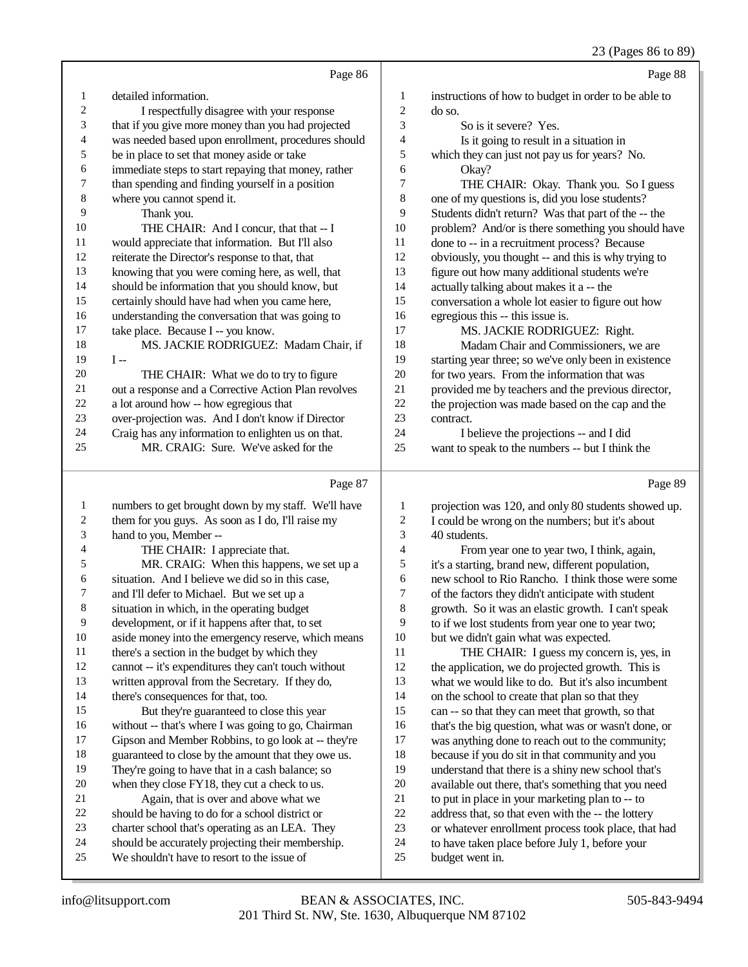## 23 (Pages 86 to 89)

|        | Page 86                                                                                |                          | Page 88                                              |
|--------|----------------------------------------------------------------------------------------|--------------------------|------------------------------------------------------|
| 1      | detailed information.                                                                  | 1                        | instructions of how to budget in order to be able to |
| 2      | I respectfully disagree with your response                                             | $\overline{c}$           | do so.                                               |
| 3      | that if you give more money than you had projected                                     | 3                        | So is it severe? Yes.                                |
| 4      | was needed based upon enrollment, procedures should                                    | $\overline{\mathcal{A}}$ | Is it going to result in a situation in              |
| 5      | be in place to set that money aside or take                                            | 5                        | which they can just not pay us for years? No.        |
| 6      | immediate steps to start repaying that money, rather                                   | 6                        | Okay?                                                |
| 7      | than spending and finding yourself in a position                                       | 7                        | THE CHAIR: Okay. Thank you. So I guess               |
| 8      | where you cannot spend it.                                                             | $\,8\,$                  | one of my questions is, did you lose students?       |
| 9      | Thank you.                                                                             | 9                        | Students didn't return? Was that part of the -- the  |
| 10     | THE CHAIR: And I concur, that that -- I                                                | 10                       | problem? And/or is there something you should have   |
| 11     | would appreciate that information. But I'll also                                       | 11                       | done to -- in a recruitment process? Because         |
| 12     | reiterate the Director's response to that, that                                        | 12                       | obviously, you thought -- and this is why trying to  |
| 13     | knowing that you were coming here, as well, that                                       | 13                       | figure out how many additional students we're        |
| 14     | should be information that you should know, but                                        | 14                       | actually talking about makes it a -- the             |
| 15     | certainly should have had when you came here,                                          | 15                       | conversation a whole lot easier to figure out how    |
| 16     | understanding the conversation that was going to                                       | 16                       | egregious this -- this issue is.                     |
| 17     | take place. Because I -- you know.                                                     | 17                       | MS. JACKIE RODRIGUEZ: Right.                         |
| 18     | MS. JACKIE RODRIGUEZ: Madam Chair, if                                                  | 18                       | Madam Chair and Commissioners, we are                |
| 19     | $I -$                                                                                  | 19                       | starting year three; so we've only been in existence |
| $20\,$ | THE CHAIR: What we do to try to figure                                                 | 20                       | for two years. From the information that was         |
| $21\,$ | out a response and a Corrective Action Plan revolves                                   | 21                       | provided me by teachers and the previous director,   |
| $22\,$ | a lot around how -- how egregious that                                                 | 22                       | the projection was made based on the cap and the     |
| 23     | over-projection was. And I don't know if Director                                      | 23                       | contract.                                            |
| 24     | Craig has any information to enlighten us on that.                                     | 24                       | I believe the projections -- and I did               |
| 25     | MR. CRAIG: Sure. We've asked for the                                                   | 25                       | want to speak to the numbers -- but I think the      |
|        |                                                                                        |                          |                                                      |
|        | Page 87                                                                                |                          | Page 89                                              |
| 1      | numbers to get brought down by my staff. We'll have                                    | 1                        | projection was 120, and only 80 students showed up.  |
| 2      | them for you guys. As soon as I do, I'll raise my                                      | $\boldsymbol{2}$         | I could be wrong on the numbers; but it's about      |
| 3      | hand to you, Member --                                                                 | 3                        | 40 students.                                         |
| 4      | THE CHAIR: I appreciate that.                                                          | $\overline{\mathcal{A}}$ | From year one to year two, I think, again,           |
| 5      | MR. CRAIG: When this happens, we set up a                                              | $\mathfrak s$            | it's a starting, brand new, different population,    |
| 6      | situation. And I believe we did so in this case,                                       | 6                        | new school to Rio Rancho. I think those were some    |
| 7      | and I'll defer to Michael. But we set up a                                             | $\tau$                   | of the factors they didn't anticipate with student   |
| 8      | situation in which, in the operating budget                                            | 8                        | growth. So it was an elastic growth. I can't speak   |
| 9      | development, or if it happens after that, to set                                       | 9                        | to if we lost students from year one to year two;    |
| $10\,$ | aside money into the emergency reserve, which means                                    | $10\,$                   | but we didn't gain what was expected.                |
| 11     | there's a section in the budget by which they                                          | 11                       | THE CHAIR: I guess my concern is, yes, in            |
| 12     | cannot -- it's expenditures they can't touch without                                   | 12                       | the application, we do projected growth. This is     |
| 13     | written approval from the Secretary. If they do,                                       | 13                       | what we would like to do. But it's also incumbent    |
| 14     | there's consequences for that, too.                                                    | 14                       | on the school to create that plan so that they       |
| 15     | But they're guaranteed to close this year                                              | 15                       | can -- so that they can meet that growth, so that    |
| 16     | without -- that's where I was going to go, Chairman                                    | 16                       | that's the big question, what was or wasn't done, or |
| 17     | Gipson and Member Robbins, to go look at -- they're                                    | 17                       | was anything done to reach out to the community;     |
| 18     | guaranteed to close by the amount that they owe us.                                    | 18                       | because if you do sit in that community and you      |
| 19     | They're going to have that in a cash balance; so                                       | 19                       | understand that there is a shiny new school that's   |
|        |                                                                                        |                          |                                                      |
| $20\,$ |                                                                                        | $20\,$                   | available out there, that's something that you need  |
| $21\,$ | when they close FY18, they cut a check to us.<br>Again, that is over and above what we | 21                       | to put in place in your marketing plan to -- to      |
| $22\,$ | should be having to do for a school district or                                        | $22\,$                   | address that, so that even with the -- the lottery   |

We shouldn't have to resort to the issue of

to have taken place before July 1, before your

budget went in.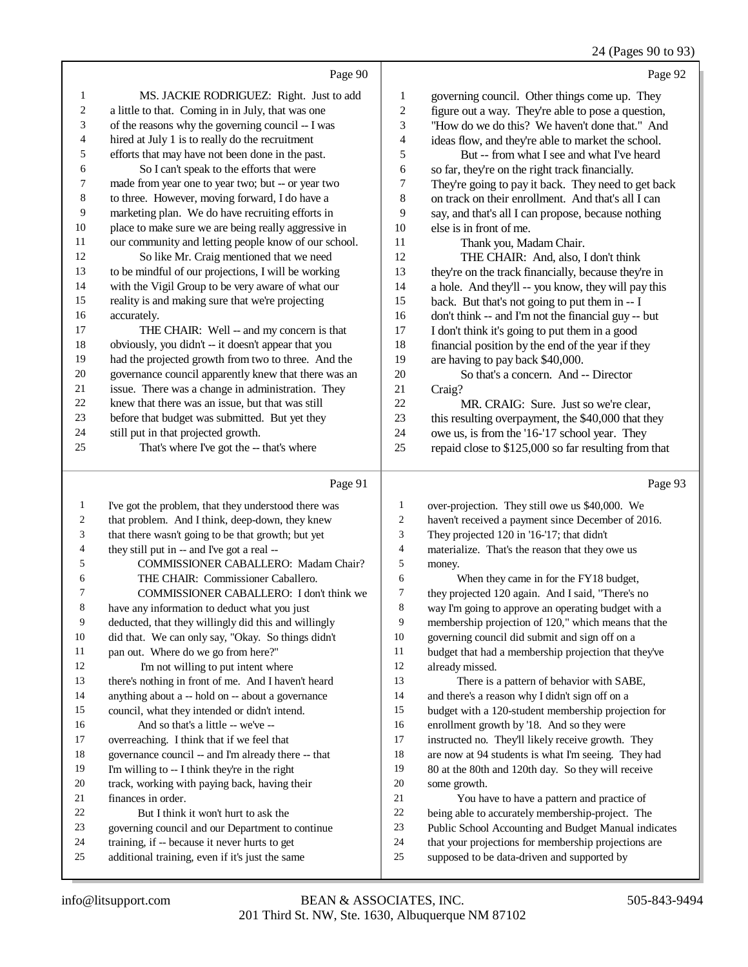### 24 (Pages 90 to 93)

|                | Page 90                                              |                | Page 92                                              |
|----------------|------------------------------------------------------|----------------|------------------------------------------------------|
| $\mathbf{1}$   | MS. JACKIE RODRIGUEZ: Right. Just to add             | 1              | governing council. Other things come up. They        |
| $\sqrt{2}$     | a little to that. Coming in in July, that was one    | $\overline{c}$ | figure out a way. They're able to pose a question,   |
| 3              | of the reasons why the governing council -- I was    | 3              | "How do we do this? We haven't done that." And       |
| $\overline{4}$ | hired at July 1 is to really do the recruitment      | 4              | ideas flow, and they're able to market the school.   |
| 5              | efforts that may have not been done in the past.     | 5              | But -- from what I see and what I've heard           |
| 6              | So I can't speak to the efforts that were            | 6              | so far, they're on the right track financially.      |
| $\tau$         | made from year one to year two; but -- or year two   | 7              | They're going to pay it back. They need to get back  |
| 8              | to three. However, moving forward, I do have a       | 8              | on track on their enrollment. And that's all I can   |
| 9              | marketing plan. We do have recruiting efforts in     | 9              | say, and that's all I can propose, because nothing   |
| 10             | place to make sure we are being really aggressive in | 10             | else is in front of me.                              |
| 11             | our community and letting people know of our school. | 11             | Thank you, Madam Chair.                              |
| 12             | So like Mr. Craig mentioned that we need             | 12             | THE CHAIR: And, also, I don't think                  |
| 13             | to be mindful of our projections, I will be working  | 13             | they're on the track financially, because they're in |
| 14             | with the Vigil Group to be very aware of what our    | 14             | a hole. And they'll -- you know, they will pay this  |
| 15             | reality is and making sure that we're projecting     | 15             | back. But that's not going to put them in -- I       |
| 16             | accurately.                                          | 16             | don't think -- and I'm not the financial guy -- but  |
| 17             | THE CHAIR: Well -- and my concern is that            | 17             | I don't think it's going to put them in a good       |
| 18             | obviously, you didn't -- it doesn't appear that you  | 18             | financial position by the end of the year if they    |
| 19             | had the projected growth from two to three. And the  | 19             | are having to pay back \$40,000.                     |
| 20             | governance council apparently knew that there was an | 20             | So that's a concern. And -- Director                 |
| 21             | issue. There was a change in administration. They    | 21             | Craig?                                               |
| 22             | knew that there was an issue, but that was still     | 22             | MR. CRAIG: Sure. Just so we're clear,                |
| 23             | before that budget was submitted. But yet they       | 23             | this resulting overpayment, the \$40,000 that they   |
| 24             | still put in that projected growth.                  | 24             | owe us, is from the '16-'17 school year. They        |
| 25             | That's where I've got the -- that's where            | 25             | repaid close to \$125,000 so far resulting from that |
|                | Page 91                                              |                | Page 93                                              |
| 1              | I've got the problem, that they understood there was |                | over-projection. They still owe us \$40,000. We      |
| 2              | that problem. And I think, deep-down, they knew      | $\overline{c}$ | haven't received a payment since December of 2016.   |

| ∠  | that problem. Ally I think, deep-down, they knew     | ∠              | haven't received  |
|----|------------------------------------------------------|----------------|-------------------|
| 3  | that there wasn't going to be that growth; but yet   | 3              | They projected    |
| 4  | they still put in -- and I've got a real --          | $\overline{4}$ | materialize. Th   |
| 5  | <b>COMMISSIONER CABALLERO: Madam Chair?</b>          | 5              | money.            |
| 6  | THE CHAIR: Commissioner Caballero.                   | 6              | When the          |
| 7  | COMMISSIONER CABALLERO: I don't think we             | 7              | they projected 1  |
| 8  | have any information to deduct what you just         | 8              | way I'm going to  |
| 9  | deducted, that they willingly did this and willingly | 9              | membership pro    |
| 10 | did that. We can only say, "Okay. So things didn't   | 10             | governing cound   |
| 11 | pan out. Where do we go from here?"                  | 11             | budget that had   |
| 12 | I'm not willing to put intent where                  | 12             | already missed.   |
| 13 | there's nothing in front of me. And I haven't heard  | 13             | There is a        |
| 14 | anything about a -- hold on -- about a governance    | 14             | and there's a rea |
| 15 | council, what they intended or didn't intend.        | 15             | budget with a 1.  |
| 16 | And so that's a little -- we've --                   | 16             | enrollment grow   |
| 17 | overreaching. I think that if we feel that           | 17             | instructed no. 7  |
| 18 | governance council -- and I'm already there -- that  | 18             | are now at 94 st  |
| 19 | I'm willing to -- I think they're in the right       | 19             | 80 at the 80th at |
| 20 | track, working with paying back, having their        | 20             | some growth.      |
| 21 | finances in order.                                   | 21             | You have          |
| 22 | But I think it won't hurt to ask the                 | 22             | being able to ac  |
| 23 | governing council and our Department to continue     | 23             | Public School A   |
| 24 | training, if -- because it never hurts to get        | 24             | that your projec  |
| 25 | additional training, even if it's just the same      | 25             | supposed to be    |
|    |                                                      |                |                   |

120 in '16-'17; that didn't at's the reason that they owe us bey came in for the FY18 budget,

20 again. And I said, "There's no o approve an operating budget with a bjection of 120," which means that the cil did submit and sign off on a a membership projection that they've a pattern of behavior with SABE, ason why I didn't sign off on a

20-student membership projection for vth by '18. And so they were They'll likely receive growth. They tudents is what I'm seeing. They had nd 120th day. So they will receive to have a pattern and practice of ccurately membership-project. The

- ttions for membership projections are
- data-driven and supported by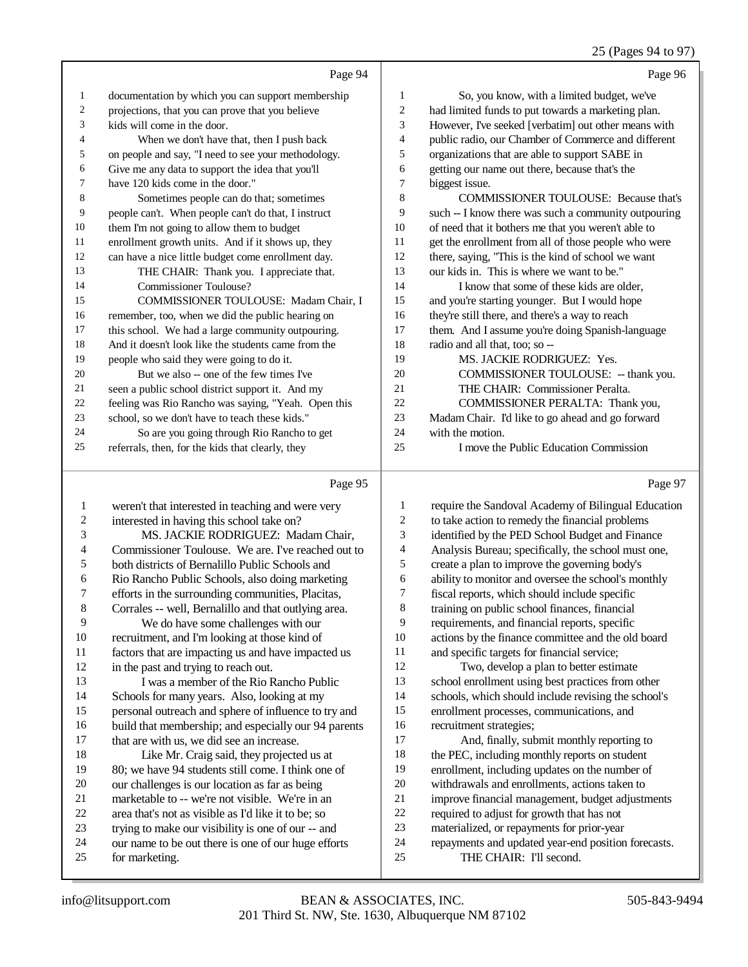# 25 (Pages 94 to 97)

|                | Page 94                                             |                | Page 96                                              |
|----------------|-----------------------------------------------------|----------------|------------------------------------------------------|
| 1              | documentation by which you can support membership   | 1              | So, you know, with a limited budget, we've           |
| 2              | projections, that you can prove that you believe    | 2              | had limited funds to put towards a marketing plan.   |
| 3              | kids will come in the door.                         | 3              | However, I've seeked [verbatim] out other means with |
| $\overline{4}$ | When we don't have that, then I push back           | 4              | public radio, our Chamber of Commerce and different  |
| 5              | on people and say, "I need to see your methodology. | 5              | organizations that are able to support SABE in       |
| 6              | Give me any data to support the idea that you'll    | 6              | getting our name out there, because that's the       |
| 7              | have 120 kids come in the door."                    | $\overline{7}$ | biggest issue.                                       |
| 8              | Sometimes people can do that; sometimes             | 8              | <b>COMMISSIONER TOULOUSE: Because that's</b>         |
| 9              | people can't. When people can't do that, I instruct | 9              | such -- I know there was such a community outpouring |
| 10             | them I'm not going to allow them to budget          | 10             | of need that it bothers me that you weren't able to  |
| 11             | enrollment growth units. And if it shows up, they   | 11             | get the enrollment from all of those people who were |
| 12             | can have a nice little budget come enrollment day.  | 12             | there, saying, "This is the kind of school we want   |
| 13             | THE CHAIR: Thank you. I appreciate that.            | 13             | our kids in. This is where we want to be."           |
| 14             | Commissioner Toulouse?                              | 14             | I know that some of these kids are older,            |
| 15             | COMMISSIONER TOULOUSE: Madam Chair, I               | 15             | and you're starting younger. But I would hope        |
| 16             | remember, too, when we did the public hearing on    | 16             | they're still there, and there's a way to reach      |
| 17             | this school. We had a large community outpouring.   | 17             | them. And I assume you're doing Spanish-language     |
| 18             | And it doesn't look like the students came from the | 18             | radio and all that, too; so --                       |
| 19             | people who said they were going to do it.           | 19             | <b>MS. JACKIE RODRIGUEZ: Yes.</b>                    |
| 20             | But we also -- one of the few times I've            | 20             | COMMISSIONER TOULOUSE: -- thank you.                 |
| 21             | seen a public school district support it. And my    | 21             | THE CHAIR: Commissioner Peralta.                     |
| 22             | feeling was Rio Rancho was saying, "Yeah. Open this | 22             | COMMISSIONER PERALTA: Thank you,                     |
| 23             | school, so we don't have to teach these kids."      | 23             | Madam Chair. I'd like to go ahead and go forward     |
| 24             | So are you going through Rio Rancho to get          | 24             | with the motion.                                     |
| 25             | referrals, then, for the kids that clearly, they    | 25             | I move the Public Education Commission               |
|                | Page 95                                             |                | Page 97                                              |

|    | Page 95                                              |    | Page 9                                              |
|----|------------------------------------------------------|----|-----------------------------------------------------|
| 1  | weren't that interested in teaching and were very    | 1  | require the Sandoval Academy of Bilingual Education |
| 2  | interested in having this school take on?            | 2  | to take action to remedy the financial problems     |
| 3  | MS. JACKIE RODRIGUEZ: Madam Chair,                   | 3  | identified by the PED School Budget and Finance     |
| 4  | Commissioner Toulouse. We are. I've reached out to   | 4  | Analysis Bureau; specifically, the school must one, |
| 5  | both districts of Bernalillo Public Schools and      | 5  | create a plan to improve the governing body's       |
| 6  | Rio Rancho Public Schools, also doing marketing      | 6  | ability to monitor and oversee the school's monthly |
| 7  | efforts in the surrounding communities, Placitas,    | 7  | fiscal reports, which should include specific       |
| 8  | Corrales -- well, Bernalillo and that outlying area. | 8  | training on public school finances, financial       |
| 9  | We do have some challenges with our                  | 9  | requirements, and financial reports, specific       |
| 10 | recruitment, and I'm looking at those kind of        | 10 | actions by the finance committee and the old board  |
| 11 | factors that are impacting us and have impacted us   | 11 | and specific targets for financial service;         |
| 12 | in the past and trying to reach out.                 | 12 | Two, develop a plan to better estimate              |
| 13 | I was a member of the Rio Rancho Public              | 13 | school enrollment using best practices from other   |
| 14 | Schools for many years. Also, looking at my          | 14 | schools, which should include revising the school's |
| 15 | personal outreach and sphere of influence to try and | 15 | enrollment processes, communications, and           |
| 16 | build that membership; and especially our 94 parents | 16 | recruitment strategies;                             |
| 17 | that are with us, we did see an increase.            | 17 | And, finally, submit monthly reporting to           |
| 18 | Like Mr. Craig said, they projected us at            | 18 | the PEC, including monthly reports on student       |
| 19 | 80; we have 94 students still come. I think one of   | 19 | enrollment, including updates on the number of      |
| 20 | our challenges is our location as far as being       | 20 | withdrawals and enrollments, actions taken to       |
| 21 | marketable to -- we're not visible. We're in an      | 21 | improve financial management, budget adjustments    |
| 22 | area that's not as visible as I'd like it to be; so  | 22 | required to adjust for growth that has not          |
| 23 | trying to make our visibility is one of our -- and   | 23 | materialized, or repayments for prior-year          |
| 24 | our name to be out there is one of our huge efforts  | 24 | repayments and updated year-end position forecasts. |
| 25 | for marketing.                                       | 25 | THE CHAIR: I'll second.                             |
|    |                                                      |    |                                                     |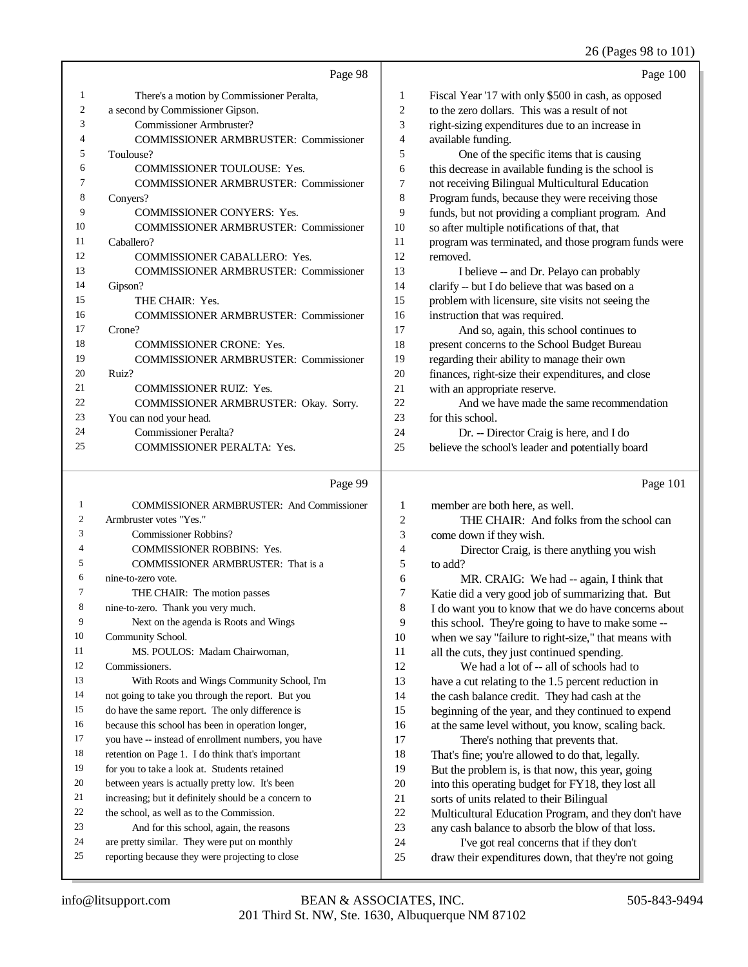### 26 (Pages 98 to 101)

|    | Page 98                                      |    | Page 100                                             |
|----|----------------------------------------------|----|------------------------------------------------------|
| 1  | There's a motion by Commissioner Peralta,    | 1  | Fiscal Year '17 with only \$500 in cash, as opposed  |
| 2  | a second by Commissioner Gipson.             | 2  | to the zero dollars. This was a result of not        |
| 3  | Commissioner Armbruster?                     | 3  | right-sizing expenditures due to an increase in      |
|    | <b>COMMISSIONER ARMBRUSTER: Commissioner</b> | 4  | available funding.                                   |
| 5  | Toulouse?                                    | 5  | One of the specific items that is causing            |
| 6  | <b>COMMISSIONER TOULOUSE: Yes.</b>           | 6  | this decrease in available funding is the school is  |
| 7  | <b>COMMISSIONER ARMBRUSTER: Commissioner</b> | 7  | not receiving Bilingual Multicultural Education      |
| 8  | Convers?                                     | 8  | Program funds, because they were receiving those     |
| 9  | <b>COMMISSIONER CONYERS: Yes.</b>            | 9  | funds, but not providing a compliant program. And    |
| 10 | <b>COMMISSIONER ARMBRUSTER: Commissioner</b> | 10 | so after multiple notifications of that, that        |
| 11 | Caballero?                                   | 11 | program was terminated, and those program funds were |
| 12 | <b>COMMISSIONER CABALLERO: Yes.</b>          | 12 | removed.                                             |
| 13 | <b>COMMISSIONER ARMBRUSTER: Commissioner</b> | 13 | I believe -- and Dr. Pelayo can probably             |
| 14 | Gipson?                                      | 14 | clarify -- but I do believe that was based on a      |
| 15 | THE CHAIR: Yes.                              | 15 | problem with licensure, site visits not seeing the   |
| 16 | <b>COMMISSIONER ARMBRUSTER: Commissioner</b> | 16 | instruction that was required.                       |
| 17 | Crone?                                       | 17 | And so, again, this school continues to              |
| 18 | <b>COMMISSIONER CRONE: Yes.</b>              | 18 | present concerns to the School Budget Bureau         |
| 19 | <b>COMMISSIONER ARMBRUSTER: Commissioner</b> | 19 | regarding their ability to manage their own          |
| 20 | Ruiz?                                        | 20 | finances, right-size their expenditures, and close   |
| 21 | <b>COMMISSIONER RUIZ: Yes.</b>               | 21 | with an appropriate reserve.                         |
| 22 | COMMISSIONER ARMBRUSTER: Okay. Sorry.        | 22 | And we have made the same recommendation             |
| 23 | You can nod your head.                       | 23 | for this school.                                     |
| 24 | <b>Commissioner Peralta?</b>                 | 24 | Dr. -- Director Craig is here, and I do              |
| 25 | <b>COMMISSIONER PERALTA: Yes.</b>            | 25 | believe the school's leader and potentially board    |
|    | Page 99                                      |    | Page 101                                             |

## Page 99 |

| $\mathbf{1}$   |                                                      |                |
|----------------|------------------------------------------------------|----------------|
|                | <b>COMMISSIONER ARMBRUSTER: And Commissioner</b>     | 1              |
| 2              | Armbruster votes "Yes."                              | $\overline{c}$ |
| 3              | Commissioner Robbins?                                | 3              |
| $\overline{4}$ | <b>COMMISSIONER ROBBINS: Yes.</b>                    | $\overline{4}$ |
| 5              | COMMISSIONER ARMBRUSTER: That is a                   | 5              |
| 6              | nine-to-zero vote.                                   | 6              |
| 7              | THE CHAIR: The motion passes                         | 7              |
| 8              | nine-to-zero. Thank you very much.                   | 8              |
| 9              | Next on the agenda is Roots and Wings                | 9              |
| 10             | Community School.                                    | 10             |
| 11             | MS. POULOS: Madam Chairwoman,                        | 11             |
| 12             | Commissioners.                                       | 12             |
| 13             | With Roots and Wings Community School, I'm           | 13             |
| 14             | not going to take you through the report. But you    | 14             |
| 15             | do have the same report. The only difference is      | 15             |
| 16             | because this school has been in operation longer,    | 16             |
| 17             | you have -- instead of enrollment numbers, you have  | 17             |
| 18             | retention on Page 1. I do think that's important     | 18             |
| 19             | for you to take a look at. Students retained         | 19             |
| 20             | between years is actually pretty low. It's been      | 20             |
| 21             | increasing; but it definitely should be a concern to | 21             |
| 22             | the school, as well as to the Commission.            | 22             |
| 23             | And for this school, again, the reasons              | 23             |
| 24             | are pretty similar. They were put on monthly         | 24             |
| 25             | reporting because they were projecting to close      | 25             |
|                |                                                      |                |

member are both here, as well. THE CHAIR: And folks from the school can come down if they wish.

Director Craig, is there anything you wish to add?

MR. CRAIG: We had -- again, I think that Katie did a very good job of summarizing that. But I do want you to know that we do have concerns about this school. They're going to have to make some -when we say "failure to right-size," that means with all the cuts, they just continued spending. We had a lot of -- all of schools had to have a cut relating to the 1.5 percent reduction in the cash balance credit. They had cash at the beginning of the year, and they continued to expend at the same level without, you know, scaling back. There's nothing that prevents that. That's fine; you're allowed to do that, legally. But the problem is, is that now, this year, going into this operating budget for FY18, they lost all sorts of units related to their Bilingual Multicultural Education Program, and they don't have any cash balance to absorb the blow of that loss. I've got real concerns that if they don't

draw their expenditures down, that they're not going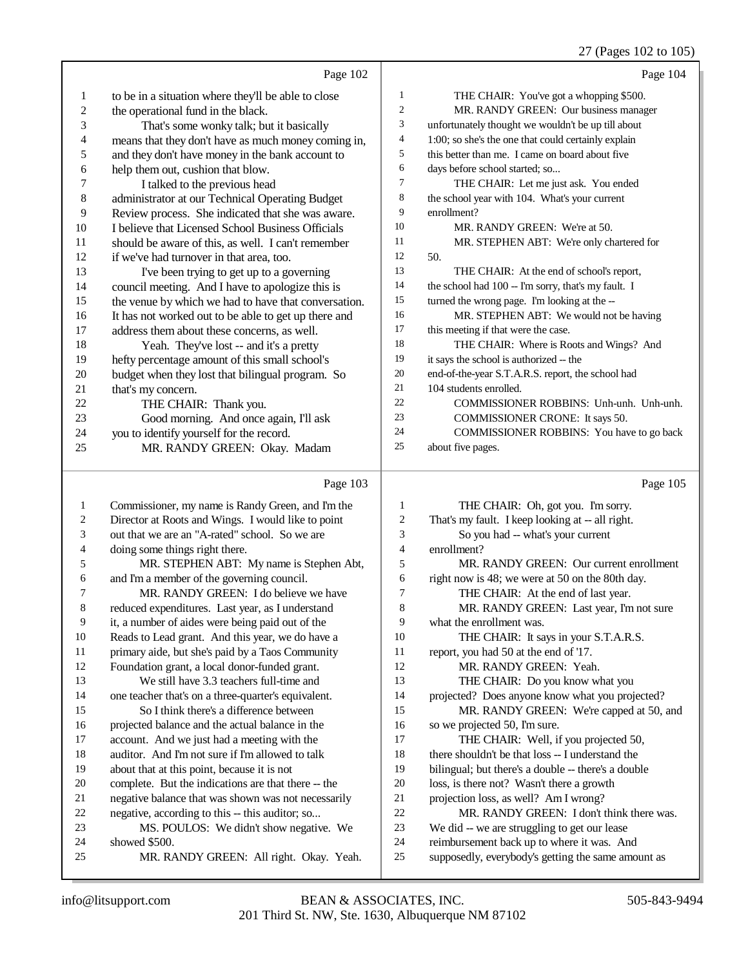27 (Pages 102 to 105)

|              |                                                      |    | $27 \text{ (1456)} 102 \text{ to } 102$             |
|--------------|------------------------------------------------------|----|-----------------------------------------------------|
|              | Page 102                                             |    | Page 104                                            |
| $\mathbf{1}$ | to be in a situation where they'll be able to close  | 1  | THE CHAIR: You've got a whopping \$500.             |
| $\sqrt{2}$   | the operational fund in the black.                   | 2  | MR. RANDY GREEN: Our business manager               |
| 3            | That's some wonky talk; but it basically             | 3  | unfortunately thought we wouldn't be up till about  |
| 4            | means that they don't have as much money coming in,  | 4  | 1:00; so she's the one that could certainly explain |
| 5            | and they don't have money in the bank account to     | 5  | this better than me. I came on board about five     |
| 6            | help them out, cushion that blow.                    | 6  | days before school started; so                      |
| 7            | I talked to the previous head                        | 7  | THE CHAIR: Let me just ask. You ended               |
| $\,$ 8 $\,$  | administrator at our Technical Operating Budget      | 8  | the school year with 104. What's your current       |
| 9            | Review process. She indicated that she was aware.    | 9  | enrollment?                                         |
| 10           | I believe that Licensed School Business Officials    | 10 | MR. RANDY GREEN: We're at 50.                       |
| 11           | should be aware of this, as well. I can't remember   | 11 | MR. STEPHEN ABT: We're only chartered for           |
| 12           | if we've had turnover in that area, too.             | 12 | 50.                                                 |
| 13           | I've been trying to get up to a governing            | 13 | THE CHAIR: At the end of school's report,           |
| 14           | council meeting. And I have to apologize this is     | 14 | the school had 100 -- I'm sorry, that's my fault. I |
| 15           | the venue by which we had to have that conversation. | 15 | turned the wrong page. I'm looking at the --        |
| 16           | It has not worked out to be able to get up there and | 16 | MR. STEPHEN ABT: We would not be having             |
| 17           | address them about these concerns, as well.          | 17 | this meeting if that were the case.                 |
| 18           | Yeah. They've lost -- and it's a pretty              | 18 | THE CHAIR: Where is Roots and Wings? And            |
| 19           | hefty percentage amount of this small school's       | 19 | it says the school is authorized -- the             |
| 20           | budget when they lost that bilingual program. So     | 20 | end-of-the-year S.T.A.R.S. report, the school had   |
| 21           | that's my concern.                                   | 21 | 104 students enrolled.                              |
| 22           | THE CHAIR: Thank you.                                | 22 | COMMISSIONER ROBBINS: Unh-unh. Unh-unh.             |
| 23           | Good morning. And once again, I'll ask               | 23 | COMMISSIONER CRONE: It says 50.                     |
| 24           | you to identify yourself for the record.             | 24 | COMMISSIONER ROBBINS: You have to go back           |
| 25           | MR. RANDY GREEN: Okay. Madam                         | 25 | about five pages.                                   |
|              |                                                      |    |                                                     |
|              | Page 103                                             |    | Page 105                                            |
| 1            | Commissioner, my name is Randy Green, and I'm the    | 1  | THE CHAIR: Oh, got you. I'm sorry.                  |
| 2            | Director at Roots and Wings. I would like to point   | 2  | That's my fault. I keep looking at -- all right.    |
| 3            | out that we are an "A-rated" school. So we are       | 3  | So you had -- what's your current                   |
| 4            | doing some things right there.                       | 4  | enrollment?                                         |
| 5            | MR. STEPHEN ABT: My name is Stephen Abt,             | 5  | MR. RANDY GREEN: Our current enrollment             |
| 6            | and I'm a member of the governing council.           | 6  | right now is 48; we were at 50 on the 80th day.     |

### MR. RANDY GREEN: I do believe we have reduced expenditures. Last year, as I understand it, a number of aides were being paid out of the Reads to Lead grant. And this year, we do have a

primary aide, but she's paid by a Taos Community

 Foundation grant, a local donor-funded grant. We still have 3.3 teachers full-time and one teacher that's on a three-quarter's equivalent. So I think there's a difference between

# projected balance and the actual balance in the

- account. And we just had a meeting with the auditor. And I'm not sure if I'm allowed to talk
- about that at this point, because it is not
- complete. But the indications are that there -- the
- negative balance that was shown was not necessarily
- negative, according to this -- this auditor; so...
- MS. POULOS: We didn't show negative. We
- showed \$500. MR. RANDY GREEN: All right. Okay. Yeah.
- 
- right now is 48; we were at 50 on the 80th day.
- THE CHAIR: At the end of last year.
- 8 MR. RANDY GREEN: Last year, I'm not sure what the enrollment was.
- 
- 10 THE CHAIR: It says in your S.T.A.R.S.
- report, you had 50 at the end of '17.
- MR. RANDY GREEN: Yeah.
- THE CHAIR: Do you know what you
- projected? Does anyone know what you projected?
- 15 MR. RANDY GREEN: We're capped at 50, and
- 16 so we projected 50, I'm sure.
- 17 THE CHAIR: Well, if you projected 50,
- there shouldn't be that loss -- I understand the
- bilingual; but there's a double -- there's a double
- loss, is there not? Wasn't there a growth
- projection loss, as well? Am I wrong?
- MR. RANDY GREEN: I don't think there was.
- We did -- we are struggling to get our lease
- reimbursement back up to where it was. And
- supposedly, everybody's getting the same amount as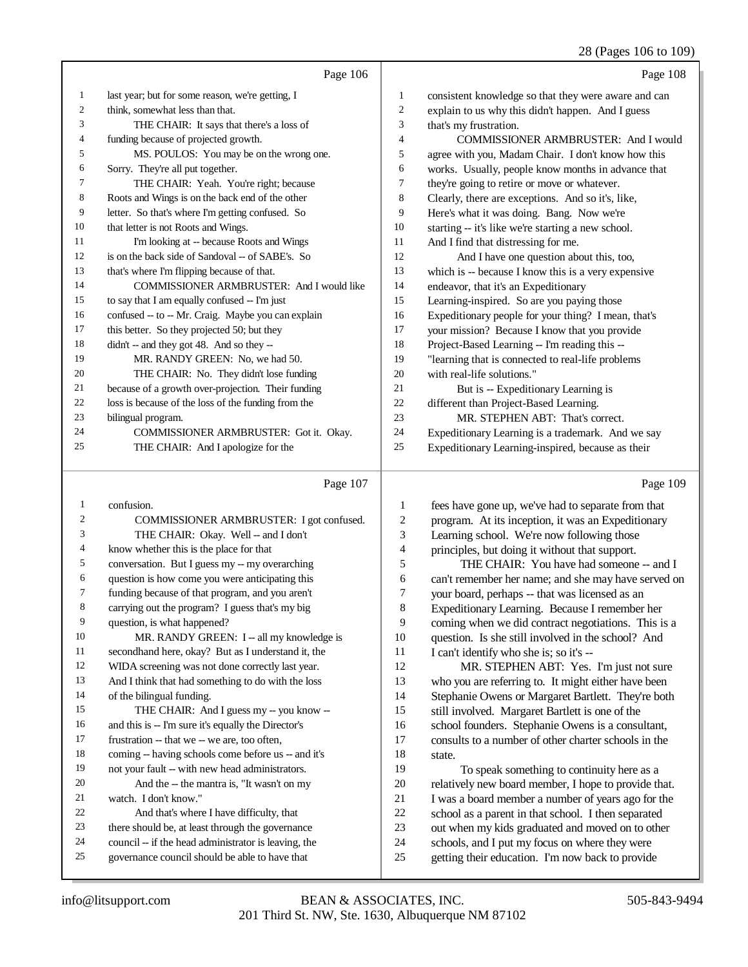## 28 (Pages 106 to 109)

|    | Page 106                                            |    | Page 108                                             |
|----|-----------------------------------------------------|----|------------------------------------------------------|
| 1  | last year; but for some reason, we're getting, I    | 1  | consistent knowledge so that they were aware and can |
| 2  | think, somewhat less than that.                     | 2  | explain to us why this didn't happen. And I guess    |
| 3  | THE CHAIR: It says that there's a loss of           | 3  | that's my frustration.                               |
| 4  | funding because of projected growth.                | 4  | COMMISSIONER ARMBRUSTER: And I would                 |
| 5  | MS. POULOS: You may be on the wrong one.            | 5  | agree with you, Madam Chair. I don't know how this   |
| 6  | Sorry. They're all put together.                    | 6  | works. Usually, people know months in advance that   |
| 7  | THE CHAIR: Yeah. You're right; because              | 7  | they're going to retire or move or whatever.         |
| 8  | Roots and Wings is on the back end of the other     | 8  | Clearly, there are exceptions. And so it's, like,    |
| 9  | letter. So that's where I'm getting confused. So    | 9  | Here's what it was doing. Bang. Now we're            |
| 10 | that letter is not Roots and Wings.                 | 10 | starting -- it's like we're starting a new school.   |
| 11 | I'm looking at -- because Roots and Wings           | 11 | And I find that distressing for me.                  |
| 12 | is on the back side of Sandoval -- of SABE's. So    | 12 | And I have one question about this, too,             |
| 13 | that's where I'm flipping because of that.          | 13 | which is -- because I know this is a very expensive  |
| 14 | COMMISSIONER ARMBRUSTER: And I would like           | 14 | endeavor, that it's an Expeditionary                 |
| 15 | to say that I am equally confused -- I'm just       | 15 | Learning-inspired. So are you paying those           |
| 16 | confused -- to -- Mr. Craig. Maybe you can explain  | 16 | Expeditionary people for your thing? I mean, that's  |
| 17 | this better. So they projected 50; but they         | 17 | your mission? Because I know that you provide        |
| 18 | $didr - and they got 48. And so they -$             | 18 | Project-Based Learning -- I'm reading this --        |
| 19 | MR. RANDY GREEN: No, we had 50.                     | 19 | "learning that is connected to real-life problems    |
| 20 | THE CHAIR: No. They didn't lose funding             | 20 | with real-life solutions."                           |
| 21 | because of a growth over-projection. Their funding  | 21 | But is -- Expeditionary Learning is                  |
| 22 | loss is because of the loss of the funding from the | 22 | different than Project-Based Learning.               |
| 23 | bilingual program.                                  | 23 | MR. STEPHEN ABT: That's correct.                     |
| 24 | COMMISSIONER ARMBRUSTER: Got it. Okay.              | 24 | Expeditionary Learning is a trademark. And we say    |
| 25 | THE CHAIR: And I apologize for the                  | 25 | Expeditionary Learning-inspired, because as their    |
|    |                                                     |    |                                                      |

## Page 107

| 1  | confusion.                                           |
|----|------------------------------------------------------|
| 2  |                                                      |
|    | COMMISSIONER ARMBRUSTER: I got confused.             |
| 3  | THE CHAIR: Okay. Well -- and I don't                 |
| 4  | know whether this is the place for that              |
| 5  | conversation. But I guess my -- my overarching       |
| 6  | question is how come you were anticipating this      |
| 7  | funding because of that program, and you aren't      |
| 8  | carrying out the program? I guess that's my big      |
| 9  | question, is what happened?                          |
| 10 | MR. RANDY GREEN: I -- all my knowledge is            |
| 11 | secondhand here, okay? But as I understand it, the   |
| 12 | WIDA screening was not done correctly last year.     |
| 13 | And I think that had something to do with the loss   |
| 14 | of the bilingual funding.                            |
| 15 | THE CHAIR: And I guess my -- you know --             |
| 16 | and this is -- I'm sure it's equally the Director's  |
| 17 | frustration -- that we -- we are, too often,         |
| 18 | coming -- having schools come before us -- and it's  |
| 19 | not your fault -- with new head administrators.      |
| 20 | And the -- the mantra is, "It wasn't on my           |
| 21 | watch. I don't know."                                |
| 22 | And that's where I have difficulty, that             |
| 23 | there should be, at least through the governance     |
| 24 | council -- if the head administrator is leaving, the |
| 25 | governance council should be able to have that       |
|    |                                                      |

Page 109

| 1              | fees have gone up, we've had to separate from that   |
|----------------|------------------------------------------------------|
| 2              | program. At its inception, it was an Expeditionary   |
| 3              | Learning school. We're now following those           |
| $\overline{4}$ | principles, but doing it without that support.       |
| 5              | THE CHAIR: You have had someone -- and I             |
| 6              | can't remember her name; and she may have served on  |
| 7              | your board, perhaps -- that was licensed as an       |
| 8              | Expeditionary Learning. Because I remember her       |
| 9              | coming when we did contract negotiations. This is a  |
| 10             | question. Is she still involved in the school? And   |
| 11             | I can't identify who she is; so it's --              |
| 12             | MR. STEPHEN ABT: Yes. I'm just not sure              |
| 13             | who you are referring to. It might either have been  |
| 14             | Stephanie Owens or Margaret Bartlett. They're both   |
| 15             | still involved. Margaret Bartlett is one of the      |
| 16             | school founders. Stephanie Owens is a consultant,    |
| 17             | consults to a number of other charter schools in the |
| 18             | state.                                               |
| 19             | To speak something to continuity here as a           |
| 20             | relatively new board member, I hope to provide that. |
| 21             | I was a board member a number of years ago for the   |
| 22             | school as a parent in that school. I then separated  |
| 23             | out when my kids graduated and moved on to other     |
| 24             | schools, and I put my focus on where they were       |
| 25             | getting their education. I'm now back to provide     |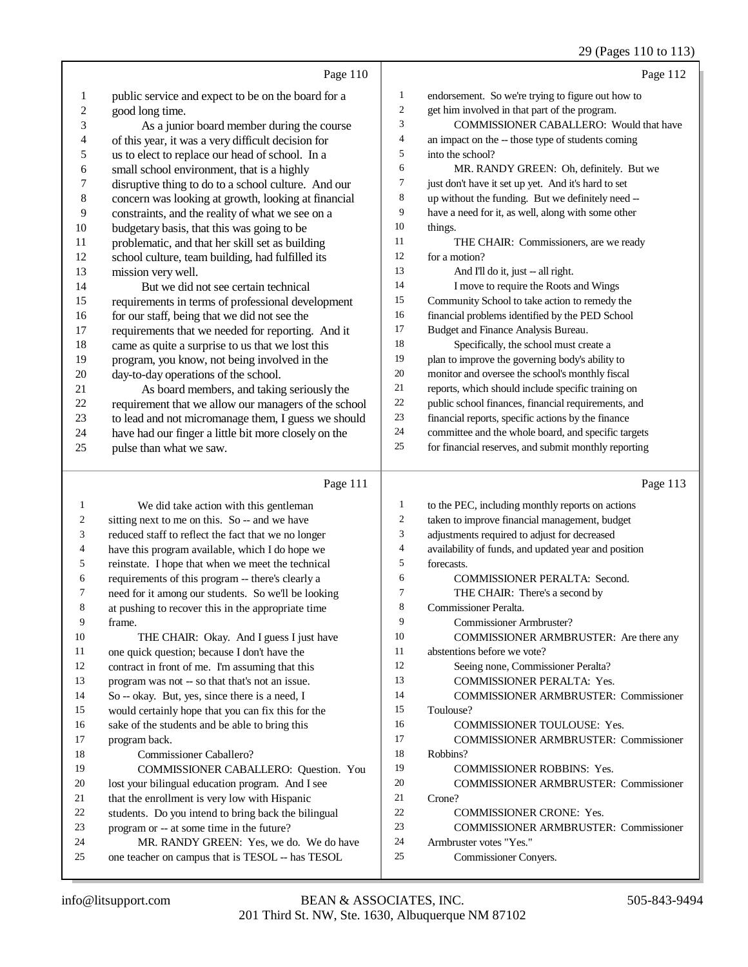### 29 (Pages 110 to 113)

|                          | Page 110                                             |                          | Page 112                                             |
|--------------------------|------------------------------------------------------|--------------------------|------------------------------------------------------|
| $\mathbf{1}$             | public service and expect to be on the board for a   | $\mathbf{1}$             | endorsement. So we're trying to figure out how to    |
| $\overline{c}$           | good long time.                                      | $\sqrt{2}$               | get him involved in that part of the program.        |
| 3                        | As a junior board member during the course           | 3                        | COMMISSIONER CABALLERO: Would that have              |
| $\overline{4}$           | of this year, it was a very difficult decision for   | $\overline{\mathcal{L}}$ | an impact on the -- those type of students coming    |
| 5                        | us to elect to replace our head of school. In a      | 5                        | into the school?                                     |
| 6                        | small school environment, that is a highly           | 6                        | MR. RANDY GREEN: Oh, definitely. But we              |
| $\overline{7}$           | disruptive thing to do to a school culture. And our  | 7                        | just don't have it set up yet. And it's hard to set  |
| $\,$ 8 $\,$              | concern was looking at growth, looking at financial  | 8                        | up without the funding. But we definitely need --    |
| 9                        | constraints, and the reality of what we see on a     | 9                        | have a need for it, as well, along with some other   |
| 10                       | budgetary basis, that this was going to be           | 10                       | things.                                              |
| 11                       | problematic, and that her skill set as building      | 11                       | THE CHAIR: Commissioners, are we ready               |
| 12                       | school culture, team building, had fulfilled its     | 12                       | for a motion?                                        |
| 13                       | mission very well.                                   | 13                       | And I'll do it, just -- all right.                   |
| 14                       | But we did not see certain technical                 | 14                       | I move to require the Roots and Wings                |
| 15                       | requirements in terms of professional development    | 15                       | Community School to take action to remedy the        |
| 16                       | for our staff, being that we did not see the         | 16                       | financial problems identified by the PED School      |
| 17                       | requirements that we needed for reporting. And it    | 17                       | Budget and Finance Analysis Bureau.                  |
| 18                       | came as quite a surprise to us that we lost this     | 18                       | Specifically, the school must create a               |
| 19                       | program, you know, not being involved in the         | 19                       | plan to improve the governing body's ability to      |
| 20                       | day-to-day operations of the school.                 | $20\,$                   | monitor and oversee the school's monthly fiscal      |
| 21                       | As board members, and taking seriously the           | 21                       | reports, which should include specific training on   |
| 22                       | requirement that we allow our managers of the school | 22                       | public school finances, financial requirements, and  |
| 23                       | to lead and not micromanage them, I guess we should  | $23\,$                   | financial reports, specific actions by the finance   |
| 24                       | have had our finger a little bit more closely on the | 24                       | committee and the whole board, and specific targets  |
| 25                       | pulse than what we saw.                              | 25                       | for financial reserves, and submit monthly reporting |
|                          |                                                      |                          |                                                      |
|                          | Page 111                                             |                          | Page 113                                             |
| 1                        | We did take action with this gentleman               | $\mathbf{1}$             | to the PEC, including monthly reports on actions     |
| 2                        | sitting next to me on this. So -- and we have        | $\boldsymbol{2}$         | taken to improve financial management, budget        |
| 3                        | reduced staff to reflect the fact that we no longer  | 3                        | adjustments required to adjust for decreased         |
| $\overline{\mathcal{L}}$ | have this program available, which I do hope we      | $\overline{\mathcal{A}}$ | availability of funds, and updated year and position |
| 5                        | reinstate. I hope that when we meet the technical    | 5                        | forecasts.                                           |
| 6                        | requirements of this program -- there's clearly a    | 6                        | <b>COMMISSIONER PERALTA: Second.</b>                 |
| 7                        | need for it among our students. So we'll be looking  | 7                        | THE CHAIR: There's a second by                       |
| 8                        | at pushing to recover this in the appropriate time   | $\,$ 8 $\,$              | Commissioner Peralta.                                |
| 9                        | frame.                                               | 9                        | Commissioner Armbruster?                             |
| 10                       | THE CHAIR: Okay. And I guess I just have             | 10                       | COMMISSIONER ARMBRUSTER: Are there any               |
| 11                       | one quick question; because I don't have the         | 11                       | abstentions before we vote?                          |
| 12                       | contract in front of me. I'm assuming that this      | 12                       | Seeing none. Commissioner Peralta?                   |

- abstentions before we vote?
- Seeing none, Commissioner Peralta?
- COMMISSIONER PERALTA: Yes.
- COMMISSIONER ARMBRUSTER: Commissioner
- Toulouse?
- 16 COMMISSIONER TOULOUSE: Yes.
- COMMISSIONER ARMBRUSTER: Commissioner
- Robbins?
- COMMISSIONER ROBBINS: Yes.
- COMMISSIONER ARMBRUSTER: Commissioner Crone?
- COMMISSIONER CRONE: Yes.
- COMMISSIONER ARMBRUSTER: Commissioner
- Armbruster votes "Yes."
- Commissioner Conyers.

program back.

18 Commissioner Caballero?<br>19 COMMISSIONER CABA

contract in front of me. I'm assuming that this program was not -- so that that's not an issue. So -- okay. But, yes, since there is a need, I would certainly hope that you can fix this for the sake of the students and be able to bring this

 lost your bilingual education program. And I see 21 that the enrollment is very low with Hispanic<br>22 students. Do you intend to bring back the bili 22 students. Do you intend to bring back the bilingual<br>23 program or  $-$  at some time in the future? program or -- at some time in the future?

24 MR. RANDY GREEN: Yes, we do. We do have<br>25 one teacher on campus that is TESOL -- has TESOL one teacher on campus that is TESOL -- has TESOL

COMMISSIONER CABALLERO: Question. You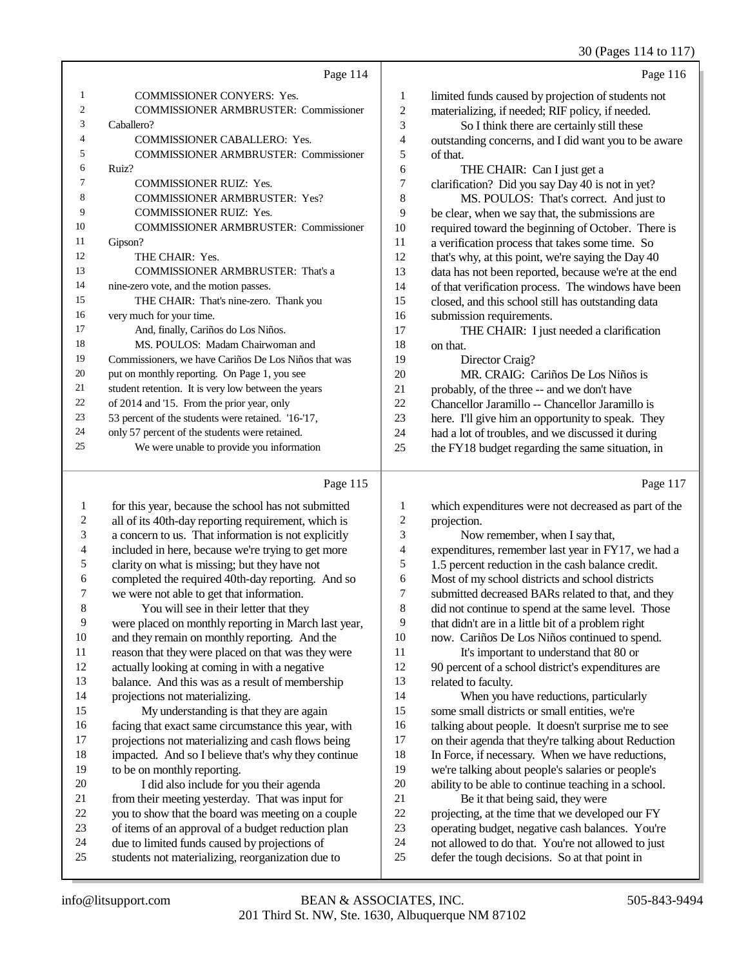30 (Pages 114 to 117)

|    | Page 114                                             |    | Page 116                                             |
|----|------------------------------------------------------|----|------------------------------------------------------|
| 1  | <b>COMMISSIONER CONYERS: Yes.</b>                    | 1  | limited funds caused by projection of students not   |
| 2  | <b>COMMISSIONER ARMBRUSTER: Commissioner</b>         | 2  | materializing, if needed; RIF policy, if needed.     |
| 3  | Caballero?                                           | 3  | So I think there are certainly still these           |
| 4  | <b>COMMISSIONER CABALLERO: Yes.</b>                  | 4  | outstanding concerns, and I did want you to be aware |
| 5  | <b>COMMISSIONER ARMBRUSTER: Commissioner</b>         | 5  | of that.                                             |
| 6  | Ruiz?                                                | 6  | THE CHAIR: Can I just get a                          |
| 7  | <b>COMMISSIONER RUIZ: Yes.</b>                       | 7  | clarification? Did you say Day 40 is not in yet?     |
| 8  | COMMISSIONER ARMBRUSTER: Yes?                        | 8  | MS. POULOS: That's correct. And just to              |
| 9  | <b>COMMISSIONER RUIZ: Yes.</b>                       | 9  | be clear, when we say that, the submissions are      |
| 10 | <b>COMMISSIONER ARMBRUSTER: Commissioner</b>         | 10 | required toward the beginning of October. There is   |
| 11 | Gipson?                                              | 11 | a verification process that takes some time. So      |
| 12 | THE CHAIR: Yes.                                      | 12 | that's why, at this point, we're saying the Day 40   |
| 13 | <b>COMMISSIONER ARMBRUSTER: That's a</b>             | 13 | data has not been reported, because we're at the end |
| 14 | nine-zero vote, and the motion passes.               | 14 | of that verification process. The windows have been  |
| 15 | THE CHAIR: That's nine-zero. Thank you               | 15 | closed, and this school still has outstanding data   |
| 16 | very much for your time.                             | 16 | submission requirements.                             |
| 17 | And, finally, Cariños do Los Niños.                  | 17 | THE CHAIR: I just needed a clarification             |
| 18 | MS. POULOS: Madam Chairwoman and                     | 18 | on that.                                             |
| 19 | Commissioners, we have Cariños De Los Niños that was | 19 | Director Craig?                                      |
| 20 | put on monthly reporting. On Page 1, you see         | 20 | MR. CRAIG: Cariños De Los Niños is                   |
| 21 | student retention. It is very low between the years  | 21 | probably, of the three -- and we don't have          |
| 22 | of 2014 and '15. From the prior year, only           | 22 | Chancellor Jaramillo -- Chancellor Jaramillo is      |
| 23 | 53 percent of the students were retained. '16-'17,   | 23 | here. I'll give him an opportunity to speak. They    |
| 24 | only 57 percent of the students were retained.       | 24 | had a lot of troubles, and we discussed it during    |
| 25 | We were unable to provide you information            | 25 | the FY18 budget regarding the same situation, in     |
|    |                                                      |    |                                                      |

# Page 115 |

|                | Page 115                                             |                | Page 117                                             |
|----------------|------------------------------------------------------|----------------|------------------------------------------------------|
| 1              | for this year, because the school has not submitted  | 1              | which expenditures were not decreased as part of the |
| $\mathfrak{2}$ | all of its 40th-day reporting requirement, which is  | $\overline{c}$ | projection.                                          |
| 3              | a concern to us. That information is not explicitly  | 3              | Now remember, when I say that,                       |
| 4              | included in here, because we're trying to get more   | 4              | expenditures, remember last year in FY17, we had a   |
| 5              | clarity on what is missing; but they have not        | 5              | 1.5 percent reduction in the cash balance credit.    |
| 6              | completed the required 40th-day reporting. And so    | 6              | Most of my school districts and school districts     |
| 7              | we were not able to get that information.            | 7              | submitted decreased BARs related to that, and they   |
| 8              | You will see in their letter that they               | 8              | did not continue to spend at the same level. Those   |
| 9              | were placed on monthly reporting in March last year, | 9              | that didn't are in a little bit of a problem right   |
| 10             | and they remain on monthly reporting. And the        | 10             | now. Cariños De Los Niños continued to spend.        |
| 11             | reason that they were placed on that was they were   | 11             | It's important to understand that 80 or              |
| 12             | actually looking at coming in with a negative        | 12             | 90 percent of a school district's expenditures are   |
| 13             | balance. And this was as a result of membership      | 13             | related to faculty.                                  |
| 14             | projections not materializing.                       | 14             | When you have reductions, particularly               |
| 15             | My understanding is that they are again              | 15             | some small districts or small entities, we're        |
| 16             | facing that exact same circumstance this year, with  | 16             | talking about people. It doesn't surprise me to see  |
| 17             | projections not materializing and cash flows being   | 17             | on their agenda that they're talking about Reduction |
| 18             | impacted. And so I believe that's why they continue  | 18             | In Force, if necessary. When we have reductions,     |
| 19             | to be on monthly reporting.                          | 19             | we're talking about people's salaries or people's    |
| 20             | I did also include for you their agenda              | 20             | ability to be able to continue teaching in a school. |
| 21             | from their meeting yesterday. That was input for     | 21             | Be it that being said, they were                     |
| 22             | you to show that the board was meeting on a couple   | 22             | projecting, at the time that we developed our FY     |
| 23             | of items of an approval of a budget reduction plan   | 23             | operating budget, negative cash balances. You're     |
| 24             | due to limited funds caused by projections of        | 24             | not allowed to do that. You're not allowed to just   |
| 25             | students not materializing, reorganization due to    | 25             | defer the tough decisions. So at that point in       |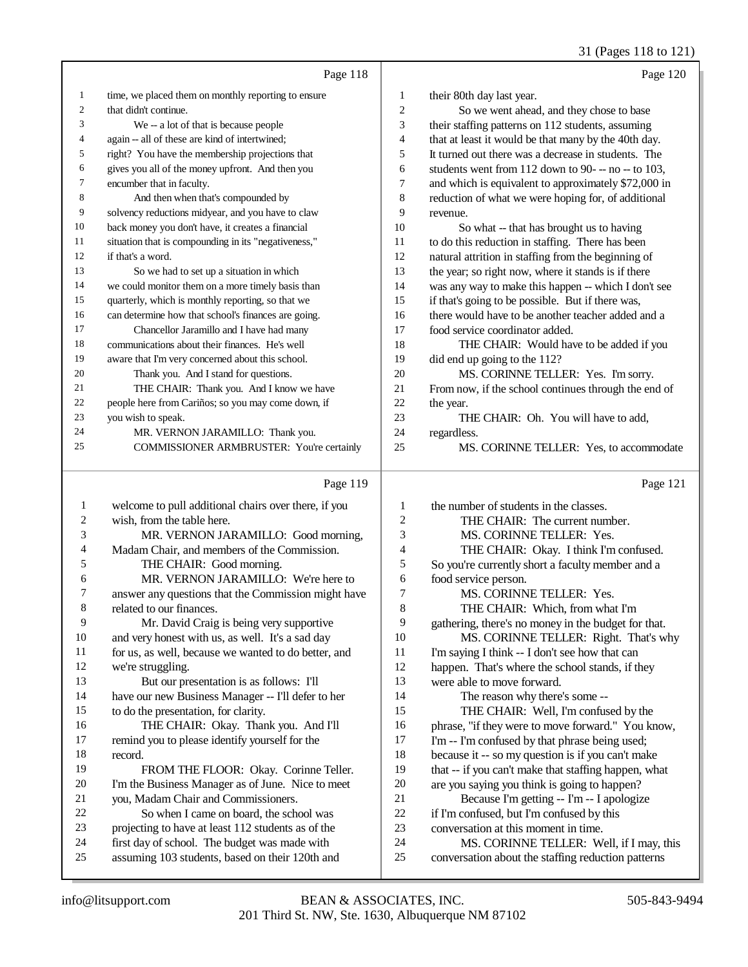31 (Pages 118 to 121)

|                |                                                                                                  |              | $31 \text{ (1 gcs 110)} \text{ (121)}$                                                         |
|----------------|--------------------------------------------------------------------------------------------------|--------------|------------------------------------------------------------------------------------------------|
|                | Page 118                                                                                         |              | Page 120                                                                                       |
| 1              | time, we placed them on monthly reporting to ensure                                              | 1            | their 80th day last year.                                                                      |
| $\overline{c}$ | that didn't continue.                                                                            | 2            | So we went ahead, and they chose to base                                                       |
| 3              | We -- a lot of that is because people                                                            | 3            | their staffing patterns on 112 students, assuming                                              |
| 4              | again -- all of these are kind of intertwined;                                                   | 4            | that at least it would be that many by the 40th day.                                           |
| 5              | right? You have the membership projections that                                                  | 5            | It turned out there was a decrease in students. The                                            |
| 6              | gives you all of the money upfront. And then you                                                 | 6            | students went from 112 down to 90--- no-- to 103,                                              |
| 7              | encumber that in faculty.                                                                        | 7            | and which is equivalent to approximately \$72,000 in                                           |
| 8              | And then when that's compounded by                                                               | 8            | reduction of what we were hoping for, of additional                                            |
| 9              | solvency reductions midyear, and you have to claw                                                | 9            | revenue.                                                                                       |
| 10             | back money you don't have, it creates a financial                                                | 10           | So what -- that has brought us to having                                                       |
| 11             | situation that is compounding in its "negativeness,"                                             | 11           | to do this reduction in staffing. There has been                                               |
| 12             | if that's a word.                                                                                | 12           | natural attrition in staffing from the beginning of                                            |
| 13             | So we had to set up a situation in which                                                         | 13           | the year; so right now, where it stands is if there                                            |
| 14             | we could monitor them on a more timely basis than                                                | 14           | was any way to make this happen -- which I don't see                                           |
| 15             | quarterly, which is monthly reporting, so that we                                                | 15           | if that's going to be possible. But if there was,                                              |
| 16             | can determine how that school's finances are going.                                              | 16           | there would have to be another teacher added and a                                             |
| 17             | Chancellor Jaramillo and I have had many                                                         | 17           | food service coordinator added.                                                                |
| 18             | communications about their finances. He's well                                                   | 18           | THE CHAIR: Would have to be added if you                                                       |
| 19             | aware that I'm very concerned about this school.                                                 | 19           | did end up going to the 112?                                                                   |
| 20             | Thank you. And I stand for questions.                                                            | 20           | MS. CORINNE TELLER: Yes. I'm sorry.                                                            |
| 21             | THE CHAIR: Thank you. And I know we have                                                         | $21\,$       | From now, if the school continues through the end of                                           |
| 22             | people here from Cariños; so you may come down, if                                               | 22           | the year.                                                                                      |
| 23             | you wish to speak.                                                                               | 23           | THE CHAIR: Oh. You will have to add,                                                           |
| 24             | MR. VERNON JARAMILLO: Thank you.                                                                 | 24           |                                                                                                |
| 25             | COMMISSIONER ARMBRUSTER: You're certainly                                                        | 25           | regardless.<br>MS. CORINNE TELLER: Yes, to accommodate                                         |
|                |                                                                                                  |              |                                                                                                |
|                |                                                                                                  |              |                                                                                                |
|                | Page 119                                                                                         |              | Page 121                                                                                       |
|                |                                                                                                  |              |                                                                                                |
| $\mathbf{1}$   | welcome to pull additional chairs over there, if you                                             | 1            | the number of students in the classes.                                                         |
| 2              | wish, from the table here.                                                                       | 2            | THE CHAIR: The current number.                                                                 |
| 3              | MR. VERNON JARAMILLO: Good morning,                                                              | 3            | MS. CORINNE TELLER: Yes.                                                                       |
| 4              | Madam Chair, and members of the Commission.                                                      | 4            | THE CHAIR: Okay. I think I'm confused.                                                         |
| 5              | THE CHAIR: Good morning.                                                                         | 5            | So you're currently short a faculty member and a                                               |
| 6              | MR. VERNON JARAMILLO: We're here to                                                              | 6            | food service person.                                                                           |
| 7              | answer any questions that the Commission might have                                              | 7            | MS. CORINNE TELLER: Yes.                                                                       |
| 8              | related to our finances.                                                                         | 8            | THE CHAIR: Which, from what I'm                                                                |
| 9              | Mr. David Craig is being very supportive                                                         | 9            | gathering, there's no money in the budget for that.                                            |
| 10             | and very honest with us, as well. It's a sad day                                                 | 10           | MS. CORINNE TELLER: Right. That's why                                                          |
| 11             | for us, as well, because we wanted to do better, and                                             | 11           | I'm saying I think -- I don't see how that can                                                 |
| 12             | we're struggling.                                                                                | 12           | happen. That's where the school stands, if they                                                |
| 13             | But our presentation is as follows: I'll                                                         | 13           | were able to move forward.                                                                     |
| 14             | have our new Business Manager -- I'll defer to her                                               | 14           | The reason why there's some --                                                                 |
| 15             | to do the presentation, for clarity.                                                             | 15           | THE CHAIR: Well, I'm confused by the                                                           |
| 16             | THE CHAIR: Okay. Thank you. And I'll                                                             | 16           | phrase, "if they were to move forward." You know,                                              |
| 17             | remind you to please identify yourself for the                                                   | 17           | I'm -- I'm confused by that phrase being used;                                                 |
| 18             | record.                                                                                          | 18           | because it -- so my question is if you can't make                                              |
| 19             | FROM THE FLOOR: Okay. Corinne Teller.                                                            | 19           | that -- if you can't make that staffing happen, what                                           |
| 20             | I'm the Business Manager as of June. Nice to meet                                                | 20           | are you saying you think is going to happen?                                                   |
| 21             | you, Madam Chair and Commissioners.                                                              | 21           | Because I'm getting -- I'm -- I apologize                                                      |
| 22             | So when I came on board, the school was                                                          | $22\,$       | if I'm confused, but I'm confused by this                                                      |
| 23             | projecting to have at least 112 students as of the                                               | 23           | conversation at this moment in time.                                                           |
| 24<br>25       | first day of school. The budget was made with<br>assuming 103 students, based on their 120th and | 24<br>$25\,$ | MS. CORINNE TELLER: Well, if I may, this<br>conversation about the staffing reduction patterns |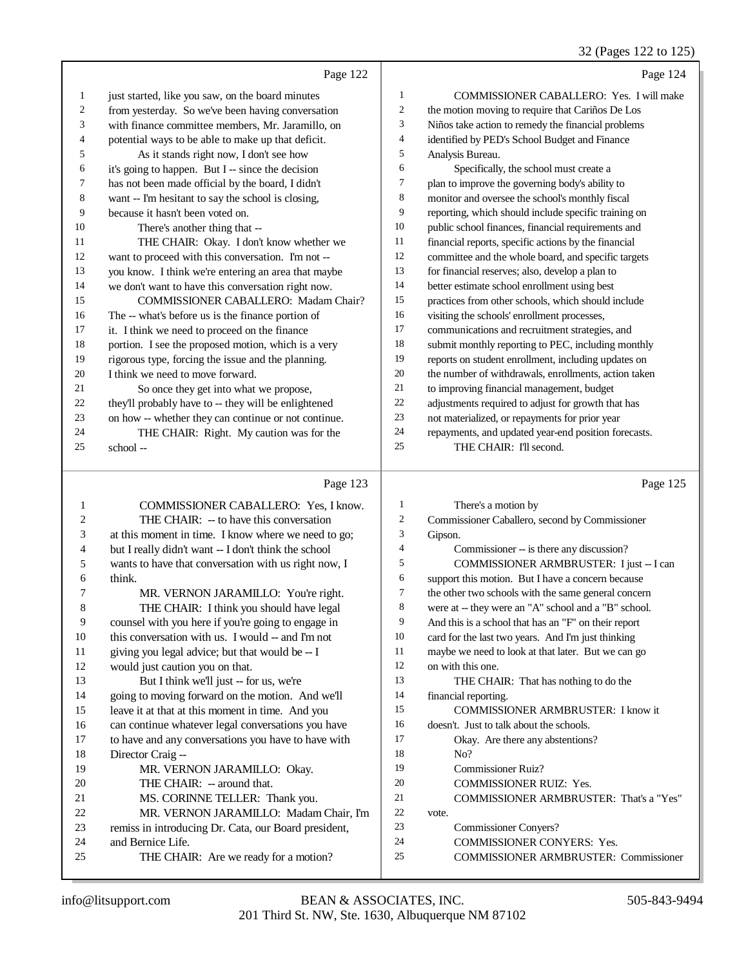## 32 (Pages 122 to 125)

|    | Page 122                                             |                | Page 124                                             |
|----|------------------------------------------------------|----------------|------------------------------------------------------|
| 1  | just started, like you saw, on the board minutes     | 1              | COMMISSIONER CABALLERO: Yes. I will make             |
| 2  | from yesterday. So we've been having conversation    | $\overline{2}$ | the motion moving to require that Cariños De Los     |
| 3  | with finance committee members, Mr. Jaramillo, on    | 3              | Niños take action to remedy the financial problems   |
| 4  | potential ways to be able to make up that deficit.   | $\overline{4}$ | identified by PED's School Budget and Finance        |
| 5  | As it stands right now, I don't see how              | 5              | Analysis Bureau.                                     |
| 6  | it's going to happen. But I -- since the decision    | 6              | Specifically, the school must create a               |
| 7  | has not been made official by the board, I didn't    | 7              | plan to improve the governing body's ability to      |
| 8  | want -- I'm hesitant to say the school is closing,   | 8              | monitor and oversee the school's monthly fiscal      |
| 9  | because it hasn't been voted on.                     | 9              | reporting, which should include specific training on |
| 10 | There's another thing that --                        | 10             | public school finances, financial requirements and   |
| 11 | THE CHAIR: Okay. I don't know whether we             | 11             | financial reports, specific actions by the financial |
| 12 | want to proceed with this conversation. I'm not --   | 12             | committee and the whole board, and specific targets  |
| 13 | you know. I think we're entering an area that maybe  | 13             | for financial reserves; also, develop a plan to      |
| 14 | we don't want to have this conversation right now.   | 14             | better estimate school enrollment using best         |
| 15 | <b>COMMISSIONER CABALLERO: Madam Chair?</b>          | 15             | practices from other schools, which should include   |
| 16 | The -- what's before us is the finance portion of    | 16             | visiting the schools' enrollment processes,          |
| 17 | it. I think we need to proceed on the finance        | 17             | communications and recruitment strategies, and       |
| 18 | portion. I see the proposed motion, which is a very  | 18             | submit monthly reporting to PEC, including monthly   |
| 19 | rigorous type, forcing the issue and the planning.   | 19             | reports on student enrollment, including updates on  |
| 20 | I think we need to move forward.                     | 20             | the number of withdrawals, enrollments, action taken |
| 21 | So once they get into what we propose,               | 21             | to improving financial management, budget            |
| 22 | they'll probably have to -- they will be enlightened | 22             | adjustments required to adjust for growth that has   |
| 23 | on how -- whether they can continue or not continue. | 23             | not materialized, or repayments for prior year       |
| 24 | THE CHAIR: Right. My caution was for the             | 24             | repayments, and updated year-end position forecasts. |
| 25 | school --                                            | 25             | THE CHAIR: I'll second.                              |
|    |                                                      |                |                                                      |
|    | Page 123                                             |                | Page 125                                             |

### Page 123 |

| 1  | <b>COMMISSIONER CABALLERO: Yes, I know.</b>          | 1  | There's a motion by                                  |
|----|------------------------------------------------------|----|------------------------------------------------------|
| 2  | THE CHAIR: -- to have this conversation              | 2  | Commissioner Caballero, second by Commissioner       |
| 3  | at this moment in time. I know where we need to go;  | 3  | Gipson.                                              |
| 4  | but I really didn't want -- I don't think the school | 4  | Commissioner -- is there any discussion?             |
| 5  | wants to have that conversation with us right now, I | 5  | COMMISSIONER ARMBRUSTER: I just -- I can             |
| 6  | think.                                               | 6  | support this motion. But I have a concern because    |
| 7  | MR. VERNON JARAMILLO: You're right.                  | 7  | the other two schools with the same general concern  |
| 8  | THE CHAIR: I think you should have legal             | 8  | were at -- they were an "A" school and a "B" school. |
| 9  | counsel with you here if you're going to engage in   | 9  | And this is a school that has an "F" on their report |
| 10 | this conversation with us. I would -- and I'm not    | 10 | card for the last two years. And I'm just thinking   |
| 11 | giving you legal advice; but that would be -- I      | 11 | maybe we need to look at that later. But we can go   |
| 12 | would just caution you on that.                      | 12 | on with this one.                                    |
| 13 | But I think we'll just -- for us, we're              | 13 | THE CHAIR: That has nothing to do the                |
| 14 | going to moving forward on the motion. And we'll     | 14 | financial reporting.                                 |
| 15 | leave it at that at this moment in time. And you     | 15 | <b>COMMISSIONER ARMBRUSTER: I know it</b>            |
| 16 | can continue whatever legal conversations you have   | 16 | doesn't. Just to talk about the schools.             |
| 17 | to have and any conversations you have to have with  | 17 | Okay. Are there any abstentions?                     |
| 18 | Director Craig-                                      | 18 | No?                                                  |
| 19 | MR. VERNON JARAMILLO: Okay.                          | 19 | <b>Commissioner Ruiz?</b>                            |
| 20 | THE CHAIR: -- around that.                           | 20 | <b>COMMISSIONER RUIZ: Yes.</b>                       |
| 21 | MS. CORINNE TELLER: Thank you.                       | 21 | COMMISSIONER ARMBRUSTER: That's a "Yes"              |
| 22 | MR. VERNON JARAMILLO: Madam Chair, I'm               | 22 | vote.                                                |
| 23 | remiss in introducing Dr. Cata, our Board president, | 23 | <b>Commissioner Conyers?</b>                         |
| 24 | and Bernice Life.                                    | 24 | <b>COMMISSIONER CONYERS: Yes.</b>                    |
| 25 | THE CHAIR: Are we ready for a motion?                | 25 | <b>COMMISSIONER ARMBRUSTER: Commissioner</b>         |
|    |                                                      |    |                                                      |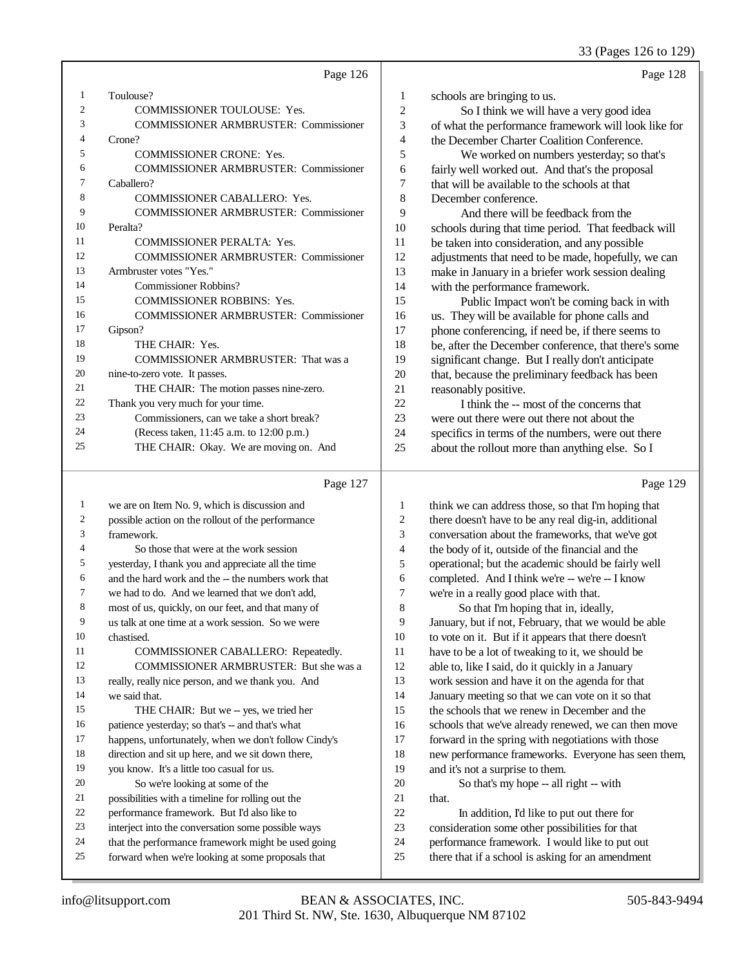### 33 (Pages 126 to 129)

|    | Page 126                                     |                | Page 128                                             |
|----|----------------------------------------------|----------------|------------------------------------------------------|
| 1  | Toulouse?                                    | 1              | schools are bringing to us.                          |
| 2  | <b>COMMISSIONER TOULOUSE: Yes.</b>           | $\overline{c}$ | So I think we will have a very good idea             |
| 3  | <b>COMMISSIONER ARMBRUSTER: Commissioner</b> | 3              | of what the performance framework will look like for |
| 4  | Crone?                                       | 4              | the December Charter Coalition Conference.           |
| 5  | <b>COMMISSIONER CRONE: Yes.</b>              | 5              | We worked on numbers yesterday; so that's            |
| 6  | <b>COMMISSIONER ARMBRUSTER: Commissioner</b> | 6              | fairly well worked out. And that's the proposal      |
| 7  | Caballero?                                   | 7              | that will be available to the schools at that        |
| 8  | <b>COMMISSIONER CABALLERO: Yes.</b>          | 8              | December conference.                                 |
| 9  | <b>COMMISSIONER ARMBRUSTER: Commissioner</b> | 9              | And there will be feedback from the                  |
| 10 | Peralta?                                     | 10             | schools during that time period. That feedback will  |
| 11 | <b>COMMISSIONER PERALTA: Yes.</b>            | 11             | be taken into consideration, and any possible        |
| 12 | <b>COMMISSIONER ARMBRUSTER: Commissioner</b> | 12             | adjustments that need to be made, hopefully, we can  |
| 13 | Armbruster votes "Yes."                      | 13             | make in January in a briefer work session dealing    |
| 14 | <b>Commissioner Robbins?</b>                 | 14             | with the performance framework.                      |
| 15 | <b>COMMISSIONER ROBBINS: Yes.</b>            | 15             | Public Impact won't be coming back in with           |
| 16 | <b>COMMISSIONER ARMBRUSTER: Commissioner</b> | 16             | us. They will be available for phone calls and       |
| 17 | Gipson?                                      | 17             | phone conferencing, if need be, if there seems to    |
| 18 | THE CHAIR: Yes.                              | 18             | be, after the December conference, that there's some |
| 19 | <b>COMMISSIONER ARMBRUSTER: That was a</b>   | 19             | significant change. But I really don't anticipate    |
| 20 | nine-to-zero vote. It passes.                | 20             | that, because the preliminary feedback has been      |
| 21 | THE CHAIR: The motion passes nine-zero.      | 21             | reasonably positive.                                 |
| 22 | Thank you very much for your time.           | 22             | I think the -- most of the concerns that             |
| 23 | Commissioners, can we take a short break?    | 23             | were out there were out there not about the          |
| 24 | (Recess taken, 11:45 a.m. to 12:00 p.m.)     | 24             | specifics in terms of the numbers, were out there    |
| 25 | THE CHAIR: Okay. We are moving on. And       | 25             | about the rollout more than anything else. So I      |
|    |                                              |                |                                                      |

### Page 127

 we are on Item No. 9, which is discussion and possible action on the rollout of the performance framework. So those that were at the work session yesterday, I thank you and appreciate all the time and the hard work and the -- the numbers work that we had to do. And we learned that we don't add, most of us, quickly, on our feet, and that many of us talk at one time at a work session. So we were chastised. COMMISSIONER CABALLERO: Repeatedly. COMMISSIONER ARMBRUSTER: But she was a really, really nice person, and we thank you. And we said that. 15 THE CHAIR: But we -- yes, we tried her patience yesterday; so that's -- and that's what happens, unfortunately, when we don't follow Cindy's direction and sit up here, and we sit down there, you know. It's a little too casual for us. So we're looking at some of the possibilities with a timeline for rolling out the performance framework. But I'd also like to interject into the conversation some possible ways that the performance framework might be used going forward when we're looking at some proposals that think we can address those, so that I'm hoping that there doesn't have to be any real dig-in, additional conversation about the frameworks, that we've got the body of it, outside of the financial and the operational; but the academic should be fairly well completed. And I think we're -- we're -- I know we're in a really good place with that. So that I'm hoping that in, ideally, January, but if not, February, that we would be able to vote on it. But if it appears that there doesn't have to be a lot of tweaking to it, we should be able to, like I said, do it quickly in a January work session and have it on the agenda for that January meeting so that we can vote on it so that the schools that we renew in December and the schools that we've already renewed, we can then move forward in the spring with negotiations with those new performance frameworks. Everyone has seen them, and it's not a surprise to them. So that's my hope -- all right -- with 21 that. In addition, I'd like to put out there for consideration some other possibilities for that performance framework. I would like to put out there that if a school is asking for an amendment

Page 129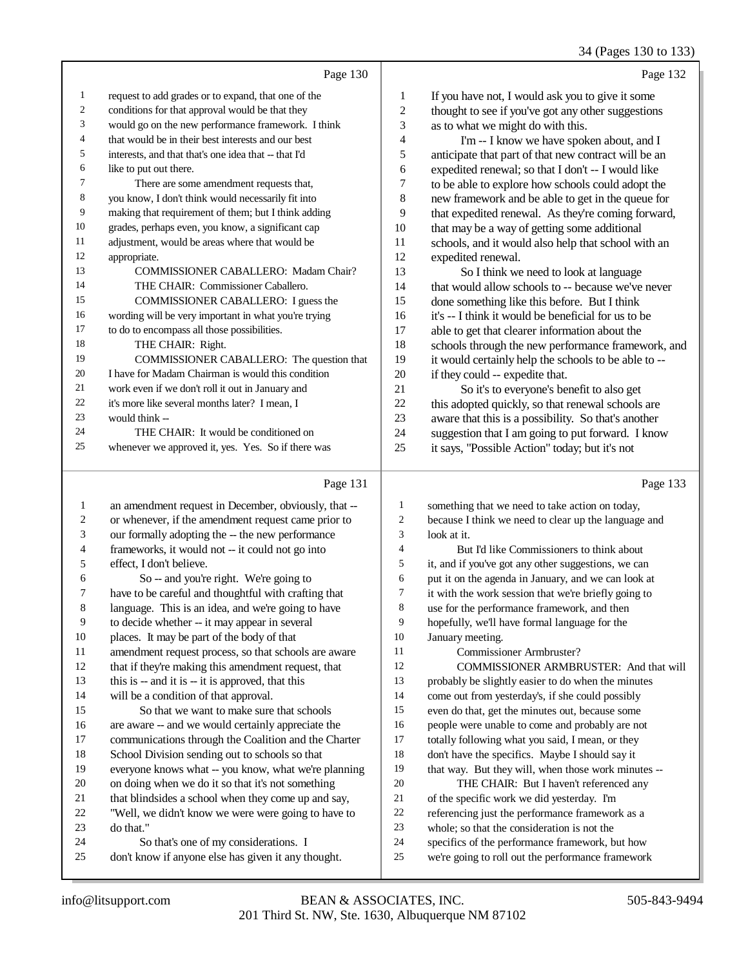|    | Page 130                                             |    | Page 132                                             |
|----|------------------------------------------------------|----|------------------------------------------------------|
| 1  | request to add grades or to expand, that one of the  | 1  | If you have not, I would ask you to give it some     |
| 2  | conditions for that approval would be that they      | 2  | thought to see if you've got any other suggestions   |
| 3  | would go on the new performance framework. I think   | 3  | as to what we might do with this.                    |
| 4  | that would be in their best interests and our best   | 4  | I'm -- I know we have spoken about, and I            |
| 5  | interests, and that that's one idea that -- that I'd | 5  | anticipate that part of that new contract will be an |
| 6  | like to put out there.                               | 6  | expedited renewal; so that I don't -- I would like   |
| 7  | There are some amendment requests that,              | 7  | to be able to explore how schools could adopt the    |
| 8  | you know, I don't think would necessarily fit into   | 8  | new framework and be able to get in the queue for    |
| 9  | making that requirement of them; but I think adding  | 9  | that expedited renewal. As they're coming forward,   |
| 10 | grades, perhaps even, you know, a significant cap    | 10 | that may be a way of getting some additional         |
| 11 | adjustment, would be areas where that would be       | 11 | schools, and it would also help that school with an  |
| 12 | appropriate.                                         | 12 | expedited renewal.                                   |
| 13 | COMMISSIONER CABALLERO: Madam Chair?                 | 13 | So I think we need to look at language               |
| 14 | THE CHAIR: Commissioner Caballero.                   | 14 | that would allow schools to -- because we've never   |
| 15 | COMMISSIONER CABALLERO: I guess the                  | 15 | done something like this before. But I think         |
| 16 | wording will be very important in what you're trying | 16 | it's -- I think it would be beneficial for us to be  |
| 17 | to do to encompass all those possibilities.          | 17 | able to get that clearer information about the       |
| 18 | THE CHAIR: Right.                                    | 18 | schools through the new performance framework, and   |
| 19 | COMMISSIONER CABALLERO: The question that            | 19 | it would certainly help the schools to be able to -- |
| 20 | I have for Madam Chairman is would this condition    | 20 | if they could -- expedite that.                      |
| 21 | work even if we don't roll it out in January and     | 21 | So it's to everyone's benefit to also get            |
| 22 | it's more like several months later? I mean, I       | 22 | this adopted quickly, so that renewal schools are    |
| 23 | would think --                                       | 23 | aware that this is a possibility. So that's another  |
| 24 | THE CHAIR: It would be conditioned on                | 24 | suggestion that I am going to put forward. I know    |
| 25 | whenever we approved it, yes. Yes. So if there was   | 25 | it says, "Possible Action" today; but it's not       |
|    | Page 131                                             |    | Page 133                                             |

|--|--|--|

|              | Page 131                                             |                | Page 133                                             |
|--------------|------------------------------------------------------|----------------|------------------------------------------------------|
| $\mathbf{1}$ | an amendment request in December, obviously, that -- | 1              | something that we need to take action on today,      |
| 2            | or whenever, if the amendment request came prior to  | $\overline{c}$ | because I think we need to clear up the language and |
| 3            | our formally adopting the -- the new performance     | 3              | look at it.                                          |
| 4            | frameworks, it would not -- it could not go into     | 4              | But I'd like Commissioners to think about            |
| 5            | effect, I don't believe.                             | 5              | it, and if you've got any other suggestions, we can  |
| 6            | So -- and you're right. We're going to               | 6              | put it on the agenda in January, and we can look at  |
| 7            | have to be careful and thoughtful with crafting that | 7              | it with the work session that we're briefly going to |
| 8            | language. This is an idea, and we're going to have   | 8              | use for the performance framework, and then          |
| 9            | to decide whether -- it may appear in several        | 9              | hopefully, we'll have formal language for the        |
| 10           | places. It may be part of the body of that           | 10             | January meeting.                                     |
| 11           | amendment request process, so that schools are aware | 11             | Commissioner Armbruster?                             |
| 12           | that if they're making this amendment request, that  | 12             | <b>COMMISSIONER ARMBRUSTER: And that will</b>        |
| 13           | this is -- and it is -- it is approved, that this    | 13             | probably be slightly easier to do when the minutes   |
| 14           | will be a condition of that approval.                | 14             | come out from yesterday's, if she could possibly     |
| 15           | So that we want to make sure that schools            | 15             | even do that, get the minutes out, because some      |
| 16           | are aware -- and we would certainly appreciate the   | 16             | people were unable to come and probably are not      |
| 17           | communications through the Coalition and the Charter | 17             | totally following what you said, I mean, or they     |
| 18           | School Division sending out to schools so that       | 18             | don't have the specifics. Maybe I should say it      |
| 19           | everyone knows what -- you know, what we're planning | 19             | that way. But they will, when those work minutes --  |
| 20           | on doing when we do it so that it's not something    | 20             | THE CHAIR: But I haven't referenced any              |
| 21           | that blindsides a school when they come up and say,  | 21             | of the specific work we did yesterday. I'm           |
| 22           | "Well, we didn't know we were were going to have to  | 22             | referencing just the performance framework as a      |
| 23           | do that."                                            | 23             | whole; so that the consideration is not the          |
| 24           | So that's one of my considerations. I                | 24             | specifics of the performance framework, but how      |
| 25           | don't know if anyone else has given it any thought.  | 25             | we're going to roll out the performance framework    |
|              |                                                      |                |                                                      |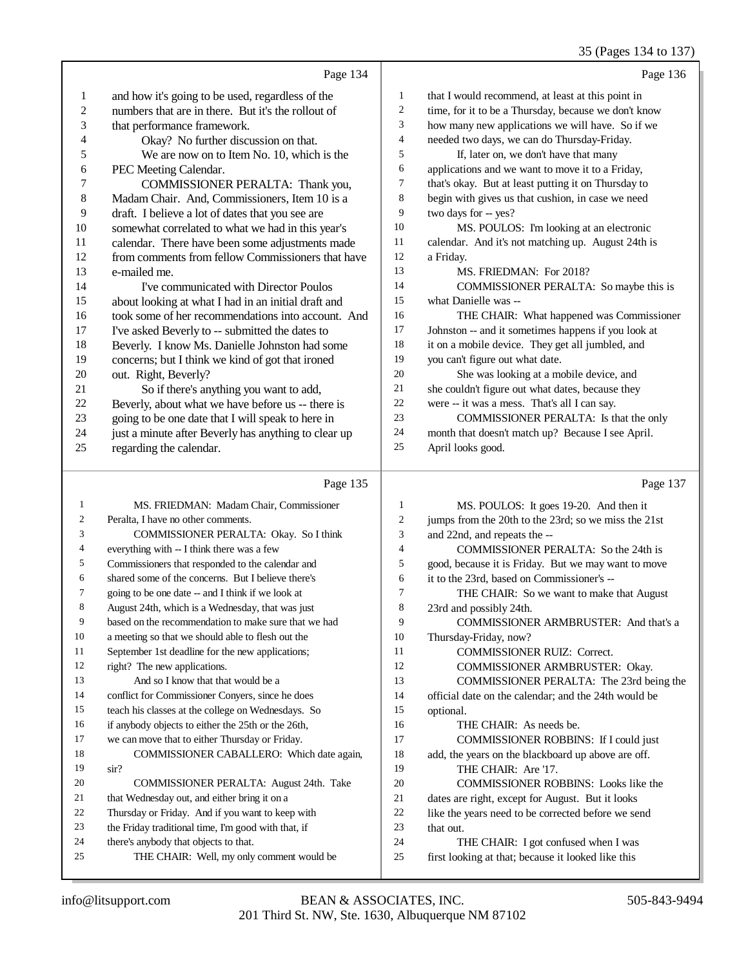35 (Pages 134 to 137)

|                | Page 134                                             |                | Page 136                                             |
|----------------|------------------------------------------------------|----------------|------------------------------------------------------|
| 1              | and how it's going to be used, regardless of the     | 1              | that I would recommend, at least at this point in    |
| $\mathfrak{2}$ | numbers that are in there. But it's the rollout of   | $\overline{c}$ | time, for it to be a Thursday, because we don't know |
| 3              | that performance framework.                          | 3              | how many new applications we will have. So if we     |
| 4              | Okay? No further discussion on that.                 | $\overline{4}$ | needed two days, we can do Thursday-Friday.          |
| 5              | We are now on to Item No. 10, which is the           | 5              | If, later on, we don't have that many                |
| 6              | PEC Meeting Calendar.                                | 6              | applications and we want to move it to a Friday,     |
| 7              | COMMISSIONER PERALTA: Thank you,                     | 7              | that's okay. But at least putting it on Thursday to  |
| $\,$ 8 $\,$    | Madam Chair. And, Commissioners, Item 10 is a        | 8              | begin with gives us that cushion, in case we need    |
| 9              | draft. I believe a lot of dates that you see are     | 9              | two days for -- yes?                                 |
| 10             | somewhat correlated to what we had in this year's    | 10             | MS. POULOS: I'm looking at an electronic             |
| 11             | calendar. There have been some adjustments made      | 11             | calendar. And it's not matching up. August 24th is   |
| 12             | from comments from fellow Commissioners that have    | 12             | a Friday.                                            |
| 13             | e-mailed me.                                         | 13             | MS. FRIEDMAN: For 2018?                              |
| 14             | I've communicated with Director Poulos               | 14             | COMMISSIONER PERALTA: So maybe this is               |
| 15             | about looking at what I had in an initial draft and  | 15             | what Danielle was --                                 |
| 16             | took some of her recommendations into account. And   | 16             | THE CHAIR: What happened was Commissioner            |
| 17             | I've asked Beverly to -- submitted the dates to      | 17             | Johnston -- and it sometimes happens if you look at  |
| 18             | Beverly. I know Ms. Danielle Johnston had some       | 18             | it on a mobile device. They get all jumbled, and     |
| 19             | concerns; but I think we kind of got that ironed     | 19             | you can't figure out what date.                      |
| 20             | out. Right, Beverly?                                 | 20             | She was looking at a mobile device, and              |
| 21             | So if there's anything you want to add,              | 21             | she couldn't figure out what dates, because they     |
| 22             | Beverly, about what we have before us -- there is    | 22             | were -- it was a mess. That's all I can say.         |
| 23             | going to be one date that I will speak to here in    | 23             | COMMISSIONER PERALTA: Is that the only               |
| 24             | just a minute after Beverly has anything to clear up | 24             | month that doesn't match up? Because I see April.    |
| 25             | regarding the calendar.                              | 25             | April looks good.                                    |
|                | D <sub>200</sub> 125                                 |                | $D_{\alpha\alpha\alpha}$ 137                         |

| Page 135                                             |                | Page 137                                             |
|------------------------------------------------------|----------------|------------------------------------------------------|
| MS. FRIEDMAN: Madam Chair, Commissioner              | 1              | MS. POULOS: It goes 19-20. And then it               |
| Peralta, I have no other comments.                   | 2              | jumps from the 20th to the 23rd; so we miss the 21st |
| COMMISSIONER PERALTA: Okay. So I think               | 3              | and 22nd, and repeats the --                         |
| everything with -- I think there was a few           | $\overline{4}$ | COMMISSIONER PERALTA: So the 24th is                 |
| Commissioners that responded to the calendar and     | 5              | good, because it is Friday. But we may want to move  |
| shared some of the concerns. But I believe there's   | 6              | it to the 23rd, based on Commissioner's --           |
| going to be one date -- and I think if we look at    | 7              | THE CHAIR: So we want to make that August            |
| August 24th, which is a Wednesday, that was just     | 8              | 23rd and possibly 24th.                              |
| based on the recommendation to make sure that we had | 9              | COMMISSIONER ARMBRUSTER: And that's a                |
| a meeting so that we should able to flesh out the    | 10             | Thursday-Friday, now?                                |
| September 1st deadline for the new applications;     | 11             | <b>COMMISSIONER RUIZ: Correct.</b>                   |
| right? The new applications.                         | 12             | <b>COMMISSIONER ARMBRUSTER: Okay.</b>                |
| And so I know that that would be a                   | 13             | COMMISSIONER PERALTA: The 23rd being the             |
| conflict for Commissioner Conyers, since he does     | 14             | official date on the calendar; and the 24th would be |
| teach his classes at the college on Wednesdays. So   | 15             | optional.                                            |
| if anybody objects to either the 25th or the 26th,   | 16             | THE CHAIR: As needs be.                              |
| we can move that to either Thursday or Friday.       | 17             | COMMISSIONER ROBBINS: If I could just                |
| COMMISSIONER CABALLERO: Which date again,            | 18             | add, the years on the blackboard up above are off.   |
| $\sin^2$                                             | 19             | THE CHAIR: Are '17.                                  |
| COMMISSIONER PERALTA: August 24th. Take              | 20             | <b>COMMISSIONER ROBBINS:</b> Looks like the          |
| that Wednesday out, and either bring it on a         | 21             | dates are right, except for August. But it looks     |
| Thursday or Friday. And if you want to keep with     | 22             | like the years need to be corrected before we send   |
| the Friday traditional time, I'm good with that, if  | 23             | that out.                                            |
| there's anybody that objects to that.                | 24             | THE CHAIR: I got confused when I was                 |
| THE CHAIR: Well, my only comment would be            | 25             | first looking at that; because it looked like this   |
|                                                      |                |                                                      |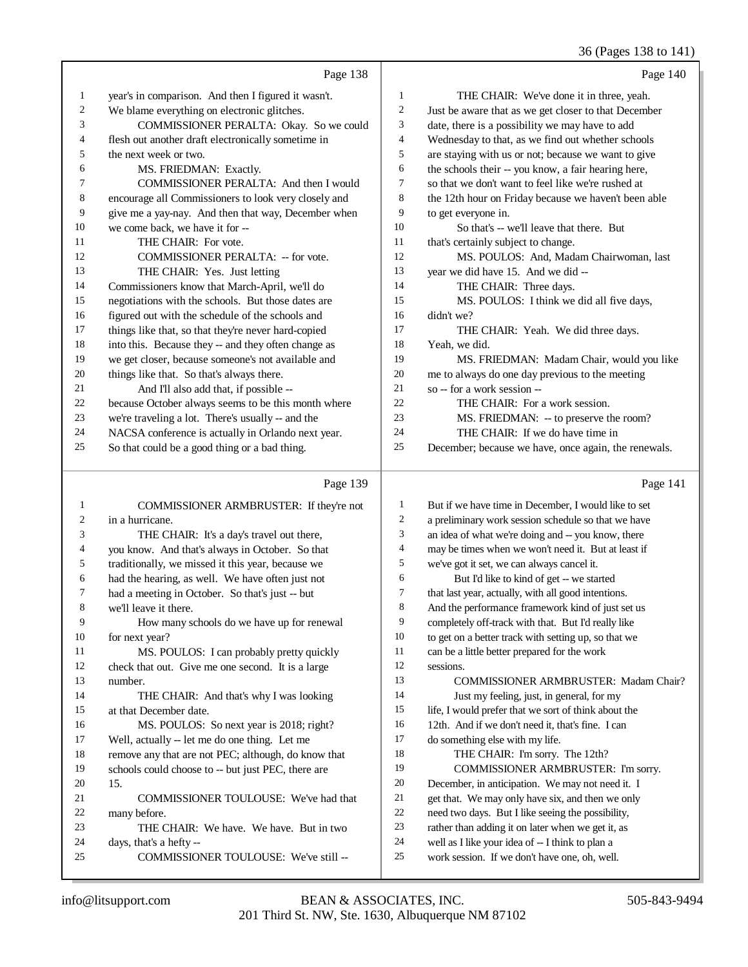36 (Pages 138 to 141)

|                |                                                      |                | 50(100015001011)                                     |
|----------------|------------------------------------------------------|----------------|------------------------------------------------------|
|                | Page 138                                             |                | Page $140$                                           |
| $\mathbf{1}$   | year's in comparison. And then I figured it wasn't.  | $\mathbf{1}$   | THE CHAIR: We've done it in three, yeah.             |
| $\overline{2}$ | We blame everything on electronic glitches.          | 2              | Just be aware that as we get closer to that December |
| 3              | COMMISSIONER PERALTA: Okay. So we could              | 3              | date, there is a possibility we may have to add      |
| 4              | flesh out another draft electronically sometime in   | $\overline{4}$ | Wednesday to that, as we find out whether schools    |
| 5              | the next week or two.                                | 5              | are staying with us or not; because we want to give  |
| 6              | MS. FRIEDMAN: Exactly.                               | 6              | the schools their -- you know, a fair hearing here,  |
| 7              | COMMISSIONER PERALTA: And then I would               | $\tau$         | so that we don't want to feel like we're rushed at   |
| 8              | encourage all Commissioners to look very closely and | 8              | the 12th hour on Friday because we haven't been able |
| 9              | give me a yay-nay. And then that way, December when  | 9              | to get everyone in.                                  |
| 10             | we come back, we have it for --                      | 10             | So that's -- we'll leave that there. But             |
| 11             | THE CHAIR: For vote.                                 | 11             | that's certainly subject to change.                  |
| 12             | COMMISSIONER PERALTA: -- for vote.                   | 12             | MS. POULOS: And, Madam Chairwoman, last              |
| 13             | THE CHAIR: Yes. Just letting                         | 13             | year we did have 15. And we did --                   |
| 14             | Commissioners know that March-April, we'll do        | 14             | THE CHAIR: Three days.                               |
| 15             | negotiations with the schools. But those dates are   | 15             | MS. POULOS: I think we did all five days,            |
| 16             | figured out with the schedule of the schools and     | 16             | didn't we?                                           |
| 17             | things like that, so that they're never hard-copied  | 17             | THE CHAIR: Yeah. We did three days.                  |
| 18             | into this. Because they -- and they often change as  | 18             | Yeah, we did.                                        |
| 19             | we get closer, because someone's not available and   | 19             | MS. FRIEDMAN: Madam Chair, would you like            |
| 20             | things like that. So that's always there.            | 20             | me to always do one day previous to the meeting      |
| 21             | And I'll also add that, if possible --               | 21             | so -- for a work session --                          |
| 22             | because October always seems to be this month where  | 22             | THE CHAIR: For a work session.                       |
| 23             | we're traveling a lot. There's usually -- and the    | 23             | MS. FRIEDMAN: -- to preserve the room?               |
| 24             | NACSA conference is actually in Orlando next year.   | 24             | THE CHAIR: If we do have time in                     |
| 25             | So that could be a good thing or a bad thing.        | 25             | December; because we have, once again, the renewals. |
|                |                                                      |                |                                                      |

## Page 139  $\parallel$

|    | COMMISSIONER ARMBRUSTER: If they're not             | 1              | But if we have time in December, I would like to set |
|----|-----------------------------------------------------|----------------|------------------------------------------------------|
| 2  | in a hurricane.                                     | 2              | a preliminary work session schedule so that we have  |
| 3  | THE CHAIR: It's a day's travel out there,           | 3              | an idea of what we're doing and -- you know, there   |
| 4  | you know. And that's always in October. So that     | $\overline{4}$ | may be times when we won't need it. But at least if  |
| 5  | traditionally, we missed it this year, because we   | 5              | we've got it set, we can always cancel it.           |
| 6  | had the hearing, as well. We have often just not    | 6              | But I'd like to kind of get -- we started            |
| 7  | had a meeting in October. So that's just -- but     | 7              | that last year, actually, with all good intentions.  |
| 8  | we'll leave it there.                               | 8              | And the performance framework kind of just set us    |
| 9  | How many schools do we have up for renewal          | 9              | completely off-track with that. But I'd really like  |
| 10 | for next year?                                      | 10             | to get on a better track with setting up, so that we |
| 11 | MS. POULOS: I can probably pretty quickly           | 11             | can be a little better prepared for the work         |
| 12 | check that out. Give me one second. It is a large   | 12             | sessions.                                            |
| 13 | number.                                             | 13             | <b>COMMISSIONER ARMBRUSTER: Madam Chair?</b>         |
| 14 | THE CHAIR: And that's why I was looking             | 14             | Just my feeling, just, in general, for my            |
| 15 | at that December date.                              | 15             | life, I would prefer that we sort of think about the |
| 16 | MS. POULOS: So next year is 2018; right?            | 16             | 12th. And if we don't need it, that's fine. I can    |
| 17 | Well, actually -- let me do one thing. Let me       | 17             | do something else with my life.                      |
| 18 | remove any that are not PEC; although, do know that | 18             | THE CHAIR: I'm sorry. The 12th?                      |
| 19 | schools could choose to -- but just PEC, there are  | 19             | COMMISSIONER ARMBRUSTER: I'm sorry.                  |
| 20 | 15.                                                 | 20             | December, in anticipation. We may not need it. I     |
| 21 | <b>COMMISSIONER TOULOUSE:</b> We've had that        | 21             | get that. We may only have six, and then we only     |
| 22 | many before.                                        | 22             | need two days. But I like seeing the possibility,    |
| 23 | THE CHAIR: We have. We have. But in two             | 23             | rather than adding it on later when we get it, as    |
| 24 | days, that's a hefty-                               | 24             | well as I like your idea of -- I think to plan a     |
| 25 | COMMISSIONER TOULOUSE: We've still --               | $25\,$         | work session. If we don't have one, oh, well.        |
|    |                                                     |                |                                                      |

Page 141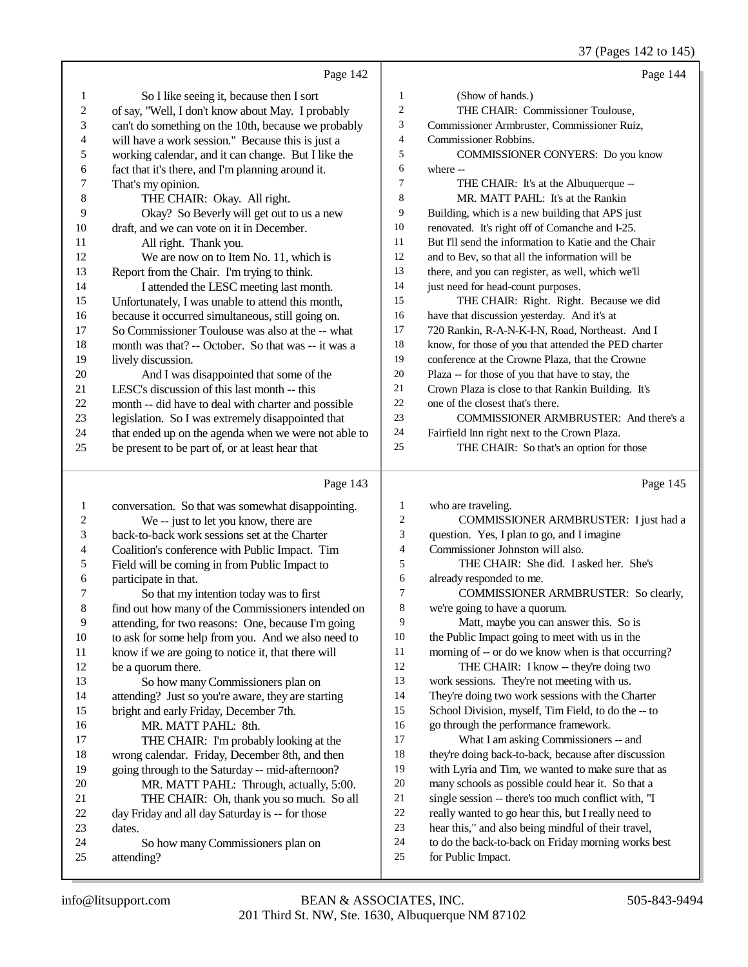(Pages  $142$  to  $145$ )

|                         |                                                      |                | 37 (Pages 142 to 143)                                |
|-------------------------|------------------------------------------------------|----------------|------------------------------------------------------|
|                         | Page 142                                             |                | Page 144                                             |
| $\mathbf{1}$            | So I like seeing it, because then I sort             | $\mathbf{1}$   | (Show of hands.)                                     |
| $\sqrt{2}$              | of say, "Well, I don't know about May. I probably    | $\overline{c}$ | THE CHAIR: Commissioner Toulouse,                    |
| 3                       | can't do something on the 10th, because we probably  | 3              | Commissioner Armbruster, Commissioner Ruiz,          |
| $\overline{\mathbf{4}}$ | will have a work session." Because this is just a    | $\overline{4}$ | Commissioner Robbins.                                |
| 5                       | working calendar, and it can change. But I like the  | 5              | COMMISSIONER CONYERS: Do you know                    |
| 6                       | fact that it's there, and I'm planning around it.    | 6              | where --                                             |
| 7                       | That's my opinion.                                   | $\overline{7}$ | THE CHAIR: It's at the Albuquerque --                |
| 8                       | THE CHAIR: Okay. All right.                          | 8              | MR. MATT PAHL: It's at the Rankin                    |
| 9                       | Okay? So Beverly will get out to us a new            | 9              | Building, which is a new building that APS just      |
| 10                      | draft, and we can vote on it in December.            | $10\,$         | renovated. It's right off of Comanche and I-25.      |
| 11                      | All right. Thank you.                                | 11             | But I'll send the information to Katie and the Chair |
| 12                      | We are now on to Item No. 11, which is               | 12             | and to Bev, so that all the information will be      |
| 13                      | Report from the Chair. I'm trying to think.          | 13             | there, and you can register, as well, which we'll    |
| 14                      | I attended the LESC meeting last month.              | 14             | just need for head-count purposes.                   |
| 15                      | Unfortunately, I was unable to attend this month,    | 15             | THE CHAIR: Right. Right. Because we did              |
| 16                      | because it occurred simultaneous, still going on.    | 16             | have that discussion yesterday. And it's at          |
| 17                      | So Commissioner Toulouse was also at the -- what     | 17             | 720 Rankin, R-A-N-K-I-N, Road, Northeast. And I      |
| 18                      | month was that? -- October. So that was -- it was a  | $18\,$         | know, for those of you that attended the PED charter |
| 19                      | lively discussion.                                   | 19             | conference at the Crowne Plaza, that the Crowne      |
| 20                      | And I was disappointed that some of the              | $20\,$         | Plaza -- for those of you that have to stay, the     |
| 21                      | LESC's discussion of this last month -- this         | 21             | Crown Plaza is close to that Rankin Building. It's   |
| 22                      | month -- did have to deal with charter and possible  | 22             | one of the closest that's there.                     |
| 23                      | legislation. So I was extremely disappointed that    | 23             | COMMISSIONER ARMBRUSTER: And there's a               |
| 24                      | that ended up on the agenda when we were not able to | 24             | Fairfield Inn right next to the Crown Plaza.         |
| 25                      | be present to be part of, or at least hear that      | 25             | THE CHAIR: So that's an option for those             |
|                         |                                                      |                |                                                      |
|                         | Page 143                                             |                | Page 145                                             |
| $\mathbf{1}$            | conversation. So that was somewhat disappointing.    | $\mathbf{1}$   | who are traveling.                                   |
| $\mathbf{2}$            | We -- just to let you know, there are                | 2              | COMMISSIONER ARMBRUSTER: I just had a                |
| 3                       | back-to-back work sessions set at the Charter        | 3              | question. Yes, I plan to go, and I imagine           |
| $\overline{4}$          | Coalition's conference with Public Impact. Tim       | 4              | Commissioner Johnston will also.                     |
| 5                       | Field will be coming in from Public Impact to        | 5              | THE CHAIR: She did. I asked her. She's               |
| 6                       | participate in that.                                 | 6              | already responded to me.                             |
| 7                       | So that my intention today was to first              | 7              | COMMISSIONER ARMBRUSTER: So clearly,                 |
| 8                       | find out how many of the Commissioners intended on   | 8              | we're going to have a quorum.                        |
|                         |                                                      |                |                                                      |

9 attending, for two reasons: One, because I'm going<br>10 to ask for some help from you. And we also need to 10 to ask for some help from you. And we also need to 11 know if we are going to notice it, that there will 11 know if we are going to notice it, that there will<br>12 be a quorum there.

# 12 be a quorum there.<br>13 So how many 13 So how many Commissioners plan on<br>14 attending? Just so you're aware, they are star 14 attending? Just so you're aware, they are starting<br>15 bright and early Friday. December 7th.

15 bright and early Friday, December 7th.<br>16 MR. MATT PAHL: 8th. 16 MR. MATT PAHL: 8th.<br>17 THE CHAIR: I'm probat 17 THE CHAIR: I'm probably looking at the<br>18 wrong calendar. Friday. December 8th, and then 18 wrong calendar. Friday, December 8th, and then<br>19 going through to the Saturday -- mid-afternoon? going through to the Saturday -- mid-afternoon? 20 MR. MATT PAHL: Through, actually, 5:00.<br>21 THE CHAIR: Oh. thank you so much. So all 21 THE CHAIR: Oh, thank you so much. So all<br>22 day Friday and all day Saturday is -- for those 22 day Friday and all day Saturday is -- for those<br>23 dates. 23 dates.<br>24

- 24 So how many Commissioners plan on<br>25 attending?
- attending?
- 201 Third St. NW, Ste. 1630, Albuquerque NM 87102 info@litsupport.com BEAN & ASSOCIATES, INC. 505-843-9494

| 1              | who are traveling.                                   |
|----------------|------------------------------------------------------|
| $\overline{2}$ | COMMISSIONER ARMBRUSTER: I just had a                |
| 3              | question. Yes, I plan to go, and I imagine           |
| $\overline{4}$ | Commissioner Johnston will also.                     |
| 5              | THE CHAIR: She did. I asked her. She's               |
| 6              | already responded to me.                             |
| 7              | COMMISSIONER ARMBRUSTER: So clearly,                 |
| 8              | we're going to have a quorum.                        |
| 9              | Matt, maybe you can answer this. So is               |
| 10             | the Public Impact going to meet with us in the       |
| 11             | morning of -- or do we know when is that occurring?  |
| 12             | THE CHAIR: I know -- they're doing two               |
| 13             | work sessions. They're not meeting with us.          |
| 14             | They're doing two work sessions with the Charter     |
| 15             | School Division, myself, Tim Field, to do the -- to  |
| 16             | go through the performance framework.                |
| 17             | What I am asking Commissioners -- and                |
| 18             | they're doing back-to-back, because after discussion |
| 19             | with Lyria and Tim, we wanted to make sure that as   |
| 20             | many schools as possible could hear it. So that a    |
| 21             | single session -- there's too much conflict with, "I |
| 22             | really wanted to go hear this, but I really need to  |
| 23             | hear this," and also being mindful of their travel,  |
| 24             | to do the back-to-back on Friday morning works best  |
| 25             | for Public Impact.                                   |
|                |                                                      |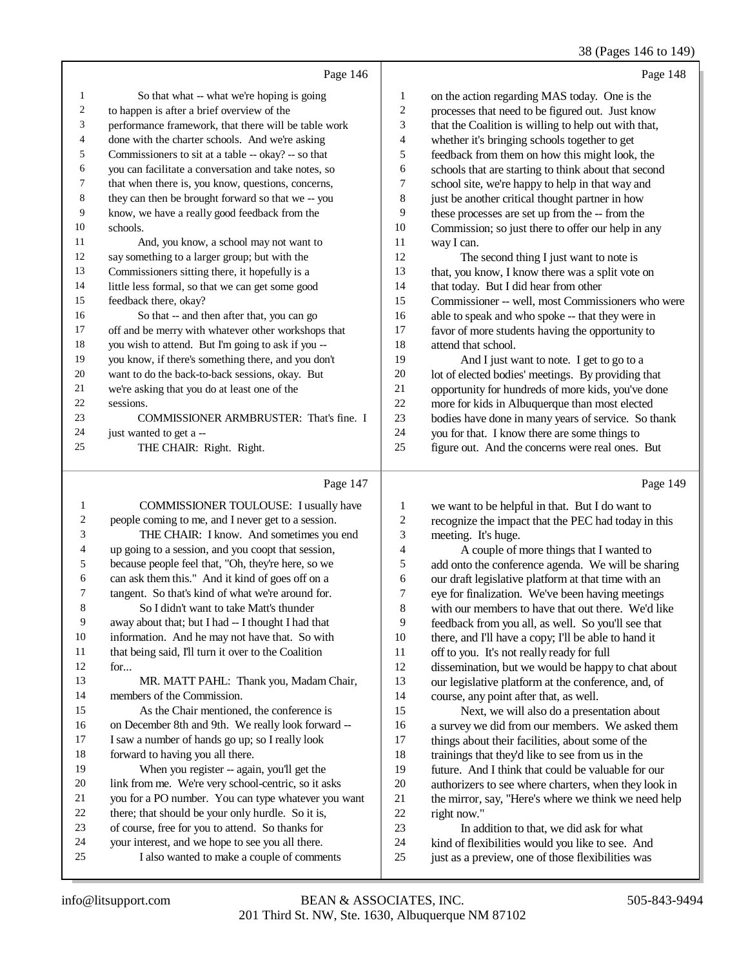# 38 (Pages 146 to 149)

| So that what -- what we're hoping is going<br>on the action regarding MAS today. One is the<br>1<br>1<br>2<br>2<br>to happen is after a brief overview of the<br>processes that need to be figured out. Just know<br>3<br>3<br>that the Coalition is willing to help out with that,<br>performance framework, that there will be table work<br>$\overline{4}$<br>done with the charter schools. And we're asking<br>whether it's bringing schools together to get<br>4<br>5<br>Commissioners to sit at a table -- okay? -- so that<br>feedback from them on how this might look, the<br>5<br>you can facilitate a conversation and take notes, so<br>6<br>schools that are starting to think about that second<br>6<br>7<br>that when there is, you know, questions, concerns,<br>school site, we're happy to help in that way and<br>7<br>8<br>8<br>they can then be brought forward so that we -- you<br>just be another critical thought partner in how<br>9<br>9<br>know, we have a really good feedback from the<br>these processes are set up from the -- from the<br>10<br>schools.<br>10<br>Commission; so just there to offer our help in any<br>11<br>And, you know, a school may not want to<br>11<br>way I can.<br>12<br>12<br>say something to a larger group; but with the<br>The second thing I just want to note is<br>13<br>13<br>Commissioners sitting there, it hopefully is a<br>that, you know, I know there was a split vote on<br>little less formal, so that we can get some good<br>14<br>that today. But I did hear from other<br>14<br>15<br>15<br>feedback there, okay?<br>Commissioner -- well, most Commissioners who were |  |
|----------------------------------------------------------------------------------------------------------------------------------------------------------------------------------------------------------------------------------------------------------------------------------------------------------------------------------------------------------------------------------------------------------------------------------------------------------------------------------------------------------------------------------------------------------------------------------------------------------------------------------------------------------------------------------------------------------------------------------------------------------------------------------------------------------------------------------------------------------------------------------------------------------------------------------------------------------------------------------------------------------------------------------------------------------------------------------------------------------------------------------------------------------------------------------------------------------------------------------------------------------------------------------------------------------------------------------------------------------------------------------------------------------------------------------------------------------------------------------------------------------------------------------------------------------------------------------------------------------------------------------------------------------|--|
|                                                                                                                                                                                                                                                                                                                                                                                                                                                                                                                                                                                                                                                                                                                                                                                                                                                                                                                                                                                                                                                                                                                                                                                                                                                                                                                                                                                                                                                                                                                                                                                                                                                          |  |
|                                                                                                                                                                                                                                                                                                                                                                                                                                                                                                                                                                                                                                                                                                                                                                                                                                                                                                                                                                                                                                                                                                                                                                                                                                                                                                                                                                                                                                                                                                                                                                                                                                                          |  |
|                                                                                                                                                                                                                                                                                                                                                                                                                                                                                                                                                                                                                                                                                                                                                                                                                                                                                                                                                                                                                                                                                                                                                                                                                                                                                                                                                                                                                                                                                                                                                                                                                                                          |  |
|                                                                                                                                                                                                                                                                                                                                                                                                                                                                                                                                                                                                                                                                                                                                                                                                                                                                                                                                                                                                                                                                                                                                                                                                                                                                                                                                                                                                                                                                                                                                                                                                                                                          |  |
|                                                                                                                                                                                                                                                                                                                                                                                                                                                                                                                                                                                                                                                                                                                                                                                                                                                                                                                                                                                                                                                                                                                                                                                                                                                                                                                                                                                                                                                                                                                                                                                                                                                          |  |
|                                                                                                                                                                                                                                                                                                                                                                                                                                                                                                                                                                                                                                                                                                                                                                                                                                                                                                                                                                                                                                                                                                                                                                                                                                                                                                                                                                                                                                                                                                                                                                                                                                                          |  |
|                                                                                                                                                                                                                                                                                                                                                                                                                                                                                                                                                                                                                                                                                                                                                                                                                                                                                                                                                                                                                                                                                                                                                                                                                                                                                                                                                                                                                                                                                                                                                                                                                                                          |  |
|                                                                                                                                                                                                                                                                                                                                                                                                                                                                                                                                                                                                                                                                                                                                                                                                                                                                                                                                                                                                                                                                                                                                                                                                                                                                                                                                                                                                                                                                                                                                                                                                                                                          |  |
|                                                                                                                                                                                                                                                                                                                                                                                                                                                                                                                                                                                                                                                                                                                                                                                                                                                                                                                                                                                                                                                                                                                                                                                                                                                                                                                                                                                                                                                                                                                                                                                                                                                          |  |
|                                                                                                                                                                                                                                                                                                                                                                                                                                                                                                                                                                                                                                                                                                                                                                                                                                                                                                                                                                                                                                                                                                                                                                                                                                                                                                                                                                                                                                                                                                                                                                                                                                                          |  |
|                                                                                                                                                                                                                                                                                                                                                                                                                                                                                                                                                                                                                                                                                                                                                                                                                                                                                                                                                                                                                                                                                                                                                                                                                                                                                                                                                                                                                                                                                                                                                                                                                                                          |  |
|                                                                                                                                                                                                                                                                                                                                                                                                                                                                                                                                                                                                                                                                                                                                                                                                                                                                                                                                                                                                                                                                                                                                                                                                                                                                                                                                                                                                                                                                                                                                                                                                                                                          |  |
|                                                                                                                                                                                                                                                                                                                                                                                                                                                                                                                                                                                                                                                                                                                                                                                                                                                                                                                                                                                                                                                                                                                                                                                                                                                                                                                                                                                                                                                                                                                                                                                                                                                          |  |
|                                                                                                                                                                                                                                                                                                                                                                                                                                                                                                                                                                                                                                                                                                                                                                                                                                                                                                                                                                                                                                                                                                                                                                                                                                                                                                                                                                                                                                                                                                                                                                                                                                                          |  |
|                                                                                                                                                                                                                                                                                                                                                                                                                                                                                                                                                                                                                                                                                                                                                                                                                                                                                                                                                                                                                                                                                                                                                                                                                                                                                                                                                                                                                                                                                                                                                                                                                                                          |  |
| 16<br>16<br>So that -- and then after that, you can go<br>able to speak and who spoke -- that they were in                                                                                                                                                                                                                                                                                                                                                                                                                                                                                                                                                                                                                                                                                                                                                                                                                                                                                                                                                                                                                                                                                                                                                                                                                                                                                                                                                                                                                                                                                                                                               |  |
| off and be merry with whatever other workshops that<br>17<br>17<br>favor of more students having the opportunity to                                                                                                                                                                                                                                                                                                                                                                                                                                                                                                                                                                                                                                                                                                                                                                                                                                                                                                                                                                                                                                                                                                                                                                                                                                                                                                                                                                                                                                                                                                                                      |  |
| 18<br>you wish to attend. But I'm going to ask if you --<br>18<br>attend that school.                                                                                                                                                                                                                                                                                                                                                                                                                                                                                                                                                                                                                                                                                                                                                                                                                                                                                                                                                                                                                                                                                                                                                                                                                                                                                                                                                                                                                                                                                                                                                                    |  |
| 19<br>you know, if there's something there, and you don't<br>19<br>And I just want to note. I get to go to a                                                                                                                                                                                                                                                                                                                                                                                                                                                                                                                                                                                                                                                                                                                                                                                                                                                                                                                                                                                                                                                                                                                                                                                                                                                                                                                                                                                                                                                                                                                                             |  |
| 20<br>want to do the back-to-back sessions, okay. But<br>20<br>lot of elected bodies' meetings. By providing that                                                                                                                                                                                                                                                                                                                                                                                                                                                                                                                                                                                                                                                                                                                                                                                                                                                                                                                                                                                                                                                                                                                                                                                                                                                                                                                                                                                                                                                                                                                                        |  |
| 21<br>21<br>opportunity for hundreds of more kids, you've done<br>we're asking that you do at least one of the                                                                                                                                                                                                                                                                                                                                                                                                                                                                                                                                                                                                                                                                                                                                                                                                                                                                                                                                                                                                                                                                                                                                                                                                                                                                                                                                                                                                                                                                                                                                           |  |
| 22<br>22<br>more for kids in Albuquerque than most elected<br>sessions.                                                                                                                                                                                                                                                                                                                                                                                                                                                                                                                                                                                                                                                                                                                                                                                                                                                                                                                                                                                                                                                                                                                                                                                                                                                                                                                                                                                                                                                                                                                                                                                  |  |
| 23<br>23<br>COMMISSIONER ARMBRUSTER: That's fine. I<br>bodies have done in many years of service. So thank                                                                                                                                                                                                                                                                                                                                                                                                                                                                                                                                                                                                                                                                                                                                                                                                                                                                                                                                                                                                                                                                                                                                                                                                                                                                                                                                                                                                                                                                                                                                               |  |
| 24<br>you for that. I know there are some things to<br>24<br>just wanted to get a --                                                                                                                                                                                                                                                                                                                                                                                                                                                                                                                                                                                                                                                                                                                                                                                                                                                                                                                                                                                                                                                                                                                                                                                                                                                                                                                                                                                                                                                                                                                                                                     |  |
| 25<br>figure out. And the concerns were real ones. But<br>25<br>THE CHAIR: Right. Right.                                                                                                                                                                                                                                                                                                                                                                                                                                                                                                                                                                                                                                                                                                                                                                                                                                                                                                                                                                                                                                                                                                                                                                                                                                                                                                                                                                                                                                                                                                                                                                 |  |

### Page 147

|    | Page 147                                            |                | Page 149                                             |
|----|-----------------------------------------------------|----------------|------------------------------------------------------|
| 1  | COMMISSIONER TOULOUSE: I usually have               | 1              | we want to be helpful in that. But I do want to      |
| 2  | people coming to me, and I never get to a session.  | 2              | recognize the impact that the PEC had today in this  |
| 3  | THE CHAIR: I know. And sometimes you end            | 3              | meeting. It's huge.                                  |
| 4  | up going to a session, and you coopt that session,  | $\overline{4}$ | A couple of more things that I wanted to             |
| 5  | because people feel that, "Oh, they're here, so we  | 5              | add onto the conference agenda. We will be sharing   |
| 6  | can ask them this." And it kind of goes off on a    | 6              | our draft legislative platform at that time with an  |
| 7  | tangent. So that's kind of what we're around for.   | 7              | eye for finalization. We've been having meetings     |
| 8  | So I didn't want to take Matt's thunder             | 8              | with our members to have that out there. We'd like   |
| 9  | away about that; but I had -- I thought I had that  | 9              | feedback from you all, as well. So you'll see that   |
| 10 | information. And he may not have that. So with      | 10             | there, and I'll have a copy; I'll be able to hand it |
| 11 | that being said, I'll turn it over to the Coalition | 11             | off to you. It's not really ready for full           |
| 12 | for                                                 | 12             | dissemination, but we would be happy to chat about   |
| 13 | MR. MATT PAHL: Thank you, Madam Chair,              | 13             | our legislative platform at the conference, and, of  |
| 14 | members of the Commission.                          | 14             | course, any point after that, as well.               |
| 15 | As the Chair mentioned, the conference is           | 15             | Next, we will also do a presentation about           |
| 16 | on December 8th and 9th. We really look forward --  | 16             | a survey we did from our members. We asked them      |
| 17 | I saw a number of hands go up; so I really look     | 17             | things about their facilities, about some of the     |
| 18 | forward to having you all there.                    | 18             | trainings that they'd like to see from us in the     |
| 19 | When you register -- again, you'll get the          | 19             | future. And I think that could be valuable for our   |
| 20 | link from me. We're very school-centric, so it asks | 20             | authorizers to see where charters, when they look in |
| 21 | you for a PO number. You can type whatever you want | 21             | the mirror, say, "Here's where we think we need help |
| 22 | there; that should be your only hurdle. So it is,   | 22             | right now."                                          |
| 23 | of course, free for you to attend. So thanks for    | 23             | In addition to that, we did ask for what             |
| 24 | your interest, and we hope to see you all there.    | 24             | kind of flexibilities would you like to see. And     |
| 25 | I also wanted to make a couple of comments          | 25             | just as a preview, one of those flexibilities was    |
|    |                                                     |                |                                                      |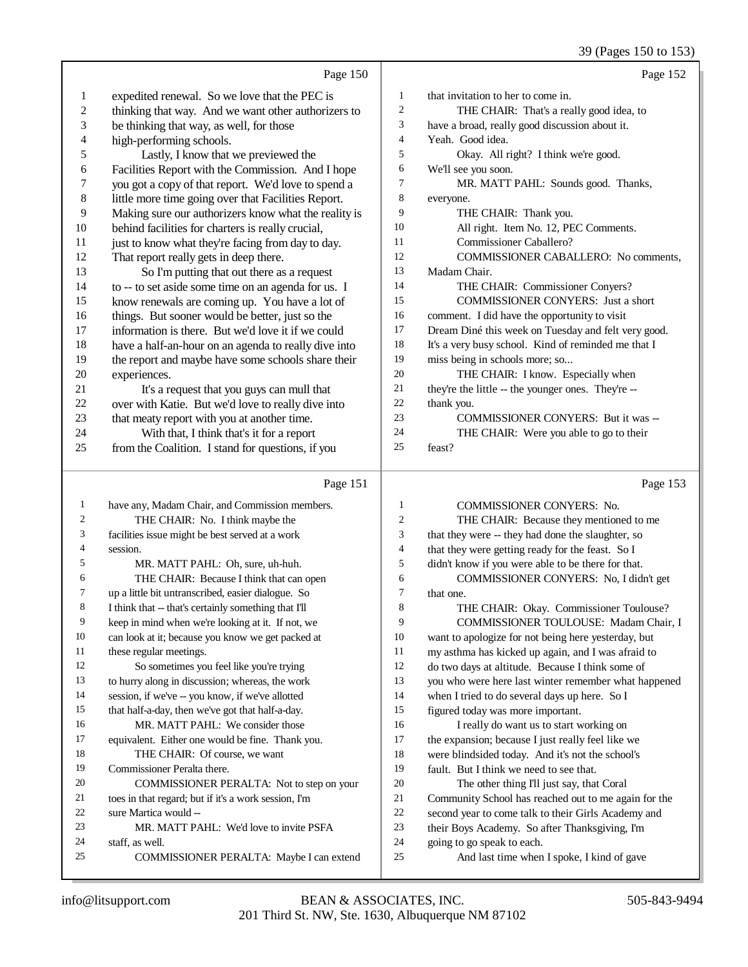39 (Pages 150 to 153)

|                  | Page 150                                                    |              | Page 152                                                                 |
|------------------|-------------------------------------------------------------|--------------|--------------------------------------------------------------------------|
| 1                | expedited renewal. So we love that the PEC is               | 1            | that invitation to her to come in.                                       |
| $\boldsymbol{2}$ | thinking that way. And we want other authorizers to         | 2            | THE CHAIR: That's a really good idea, to                                 |
| 3                | be thinking that way, as well, for those                    | 3            | have a broad, really good discussion about it.                           |
| 4                | high-performing schools.                                    | 4            | Yeah. Good idea.                                                         |
| 5                | Lastly, I know that we previewed the                        | 5            | Okay. All right? I think we're good.                                     |
| 6                | Facilities Report with the Commission. And I hope           | 6            | We'll see you soon.                                                      |
| 7                | you got a copy of that report. We'd love to spend a         | 7            | MR. MATT PAHL: Sounds good. Thanks,                                      |
| $\,$ 8 $\,$      | little more time going over that Facilities Report.         | 8            | everyone.                                                                |
| 9                | Making sure our authorizers know what the reality is        | 9            | THE CHAIR: Thank you.                                                    |
| 10               | behind facilities for charters is really crucial,           | 10           | All right. Item No. 12, PEC Comments.                                    |
| 11               | just to know what they're facing from day to day.           | 11           | Commissioner Caballero?                                                  |
| 12               | That report really gets in deep there.                      | 12           | COMMISSIONER CABALLERO: No comments,                                     |
| 13               | So I'm putting that out there as a request                  | 13           | Madam Chair.                                                             |
| 14               | to -- to set aside some time on an agenda for us. I         | 14           | THE CHAIR: Commissioner Conyers?                                         |
| 15               | know renewals are coming up. You have a lot of              | 15           | COMMISSIONER CONYERS: Just a short                                       |
| 16               | things. But sooner would be better, just so the             | 16           | comment. I did have the opportunity to visit                             |
| 17               | information is there. But we'd love it if we could          | 17           | Dream Diné this week on Tuesday and felt very good.                      |
| 18               | have a half-an-hour on an agenda to really dive into        | 18           | It's a very busy school. Kind of reminded me that I                      |
| 19               | the report and maybe have some schools share their          | 19           | miss being in schools more; so                                           |
| $20\,$           | experiences.                                                | 20           | THE CHAIR: I know. Especially when                                       |
| 21               | It's a request that you guys can mull that                  | 21           | they're the little -- the younger ones. They're --                       |
| 22               | over with Katie. But we'd love to really dive into          | 22           | thank you.                                                               |
| 23               | that meaty report with you at another time.                 | 23           | COMMISSIONER CONYERS: But it was --                                      |
| 24               | With that, I think that's it for a report                   | 24           | THE CHAIR: Were you able to go to their                                  |
| 25               | from the Coalition. I stand for questions, if you           | 25           | feast?                                                                   |
|                  | Page 151                                                    |              | Page 153                                                                 |
| $\mathbf{1}$     | have any, Madam Chair, and Commission members.              | 1            | COMMISSIONER CONYERS: No.                                                |
| 2                | THE CHAIR: No. I think maybe the                            | 2            | THE CHAIR: Because they mentioned to me                                  |
| 3                | facilities issue might be best served at a work             | 3            | that they were -- they had done the slaughter, so                        |
| 4                | session.                                                    | 4            | that they were getting ready for the feast. So I                         |
| 5                | MR. MATT PAHL: Oh, sure, uh-huh.                            | 5            | didn't know if you were able to be there for that.                       |
| 6                | THE CHAIR: Because I think that can open                    | 6            | COMMISSIONER CONYERS: No, I didn't get                                   |
| 7                | up a little bit untranscribed, easier dialogue. So          | 7            | that one.                                                                |
| 8                | I think that -- that's certainly something that I'll        | $\,$ 8 $\,$  | THE CHAIR: Okay. Commissioner Toulouse?                                  |
| 9                | keep in mind when we're looking at it. If not, we           | 9            | COMMISSIONER TOULOUSE: Madam Chair, I                                    |
| 10               | can look at it; because you know we get packed at           | 10           | want to apologize for not being here yesterday, but                      |
| 11               | these regular meetings.                                     | 11           | my asthma has kicked up again, and I was afraid to                       |
| 12               | So sometimes you feel like you're trying                    | 12           | do two days at altitude. Because I think some of                         |
| 13               | to hurry along in discussion; whereas, the work             | 13           | you who were here last winter remember what happened                     |
| 14               | session, if we've -- you know, if we've allotted            | 14           | when I tried to do several days up here. So I                            |
| 15               | that half-a-day, then we've got that half-a-day.            | 15           | figured today was more important.                                        |
| 16               | MR. MATT PAHL: We consider those                            | 16           | I really do want us to start working on                                  |
| 17               | equivalent. Either one would be fine. Thank you.            | 17           | the expansion; because I just really feel like we                        |
| 18               | THE CHAIR: Of course, we want                               | 18           | were blindsided today. And it's not the school's                         |
| 19               | Commissioner Peralta there.                                 | 19           | fault. But I think we need to see that.                                  |
| 20               | COMMISSIONER PERALTA: Not to step on your                   | $20\,$       | The other thing I'll just say, that Coral                                |
| 21<br>22         | toes in that regard; but if it's a work session, I'm        | 21           | Community School has reached out to me again for the                     |
| 23               | sure Martica would --                                       | $22\,$<br>23 | second year to come talk to their Girls Academy and                      |
| 24               | MR. MATT PAHL: We'd love to invite PSFA                     | 24           | their Boys Academy. So after Thanksgiving, I'm                           |
| 25               | staff, as well.<br>COMMISSIONER PERALTA: Maybe I can extend | 25           | going to go speak to each.<br>And last time when I spoke, I kind of gave |
|                  |                                                             |              |                                                                          |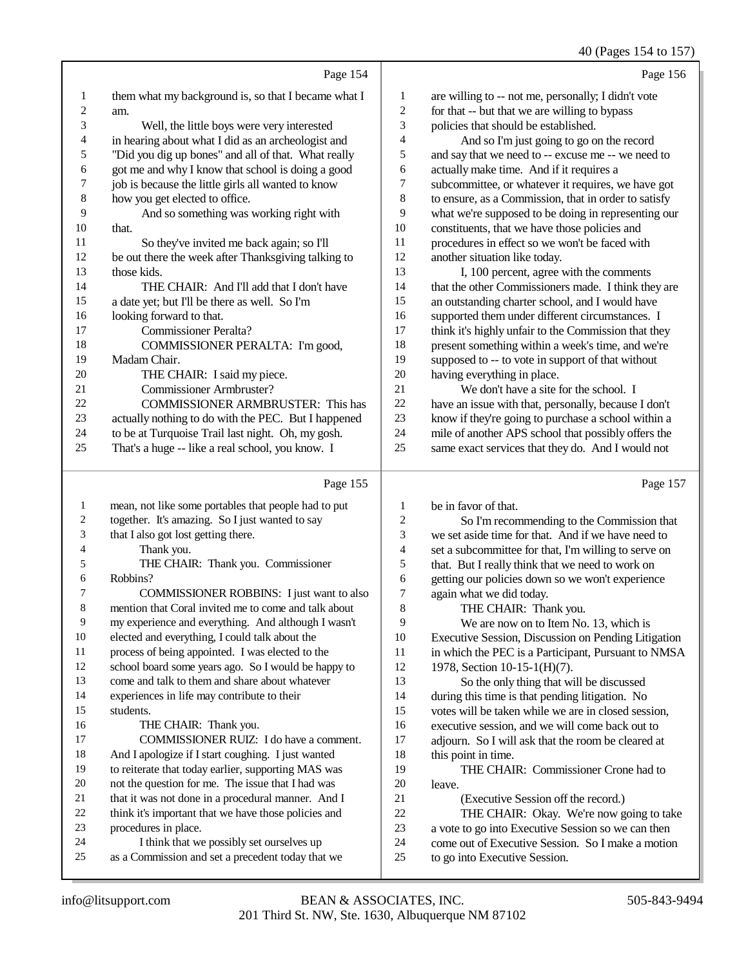### $40 \left( \text{De}\right)$  154 to 15

|    |                                                      |                | 40 (Pages 154 to 157)                                |
|----|------------------------------------------------------|----------------|------------------------------------------------------|
|    | Page 154                                             |                | Page 156                                             |
| 1  | them what my background is, so that I became what I  | 1              | are willing to -- not me, personally; I didn't vote  |
| 2  | am.                                                  | 2              | for that -- but that we are willing to bypass        |
| 3  | Well, the little boys were very interested           | 3              | policies that should be established.                 |
| 4  | in hearing about what I did as an archeologist and   | 4              | And so I'm just going to go on the record            |
| 5  | "Did you dig up bones" and all of that. What really  | 5              | and say that we need to -- excuse me -- we need to   |
| 6  | got me and why I know that school is doing a good    | 6              | actually make time. And if it requires a             |
| 7  | job is because the little girls all wanted to know   | 7              | subcommittee, or whatever it requires, we have got   |
| 8  | how you get elected to office.                       | 8              | to ensure, as a Commission, that in order to satisfy |
| 9  | And so something was working right with              | 9              | what we're supposed to be doing in representing our  |
| 10 | that.                                                | 10             | constituents, that we have those policies and        |
| 11 | So they've invited me back again; so I'll            | 11             | procedures in effect so we won't be faced with       |
| 12 | be out there the week after Thanksgiving talking to  | 12             | another situation like today.                        |
| 13 | those kids.                                          | 13             | I, 100 percent, agree with the comments              |
| 14 | THE CHAIR: And I'll add that I don't have            | 14             | that the other Commissioners made. I think they are  |
| 15 | a date yet; but I'll be there as well. So I'm        | 15             | an outstanding charter school, and I would have      |
| 16 | looking forward to that.                             | 16             | supported them under different circumstances. I      |
| 17 | <b>Commissioner Peralta?</b>                         | 17             | think it's highly unfair to the Commission that they |
| 18 | COMMISSIONER PERALTA: I'm good,                      | 18             | present something within a week's time, and we're    |
| 19 | Madam Chair.                                         | 19             | supposed to -- to vote in support of that without    |
| 20 | THE CHAIR: I said my piece.                          | 20             | having everything in place.                          |
| 21 | <b>Commissioner Armbruster?</b>                      | 21             | We don't have a site for the school. I               |
| 22 | <b>COMMISSIONER ARMBRUSTER: This has</b>             | 22             | have an issue with that, personally, because I don't |
| 23 | actually nothing to do with the PEC. But I happened  | 23             | know if they're going to purchase a school within a  |
| 24 | to be at Turquoise Trail last night. Oh, my gosh.    | 24             | mile of another APS school that possibly offers the  |
| 25 | That's a huge -- like a real school, you know. I     | 25             | same exact services that they do. And I would not    |
|    | Page 155                                             |                | Page 157                                             |
| 1  | mean, not like some portables that people had to put | 1              | be in favor of that.                                 |
| 2  | together. It's amazing. So I just wanted to say      | $\overline{c}$ | So I'm recommending to the Commission that           |
| 3  | that I also got lost getting there.                  | 3              | we set aside time for that. And if we have need to   |
| 4  | Thank you.                                           | $\overline{4}$ | set a subcommittee for that. I'm willing to serve on |

- THE CHAIR: Thank you. Commissioner
- Robbins?

 COMMISSIONER ROBBINS: I just want to also mention that Coral invited me to come and talk about my experience and everything. And although I wasn't elected and everything, I could talk about the process of being appointed. I was elected to the school board some years ago. So I would be happy to come and talk to them and share about whatever experiences in life may contribute to their students. 16 THE CHAIR: Thank you. COMMISSIONER RUIZ: I do have a comment. And I apologize if I start coughing. I just wanted to reiterate that today earlier, supporting MAS was not the question for me. The issue that I had was 21 that it was not done in a procedural manner. And I

- think it's important that we have those policies and
- procedures in place.
- I think that we possibly set ourselves up
- as a Commission and set a precedent today that we

set a subcommittee for that, I'm willing to serve on 5 that. But I really think that we need to work on<br>6 getting our policies down so we won't experience 6 getting our policies down so we won't experience<br>  $\frac{7}{7}$  again what we did today.

7 again what we did today.<br>8 THE CHAIR: Tha THE CHAIR: Thank you. 9 We are now on to Item No. 13, which is<br>10 Executive Session. Discussion on Pending Litis Executive Session, Discussion on Pending Litigation 11 in which the PEC is a Participant, Pursuant to NMSA 1978, Section 10-15-1(H)(7). So the only thing that will be discussed during this time is that pending litigation. No votes will be taken while we are in closed session,

- 16 executive session, and we will come back out to<br>17 adjourn. So I will ask that the room be cleared a
- adjourn. So I will ask that the room be cleared at

18 this point in time.<br>19 THE CHAI THE CHAIR: Commissioner Crone had to leave.

- 21 (Executive Session off the record.)<br>22 THE CHAIR: Okay. We're now g
	- THE CHAIR: Okay. We're now going to take
- a vote to go into Executive Session so we can then
- come out of Executive Session. So I make a motion
- to go into Executive Session.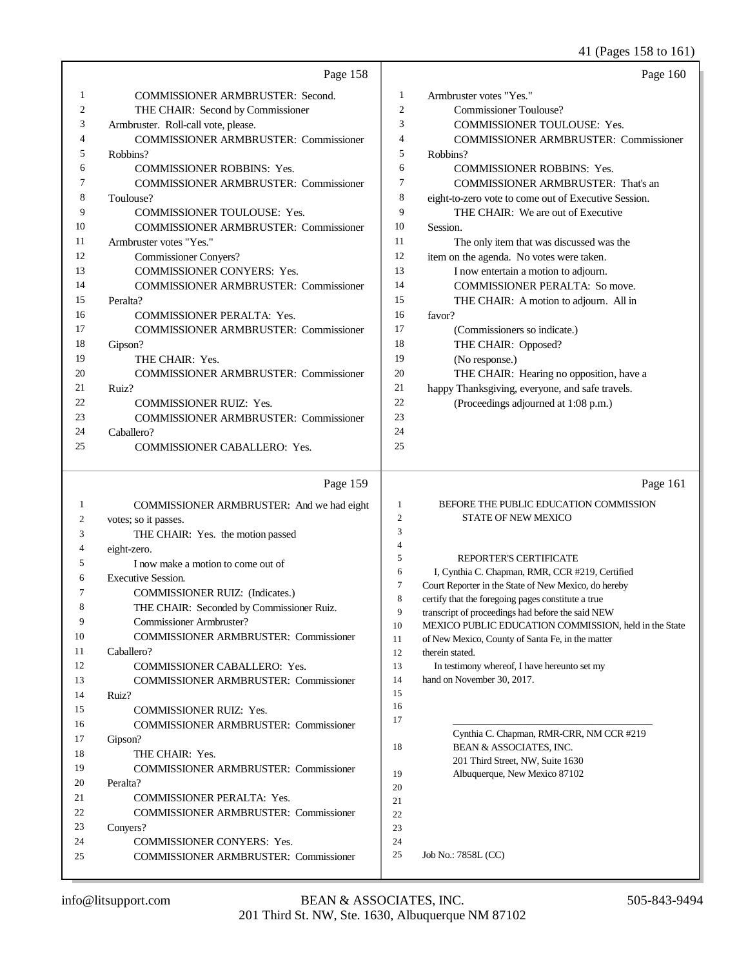### 41 (Pages 158 to 161)

|                | Page 158                                     |                | Page 160                                             |
|----------------|----------------------------------------------|----------------|------------------------------------------------------|
| 1              | <b>COMMISSIONER ARMBRUSTER: Second.</b>      | 1              | Armbruster votes "Yes."                              |
| $\overline{2}$ | THE CHAIR: Second by Commissioner            | $\overline{2}$ | <b>Commissioner Toulouse?</b>                        |
| 3              | Armbruster. Roll-call vote, please.          | 3              | COMMISSIONER TOULOUSE: Yes.                          |
| 4              | <b>COMMISSIONER ARMBRUSTER: Commissioner</b> | $\overline{4}$ | <b>COMMISSIONER ARMBRUSTER: Commissioner</b>         |
| 5              | Robbins?                                     | 5              | Robbins?                                             |
| 6              | <b>COMMISSIONER ROBBINS: Yes.</b>            | 6              | <b>COMMISSIONER ROBBINS: Yes.</b>                    |
| 7              | <b>COMMISSIONER ARMBRUSTER: Commissioner</b> | $\tau$         | <b>COMMISSIONER ARMBRUSTER: That's an</b>            |
| 8              | Toulouse?                                    | 8              | eight-to-zero vote to come out of Executive Session. |
| 9              | <b>COMMISSIONER TOULOUSE: Yes.</b>           | 9              | THE CHAIR: We are out of Executive                   |
| 10             | <b>COMMISSIONER ARMBRUSTER: Commissioner</b> | 10             | Session.                                             |
| 11             | Armbruster votes "Yes."                      | 11             | The only item that was discussed was the             |
| 12             | <b>Commissioner Conyers?</b>                 | 12             | item on the agenda. No votes were taken.             |
| 13             | COMMISSIONER CONYERS: Yes.                   | 13             | I now entertain a motion to adjourn.                 |
| 14             | <b>COMMISSIONER ARMBRUSTER: Commissioner</b> | 14             | <b>COMMISSIONER PERALTA: So move.</b>                |
| 15             | Peralta?                                     | 15             | THE CHAIR: A motion to adjourn. All in               |
| 16             | <b>COMMISSIONER PERALTA: Yes.</b>            | 16             | favor?                                               |
| 17             | <b>COMMISSIONER ARMBRUSTER: Commissioner</b> | 17             | (Commissioners so indicate.)                         |
| 18             | Gipson?                                      | 18             | THE CHAIR: Opposed?                                  |
| 19             | THE CHAIR: Yes.                              | 19             | (No response.)                                       |
| 20             | <b>COMMISSIONER ARMBRUSTER: Commissioner</b> | 20             | THE CHAIR: Hearing no opposition, have a             |
| 21             | Ruiz?                                        | 21             | happy Thanksgiving, everyone, and safe travels.      |
| 22             | <b>COMMISSIONER RUIZ: Yes.</b>               | 22             | (Proceedings adjourned at 1:08 p.m.)                 |
| 23             | <b>COMMISSIONER ARMBRUSTER: Commissioner</b> | 23             |                                                      |
| 24             | Caballero?                                   | 24             |                                                      |
| 25             | <b>COMMISSIONER CABALLERO: Yes.</b>          | 25             |                                                      |
|                | Page 159                                     |                | Page 161                                             |
| 1              | COMMISSIONER ARMBRUSTER: And we had eight    | 1              | BEFORE THE PUBLIC EDUCATION COMMISSION               |
| 2              | votes; so it passes.                         | $\mathfrak{2}$ | <b>STATE OF NEW MEXICO</b>                           |
| 3              | THE CHAIR: Yes. the motion passed            | 3              |                                                      |
| 4              | eight-zero.                                  | $\overline{4}$ |                                                      |
| 5              | I now make a motion to come out of           | 5              | REPORTER'S CERTIFICATE                               |
|                |                                              |                |                                                      |

 I, Cynthia C. Chapman, RMR, CCR #219, Certified Court Reporter in the State of New Mexico, do hereby certify that the foregoing pages constitute a true transcript of proceedings had before the said NEW MEXICO PUBLIC EDUCATION COMMISSION, held in the State of New Mexico, County of Santa Fe, in the matter therein stated. 13 In testimony whereof, I have hereunto set my hand on November 30, 2017. \_\_\_\_\_\_\_\_\_\_\_\_\_\_\_\_\_\_\_\_\_\_\_\_\_\_\_\_\_\_\_\_\_\_\_\_\_\_\_\_ Cynthia C. Chapman, RMR-CRR, NM CCR #219 18 BEAN & ASSOCIATES, INC. 201 Third Street, NW, Suite 1630 Albuquerque, New Mexico 87102 

 

Job No.: 7858L (CC)

Executive Session.

Caballero?

Ruiz?

Gipson?

Peralta?

Conyers?

COMMISSIONER RUIZ: (Indicates.)

COMMISSIONER CABALLERO: Yes.

Commissioner Armbruster?

COMMISSIONER RUIZ: Yes.

COMMISSIONER PERALTA: Yes.

COMMISSIONER CONYERS: Yes.

18 THE CHAIR: Yes.

THE CHAIR: Seconded by Commissioner Ruiz.

COMMISSIONER ARMBRUSTER: Commissioner

COMMISSIONER ARMBRUSTER: Commissioner

COMMISSIONER ARMBRUSTER: Commissioner

COMMISSIONER ARMBRUSTER: Commissioner

COMMISSIONER ARMBRUSTER: Commissioner

COMMISSIONER ARMBRUSTER: Commissioner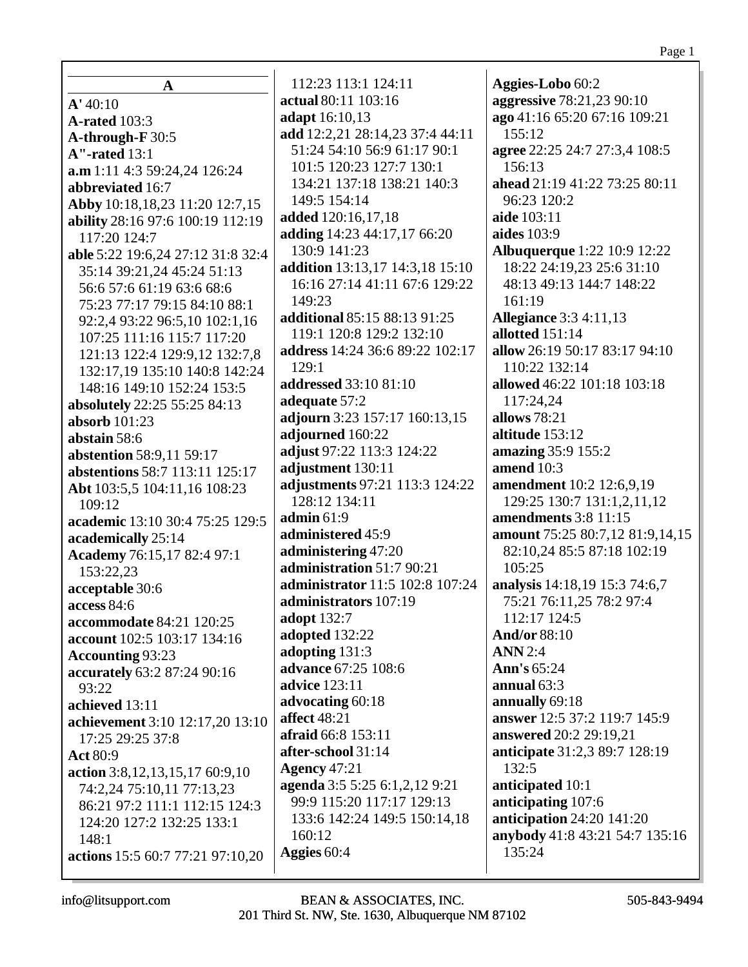|                                     | 112:23 113:1 124:11             | Aggies-Lobo 60:2                   |
|-------------------------------------|---------------------------------|------------------------------------|
| A                                   | actual 80:11 103:16             | aggressive 78:21,23 90:10          |
| A' 40:10                            | adapt 16:10,13                  | ago 41:16 65:20 67:16 109:21       |
| <b>A-rated</b> 103:3                | add 12:2,21 28:14,23 37:4 44:11 | 155:12                             |
| A-through-F 30:5                    | 51:24 54:10 56:9 61:17 90:1     | agree 22:25 24:7 27:3,4 108:5      |
| $A''$ -rated $13:1$                 |                                 |                                    |
| a.m 1:11 4:3 59:24,24 126:24        | 101:5 120:23 127:7 130:1        | 156:13                             |
| abbreviated 16:7                    | 134:21 137:18 138:21 140:3      | ahead 21:19 41:22 73:25 80:11      |
| Abby 10:18,18,23 11:20 12:7,15      | 149:5 154:14                    | 96:23 120:2                        |
| ability 28:16 97:6 100:19 112:19    | added 120:16,17,18              | aide 103:11                        |
| 117:20 124:7                        | adding 14:23 44:17,17 66:20     | <b>aides</b> 103:9                 |
| able 5:22 19:6,24 27:12 31:8 32:4   | 130:9 141:23                    | <b>Albuquerque</b> 1:22 10:9 12:22 |
| 35:14 39:21,24 45:24 51:13          | addition 13:13,17 14:3,18 15:10 | 18:22 24:19,23 25:6 31:10          |
| 56:6 57:6 61:19 63:6 68:6           | 16:16 27:14 41:11 67:6 129:22   | 48:13 49:13 144:7 148:22           |
| 75:23 77:17 79:15 84:10 88:1        | 149:23                          | 161:19                             |
| 92:2,4 93:22 96:5,10 102:1,16       | additional 85:15 88:13 91:25    | <b>Allegiance</b> 3:3 4:11,13      |
| 107:25 111:16 115:7 117:20          | 119:1 120:8 129:2 132:10        | allotted 151:14                    |
| 121:13 122:4 129:9,12 132:7,8       | address 14:24 36:6 89:22 102:17 | allow 26:19 50:17 83:17 94:10      |
| 132:17,19 135:10 140:8 142:24       | 129:1                           | 110:22 132:14                      |
| 148:16 149:10 152:24 153:5          | addressed 33:10 81:10           | allowed 46:22 101:18 103:18        |
| absolutely 22:25 55:25 84:13        | adequate 57:2                   | 117:24,24                          |
| absorb $101:23$                     | adjourn 3:23 157:17 160:13,15   | allows 78:21                       |
| abstain 58:6                        | adjourned 160:22                | altitude 153:12                    |
| abstention 58:9,11 59:17            | adjust 97:22 113:3 124:22       | amazing 35:9 155:2                 |
| abstentions 58:7 113:11 125:17      | adjustment 130:11               | amend 10:3                         |
|                                     | adjustments 97:21 113:3 124:22  | amendment 10:2 12:6,9,19           |
| Abt 103:5,5 104:11,16 108:23        | 128:12 134:11                   | 129:25 130:7 131:1,2,11,12         |
| 109:12                              | admin $61:9$                    | amendments 3:8 11:15               |
| academic 13:10 30:4 75:25 129:5     | administered 45:9               | amount 75:25 80:7,12 81:9,14,15    |
| academically 25:14                  | administering 47:20             | 82:10,24 85:5 87:18 102:19         |
| Academy 76:15,17 82:4 97:1          | administration 51:7 90:21       | 105:25                             |
| 153:22,23                           | administrator 11:5 102:8 107:24 |                                    |
| acceptable 30:6                     |                                 | analysis 14:18,19 15:3 74:6,7      |
| access $84:6$                       | administrators 107:19           | 75:21 76:11,25 78:2 97:4           |
| accommodate 84:21 120:25            | adopt 132:7                     | 112:17 124:5                       |
| account 102:5 103:17 134:16         | adopted 132:22                  | <b>And/or 88:10</b>                |
| Accounting 93:23                    | adopting 131:3                  | <b>ANN</b> 2:4                     |
| accurately 63:2 87:24 90:16         | advance 67:25 108:6             | Ann's 65:24                        |
| 93:22                               | <b>advice</b> 123:11            | annual $63:3$                      |
| achieved 13:11                      | advocating 60:18                | annually 69:18                     |
| achievement 3:10 12:17,20 13:10     | <b>affect</b> 48:21             | answer 12:5 37:2 119:7 145:9       |
| 17:25 29:25 37:8                    | afraid 66:8 153:11              | answered 20:2 29:19,21             |
| <b>Act 80:9</b>                     | after-school 31:14              | anticipate 31:2,3 89:7 128:19      |
| action 3:8, 12, 13, 15, 17 60:9, 10 | <b>Agency 47:21</b>             | 132:5                              |
| 74:2,24 75:10,11 77:13,23           | agenda 3:5 5:25 6:1,2,12 9:21   | anticipated 10:1                   |
| 86:21 97:2 111:1 112:15 124:3       | 99:9 115:20 117:17 129:13       | anticipating 107:6                 |
| 124:20 127:2 132:25 133:1           | 133:6 142:24 149:5 150:14,18    | anticipation $24:20$ 141:20        |
| 148:1                               | 160:12                          | anybody 41:8 43:21 54:7 135:16     |
| actions 15:5 60:7 77:21 97:10,20    | Aggies 60:4                     | 135:24                             |
|                                     |                                 |                                    |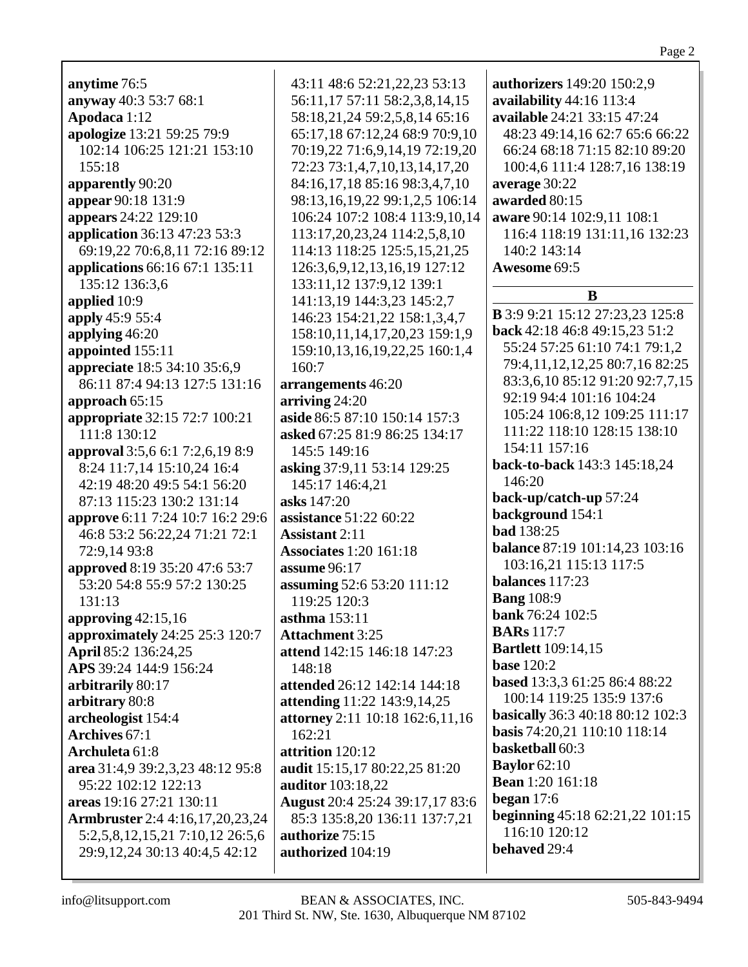| anytime 76:5                           | 43:11 48:6 52:21,22,23 53:13         | authorizers 149:20 150:2,9              |
|----------------------------------------|--------------------------------------|-----------------------------------------|
| anyway 40:3 53:7 68:1                  | 56:11,17 57:11 58:2,3,8,14,15        | availability 44:16 113:4                |
| Apodaca 1:12                           | 58:18,21,24 59:2,5,8,14 65:16        | available 24:21 33:15 47:24             |
|                                        |                                      |                                         |
| apologize 13:21 59:25 79:9             | 65:17,18 67:12,24 68:9 70:9,10       | 48:23 49:14,16 62:7 65:6 66:22          |
| 102:14 106:25 121:21 153:10            | 70:19,22 71:6,9,14,19 72:19,20       | 66:24 68:18 71:15 82:10 89:20           |
| 155:18                                 | 72:23 73:1,4,7,10,13,14,17,20        | 100:4,6 111:4 128:7,16 138:19           |
| apparently 90:20                       | 84:16,17,18 85:16 98:3,4,7,10        | average 30:22                           |
| appear 90:18 131:9                     | 98:13,16,19,22 99:1,2,5 106:14       | awarded 80:15                           |
| appears 24:22 129:10                   | 106:24 107:2 108:4 113:9,10,14       | aware 90:14 102:9,11 108:1              |
| application 36:13 47:23 53:3           | 113:17,20,23,24 114:2,5,8,10         | 116:4 118:19 131:11,16 132:23           |
| 69:19,22 70:6,8,11 72:16 89:12         | 114:13 118:25 125:5,15,21,25         | 140:2 143:14                            |
| applications 66:16 67:1 135:11         | 126:3,6,9,12,13,16,19 127:12         | Awesome 69:5                            |
| 135:12 136:3,6                         | 133:11,12 137:9,12 139:1             |                                         |
| applied 10:9                           | 141:13,19 144:3,23 145:2,7           | B                                       |
| apply 45:9 55:4                        | 146:23 154:21,22 158:1,3,4,7         | <b>B</b> 3:9 9:21 15:12 27:23,23 125:8  |
|                                        |                                      | back 42:18 46:8 49:15,23 51:2           |
| applying 46:20                         | 158:10,11,14,17,20,23 159:1,9        | 55:24 57:25 61:10 74:1 79:1,2           |
| appointed 155:11                       | 159:10,13,16,19,22,25 160:1,4        | 79:4,11,12,12,25 80:7,16 82:25          |
| appreciate 18:5 34:10 35:6,9           | 160:7                                | 83:3,6,10 85:12 91:20 92:7,7,15         |
| 86:11 87:4 94:13 127:5 131:16          | arrangements 46:20                   | 92:19 94:4 101:16 104:24                |
| approach 65:15                         | arriving 24:20                       |                                         |
| appropriate 32:15 72:7 100:21          | aside 86:5 87:10 150:14 157:3        | 105:24 106:8,12 109:25 111:17           |
| 111:8 130:12                           | asked 67:25 81:9 86:25 134:17        | 111:22 118:10 128:15 138:10             |
| approval 3:5,6 6:1 7:2,6,19 8:9        | 145:5 149:16                         | 154:11 157:16                           |
| 8:24 11:7,14 15:10,24 16:4             | asking 37:9,11 53:14 129:25          | back-to-back 143:3 145:18,24            |
| 42:19 48:20 49:5 54:1 56:20            | 145:17 146:4,21                      | 146:20                                  |
| 87:13 115:23 130:2 131:14              | asks 147:20                          | back-up/catch-up 57:24                  |
| approve 6:11 7:24 10:7 16:2 29:6       | assistance 51:22 60:22               | background 154:1                        |
| 46:8 53:2 56:22,24 71:21 72:1          | <b>Assistant 2:11</b>                | <b>bad</b> 138:25                       |
| 72:9,14 93:8                           | <b>Associates 1:20 161:18</b>        | <b>balance 87:19 101:14,23 103:16</b>   |
| approved 8:19 35:20 47:6 53:7          | assume 96:17                         | 103:16,21 115:13 117:5                  |
| 53:20 54:8 55:9 57:2 130:25            | assuming 52:6 53:20 111:12           | balances 117:23                         |
|                                        |                                      | <b>Bang</b> 108:9                       |
| 131:13                                 | 119:25 120:3                         | bank 76:24 102:5                        |
| approving $42:15,16$                   | asthma 153:11                        | <b>BARs</b> 117:7                       |
| approximately 24:25 25:3 120:7         | <b>Attachment 3:25</b>               |                                         |
| April 85:2 136:24,25                   | attend 142:15 146:18 147:23          | <b>Bartlett</b> 109:14,15               |
| APS 39:24 144:9 156:24                 | 148:18                               | <b>base</b> 120:2                       |
| arbitrarily 80:17                      | attended 26:12 142:14 144:18         | based 13:3,3 61:25 86:4 88:22           |
| arbitrary 80:8                         | <b>attending</b> 11:22 143:9, 14, 25 | 100:14 119:25 135:9 137:6               |
| archeologist 154:4                     | attorney 2:11 10:18 162:6,11,16      | <b>basically</b> 36:3 40:18 80:12 102:3 |
| <b>Archives</b> 67:1                   | 162:21                               | basis 74:20,21 110:10 118:14            |
| Archuleta 61:8                         | attrition 120:12                     | basketball 60:3                         |
| area 31:4,9 39:2,3,23 48:12 95:8       | audit 15:15,17 80:22,25 81:20        | <b>Baylor</b> 62:10                     |
| 95:22 102:12 122:13                    | auditor 103:18,22                    | <b>Bean</b> 1:20 161:18                 |
| areas 19:16 27:21 130:11               | August 20:4 25:24 39:17,17 83:6      | began $17:6$                            |
| <b>Armbruster</b> 2:4 4:16,17,20,23,24 | 85:3 135:8,20 136:11 137:7,21        | beginning 45:18 62:21,22 101:15         |
| 5:2,5,8,12,15,21 7:10,12 26:5,6        | authorize 75:15                      | 116:10 120:12                           |
| 29:9, 12, 24 30:13 40:4, 5 42:12       | authorized 104:19                    | behaved 29:4                            |
|                                        |                                      |                                         |
|                                        |                                      |                                         |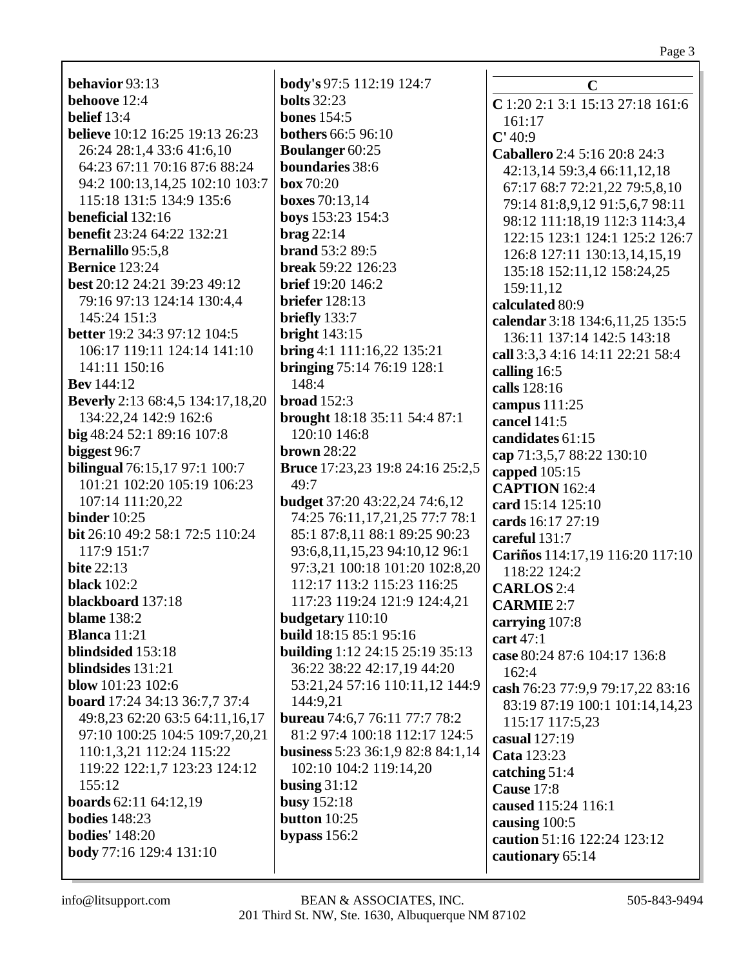# Page 3

| behavior 93:13                          | body's 97:5 112:19 124:7                 | $\mathbf C$                      |
|-----------------------------------------|------------------------------------------|----------------------------------|
| behoove 12:4                            | <b>bolts</b> 32:23                       | C 1:20 2:1 3:1 15:13 27:18 161:6 |
| belief $13:4$                           | <b>bones</b> 154:5                       | 161:17                           |
| believe 10:12 16:25 19:13 26:23         | <b>bothers</b> 66:5 96:10                | C' 40:9                          |
| 26:24 28:1,4 33:6 41:6,10               | <b>Boulanger 60:25</b>                   | Caballero 2:4 5:16 20:8 24:3     |
| 64:23 67:11 70:16 87:6 88:24            | boundaries 38:6                          | 42:13,14 59:3,4 66:11,12,18      |
| 94:2 100:13,14,25 102:10 103:7          | box 70:20                                | 67:17 68:7 72:21,22 79:5,8,10    |
| 115:18 131:5 134:9 135:6                | <b>boxes</b> 70:13,14                    | 79:14 81:8,9,12 91:5,6,7 98:11   |
| beneficial 132:16                       | boys 153:23 154:3                        | 98:12 111:18,19 112:3 114:3,4    |
| <b>benefit</b> 23:24 64:22 132:21       | $\mathbf{brag}$ 22:14                    | 122:15 123:1 124:1 125:2 126:7   |
| <b>Bernalillo</b> 95:5,8                | brand 53:2 89:5                          | 126:8 127:11 130:13,14,15,19     |
| <b>Bernice</b> 123:24                   | break 59:22 126:23                       | 135:18 152:11,12 158:24,25       |
| best 20:12 24:21 39:23 49:12            | <b>brief</b> 19:20 146:2                 | 159:11,12                        |
| 79:16 97:13 124:14 130:4,4              | <b>briefer</b> 128:13                    | calculated 80:9                  |
| 145:24 151:3                            | briefly 133:7                            | calendar 3:18 134:6,11,25 135:5  |
| <b>better</b> 19:2 34:3 97:12 104:5     | bright $143:15$                          | 136:11 137:14 142:5 143:18       |
| 106:17 119:11 124:14 141:10             | bring 4:1 $111:16,22$ 135:21             | call 3:3,3 4:16 14:11 22:21 58:4 |
| 141:11 150:16                           | bringing 75:14 76:19 128:1               | calling 16:5                     |
| <b>Bev</b> 144:12                       | 148:4                                    | calls 128:16                     |
| <b>Beverly</b> 2:13 68:4,5 134:17,18,20 | broad $152:3$                            | campus 111:25                    |
| 134:22,24 142:9 162:6                   | brought 18:18 35:11 54:4 87:1            | cancel 141:5                     |
| big 48:24 52:1 89:16 107:8              | 120:10 146:8                             | candidates 61:15                 |
| biggest 96:7                            | <b>brown</b> 28:22                       | cap 71:3,5,7 88:22 130:10        |
| <b>bilingual</b> 76:15,17 97:1 100:7    | <b>Bruce</b> 17:23,23 19:8 24:16 25:2,5  | capped 105:15                    |
| 101:21 102:20 105:19 106:23             | 49:7                                     | <b>CAPTION</b> 162:4             |
| 107:14 111:20,22                        | <b>budget</b> 37:20 43:22,24 74:6,12     | card 15:14 125:10                |
| binder $10:25$                          | 74:25 76:11,17,21,25 77:7 78:1           | cards 16:17 27:19                |
| bit 26:10 49:2 58:1 72:5 110:24         | 85:1 87:8,11 88:1 89:25 90:23            | careful 131:7                    |
| 117:9 151:7                             | 93:6,8,11,15,23 94:10,12 96:1            | Cariños 114:17,19 116:20 117:10  |
| <b>bite 22:13</b>                       | 97:3,21 100:18 101:20 102:8,20           | 118:22 124:2                     |
| <b>black</b> 102:2                      | 112:17 113:2 115:23 116:25               | <b>CARLOS</b> 2:4                |
| blackboard 137:18                       | 117:23 119:24 121:9 124:4,21             | <b>CARMIE 2:7</b>                |
| <b>blame</b> 138:2                      | budgetary 110:10                         | carrying 107:8                   |
| <b>Blanca</b> 11:21                     | build 18:15 85:1 95:16                   | cart 47:1                        |
| blindsided 153:18                       | <b>building</b> 1:12 24:15 25:19 35:13   | case 80:24 87:6 104:17 136:8     |
| blindsides 131:21                       | 36:22 38:22 42:17,19 44:20               | 162:4                            |
| blow 101:23 102:6                       | 53:21,24 57:16 110:11,12 144:9           | cash 76:23 77:9,9 79:17,22 83:16 |
| board 17:24 34:13 36:7,7 37:4           | 144:9,21                                 | 83:19 87:19 100:1 101:14,14,23   |
| 49:8,23 62:20 63:5 64:11,16,17          | <b>bureau</b> 74:6,7 76:11 77:7 78:2     | 115:17 117:5,23                  |
| 97:10 100:25 104:5 109:7,20,21          | 81:2 97:4 100:18 112:17 124:5            | casual 127:19                    |
| 110:1,3,21 112:24 115:22                | <b>business</b> 5:23 36:1,9 82:8 84:1,14 | Cata 123:23                      |
| 119:22 122:1,7 123:23 124:12            | 102:10 104:2 119:14,20                   | catching 51:4                    |
| 155:12                                  | busing $31:12$                           | <b>Cause 17:8</b>                |
| <b>boards</b> 62:11 64:12,19            | busy $152:18$                            | caused 115:24 116:1              |
| <b>bodies</b> 148:23                    | button $10:25$                           | causing 100:5                    |
| <b>bodies'</b> 148:20                   | bypass $156:2$                           | caution 51:16 122:24 123:12      |
| body 77:16 129:4 131:10                 |                                          | cautionary 65:14                 |
|                                         |                                          |                                  |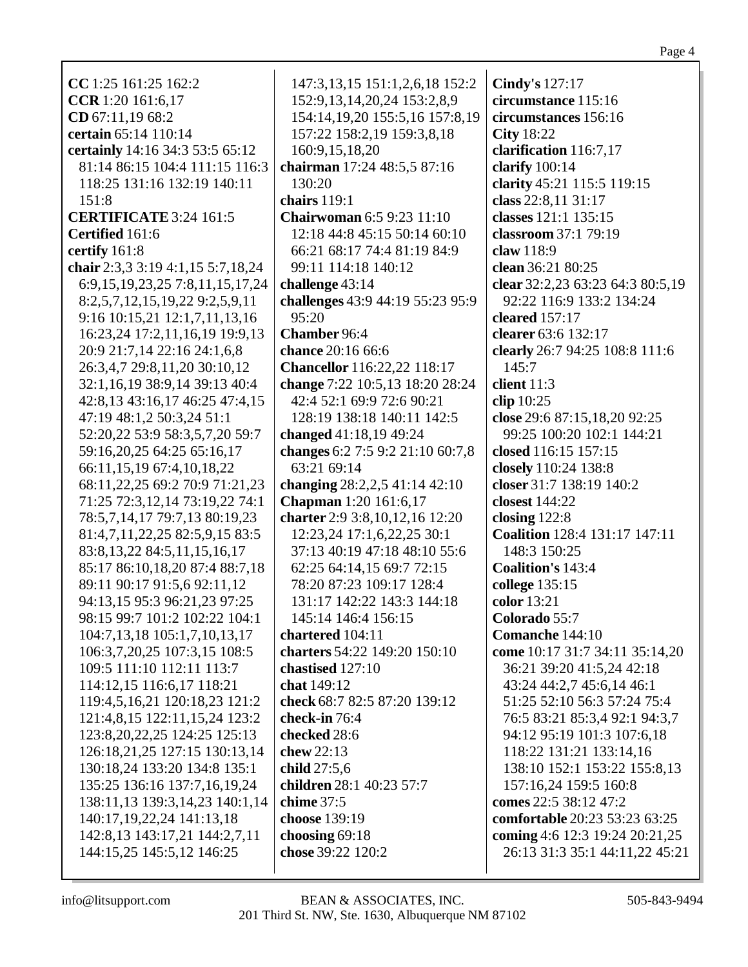| CC 1:25 161:25 162:2                    | 147:3,13,15 151:1,2,6,18 152:2     |                                       |
|-----------------------------------------|------------------------------------|---------------------------------------|
| CCR 1:20 161:6,17                       | 152:9, 13, 14, 20, 24 153:2, 8, 9  | Cindy's 127:17<br>circumstance 115:16 |
| CD 67:11,19 68:2                        | 154:14,19,20 155:5,16 157:8,19     | circumstances 156:16                  |
|                                         |                                    |                                       |
| certain 65:14 110:14                    | 157:22 158:2,19 159:3,8,18         | <b>City</b> 18:22                     |
| certainly 14:16 34:3 53:5 65:12         | 160:9,15,18,20                     | clarification 116:7,17                |
| 81:14 86:15 104:4 111:15 116:3          | chairman 17:24 48:5,5 87:16        | clarify $100:14$                      |
| 118:25 131:16 132:19 140:11             | 130:20                             | clarity 45:21 115:5 119:15            |
| 151:8                                   | chairs $119:1$                     | class 22:8,11 31:17                   |
| <b>CERTIFICATE 3:24 161:5</b>           | <b>Chairwoman 6:5 9:23 11:10</b>   | classes 121:1 135:15                  |
| Certified 161:6                         | 12:18 44:8 45:15 50:14 60:10       | classroom 37:1 79:19                  |
| certify 161:8                           | 66:21 68:17 74:4 81:19 84:9        | claw 118:9                            |
| chair 2:3,3 3:19 4:1,15 5:7,18,24       | 99:11 114:18 140:12                | clean 36:21 80:25                     |
| 6:9, 15, 19, 23, 25 7:8, 11, 15, 17, 24 | challenge 43:14                    | clear 32:2,23 63:23 64:3 80:5,19      |
| 8:2,5,7,12,15,19,22 9:2,5,9,11          | challenges 43:9 44:19 55:23 95:9   | 92:22 116:9 133:2 134:24              |
| 9:16 10:15,21 12:1,7,11,13,16           | 95:20                              | cleared $157:17$                      |
| 16:23,24 17:2,11,16,19 19:9,13          | Chamber 96:4                       | clearer 63:6 132:17                   |
| 20:9 21:7,14 22:16 24:1,6,8             | chance 20:16 66:6                  | clearly 26:7 94:25 108:8 111:6        |
| 26:3,4,7 29:8,11,20 30:10,12            | <b>Chancellor</b> 116:22,22 118:17 | 145:7                                 |
| 32:1,16,19 38:9,14 39:13 40:4           | change 7:22 10:5,13 18:20 28:24    | client 11:3                           |
| 42:8,13 43:16,17 46:25 47:4,15          | 42:4 52:1 69:9 72:6 90:21          | clip 10:25                            |
| 47:19 48:1,2 50:3,24 51:1               | 128:19 138:18 140:11 142:5         | close 29:6 87:15,18,20 92:25          |
| 52:20,22 53:9 58:3,5,7,20 59:7          | changed 41:18,19 49:24             | 99:25 100:20 102:1 144:21             |
| 59:16,20,25 64:25 65:16,17              | changes 6:2 7:5 9:2 21:10 60:7,8   | closed 116:15 157:15                  |
| 66:11,15,19 67:4,10,18,22               | 63:21 69:14                        | closely 110:24 138:8                  |
| 68:11,22,25 69:2 70:9 71:21,23          | changing 28:2,2,5 41:14 42:10      | closer 31:7 138:19 140:2              |
| 71:25 72:3,12,14 73:19,22 74:1          | <b>Chapman</b> 1:20 161:6,17       | closest 144:22                        |
| 78:5,7,14,17 79:7,13 80:19,23           | charter 2:9 3:8, 10, 12, 16 12:20  | closing $122:8$                       |
| 81:4,7,11,22,25 82:5,9,15 83:5          | 12:23,24 17:1,6,22,25 30:1         | Coalition 128:4 131:17 147:11         |
| 83:8, 13, 22 84:5, 11, 15, 16, 17       | 37:13 40:19 47:18 48:10 55:6       | 148:3 150:25                          |
| 85:17 86:10,18,20 87:4 88:7,18          | 62:25 64:14,15 69:7 72:15          | Coalition's 143:4                     |
| 89:11 90:17 91:5,6 92:11,12             | 78:20 87:23 109:17 128:4           | college 135:15                        |
| 94:13,15 95:3 96:21,23 97:25            | 131:17 142:22 143:3 144:18         | color 13:21                           |
| 98:15 99:7 101:2 102:22 104:1           | 145:14 146:4 156:15                | Colorado 55:7                         |
| 104:7,13,18 105:1,7,10,13,17            | chartered 104:11                   | Comanche 144:10                       |
| 106:3,7,20,25 107:3,15 108:5            | charters 54:22 149:20 150:10       | come 10:17 31:7 34:11 35:14,20        |
| 109:5 111:10 112:11 113:7               | chastised 127:10                   | 36:21 39:20 41:5,24 42:18             |
| 114:12,15 116:6,17 118:21               | chat 149:12                        | 43:24 44:2,7 45:6,14 46:1             |
| 119:4,5,16,21 120:18,23 121:2           | check 68:7 82:5 87:20 139:12       | 51:25 52:10 56:3 57:24 75:4           |
| 121:4,8,15 122:11,15,24 123:2           | check-in 76:4                      | 76:5 83:21 85:3,4 92:1 94:3,7         |
| 123:8, 20, 22, 25 124: 25 125: 13       | checked 28:6                       | 94:12 95:19 101:3 107:6,18            |
| 126:18,21,25 127:15 130:13,14           | chew 22:13                         | 118:22 131:21 133:14,16               |
| 130:18.24 133:20 134:8 135:1            | child 27:5,6                       | 138:10 152:1 153:22 155:8,13          |
| 135:25 136:16 137:7,16,19,24            | children 28:1 40:23 57:7           | 157:16,24 159:5 160:8                 |
| 138:11,13 139:3,14,23 140:1,14          | chime 37:5                         | comes 22:5 38:12 47:2                 |
| 140:17,19,22,24 141:13,18               | choose 139:19                      | comfortable 20:23 53:23 63:25         |
| 142:8,13 143:17,21 144:2,7,11           | choosing $69:18$                   | coming 4:6 12:3 19:24 20:21,25        |
| 144:15,25 145:5,12 146:25               | chose 39:22 120:2                  | 26:13 31:3 35:1 44:11,22 45:21        |
|                                         |                                    |                                       |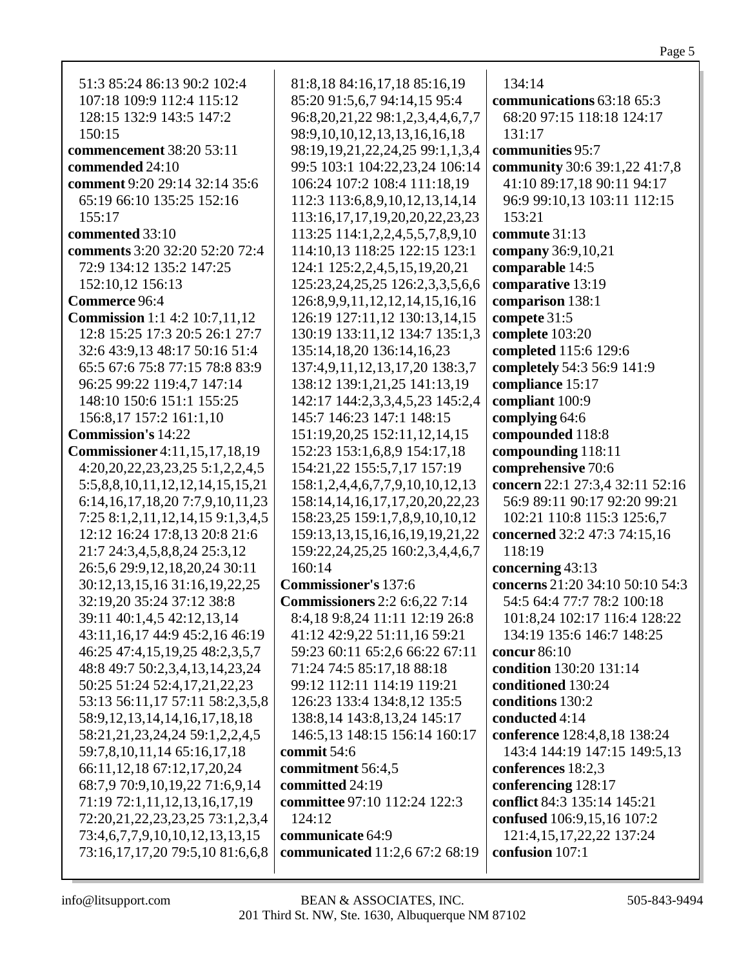| 81:8,18 84:16,17,18 85:16,19               | 134:14                          |
|--------------------------------------------|---------------------------------|
| 85:20 91:5,6,7 94:14,15 95:4               | communications 63:18 65:3       |
| 96:8, 20, 21, 22 98:1, 2, 3, 4, 4, 6, 7, 7 | 68:20 97:15 118:18 124:17       |
| 98:9, 10, 10, 12, 13, 13, 16, 16, 18       | 131:17                          |
| 98:19, 19, 21, 22, 24, 25 99:1, 1, 3, 4    | communities 95:7                |
| 99:5 103:1 104:22,23,24 106:14             | community 30:6 39:1,22 41:7,8   |
| 106:24 107:2 108:4 111:18,19               | 41:10 89:17,18 90:11 94:17      |
| 112:3 113:6,8,9,10,12,13,14,14             | 96:9 99:10,13 103:11 112:15     |
| 113:16, 17, 17, 19, 20, 20, 22, 23, 23     | 153:21                          |
| 113:25 114:1,2,2,4,5,5,7,8,9,10            | commute 31:13                   |
| 114:10,13 118:25 122:15 123:1              | company 36:9,10,21              |
| 124:1 125:2,2,4,5,15,19,20,21              | comparable 14:5                 |
| 125:23,24,25,25 126:2,3,3,5,6,6            | comparative 13:19               |
| 126:8, 9, 9, 11, 12, 12, 14, 15, 16, 16    | comparison 138:1                |
| 126:19 127:11,12 130:13,14,15              | compete 31:5                    |
| 130:19 133:11,12 134:7 135:1,3             | complete 103:20                 |
| 135:14,18,20 136:14,16,23                  | completed 115:6 129:6           |
| 137:4,9,11,12,13,17,20 138:3,7             | completely 54:3 56:9 141:9      |
| 138:12 139:1,21,25 141:13,19               | compliance 15:17                |
| 142:17 144:2,3,3,4,5,23 145:2,4            | compliant 100:9                 |
| 145:7 146:23 147:1 148:15                  | complying 64:6                  |
| 151:19,20,25 152:11,12,14,15               | compounded 118:8                |
| 152:23 153:1,6,8,9 154:17,18               | compounding 118:11              |
| 154:21,22 155:5,7,17 157:19                | comprehensive 70:6              |
| 158:1,2,4,4,6,7,7,9,10,10,12,13            | concern 22:1 27:3,4 32:11 52:16 |
| 158:14, 14, 16, 17, 17, 20, 20, 22, 23     | 56:9 89:11 90:17 92:20 99:21    |
| 158:23,25 159:1,7,8,9,10,10,12             | 102:21 110:8 115:3 125:6,7      |
| 159:13, 13, 15, 16, 16, 19, 19, 21, 22     | concerned 32:2 47:3 74:15,16    |
| 159:22,24,25,25 160:2,3,4,4,6,7            | 118:19                          |
| 160:14                                     | concerning 43:13                |
| <b>Commissioner's 137:6</b>                | concerns 21:20 34:10 50:10 54:3 |
| <b>Commissioners</b> 2:2 6:6,22 7:14       | 54:5 64:4 77:7 78:2 100:18      |
| 8:4,18 9:8,24 11:11 12:19 26:8             | 101:8,24 102:17 116:4 128:22    |
| 41:12 42:9,22 51:11,16 59:21               | 134:19 135:6 146:7 148:25       |
| 59:23 60:11 65:2,6 66:22 67:11             | concur 86:10                    |
| 71:24 74:5 85:17,18 88:18                  | condition 130:20 131:14         |
| 99:12 112:11 114:19 119:21                 | conditioned 130:24              |
| 126:23 133:4 134:8,12 135:5                | conditions 130:2                |
| 138:8,14 143:8,13,24 145:17                | conducted 4:14                  |
| 146:5,13 148:15 156:14 160:17              | conference 128:4,8,18 138:24    |
| commit 54:6                                | 143:4 144:19 147:15 149:5,13    |
| commitment 56:4,5                          | conferences 18:2,3              |
| committed 24:19                            | conferencing 128:17             |
| committee 97:10 112:24 122:3               | conflict 84:3 135:14 145:21     |
| 124:12                                     | confused 106:9,15,16 107:2      |
| communicate 64:9                           | 121:4, 15, 17, 22, 22 137: 24   |
| communicated 11:2,6 67:2 68:19             | confusion 107:1                 |
|                                            |                                 |

Page 5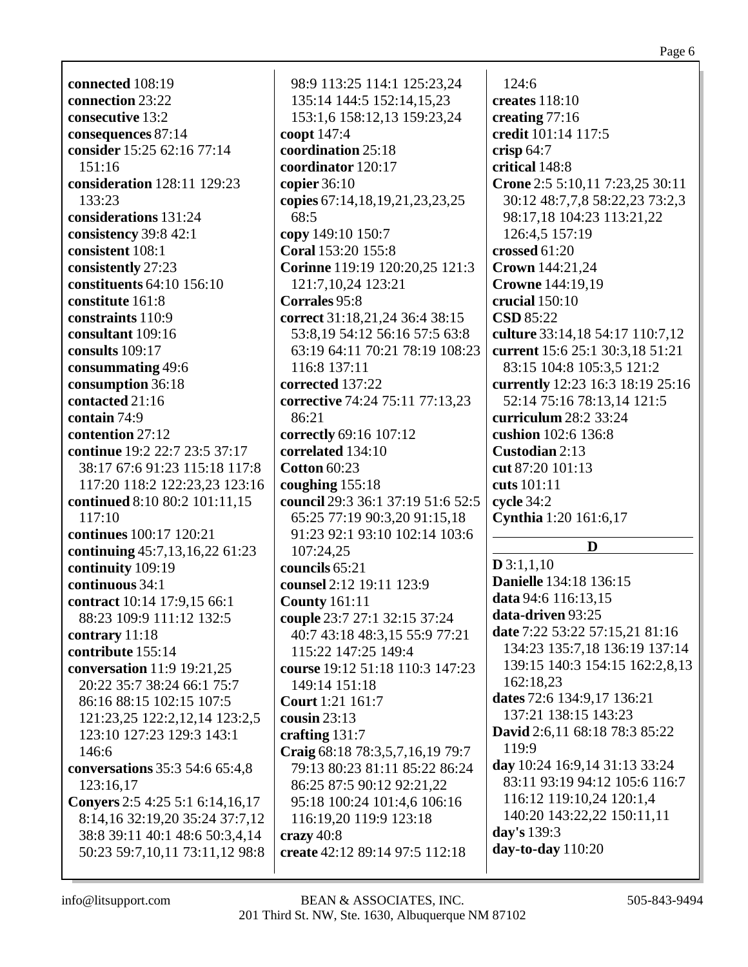|--|--|

**connected** 108:19 **connection** 23:22 **consecutive** 13:2 **consequences** 87:14 **consider** 15:25 62:16 77:14 151:16 **consideration** 128:11 129:23 133:23 **considerations** 131:24 **consistency** 39:8 42:1 **consistent** 108:1 **consistently** 27:23 **constituents** 64:10 156:10 **constitute** 161:8 **constraints** 110:9 **consultant** 109:16 **consults** 109:17 **consummating** 49:6 **consumption** 36:18 **contacted** 21:16 **contain** 74:9 **contention** 27:12 **continue** 19:2 22:7 23:5 37:17 38:17 67:6 91:23 115:18 117:8 117:20 118:2 122:23,23 123:16 **continued** 8:10 80:2 101:11,15 117:10 **continues** 100:17 120:21 **continuing** 45:7,13,16,22 61:23 **continuity** 109:19 **continuous** 34:1 **contract** 10:14 17:9,15 66:1 88:23 109:9 111:12 132:5 **contrary** 11:18 **contribute** 155:14 **conversation** 11:9 19:21,25 20:22 35:7 38:24 66:1 75:7 86:16 88:15 102:15 107:5 121:23,25 122:2,12,14 123:2,5 123:10 127:23 129:3 143:1 146:6 **conversations** 35:3 54:6 65:4,8 123:16,17 **Conyers** 2:5 4:25 5:1 6:14,16,17 8:14,16 32:19,20 35:24 37:7,12 38:8 39:11 40:1 48:6 50:3,4,14 50:23 59:7,10,11 73:11,12 98:8

98:9 113:25 114:1 125:23,24 135:14 144:5 152:14,15,23 153:1,6 158:12,13 159:23,24 **coopt** 147:4 **coordination** 25:18 **coordinator** 120:17 **copier** 36:10 **copies** 67:14,18,19,21,23,23,25 68:5 **copy** 149:10 150:7 **Coral** 153:20 155:8 **Corinne** 119:19 120:20,25 121:3 121:7,10,24 123:21 **Corrales** 95:8 **correct** 31:18,21,24 36:4 38:15 53:8,19 54:12 56:16 57:5 63:8 63:19 64:11 70:21 78:19 108:23 116:8 137:11 **corrected** 137:22 **corrective** 74:24 75:11 77:13,23 86:21 **correctly** 69:16 107:12 **correlated** 134:10 **Cotton** 60:23 **coughing** 155:18 **council** 29:3 36:1 37:19 51:6 52:5 65:25 77:19 90:3,20 91:15,18 91:23 92:1 93:10 102:14 103:6 107:24,25 **councils** 65:21 **counsel** 2:12 19:11 123:9 **County** 161:11 **couple** 23:7 27:1 32:15 37:24 40:7 43:18 48:3,15 55:9 77:21 115:22 147:25 149:4 **course** 19:12 51:18 110:3 147:23 149:14 151:18 **Court** 1:21 161:7 **cousin** 23:13 **crafting** 131:7 **Craig** 68:18 78:3,5,7,16,19 79:7 79:13 80:23 81:11 85:22 86:24 86:25 87:5 90:12 92:21,22 95:18 100:24 101:4,6 106:16 116:19,20 119:9 123:18 **crazy** 40:8 **create** 42:12 89:14 97:5 112:18

124:6 **creates** 118:10 **creating** 77:16 **credit** 101:14 117:5 **crisp** 64:7 **critical** 148:8 **Crone** 2:5 5:10,11 7:23,25 30:11 30:12 48:7,7,8 58:22,23 73:2,3 98:17,18 104:23 113:21,22 126:4,5 157:19 **crossed** 61:20 **Crown** 144:21,24 **Crowne** 144:19,19 **crucial** 150:10 **CSD** 85:22 **culture** 33:14,18 54:17 110:7,12 **current** 15:6 25:1 30:3,18 51:21 83:15 104:8 105:3,5 121:2 **currently** 12:23 16:3 18:19 25:16 52:14 75:16 78:13,14 121:5 **curriculum** 28:2 33:24 **cushion** 102:6 136:8 **Custodian** 2:13 **cut** 87:20 101:13 **cuts** 101:11 **cycle** 34:2 **Cynthia** 1:20 161:6,17 **D D** 3:1,1,10 **Danielle** 134:18 136:15 **data** 94:6 116:13,15 **data-driven** 93:25 **date** 7:22 53:22 57:15,21 81:16 134:23 135:7,18 136:19 137:14 139:15 140:3 154:15 162:2,8,13 162:18,23 **dates** 72:6 134:9,17 136:21 137:21 138:15 143:23 **David** 2:6,11 68:18 78:3 85:22 119:9 **day** 10:24 16:9,14 31:13 33:24 83:11 93:19 94:12 105:6 116:7 116:12 119:10,24 120:1,4 140:20 143:22,22 150:11,11 **day's** 139:3 **day-to-day** 110:20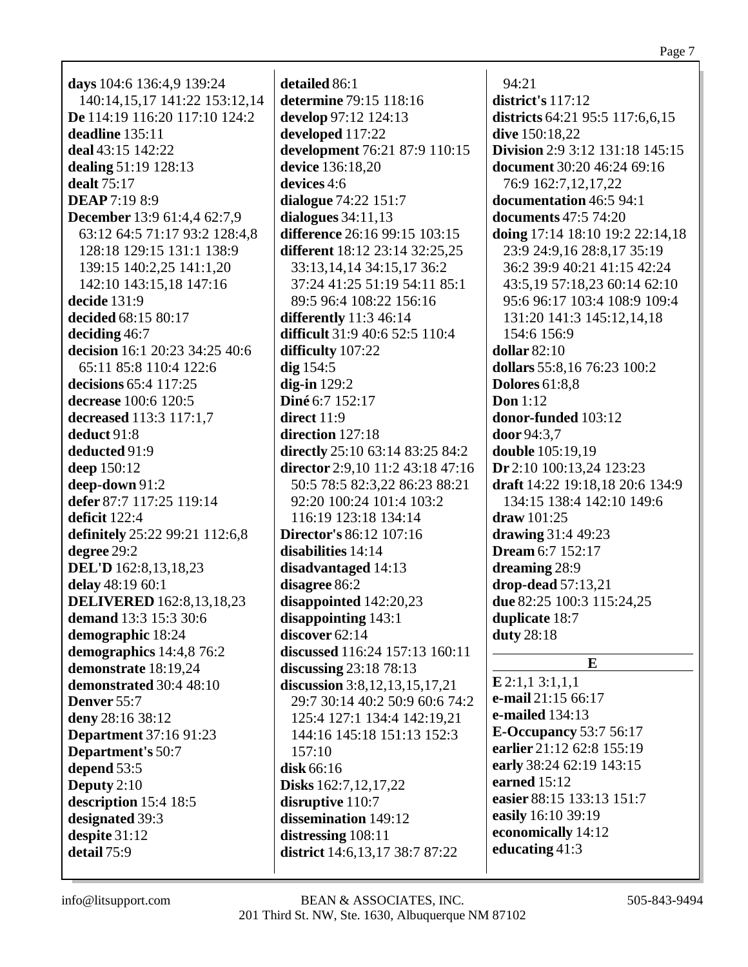**days** 104:6 136:4,9 139:24 140:14,15,17 141:22 153:12,14 **De** 114:19 116:20 117:10 124:2 **deadline** 135:11 **deal** 43:15 142:22 **dealing** 51:19 128:13 **dealt** 75:17 **DEAP** 7:19 8:9 **December** 13:9 61:4,4 62:7,9 63:12 64:5 71:17 93:2 128:4,8 128:18 129:15 131:1 138:9 139:15 140:2,25 141:1,20 142:10 143:15,18 147:16 **decide** 131:9 **decided** 68:15 80:17 **deciding** 46:7 **decision** 16:1 20:23 34:25 40:6 65:11 85:8 110:4 122:6 **decisions** 65:4 117:25 **decrease** 100:6 120:5 **decreased** 113:3 117:1,7 **deduct** 91:8 **deducted** 91:9 **deep** 150:12 **deep-down** 91:2 **defer** 87:7 117:25 119:14 **deficit** 122:4 **definitely** 25:22 99:21 112:6,8 **degree** 29:2 **DEL'D** 162:8,13,18,23 **delay** 48:19 60:1 **DELIVERED** 162:8,13,18,23 **demand** 13:3 15:3 30:6 **demographic** 18:24 **demographics** 14:4,8 76:2 **demonstrate** 18:19,24 **demonstrated** 30:4 48:10 **Denver** 55:7 **deny** 28:16 38:12 **Department** 37:16 91:23 **Department's** 50:7 **depend** 53:5 **Deputy** 2:10 **description** 15:4 18:5 **designated** 39:3 **despite** 31:12 **detail** 75:9

**detailed** 86:1 **determine** 79:15 118:16 **develop** 97:12 124:13 **developed** 117:22 **development** 76:21 87:9 110:15 **device** 136:18,20 **devices** 4:6 **dialogue** 74:22 151:7 **dialogues** 34:11,13 **difference** 26:16 99:15 103:15 **different** 18:12 23:14 32:25,25 33:13,14,14 34:15,17 36:2 37:24 41:25 51:19 54:11 85:1 89:5 96:4 108:22 156:16 **differently** 11:3 46:14 **difficult** 31:9 40:6 52:5 110:4 **difficulty** 107:22 **dig** 154:5 **dig-in** 129:2 **Diné** 6:7 152:17 **direct** 11:9 **direction** 127:18 **directly** 25:10 63:14 83:25 84:2 **director** 2:9,10 11:2 43:18 47:16 50:5 78:5 82:3,22 86:23 88:21 92:20 100:24 101:4 103:2 116:19 123:18 134:14 **Director's** 86:12 107:16 **disabilities** 14:14 **disadvantaged** 14:13 **disagree** 86:2 **disappointed** 142:20,23 **disappointing** 143:1 **discover** 62:14 **discussed** 116:24 157:13 160:11 **discussing** 23:18 78:13 **discussion** 3:8,12,13,15,17,21 29:7 30:14 40:2 50:9 60:6 74:2 125:4 127:1 134:4 142:19,21 144:16 145:18 151:13 152:3 157:10 **disk** 66:16 **Disks** 162:7,12,17,22 **disruptive** 110:7 **dissemination** 149:12 **distressing** 108:11 **district** 14:6,13,17 38:7 87:22

94:21 **district's** 117:12 **districts** 64:21 95:5 117:6,6,15 **dive** 150:18,22 **Division** 2:9 3:12 131:18 145:15 **document** 30:20 46:24 69:16 76:9 162:7,12,17,22 **documentation** 46:5 94:1 **documents** 47:5 74:20 **doing** 17:14 18:10 19:2 22:14,18 23:9 24:9,16 28:8,17 35:19 36:2 39:9 40:21 41:15 42:24 43:5,19 57:18,23 60:14 62:10 95:6 96:17 103:4 108:9 109:4 131:20 141:3 145:12,14,18 154:6 156:9 **dollar** 82:10 **dollars** 55:8,16 76:23 100:2 **Dolores** 61:8,8 **Don** 1:12 **donor-funded** 103:12 **door** 94:3,7 **double** 105:19,19 **Dr** 2:10 100:13,24 123:23 **draft** 14:22 19:18,18 20:6 134:9 134:15 138:4 142:10 149:6 **draw** 101:25 **drawing** 31:4 49:23 **Dream** 6:7 152:17 **dreaming** 28:9 **drop-dead** 57:13,21 **due** 82:25 100:3 115:24,25 **duplicate** 18:7 **duty** 28:18 **E**

**E** 2:1,1 3:1,1,1 **e-mail** 21:15 66:17 **e-mailed** 134:13 **E-Occupancy** 53:7 56:17 **earlier** 21:12 62:8 155:19 **early** 38:24 62:19 143:15 **earned** 15:12 **easier** 88:15 133:13 151:7 **easily** 16:10 39:19 **economically** 14:12 **educating** 41:3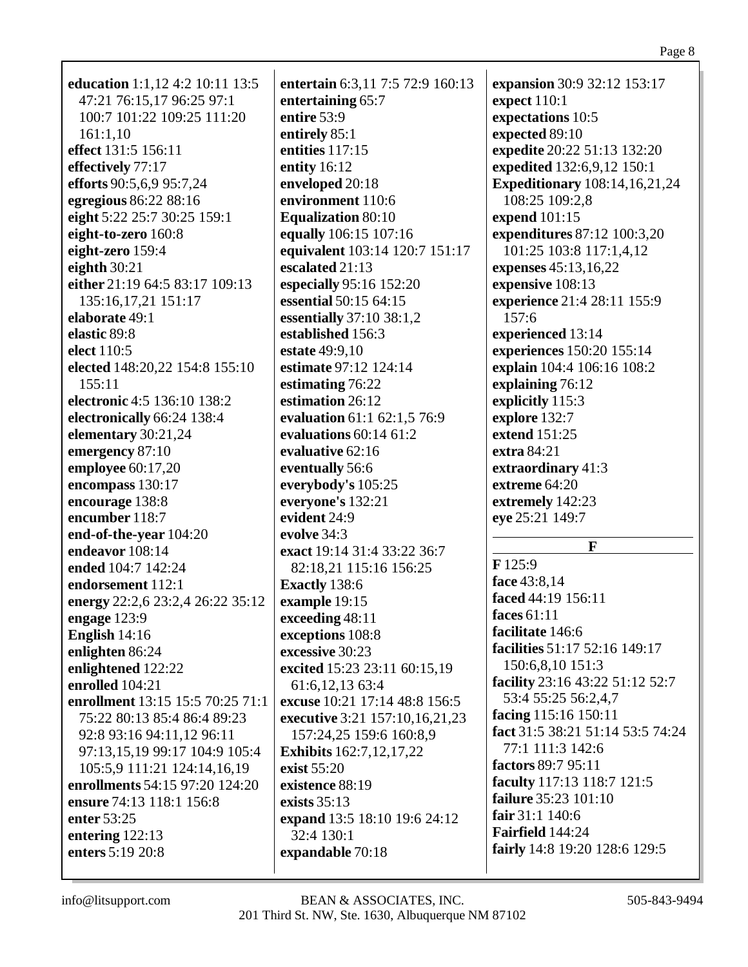| education 1:1,12 4:2 10:11 13:5<br>47:21 76:15,17 96:25 97:1<br>100:7 101:22 109:25 111:20<br>161:1,10<br>effect 131:5 156:11<br>effectively 77:17<br>efforts 90:5,6,9 95:7,24<br>egregious 86:22 88:16<br>eight 5:22 25:7 30:25 159:1<br>eight-to-zero 160:8<br>eight-zero 159:4<br>eighth $30:21$<br>either 21:19 64:5 83:17 109:13<br>135:16,17,21 151:17<br>elaborate 49:1<br>elastic 89:8<br>elect 110:5<br>elected 148:20,22 154:8 155:10<br>155:11<br>electronic 4:5 136:10 138:2<br>electronically 66:24 138:4<br>elementary 30:21,24<br>emergency 87:10<br>employee 60:17,20<br>encompass 130:17<br>encourage 138:8 | entertain 6:3,11 7:5 72:9 160:13<br>entertaining 65:7<br>entire 53:9<br>entirely 85:1<br>entities 117:15<br>entity $16:12$<br>enveloped 20:18<br>environment 110:6<br><b>Equalization 80:10</b><br>equally 106:15 107:16<br>equivalent 103:14 120:7 151:17<br>escalated 21:13<br>especially 95:16 152:20<br>essential 50:15 64:15<br>essentially $37:10$ $38:1,2$<br>established 156:3<br>estate 49:9,10<br>estimate 97:12 124:14<br>estimating 76:22<br>estimation 26:12<br>evaluation 61:1 62:1,5 76:9<br>evaluations 60:14 61:2<br>evaluative 62:16<br>eventually 56:6<br>everybody's 105:25<br>everyone's 132:21 | expansion 30:9 32:12 153:17<br>expect 110:1<br>expectations 10:5<br>expected 89:10<br>expedite 20:22 51:13 132:20<br>expedited 132:6,9,12 150:1<br><b>Expeditionary</b> 108:14,16,21,24<br>108:25 109:2,8<br>expend 101:15<br>expenditures 87:12 100:3,20<br>101:25 103:8 117:1,4,12<br>expenses 45:13,16,22<br>expensive 108:13<br>experience 21:4 28:11 155:9<br>157:6<br>experienced 13:14<br>experiences 150:20 155:14<br>explain 104:4 106:16 108:2<br>explaining 76:12<br>explicitly 115:3<br>explore 132:7<br>extend 151:25<br>extra 84:21<br>extraordinary 41:3<br>extreme 64:20<br>extremely 142:23 |
|------------------------------------------------------------------------------------------------------------------------------------------------------------------------------------------------------------------------------------------------------------------------------------------------------------------------------------------------------------------------------------------------------------------------------------------------------------------------------------------------------------------------------------------------------------------------------------------------------------------------------|----------------------------------------------------------------------------------------------------------------------------------------------------------------------------------------------------------------------------------------------------------------------------------------------------------------------------------------------------------------------------------------------------------------------------------------------------------------------------------------------------------------------------------------------------------------------------------------------------------------------|--------------------------------------------------------------------------------------------------------------------------------------------------------------------------------------------------------------------------------------------------------------------------------------------------------------------------------------------------------------------------------------------------------------------------------------------------------------------------------------------------------------------------------------------------------------------------------------------------------------|
| encumber 118:7<br>end-of-the-year 104:20                                                                                                                                                                                                                                                                                                                                                                                                                                                                                                                                                                                     | evident 24:9<br>evolve 34:3                                                                                                                                                                                                                                                                                                                                                                                                                                                                                                                                                                                          | eye 25:21 149:7                                                                                                                                                                                                                                                                                                                                                                                                                                                                                                                                                                                              |
| endeavor 108:14                                                                                                                                                                                                                                                                                                                                                                                                                                                                                                                                                                                                              | exact 19:14 31:4 33:22 36:7                                                                                                                                                                                                                                                                                                                                                                                                                                                                                                                                                                                          | $\mathbf{F}$                                                                                                                                                                                                                                                                                                                                                                                                                                                                                                                                                                                                 |
| ended 104:7 142:24                                                                                                                                                                                                                                                                                                                                                                                                                                                                                                                                                                                                           | 82:18,21 115:16 156:25                                                                                                                                                                                                                                                                                                                                                                                                                                                                                                                                                                                               | F125:9<br>face 43:8,14                                                                                                                                                                                                                                                                                                                                                                                                                                                                                                                                                                                       |
| endorsement 112:1<br>energy 22:2,6 23:2,4 26:22 35:12                                                                                                                                                                                                                                                                                                                                                                                                                                                                                                                                                                        | Exactly 138:6                                                                                                                                                                                                                                                                                                                                                                                                                                                                                                                                                                                                        | faced 44:19 156:11                                                                                                                                                                                                                                                                                                                                                                                                                                                                                                                                                                                           |
| engage $123:9$                                                                                                                                                                                                                                                                                                                                                                                                                                                                                                                                                                                                               | example 19:15<br>exceeding 48:11                                                                                                                                                                                                                                                                                                                                                                                                                                                                                                                                                                                     | faces $61:11$                                                                                                                                                                                                                                                                                                                                                                                                                                                                                                                                                                                                |
| English 14:16                                                                                                                                                                                                                                                                                                                                                                                                                                                                                                                                                                                                                | exceptions 108:8                                                                                                                                                                                                                                                                                                                                                                                                                                                                                                                                                                                                     | facilitate 146:6                                                                                                                                                                                                                                                                                                                                                                                                                                                                                                                                                                                             |
| enlighten 86:24                                                                                                                                                                                                                                                                                                                                                                                                                                                                                                                                                                                                              | excessive 30:23                                                                                                                                                                                                                                                                                                                                                                                                                                                                                                                                                                                                      | facilities 51:17 52:16 149:17                                                                                                                                                                                                                                                                                                                                                                                                                                                                                                                                                                                |
| enlightened 122:22                                                                                                                                                                                                                                                                                                                                                                                                                                                                                                                                                                                                           | excited 15:23 23:11 60:15,19                                                                                                                                                                                                                                                                                                                                                                                                                                                                                                                                                                                         | 150:6,8,10 151:3                                                                                                                                                                                                                                                                                                                                                                                                                                                                                                                                                                                             |
| enrolled 104:21                                                                                                                                                                                                                                                                                                                                                                                                                                                                                                                                                                                                              | 61:6, 12, 13 63:4                                                                                                                                                                                                                                                                                                                                                                                                                                                                                                                                                                                                    | facility 23:16 43:22 51:12 52:7                                                                                                                                                                                                                                                                                                                                                                                                                                                                                                                                                                              |
| enrollment 13:15 15:5 70:25 71:1                                                                                                                                                                                                                                                                                                                                                                                                                                                                                                                                                                                             | excuse 10:21 17:14 48:8 156:5                                                                                                                                                                                                                                                                                                                                                                                                                                                                                                                                                                                        | 53:4 55:25 56:2,4,7                                                                                                                                                                                                                                                                                                                                                                                                                                                                                                                                                                                          |
| 75:22 80:13 85:4 86:4 89:23                                                                                                                                                                                                                                                                                                                                                                                                                                                                                                                                                                                                  | executive 3:21 157:10,16,21,23                                                                                                                                                                                                                                                                                                                                                                                                                                                                                                                                                                                       | facing 115:16 150:11<br>fact 31:5 38:21 51:14 53:5 74:24                                                                                                                                                                                                                                                                                                                                                                                                                                                                                                                                                     |
| 92:8 93:16 94:11,12 96:11                                                                                                                                                                                                                                                                                                                                                                                                                                                                                                                                                                                                    | 157:24,25 159:6 160:8,9                                                                                                                                                                                                                                                                                                                                                                                                                                                                                                                                                                                              | 77:1 111:3 142:6                                                                                                                                                                                                                                                                                                                                                                                                                                                                                                                                                                                             |
| 97:13,15,19 99:17 104:9 105:4<br>105:5,9 111:21 124:14,16,19                                                                                                                                                                                                                                                                                                                                                                                                                                                                                                                                                                 | <b>Exhibits</b> 162:7, 12, 17, 22<br>exist 55:20                                                                                                                                                                                                                                                                                                                                                                                                                                                                                                                                                                     | factors 89:7 95:11                                                                                                                                                                                                                                                                                                                                                                                                                                                                                                                                                                                           |
| enrollments 54:15 97:20 124:20                                                                                                                                                                                                                                                                                                                                                                                                                                                                                                                                                                                               | existence 88:19                                                                                                                                                                                                                                                                                                                                                                                                                                                                                                                                                                                                      | faculty 117:13 118:7 121:5                                                                                                                                                                                                                                                                                                                                                                                                                                                                                                                                                                                   |
| ensure 74:13 118:1 156:8                                                                                                                                                                                                                                                                                                                                                                                                                                                                                                                                                                                                     | exists $35:13$                                                                                                                                                                                                                                                                                                                                                                                                                                                                                                                                                                                                       | failure 35:23 101:10                                                                                                                                                                                                                                                                                                                                                                                                                                                                                                                                                                                         |
| enter 53:25                                                                                                                                                                                                                                                                                                                                                                                                                                                                                                                                                                                                                  | expand 13:5 18:10 19:6 24:12                                                                                                                                                                                                                                                                                                                                                                                                                                                                                                                                                                                         | fair 31:1 140:6                                                                                                                                                                                                                                                                                                                                                                                                                                                                                                                                                                                              |
| entering $122:13$                                                                                                                                                                                                                                                                                                                                                                                                                                                                                                                                                                                                            | 32:4 130:1                                                                                                                                                                                                                                                                                                                                                                                                                                                                                                                                                                                                           | <b>Fairfield</b> 144:24                                                                                                                                                                                                                                                                                                                                                                                                                                                                                                                                                                                      |
| enters 5:19 20:8                                                                                                                                                                                                                                                                                                                                                                                                                                                                                                                                                                                                             | expandable 70:18                                                                                                                                                                                                                                                                                                                                                                                                                                                                                                                                                                                                     | fairly 14:8 19:20 128:6 129:5                                                                                                                                                                                                                                                                                                                                                                                                                                                                                                                                                                                |
|                                                                                                                                                                                                                                                                                                                                                                                                                                                                                                                                                                                                                              |                                                                                                                                                                                                                                                                                                                                                                                                                                                                                                                                                                                                                      |                                                                                                                                                                                                                                                                                                                                                                                                                                                                                                                                                                                                              |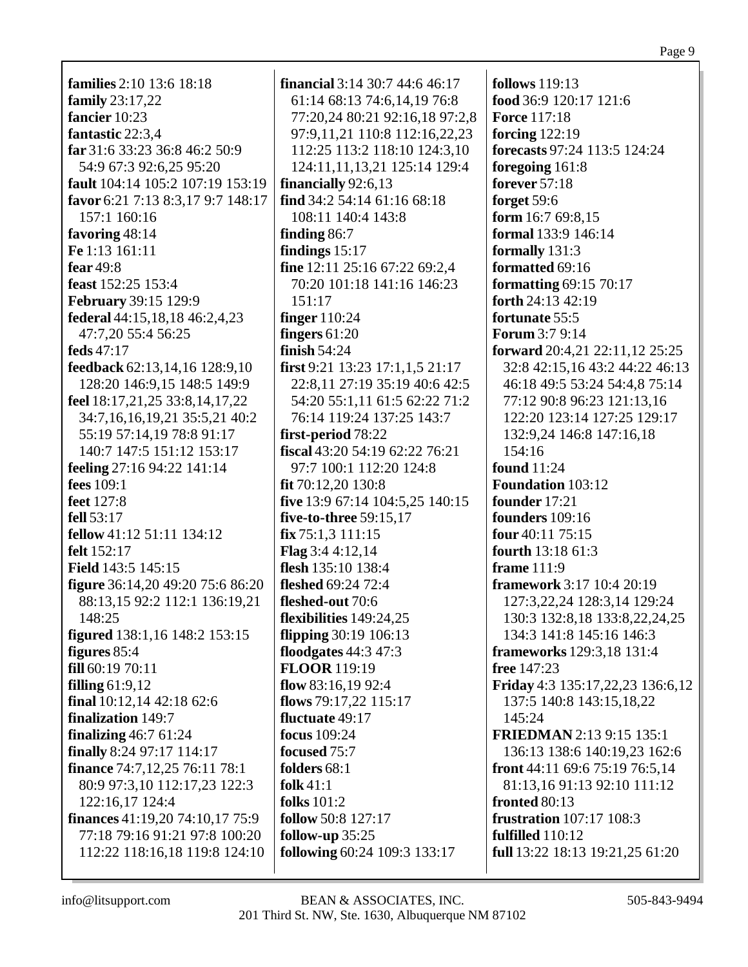**families** 2:10 13:6 18:18 family  $23:17,22$ fancier 10:23 fantastic 22:3,4 far 31:6 33:23 36:8 46:2 50:9 54:9 67:3 92:6,25 95:20 fault 104:14 105:2 107:19 153:19 favor 6:21 7:13 8:3,17 9:7 148:17 157:1 160:16 favoring 48:14 Fe 1:13 161:11 fear  $49.8$ feast 152:25 153:4 **February 39:15 129:9** federal 44:15,18,18 46:2,4,23 47:7,20 55:4 56:25 feds  $47:17$ feedback  $62:13,14,16$   $128:9,10$ 128:20 146:9,15 148:5 149:9 feel  $18:17,21,25$  33:8,14,17,22 34:7,16,16,19,21 35:5,21 40:2 55:19 57:14,19 78:8 91:17 140:7 147:5 151:12 153:17 **feeling**  $27:1694:22141:14$ fees  $109:1$ **feet** 127:8 fell 53:17 **fellow** 41:12 51:11 134:12 felt 152:17 **Field** 143:5 145:15 **figure** 36:14,20 49:20 75:6 86:20 88:13,15 92:2 112:1 136:19,21 148:25 **figured**  $138:1,16$   $148:2$   $153:15$ figures  $85:4$  $fill 60:1970:11$ filling  $61:9,12$ final  $10:12,1442:1862:6$ **finalization** 149:7 finalizing  $46:761:24$ finally 8:24 97:17 114:17 finance 74:7,12,25 76:11 78:1 80:9 97:3,10 112:17,23 122:3 122:16.17 124:4 **finances** 41:19,20 74:10,17 75:9 77:18 79:16 91:21 97:8 100:20 112:22 118:16,18 119:8 124:10

**financial**  $3:14$   $30:7$   $44:6$   $46:17$ 61:14 68:13 74:6,14,19 76:8 77:20,24 80:21 92:16,18 97:2,8 97:9,11,21 110:8 112:16,22,23 112:25 113:2 118:10 124:3,10 124:11,11,13,21 125:14 129:4 financially  $92:6,13$ find 34:2 54:14 61:16 68:18 108:11 140:4 143:8 finding  $86:7$ findings  $15:17$ fine 12:11 25:16 67:22 69:2,4 70:20 101:18 141:16 146:23  $151:17$ **finger** 110:24 fingers  $61:20$ finish  $54:24$ first 9:21 13:23 17:1,1,5 21:17 22:8.11 27:19 35:19 40:6 42:5 54:20 55:1,11 61:5 62:22 71:2 76:14 119:24 137:25 143:7 first-period 78:22 fiscal  $43:20$  54:19 62:22 76:21 97:7 100:1 112:20 124:8 fit 70:12,20 130:8 five 13:9 67:14 104:5,25 140:15 five-to-three 59:15,17  $fix 75:1,3 111:15$ **Flag**  $3:44:12,14$ flesh  $135:10$  138:4 fleshed 69:24 72:4 fleshed-out 70:6 flexibilities 149:24,25 flipping  $30:19$  106:13 floodgates  $44:3$  47:3 **FLOOR** 119:19 flow  $83:16,1992:4$ flows  $79:17,22$   $115:17$ fluctuate  $49:17$ focus  $109:24$ focused 75:7 folders  $68:1$ folk  $41:1$ folks  $101:2$ follow 50:8 127:17 follow-up  $35:25$ following 60:24 109:3 133:17

follows  $119:13$ food 36:9 120:17 121:6 **Force 117:18** forcing  $122:19$ forecasts 97:24 113:5 124:24 foregoing 161:8 forever  $57:18$ forget 59:6 form  $16:769:8,15$ formal 133:9 146:14 formally  $131:3$ formatted 69:16 formatting  $69:15\,70:17$ forth 24:13 42:19 fortunate 55:5 **Forum 3:7 9:14 forward** 20:4,21 22:11,12 25:25 32:8 42:15,16 43:2 44:22 46:13 46:18 49:5 53:24 54:4,8 75:14 77:12 90:8 96:23 121:13,16 122:20 123:14 127:25 129:17 132:9,24 146:8 147:16,18 154:16 found  $11:24$ **Foundation 103:12** founder 17:21 founders 109:16 four  $40:11$  75:15 fourth  $13:1861:3$ frame  $111:9$ framework 3:17 10:4 20:19 127:3,22,24 128:3,14 129:24 130:3 132:8,18 133:8,22,24,25 134:3 141:8 145:16 146:3 **frameworks** 129:3,18 131:4 **free** 147:23 Friday 4:3 135:17,22,23 136:6,12 137:5 140:8 143:15,18,22  $145:24$ **FRIEDMAN** 2:13 9:15 135:1 136:13 138:6 140:19,23 162:6 front 44:11 69:6 75:19 76:5,14 81:13,16 91:13 92:10 111:12 fronted  $80:13$ **frustration** 107:17 108:3 fulfilled  $110:12$ full 13:22 18:13 19:21,25 61:20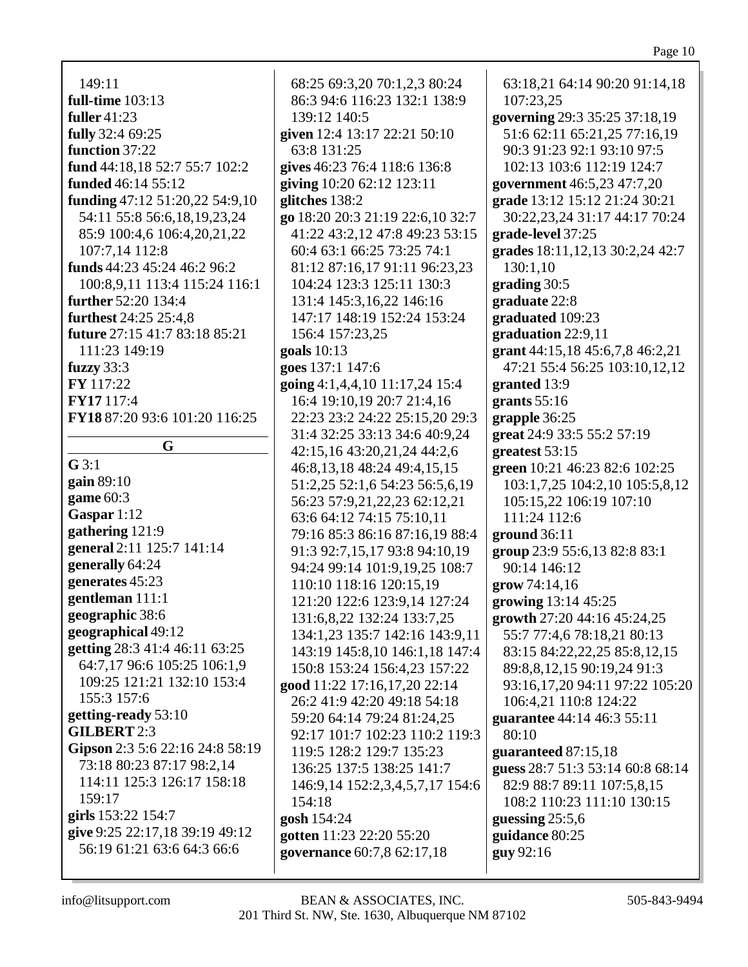149:11 full-time  $103:13$ fuller  $41:23$ fully 32:4 69:25 function 37:22 fund 44:18.18 52:7 55:7 102:2 **funded** 46:14 55:12 funding  $47:12\ 51:20.22\ 54:9.10$ 54:11 55:8 56:6,18,19,23,24 85:9 100:4,6 106:4,20,21,22 107:7.14 112:8 funds  $44:23$   $45:24$   $46:2$   $96:2$ 100:8,9,11 113:4 115:24 116:1 further 52:20 134:4 **furthest** 24:25 25:4.8 **future** 27:15 41:7 83:18 85:21 111:23 149:19 fuzzy  $33:3$ **FY** 117:22 FY17 117:4 FY18 87:20 93:6 101:20 116:25  $\mathbf{G}$  $G$  3:1 gain  $89:10$ game  $60:3$ Gaspar  $1:12$ gathering 121:9 general 2:11 125:7 141:14 generally 64:24 generates 45:23 gentleman 111:1 geographic 38:6 geographical 49:12 **getting** 28:3 41:4 46:11 63:25 64:7,17 96:6 105:25 106:1,9 109:25 121:21 132:10 153:4 155:3 157:6 getting-ready 53:10 **GILBERT 2:3** Gipson 2:3 5:6 22:16 24:8 58:19 73:18 80:23 87:17 98:2,14 114:11 125:3 126:17 158:18 159:17 girls 153:22 154:7 give 9:25 22:17,18 39:19 49:12 56:19 61:21 63:6 64:3 66:6

68:25 69:3,20 70:1,2,3 80:24 86:3 94:6 116:23 132:1 138:9 139:12 140:5 given 12:4 13:17 22:21 50:10 63:8 131:25 gives 46:23 76:4 118:6 136:8 giving 10:20 62:12 123:11 glitches 138:2 go 18:20 20:3 21:19 22:6,10 32:7 41:22 43:2,12 47:8 49:23 53:15 60:4 63:1 66:25 73:25 74:1 81:12 87:16,17 91:11 96:23,23 104:24 123:3 125:11 130:3 131:4 145:3,16,22 146:16 147:17 148:19 152:24 153:24 156:4 157:23,25 goals  $10:13$ goes  $137:1$   $147:6$ going  $4:1,4,4,10$  11:17,24 15:4 16:4 19:10,19 20:7 21:4,16 22:23 23:2 24:22 25:15,20 29:3 31:4 32:25 33:13 34:6 40:9,24 42:15.16 43:20.21.24 44:2.6 46:8,13,18 48:24 49:4,15,15 51:2,25 52:1,6 54:23 56:5,6,19 56:23 57:9,21,22,23 62:12,21 63:6 64:12 74:15 75:10,11 79:16 85:3 86:16 87:16.19 88:4 91:3 92:7,15,17 93:8 94:10,19 94:24 99:14 101:9,19,25 108:7 110:10 118:16 120:15,19 121:20 122:6 123:9,14 127:24 131:6,8,22 132:24 133:7,25 134:1,23 135:7 142:16 143:9,11 143:19 145:8,10 146:1,18 147:4 150:8 153:24 156:4,23 157:22 good 11:22 17:16,17,20 22:14 26:2 41:9 42:20 49:18 54:18 59:20 64:14 79:24 81:24.25 92:17 101:7 102:23 110:2 119:3 119:5 128:2 129:7 135:23 136:25 137:5 138:25 141:7 146:9,14 152:2,3,4,5,7,17 154:6 154:18 gosh 154:24 gotten 11:23 22:20 55:20 governance 60:7,8 62:17,18

63:18,21 64:14 90:20 91:14,18 107:23,25 governing 29:3 35:25 37:18,19 51:6 62:11 65:21,25 77:16,19 90:3 91:23 92:1 93:10 97:5 102:13 103:6 112:19 124:7 government 46:5,23 47:7,20 grade 13:12 15:12 21:24 30:21 30:22,23,24 31:17 44:17 70:24 grade-level 37:25 grades 18:11, 12, 13 30:2, 24 42:7  $130:1.10$ grading  $30:5$ graduate 22:8 graduated 109:23 graduation  $22:9,11$ grant  $44:15,18$   $45:6,7,8$   $46:2,21$ 47:21 55:4 56:25 103:10,12,12 granted 13:9 grants  $55:16$ grapple  $36:25$ great 24:9 33:5 55:2 57:19 greatest  $53:15$ green 10:21 46:23 82:6 102:25 103:1,7,25 104:2,10 105:5,8,12 105:15,22 106:19 107:10 111:24 112:6 ground  $36:11$ group 23:9 55:6,13 82:8 83:1 90:14 146:12  $\frac{1}{2}$  arow 74:14,16 growing 13:14 45:25 growth 27:20 44:16 45:24,25 55:7 77:4,6 78:18,21 80:13 83:15 84:22,22,25 85:8,12,15 89:8, 8, 12, 15 90:19, 24 91:3 93:16,17,20 94:11 97:22 105:20 106:4,21 110:8 124:22 guarantee 44:14 46:3 55:11  $80:10$ guaranteed 87:15,18 guess 28:7 51:3 53:14 60:8 68:14 82:9 88:7 89:11 107:5,8,15 108:2 110:23 111:10 130:15 guessing  $25:5,6$ guidance 80:25 guy 92:16

info@litsupport.com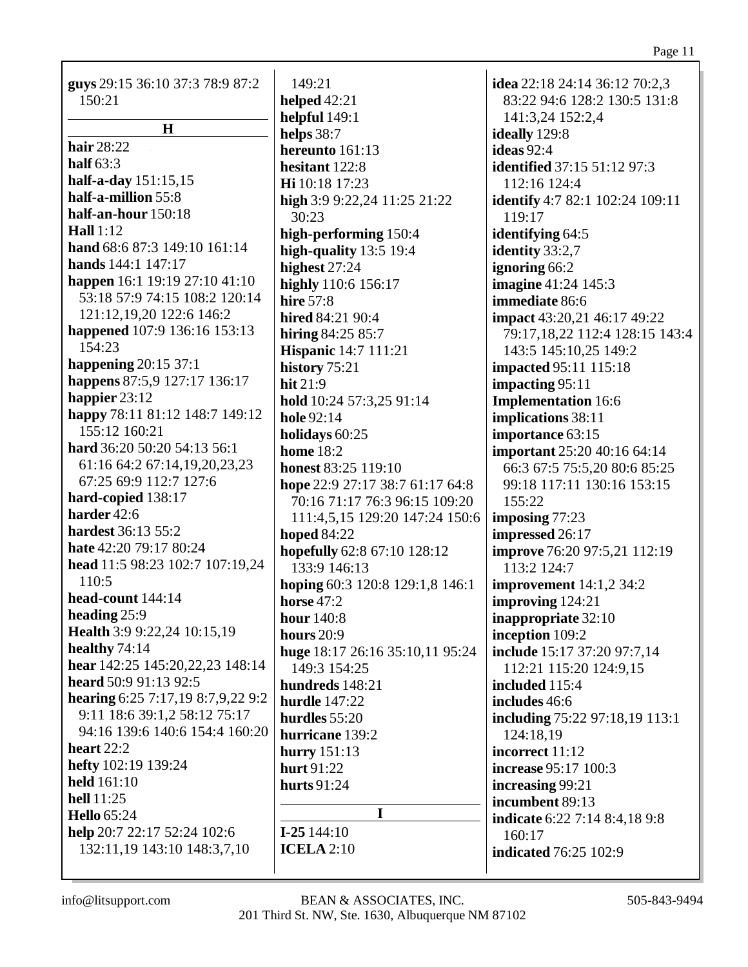| guys 29:15 36:10 37:3 78:9 87:2   | 149:21                          | idea 22:18 24:14 36:12 70:2,3          |
|-----------------------------------|---------------------------------|----------------------------------------|
| 150:21                            | helped $42:21$                  | 83:22 94:6 128:2 130:5 131:8           |
|                                   | helpful 149:1                   | 141:3,24 152:2,4                       |
| $\mathbf H$                       | helps 38:7                      | ideally 129:8                          |
| hair 28:22                        | hereunto 161:13                 | ideas 92:4                             |
| half $63:3$                       | hesitant 122:8                  | <b>identified</b> 37:15 51:12 97:3     |
| half-a-day 151:15,15              | Hi 10:18 17:23                  | 112:16 124:4                           |
| half-a-million 55:8               | high 3:9 9:22,24 11:25 21:22    | <b>identify</b> 4:7 82:1 102:24 109:11 |
| half-an-hour 150:18               | 30:23                           | 119:17                                 |
| <b>Hall</b> 1:12                  | high-performing 150:4           | identifying 64:5                       |
| hand 68:6 87:3 149:10 161:14      | high-quality $13:5$ 19:4        | identity 33:2,7                        |
| hands 144:1 147:17                | highest 27:24                   | ignoring 66:2                          |
| happen 16:1 19:19 27:10 41:10     | highly 110:6 156:17             | <b>imagine</b> 41:24 145:3             |
| 53:18 57:9 74:15 108:2 120:14     | <b>hire 57:8</b>                | immediate 86:6                         |
| 121:12,19,20 122:6 146:2          | hired 84:21 90:4                | <b>impact</b> 43:20,21 46:17 49:22     |
| happened 107:9 136:16 153:13      | hiring $84:2585:7$              | 79:17,18,22 112:4 128:15 143:4         |
| 154:23                            | <b>Hispanic</b> 14:7 111:21     | 143:5 145:10,25 149:2                  |
| happening $20:15\,37:1$           | history 75:21                   | <b>impacted 95:11 115:18</b>           |
| happens 87:5,9 127:17 136:17      | hit $21:9$                      | impacting 95:11                        |
| happier $23:12$                   | hold 10:24 57:3,25 91:14        | <b>Implementation</b> 16:6             |
| happy 78:11 81:12 148:7 149:12    | hole 92:14                      | implications 38:11                     |
| 155:12 160:21                     | holidays 60:25                  | importance 63:15                       |
| hard 36:20 50:20 54:13 56:1       | home $18:2$                     | important 25:20 40:16 64:14            |
| 61:16 64:2 67:14,19,20,23,23      | <b>honest 83:25 119:10</b>      |                                        |
| 67:25 69:9 112:7 127:6            |                                 | 66:3 67:5 75:5,20 80:6 85:25           |
| hard-copied 138:17                | hope 22:9 27:17 38:7 61:17 64:8 | 99:18 117:11 130:16 153:15             |
| harder 42:6                       | 70:16 71:17 76:3 96:15 109:20   | 155:22                                 |
| hardest 36:13 55:2                | 111:4,5,15 129:20 147:24 150:6  | imposing $77:23$                       |
| hate 42:20 79:17 80:24            | <b>hoped 84:22</b>              | impressed 26:17                        |
| head 11:5 98:23 102:7 107:19,24   | hopefully 62:8 67:10 128:12     | improve 76:20 97:5,21 112:19           |
| 110:5                             | 133:9 146:13                    | 113:2 124:7                            |
|                                   | hoping 60:3 120:8 129:1,8 146:1 | <b>improvement</b> 14:1,2 34:2         |
| head-count 144:14                 | horse $47:2$                    | improving 124:21                       |
| heading 25:9                      | hour 140:8                      | inappropriate 32:10                    |
| Health 3:9 9:22,24 10:15,19       | hours $20:9$                    | inception 109:2                        |
| healthy 74:14                     | huge 18:17 26:16 35:10,11 95:24 | include 15:17 37:20 97:7,14            |
| hear 142:25 145:20,22,23 148:14   | 149:3 154:25                    | 112:21 115:20 124:9,15                 |
| heard 50:9 91:13 92:5             | hundreds 148:21                 | included 115:4                         |
| hearing 6:25 7:17,19 8:7,9,22 9:2 | <b>hurdle</b> 147:22            | includes 46:6                          |
| 9:11 18:6 39:1,2 58:12 75:17      | hurdles 55:20                   | including 75:22 97:18,19 113:1         |
| 94:16 139:6 140:6 154:4 160:20    | hurricane 139:2                 | 124:18.19                              |
| heart $22:2$                      | hurry 151:13                    | incorrect 11:12                        |
| hefty 102:19 139:24               | hurt 91:22                      | <b>increase</b> 95:17 100:3            |
| held 161:10                       | hurts 91:24                     | increasing 99:21                       |
| hell 11:25                        |                                 | incumbent 89:13                        |
| <b>Hello</b> 65:24                | I                               | indicate 6:22 7:14 8:4,18 9:8          |
| help 20:7 22:17 52:24 102:6       | $I-25144:10$                    | 160:17                                 |
| 132:11,19 143:10 148:3,7,10       | <b>ICELA</b> 2:10               | <b>indicated</b> 76:25 102:9           |
|                                   |                                 |                                        |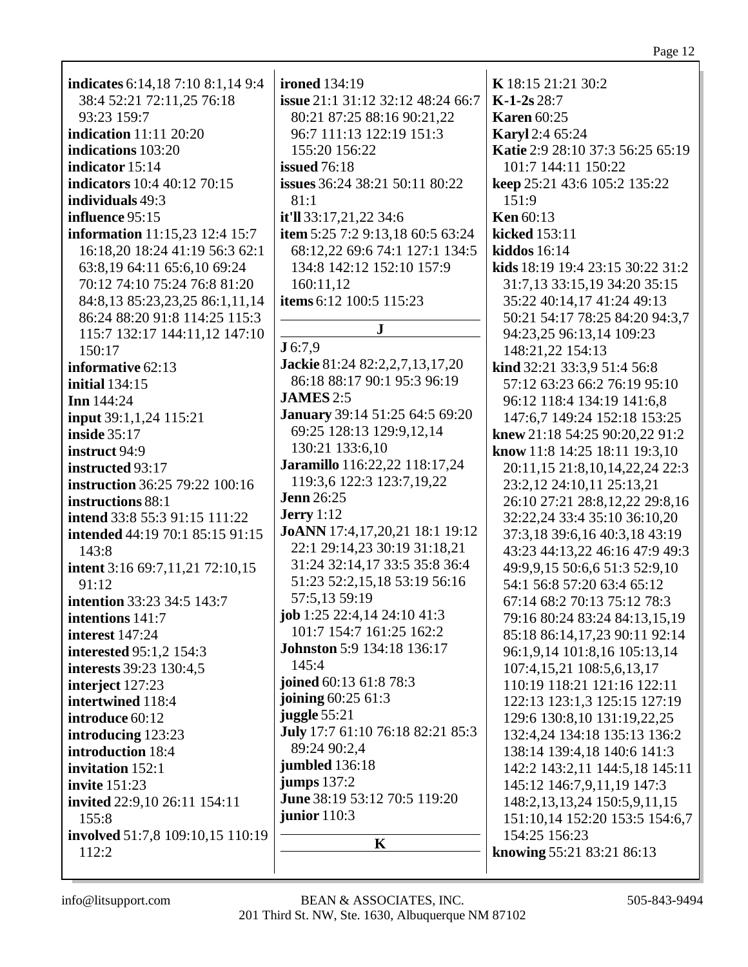| indicates 6:14,18 7:10 8:1,14 9:4         | <b>ironed</b> 134:19              | K 18:15 21:21 30:2                 |
|-------------------------------------------|-----------------------------------|------------------------------------|
| 38:4 52:21 72:11,25 76:18                 | issue 21:1 31:12 32:12 48:24 66:7 | $K-1-2s$ 28:7                      |
| 93:23 159:7                               | 80:21 87:25 88:16 90:21,22        | <b>Karen</b> 60:25                 |
| <b>indication</b> 11:11 20:20             | 96:7 111:13 122:19 151:3          | Karyl 2:4 65:24                    |
| indications 103:20                        | 155:20 156:22                     | Katie 2:9 28:10 37:3 56:25 65:19   |
| indicator 15:14                           | <b>issued</b> 76:18               | 101:7 144:11 150:22                |
| indicators 10:4 40:12 70:15               | issues 36:24 38:21 50:11 80:22    | keep 25:21 43:6 105:2 135:22       |
| individuals 49:3                          | 81:1                              | 151:9                              |
| influence 95:15                           | it'll 33:17,21,22 34:6            | <b>Ken</b> 60:13                   |
| information 11:15,23 12:4 15:7            | item 5:25 7:2 9:13,18 60:5 63:24  | kicked 153:11                      |
| 16:18,20 18:24 41:19 56:3 62:1            | 68:12,22 69:6 74:1 127:1 134:5    | kiddos 16:14                       |
| 63:8,19 64:11 65:6,10 69:24               | 134:8 142:12 152:10 157:9         | kids 18:19 19:4 23:15 30:22 31:2   |
| 70:12 74:10 75:24 76:8 81:20              | 160:11,12                         | 31:7,13 33:15,19 34:20 35:15       |
| 84:8,13 85:23,23,25 86:1,11,14            | items 6:12 100:5 115:23           | 35:22 40:14,17 41:24 49:13         |
| 86:24 88:20 91:8 114:25 115:3             |                                   | 50:21 54:17 78:25 84:20 94:3,7     |
| 115:7 132:17 144:11,12 147:10             | $\mathbf J$                       | 94:23,25 96:13,14 109:23           |
| 150:17                                    | J 6:7,9                           | 148:21,22 154:13                   |
| informative 62:13                         | Jackie 81:24 82:2,2,7,13,17,20    | kind 32:21 33:3,9 51:4 56:8        |
| <b>initial</b> 134:15                     | 86:18 88:17 90:1 95:3 96:19       | 57:12 63:23 66:2 76:19 95:10       |
| Inn 144:24                                | <b>JAMES</b> 2:5                  | 96:12 118:4 134:19 141:6,8         |
| <b>input</b> 39:1,1,24 115:21             | January 39:14 51:25 64:5 69:20    | 147:6,7 149:24 152:18 153:25       |
| <b>inside</b> 35:17                       | 69:25 128:13 129:9,12,14          | knew 21:18 54:25 90:20,22 91:2     |
| instruct 94:9                             | 130:21 133:6,10                   | know 11:8 14:25 18:11 19:3,10      |
| instructed 93:17                          | Jaramillo 116:22,22 118:17,24     | 20:11,15 21:8,10,14,22,24 22:3     |
| <b>instruction</b> 36:25 79:22 100:16     | 119:3,6 122:3 123:7,19,22         | 23:2,12 24:10,11 25:13,21          |
| instructions 88:1                         | <b>Jenn</b> 26:25                 | 26:10 27:21 28:8,12,22 29:8,16     |
| intend 33:8 55:3 91:15 111:22             | <b>Jerry</b> 1:12                 | 32:22,24 33:4 35:10 36:10,20       |
| intended 44:19 70:1 85:15 91:15           | JoANN 17:4,17,20,21 18:1 19:12    | 37:3,18 39:6,16 40:3,18 43:19      |
| 143:8                                     | 22:1 29:14,23 30:19 31:18,21      | 43:23 44:13,22 46:16 47:9 49:3     |
| intent 3:16 69:7,11,21 72:10,15           | 31:24 32:14,17 33:5 35:8 36:4     | 49:9,9,15 50:6,6 51:3 52:9,10      |
| 91:12                                     | 51:23 52:2,15,18 53:19 56:16      | 54:1 56:8 57:20 63:4 65:12         |
| intention 33:23 34:5 143:7                | 57:5,13 59:19                     | 67:14 68:2 70:13 75:12 78:3        |
| intentions 141:7                          | job 1:25 22:4,14 24:10 41:3       | 79:16 80:24 83:24 84:13,15,19      |
| interest 147:24                           | 101:7 154:7 161:25 162:2          | 85:18 86:14,17,23 90:11 92:14      |
| interested 95:1,2 154:3                   | <b>Johnston</b> 5:9 134:18 136:17 | 96:1,9,14 101:8,16 105:13,14       |
| interests 39:23 130:4,5                   | 145:4                             | 107:4,15,21 108:5,6,13,17          |
| interject 127:23                          | joined 60:13 61:8 78:3            | 110:19 118:21 121:16 122:11        |
| intertwined 118:4                         | joining 60:25 61:3                | 122:13 123:1,3 125:15 127:19       |
| introduce 60:12                           | juggle $55:21$                    | 129:6 130:8,10 131:19,22,25        |
| introducing 123:23                        | July 17:7 61:10 76:18 82:21 85:3  | 132:4,24 134:18 135:13 136:2       |
| introduction 18:4                         | 89:24 90:2,4                      | 138:14 139:4,18 140:6 141:3        |
| invitation 152:1                          | jumbled 136:18                    |                                    |
| <b>invite</b> 151:23                      | <b>jumps</b> 137:2                | 142:2 143:2,11 144:5,18 145:11     |
|                                           | June 38:19 53:12 70:5 119:20      | 145:12 146:7,9,11,19 147:3         |
| <b>invited</b> 22:9,10 26:11 154:11       | junior $110:3$                    | 148:2, 13, 13, 24 150:5, 9, 11, 15 |
| 155:8                                     |                                   | 151:10,14 152:20 153:5 154:6,7     |
| involved 51:7,8 109:10,15 110:19<br>112:2 | K                                 | 154:25 156:23                      |
|                                           |                                   | knowing 55:21 83:21 86:13          |
|                                           |                                   |                                    |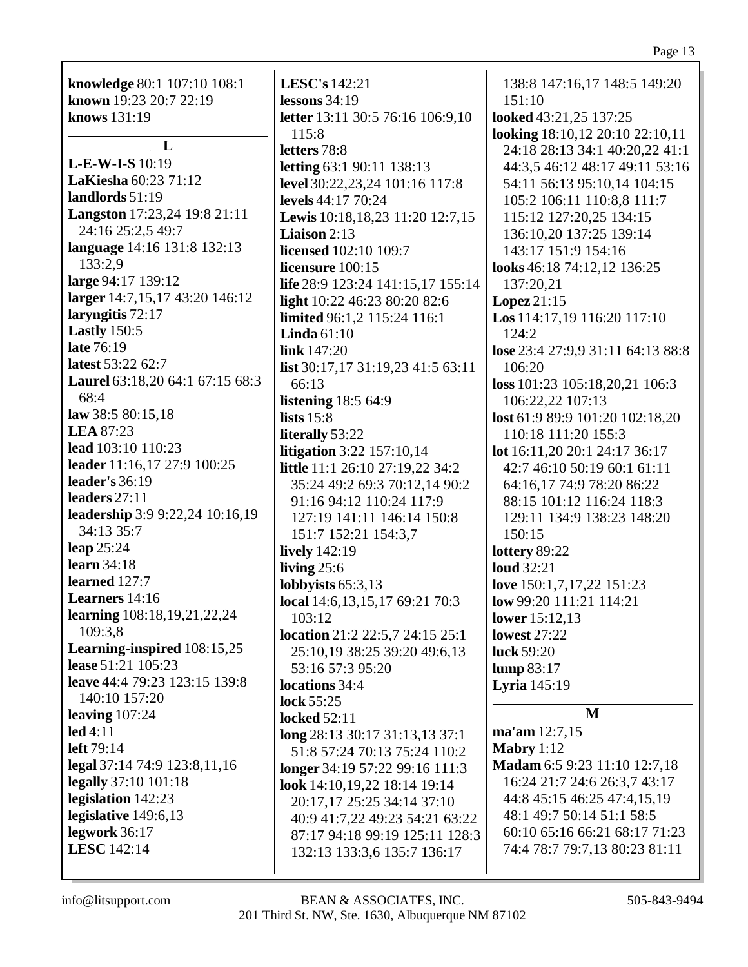|                                 |                                     | Page 13                           |
|---------------------------------|-------------------------------------|-----------------------------------|
| knowledge 80:1 107:10 108:1     | LESC's 142:21                       | 138:8 147:16,17 148:5 149:20      |
| known 19:23 20:7 22:19          | lessons $34:19$                     | 151:10                            |
| knows 131:19                    | letter 13:11 30:5 76:16 106:9,10    | looked 43:21,25 137:25            |
|                                 | 115:8                               | looking 18:10,12 20:10 22:10,11   |
| L                               | letters 78:8                        | 24:18 28:13 34:1 40:20,22 41:1    |
| L-E-W-I-S 10:19                 | <b>letting 63:1 90:11 138:13</b>    | 44:3,5 46:12 48:17 49:11 53:16    |
| LaKiesha 60:23 71:12            | level 30:22,23,24 101:16 117:8      | 54:11 56:13 95:10,14 104:15       |
| landlords 51:19                 | levels 44:17 70:24                  | 105:2 106:11 110:8,8 111:7        |
| Langston 17:23,24 19:8 21:11    | Lewis 10:18,18,23 11:20 12:7,15     | 115:12 127:20,25 134:15           |
| 24:16 25:2,5 49:7               | <b>Liaison</b> $2:13$               | 136:10,20 137:25 139:14           |
| language 14:16 131:8 132:13     | <b>licensed</b> 102:10 109:7        | 143:17 151:9 154:16               |
| 133:2,9                         | licensure 100:15                    | looks 46:18 74:12,12 136:25       |
| large 94:17 139:12              | life 28:9 123:24 141:15,17 155:14   | 137:20,21                         |
| larger 14:7,15,17 43:20 146:12  | light 10:22 46:23 80:20 82:6        | Lopez 21:15                       |
| laryngitis 72:17                | limited 96:1,2 115:24 116:1         | Los 114:17,19 116:20 117:10       |
| <b>Lastly</b> 150:5             | Linda $61:10$                       | 124:2                             |
| late 76:19                      | link 147:20                         | lose 23:4 27:9,9 31:11 64:13 88:8 |
| latest 53:22 62:7               | list 30:17,17 31:19,23 41:5 63:11   | 106:20                            |
| Laurel 63:18,20 64:1 67:15 68:3 | 66:13                               | loss 101:23 105:18,20,21 106:3    |
| 68:4                            | <b>listening</b> 18:5 64:9          | 106:22,22 107:13                  |
| law 38:5 80:15,18               | lists $15:8$                        | lost 61:9 89:9 101:20 102:18,20   |
| <b>LEA</b> 87:23                | literally 53:22                     | 110:18 111:20 155:3               |
| lead 103:10 110:23              | <b>litigation</b> 3:22 157:10,14    | lot 16:11,20 20:1 24:17 36:17     |
| leader 11:16,17 27:9 100:25     | little 11:1 26:10 27:19,22 34:2     | 42:7 46:10 50:19 60:1 61:11       |
| leader's $36:19$                | 35:24 49:2 69:3 70:12,14 90:2       | 64:16,17 74:9 78:20 86:22         |
| leaders 27:11                   | 91:16 94:12 110:24 117:9            | 88:15 101:12 116:24 118:3         |
| leadership 3:9 9:22,24 10:16,19 | 127:19 141:11 146:14 150:8          | 129:11 134:9 138:23 148:20        |
| 34:13 35:7                      | 151:7 152:21 154:3,7                | 150:15                            |
| leap $25:24$<br>learn $34:18$   | <b>lively</b> 142:19                | lottery 89:22                     |
| learned 127:7                   | living $25:6$                       | <b>loud</b> 32:21                 |
| Learners 14:16                  | lobbyists $65:3,13$                 | love 150:1,7,17,22 151:23         |
| learning 108:18,19,21,22,24     | local 14:6, 13, 15, 17 69: 21 70: 3 | low 99:20 111:21 114:21           |
| 109:3,8                         | 103:12                              | lower 15:12,13                    |
| Learning-inspired 108:15,25     | location 21:2 22:5,7 24:15 25:1     | <b>lowest</b> 27:22               |
| lease 51:21 105:23              | 25:10,19 38:25 39:20 49:6,13        | luck 59:20                        |
| leave 44:4 79:23 123:15 139:8   | 53:16 57:3 95:20                    | lump 83:17                        |
| 140:10 157:20                   | locations 34:4                      | <b>Lyria</b> 145:19               |
| leaving $107:24$                | lock $55:25$<br><b>locked</b> 52:11 | M                                 |
| led 4:11                        | long 28:13 30:17 31:13,13 37:1      | ma'am 12:7,15                     |
| left 79:14                      | 51:8 57:24 70:13 75:24 110:2        | Mabry $1:12$                      |
| legal 37:14 74:9 123:8,11,16    | longer 34:19 57:22 99:16 111:3      | Madam 6:5 9:23 11:10 12:7,18      |
| legally 37:10 101:18            | look 14:10,19,22 18:14 19:14        | 16:24 21:7 24:6 26:3,7 43:17      |
| legislation 142:23              | 20:17,17 25:25 34:14 37:10          | 44:8 45:15 46:25 47:4,15,19       |
| legislative 149:6,13            | 40:9 41:7,22 49:23 54:21 63:22      | 48:1 49:7 50:14 51:1 58:5         |
| legwork 36:17                   | 87:17 94:18 99:19 125:11 128:3      | 60:10 65:16 66:21 68:17 71:23     |
| LESC 142:14                     | 132:13 133:3,6 135:7 136:17         | 74:4 78:7 79:7,13 80:23 81:11     |

 $\mathsf{l}$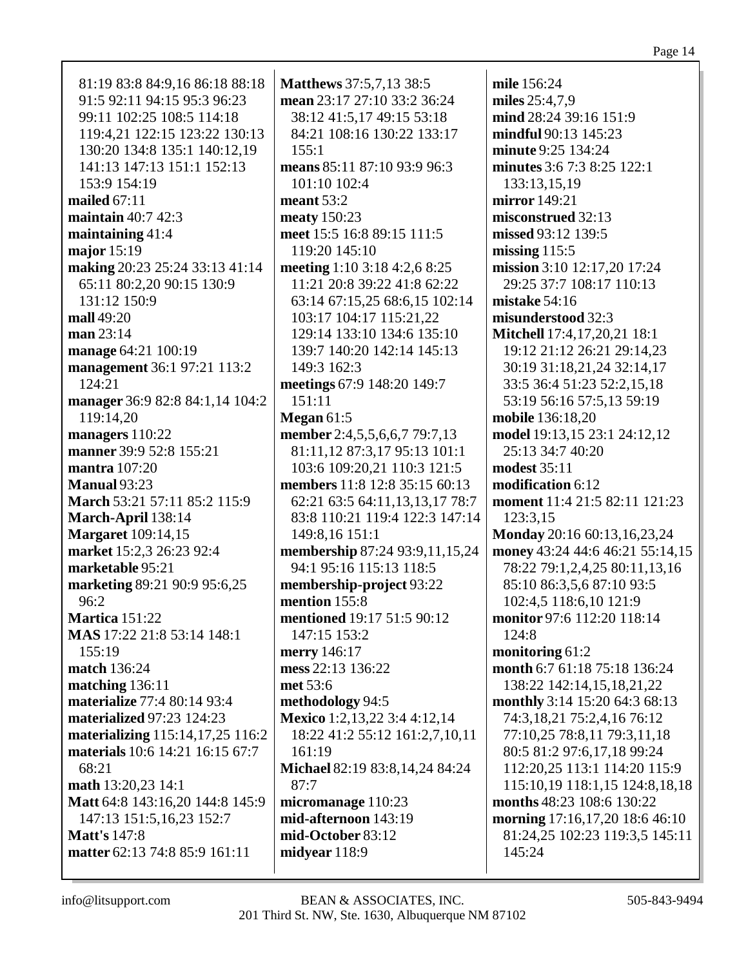81:19 83:8 84:9,16 86:18 88:18 91:5 92:11 94:15 95:3 96:23 99:11 102:25 108:5 114:18 119:4,21 122:15 123:22 130:13 130:20 134:8 135:1 140:12,19 141:13 147:13 151:1 152:13 153:9 154:19 **mailed** 67:11 **maintain** 40:7 42:3 **maintaining** 41:4 **major** 15:19 **making** 20:23 25:24 33:13 41:14 65:11 80:2,20 90:15 130:9 131:12 150:9 **mall** 49:20 **man** 23:14 **manage** 64:21 100:19 **management** 36:1 97:21 113:2 124:21 **manager** 36:9 82:8 84:1,14 104:2 119:14,20 **managers** 110:22 **manner** 39:9 52:8 155:21 **mantra** 107:20 **Manual** 93:23 **March** 53:21 57:11 85:2 115:9 **March-April** 138:14 **Margaret** 109:14,15 **market** 15:2,3 26:23 92:4 **marketable** 95:21 **marketing** 89:21 90:9 95:6,25 96:2 **Martica** 151:22 **MAS** 17:22 21:8 53:14 148:1 155:19 **match** 136:24 **matching** 136:11 **materialize** 77:4 80:14 93:4 **materialized** 97:23 124:23 **materializing** 115:14,17,25 116:2 **materials** 10:6 14:21 16:15 67:7 68:21 **math** 13:20,23 14:1 **Matt** 64:8 143:16,20 144:8 145:9 147:13 151:5,16,23 152:7 **Matt's** 147:8 **matter** 62:13 74:8 85:9 161:11

**Matthews** 37:5,7,13 38:5 **mean** 23:17 27:10 33:2 36:24 38:12 41:5,17 49:15 53:18 84:21 108:16 130:22 133:17 155:1 **means** 85:11 87:10 93:9 96:3 101:10 102:4 **meant** 53:2 **meaty** 150:23 **meet** 15:5 16:8 89:15 111:5 119:20 145:10 **meeting** 1:10 3:18 4:2,6 8:25 11:21 20:8 39:22 41:8 62:22 63:14 67:15,25 68:6,15 102:14 103:17 104:17 115:21,22 129:14 133:10 134:6 135:10 139:7 140:20 142:14 145:13 149:3 162:3 **meetings** 67:9 148:20 149:7 151:11 **Megan** 61:5 **member** 2:4,5,5,6,6,7 79:7,13 81:11,12 87:3,17 95:13 101:1 103:6 109:20,21 110:3 121:5 **members** 11:8 12:8 35:15 60:13 62:21 63:5 64:11,13,13,17 78:7 83:8 110:21 119:4 122:3 147:14 149:8,16 151:1 **membership** 87:24 93:9,11,15,24 94:1 95:16 115:13 118:5 **membership-project** 93:22 **mention** 155:8 **mentioned** 19:17 51:5 90:12 147:15 153:2 **merry** 146:17 **mess** 22:13 136:22 **met** 53:6 **methodology** 94:5 **Mexico** 1:2,13,22 3:4 4:12,14 18:22 41:2 55:12 161:2,7,10,11 161:19 **Michael** 82:19 83:8,14,24 84:24 87:7 **micromanage** 110:23 **mid-afternoon** 143:19 **mid-October** 83:12 **midyear** 118:9

**mile** 156:24 **miles** 25:4,7,9 **mind** 28:24 39:16 151:9 **mindful** 90:13 145:23 **minute** 9:25 134:24 **minutes** 3:6 7:3 8:25 122:1 133:13,15,19 **mirror** 149:21 **misconstrued** 32:13 **missed** 93:12 139:5 **missing** 115:5 **mission** 3:10 12:17,20 17:24 29:25 37:7 108:17 110:13 **mistake** 54:16 **misunderstood** 32:3 **Mitchell** 17:4,17,20,21 18:1 19:12 21:12 26:21 29:14,23 30:19 31:18,21,24 32:14,17 33:5 36:4 51:23 52:2,15,18 53:19 56:16 57:5,13 59:19 **mobile** 136:18,20 **model** 19:13,15 23:1 24:12,12 25:13 34:7 40:20 **modest** 35:11 **modification** 6:12 **moment** 11:4 21:5 82:11 121:23 123:3,15 **Monday** 20:16 60:13,16,23,24 **money** 43:24 44:6 46:21 55:14,15 78:22 79:1,2,4,25 80:11,13,16 85:10 86:3,5,6 87:10 93:5 102:4,5 118:6,10 121:9 **monitor** 97:6 112:20 118:14 124:8 **monitoring** 61:2 **month** 6:7 61:18 75:18 136:24 138:22 142:14,15,18,21,22 **monthly** 3:14 15:20 64:3 68:13 74:3,18,21 75:2,4,16 76:12 77:10,25 78:8,11 79:3,11,18 80:5 81:2 97:6,17,18 99:24 112:20,25 113:1 114:20 115:9 115:10,19 118:1,15 124:8,18,18 **months** 48:23 108:6 130:22 **morning** 17:16,17,20 18:6 46:10 81:24,25 102:23 119:3,5 145:11 145:24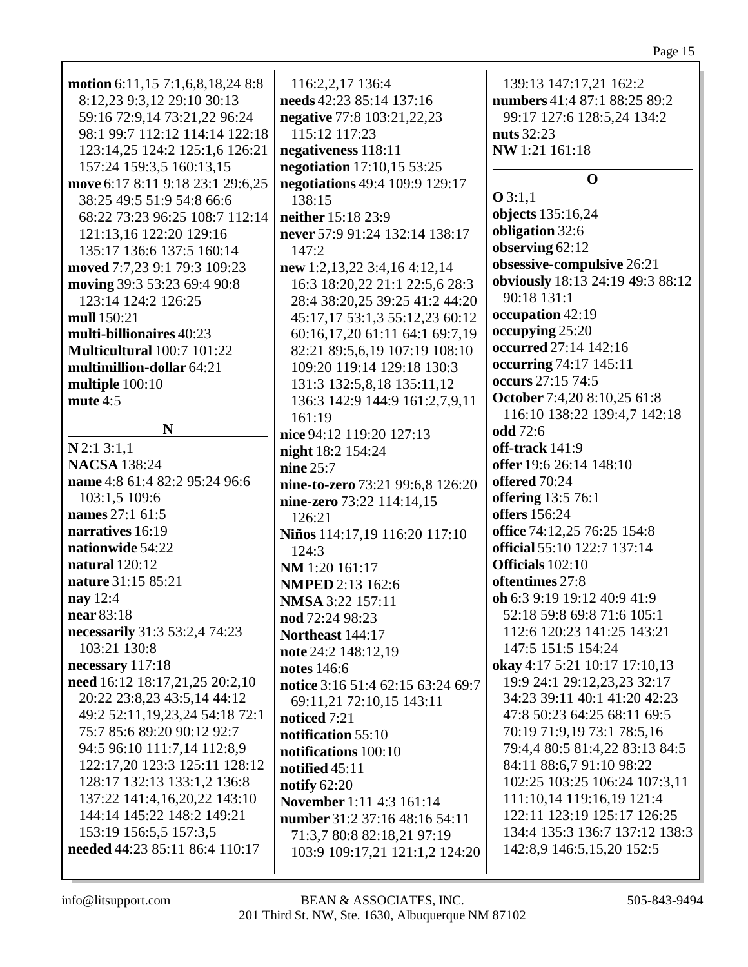| motion 6:11,15 7:1,6,8,18,24 8:8    | 116:2,2,17 136:4                  | 139:13 147:17,21 162:2           |
|-------------------------------------|-----------------------------------|----------------------------------|
| 8:12,23 9:3,12 29:10 30:13          | needs 42:23 85:14 137:16          | numbers 41:4 87:1 88:25 89:2     |
| 59:16 72:9,14 73:21,22 96:24        | negative 77:8 103:21,22,23        | 99:17 127:6 128:5,24 134:2       |
| 98:1 99:7 112:12 114:14 122:18      | 115:12 117:23                     | <b>nuts</b> 32:23                |
| 123:14,25 124:2 125:1,6 126:21      | negativeness 118:11               | NW 1:21 161:18                   |
| 157:24 159:3,5 160:13,15            | negotiation 17:10,15 53:25        |                                  |
|                                     |                                   | $\mathbf 0$                      |
| move 6:17 8:11 9:18 23:1 29:6,25    | negotiations 49:4 109:9 129:17    | O3:1,1                           |
| 38:25 49:5 51:9 54:8 66:6           | 138:15                            | objects 135:16,24                |
| 68:22 73:23 96:25 108:7 112:14      | neither 15:18 23:9                | obligation 32:6                  |
| 121:13,16 122:20 129:16             | never 57:9 91:24 132:14 138:17    | observing 62:12                  |
| 135:17 136:6 137:5 160:14           | 147:2                             |                                  |
| moved 7:7,23 9:1 79:3 109:23        | new 1:2,13,22 3:4,16 4:12,14      | obsessive-compulsive 26:21       |
| moving 39:3 53:23 69:4 90:8         | 16:3 18:20,22 21:1 22:5,6 28:3    | obviously 18:13 24:19 49:3 88:12 |
| 123:14 124:2 126:25                 | 28:4 38:20,25 39:25 41:2 44:20    | 90:18 131:1                      |
| mull 150:21                         | 45:17,17 53:1,3 55:12,23 60:12    | occupation 42:19                 |
| multi-billionaires 40:23            | 60:16,17,20 61:11 64:1 69:7,19    | occupying 25:20                  |
| Multicultural 100:7 101:22          | 82:21 89:5,6,19 107:19 108:10     | occurred 27:14 142:16            |
| multimillion-dollar 64:21           | 109:20 119:14 129:18 130:3        | occurring 74:17 145:11           |
| multiple 100:10                     | 131:3 132:5,8,18 135:11,12        | occurs 27:15 74:5                |
| mute 4:5                            | 136:3 142:9 144:9 161:2,7,9,11    | October 7:4,20 8:10,25 61:8      |
|                                     | 161:19                            | 116:10 138:22 139:4,7 142:18     |
| N                                   | nice 94:12 119:20 127:13          | odd 72:6                         |
| N2:13:1,1                           | night 18:2 154:24                 | off-track 141:9                  |
| <b>NACSA</b> 138:24                 | nine $25:7$                       | offer 19:6 26:14 148:10          |
| name 4:8 61:4 82:2 95:24 96:6       |                                   | offered 70:24                    |
| 103:1,5 109:6                       | nine-to-zero 73:21 99:6,8 126:20  | offering 13:5 76:1               |
| names 27:1 61:5                     | nine-zero 73:22 114:14,15         | offers 156:24                    |
| narratives 16:19                    | 126:21                            | office 74:12,25 76:25 154:8      |
|                                     | Niños 114:17,19 116:20 117:10     |                                  |
| nationwide 54:22                    | 124:3                             | official 55:10 122:7 137:14      |
| natural $120:12$                    | NM 1:20 161:17                    | Officials 102:10                 |
| nature 31:15 85:21                  | <b>NMPED</b> 2:13 162:6           | oftentimes 27:8                  |
| nay $12:4$                          | NMSA 3:22 157:11                  | oh 6:3 9:19 19:12 40:9 41:9      |
| near 83:18                          | nod 72:24 98:23                   | 52:18 59:8 69:8 71:6 105:1       |
| necessarily 31:3 53:2,4 74:23       | Northeast 144:17                  | 112:6 120:23 141:25 143:21       |
| 103:21 130:8                        | note 24:2 148:12,19               | 147:5 151:5 154:24               |
| necessary 117:18                    | notes 146:6                       | okay 4:17 5:21 10:17 17:10,13    |
| need 16:12 18:17,21,25 20:2,10      | notice 3:16 51:4 62:15 63:24 69:7 | 19:9 24:1 29:12,23,23 32:17      |
| 20:22 23:8,23 43:5,14 44:12         | 69:11,21 72:10,15 143:11          | 34:23 39:11 40:1 41:20 42:23     |
| 49:2 52:11, 19, 23, 24 54: 18 72: 1 | noticed 7:21                      | 47:8 50:23 64:25 68:11 69:5      |
| 75:7 85:6 89:20 90:12 92:7          | notification 55:10                | 70:19 71:9,19 73:1 78:5,16       |
| 94:5 96:10 111:7,14 112:8,9         | notifications 100:10              | 79:4,4 80:5 81:4,22 83:13 84:5   |
| 122:17,20 123:3 125:11 128:12       | notified $45:11$                  | 84:11 88:6,7 91:10 98:22         |
| 128:17 132:13 133:1,2 136:8         | notify $62:20$                    | 102:25 103:25 106:24 107:3,11    |
| 137:22 141:4,16,20,22 143:10        | November 1:11 4:3 161:14          | 111:10,14 119:16,19 121:4        |
| 144:14 145:22 148:2 149:21          |                                   | 122:11 123:19 125:17 126:25      |
| 153:19 156:5,5 157:3,5              | number 31:2 37:16 48:16 54:11     | 134:4 135:3 136:7 137:12 138:3   |
| needed 44:23 85:11 86:4 110:17      | 71:3,7 80:8 82:18,21 97:19        | 142:8,9 146:5,15,20 152:5        |
|                                     | 103:9 109:17,21 121:1,2 124:20    |                                  |
|                                     |                                   |                                  |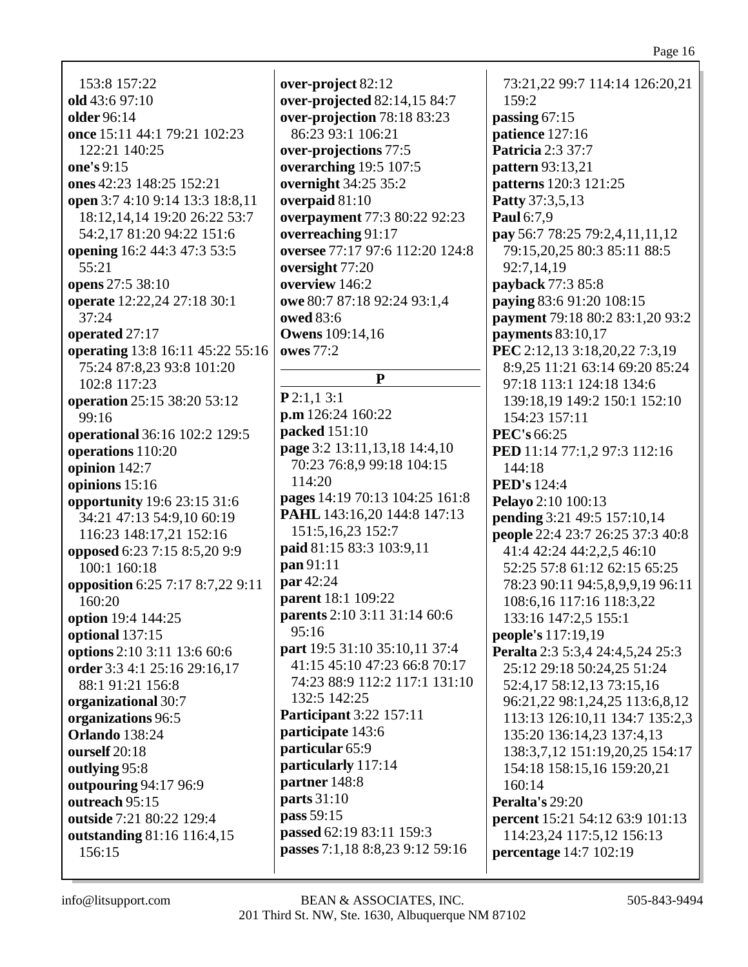Page 16

153:8 157:22 **old** 43:6 97:10 **older** 96:14 **once** 15:11 44:1 79:21 102:23 122:21 140:25 **one's** 9:15 **ones** 42:23 148:25 152:21 **open** 3:7 4:10 9:14 13:3 18:8,11 18:12,14,14 19:20 26:22 53:7 54:2,17 81:20 94:22 151:6 **opening** 16:2 44:3 47:3 53:5 55:21 **opens** 27:5 38:10 **operate** 12:22,24 27:18 30:1 37:24 **operated** 27:17 **operating** 13:8 16:11 45:22 55:16 75:24 87:8,23 93:8 101:20 102:8 117:23 **operation** 25:15 38:20 53:12 99:16 **operational** 36:16 102:2 129:5 **operations** 110:20 **opinion** 142:7 **opinions** 15:16 **opportunity** 19:6 23:15 31:6 34:21 47:13 54:9,10 60:19 116:23 148:17,21 152:16 **opposed** 6:23 7:15 8:5,20 9:9 100:1 160:18 **opposition** 6:25 7:17 8:7,22 9:11 160:20 **option** 19:4 144:25 **optional** 137:15 **options** 2:10 3:11 13:6 60:6 **order** 3:3 4:1 25:16 29:16,17 88:1 91:21 156:8 **organizational** 30:7 **organizations** 96:5 **Orlando** 138:24 **ourself** 20:18 **outlying** 95:8 **outpouring** 94:17 96:9 **outreach** 95:15 **outside** 7:21 80:22 129:4 **outstanding** 81:16 116:4,15 156:15

**over-project** 82:12 **over-projected** 82:14,15 84:7 **over-projection** 78:18 83:23 86:23 93:1 106:21 **over-projections** 77:5 **overarching** 19:5 107:5 **overnight** 34:25 35:2 **overpaid** 81:10 **overpayment** 77:3 80:22 92:23 **overreaching** 91:17 **oversee** 77:17 97:6 112:20 124:8 **oversight** 77:20 **overview** 146:2 **owe** 80:7 87:18 92:24 93:1,4 **owed** 83:6 **Owens** 109:14,16 **owes** 77:2 **P P** 2:1,1 3:1 **p.m** 126:24 160:22 **packed** 151:10 **page** 3:2 13:11,13,18 14:4,10 70:23 76:8,9 99:18 104:15 114:20 **pages** 14:19 70:13 104:25 161:8 **PAHL** 143:16,20 144:8 147:13 151:5,16,23 152:7 **paid** 81:15 83:3 103:9,11 **pan** 91:11 **par** 42:24 **parent** 18:1 109:22 **parents** 2:10 3:11 31:14 60:6 95:16 **part** 19:5 31:10 35:10,11 37:4 41:15 45:10 47:23 66:8 70:17 74:23 88:9 112:2 117:1 131:10 132:5 142:25 **Participant** 3:22 157:11 **participate** 143:6 **particular** 65:9 **particularly** 117:14 **partner** 148:8 **parts** 31:10 **pass** 59:15 **passed** 62:19 83:11 159:3 **passes** 7:1,18 8:8,23 9:12 59:16

73:21,22 99:7 114:14 126:20,21 159:2 **passing** 67:15 **patience** 127:16 **Patricia** 2:3 37:7 **pattern** 93:13,21 **patterns** 120:3 121:25 **Patty** 37:3,5,13 **Paul** 6:7,9 **pay** 56:7 78:25 79:2,4,11,11,12 79:15,20,25 80:3 85:11 88:5 92:7,14,19 **payback** 77:3 85:8 **paying** 83:6 91:20 108:15 **payment** 79:18 80:2 83:1,20 93:2 **payments** 83:10,17 **PEC** 2:12,13 3:18,20,22 7:3,19 8:9,25 11:21 63:14 69:20 85:24 97:18 113:1 124:18 134:6 139:18,19 149:2 150:1 152:10 154:23 157:11 **PEC's** 66:25 **PED** 11:14 77:1.2 97:3 112:16 144:18 **PED's** 124:4 **Pelayo** 2:10 100:13 **pending** 3:21 49:5 157:10,14 **people** 22:4 23:7 26:25 37:3 40:8 41:4 42:24 44:2,2,5 46:10 52:25 57:8 61:12 62:15 65:25 78:23 90:11 94:5,8,9,9,19 96:11 108:6,16 117:16 118:3,22 133:16 147:2,5 155:1 **people's** 117:19,19 **Peralta** 2:3 5:3,4 24:4,5,24 25:3 25:12 29:18 50:24,25 51:24 52:4,17 58:12,13 73:15,16 96:21,22 98:1,24,25 113:6,8,12 113:13 126:10,11 134:7 135:2,3 135:20 136:14,23 137:4,13 138:3,7,12 151:19,20,25 154:17 154:18 158:15,16 159:20,21 160:14 **Peralta's** 29:20 **percent** 15:21 54:12 63:9 101:13 114:23,24 117:5,12 156:13 **percentage** 14:7 102:19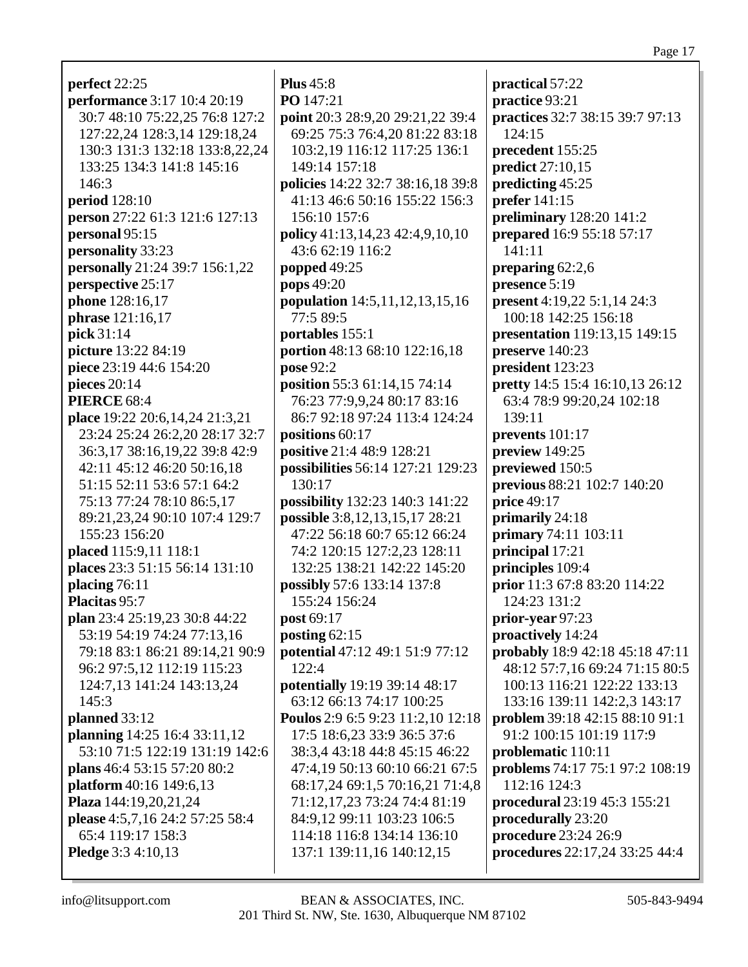## Page 17

| perfect 22:25                                              | <b>Plus</b> 45:8                                            |
|------------------------------------------------------------|-------------------------------------------------------------|
| <b>performance</b> 3:17 10:4 20:19                         | PO 147:21                                                   |
| 30:7 48:10 75:22,25 76:8 127:2                             | point 20:3 28:9,20 29:21,22 39:4                            |
| 127:22,24 128:3,14 129:18,24                               | 69:25 75:3 76:4,20 81:22 83:18                              |
| 130:3 131:3 132:18 133:8,22,24                             | 103:2,19 116:12 117:25 136:1                                |
| 133:25 134:3 141:8 145:16                                  | 149:14 157:18                                               |
| 146:3                                                      | policies 14:22 32:7 38:16,18 39:8                           |
| <b>period</b> 128:10                                       | 41:13 46:6 50:16 155:22 156:3                               |
| person 27:22 61:3 121:6 127:13                             | 156:10 157:6                                                |
|                                                            | policy 41:13,14,23 42:4,9,10,10                             |
| personal 95:15                                             | 43:6 62:19 116:2                                            |
| personality 33:23                                          |                                                             |
| <b>personally</b> 21:24 39:7 156:1,22<br>perspective 25:17 | popped 49:25                                                |
| phone 128:16,17                                            | pops 49:20                                                  |
|                                                            | population 14:5,11,12,13,15,16<br>77:5 89:5                 |
| phrase 121:16,17                                           |                                                             |
| pick 31:14                                                 | portables 155:1                                             |
| picture 13:22 84:19<br>piece 23:19 44:6 154:20             | portion 48:13 68:10 122:16,18                               |
|                                                            | pose 92:2                                                   |
| pieces $20:14$<br><b>PIERCE 68:4</b>                       | position 55:3 61:14,15 74:14<br>76:23 77:9,9,24 80:17 83:16 |
| place 19:22 20:6,14,24 21:3,21                             | 86:7 92:18 97:24 113:4 124:24                               |
| 23:24 25:24 26:2,20 28:17 32:7                             | positions 60:17                                             |
| 36:3,17 38:16,19,22 39:8 42:9                              | positive 21:4 48:9 128:21                                   |
| 42:11 45:12 46:20 50:16,18                                 | possibilities 56:14 127:21 129:23                           |
| 51:15 52:11 53:6 57:1 64:2                                 | 130:17                                                      |
| 75:13 77:24 78:10 86:5,17                                  | possibility 132:23 140:3 141:22                             |
| 89:21,23,24 90:10 107:4 129:7                              | possible 3:8,12,13,15,17 28:21                              |
| 155:23 156:20                                              | 47:22 56:18 60:7 65:12 66:24                                |
| placed 115:9,11 118:1                                      | 74:2 120:15 127:2,23 128:11                                 |
| places 23:3 51:15 56:14 131:10                             | 132:25 138:21 142:22 145:20                                 |
| placing 76:11                                              | possibly 57:6 133:14 137:8                                  |
| Placitas 95:7                                              | 155:24 156:24                                               |
| plan 23:4 25:19,23 30:8 44:22                              | post 69:17                                                  |
| 53:19 54:19 74:24 77:13,16                                 | posting $62:15$                                             |
| 79:18 83:1 86:21 89:14,21 90:9                             | potential 47:12 49:1 51:9 77:12                             |
| 96:2 97:5,12 112:19 115:23                                 | 122:4                                                       |
| 124:7,13 141:24 143:13,24                                  | potentially 19:19 39:14 48:17                               |
| 145:3                                                      | 63:12 66:13 74:17 100:25                                    |
| planned 33:12                                              | Poulos 2:9 6:5 9:23 11:2,10 12:18                           |
| planning 14:25 16:4 33:11,12                               | 17:5 18:6,23 33:9 36:5 37:6                                 |
| 53:10 71:5 122:19 131:19 142:6                             | 38:3,4 43:18 44:8 45:15 46:22                               |
| plans 46:4 53:15 57:20 80:2                                | 47:4,19 50:13 60:10 66:21 67:5                              |
| platform 40:16 149:6,13                                    | 68:17,24 69:1,5 70:16,21 71:4,8                             |
| Plaza 144:19,20,21,24                                      | 71:12,17,23 73:24 74:4 81:19                                |
| please 4:5,7,16 24:2 57:25 58:4                            | 84:9,12 99:11 103:23 106:5                                  |
| 65:4 119:17 158:3                                          | 114:18 116:8 134:14 136:10                                  |
| <b>Pledge</b> 3:3 4:10,13                                  | 137:1 139:11,16 140:12,15                                   |
|                                                            |                                                             |

139:11,16 140:12,15  $\mathbf I$ info@litsupport.com BEAN & ASSOCIATES, INC. 505-843-9494 201 Third St. NW, Ste. 1630, Albuquerque NM 87102

**practical** 57:22 **practice** 93:21 **practices** 32:7 38:15 39:7 97:13  $124:15$ **precedent** 155:25 **predict** 27:10,15 **predicting** 45:25 **prefer** 141:15 **preliminary** 128:20 141:2 **prepared** 16:9 55:18 57:17 141:11 **preparing** 62:2,6 **presence** 5:19 **present** 4:19,22 5:1,14 24:3 100:18 142:25 156:18 **presentation** 119:13,15 149:15 **preserve** 140:23 **president** 123:23 **pretty** 14:5 15:4 16:10,13 26:12 63:4 78:9 99:20,24 102:18 139:11 **prevents** 101:17 **preview** 149:25 **previewed** 150:5 **previous** 88:21 102:7 140:20 **price** 49:17 **primarily** 24:18 **primary** 74:11 103:11 **principal** 17:21 **principles** 109:4 **prior** 11:3 67:8 83:20 114:22 124:23 131:2 **prior-year** 97:23 **proactively** 14:24 **probably** 18:9 42:18 45:18 47:11 48:12 57:7,16 69:24 71:15 80:5 100:13 116:21 122:22 133:13 133:16 139:11 142:2,3 143:17 **problem** 39:18 42:15 88:10 91:1 91:2 100:15 101:19 117:9 **problematic** 110:11 **problems** 74:17 75:1 97:2 108:19 112:16 124:3 **procedural** 23:19 45:3 155:21 **procedurally** 23:20 **procedure** 23:24 26:9 **procedures** 22:17,24 33:25 44:4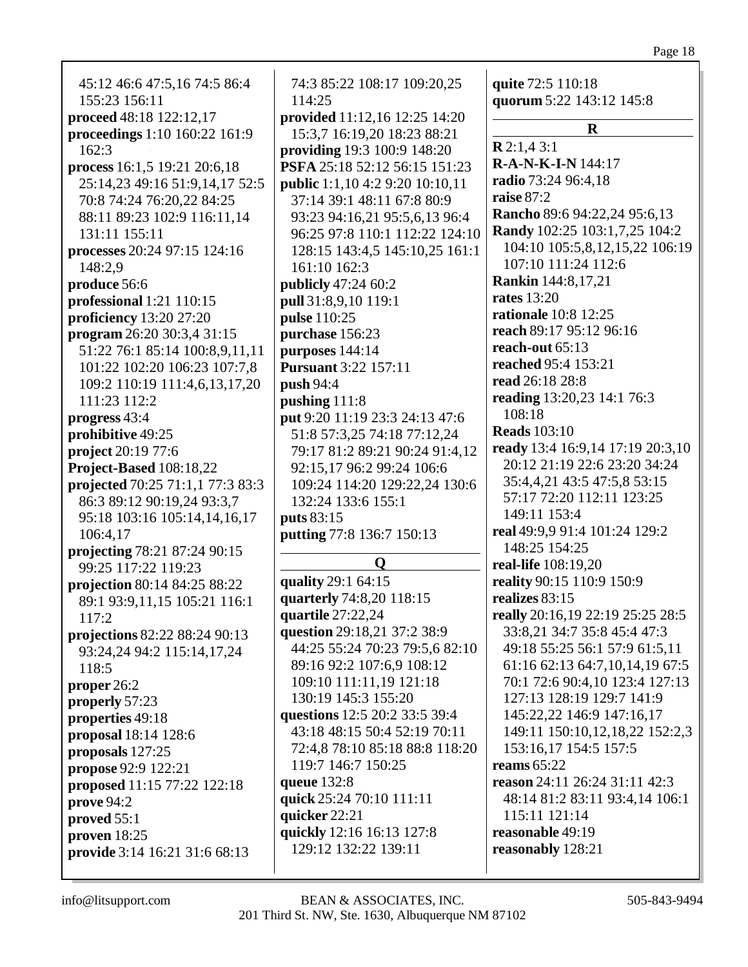45:12 46:6 47:5,16 74:5 86:4 155:23 156:11 proceed 48:18 122:12,17 proceedings 1:10 160:22 161:9  $162:3$ process  $16:1,5$  19:21 20:6,18 25:14.23 49:16 51:9.14.17 52:5 70:8 74:24 76:20,22 84:25 88:11 89:23 102:9 116:11,14 131:11 155:11 **processes** 20:24 97:15 124:16 148:2,9 produce 56:6 professional  $1:21$   $110:15$ **proficiency** 13:20 27:20 program 26:20 30:3,4 31:15 51:22 76:1 85:14 100:8.9.11.11 101:22 102:20 106:23 107:7,8 109:2 110:19 111:4,6,13,17,20 111:23 112:2 progress 43:4 **prohibitive** 49:25 project 20:19 77:6 Project-Based 108:18,22 projected 70:25 71:1,1 77:3 83:3 86:3 89:12 90:19,24 93:3,7 95:18 103:16 105:14.14.16.17 106:4.17 **projecting 78:21 87:24 90:15** 99:25 117:22 119:23 projection 80:14 84:25 88:22 89:1 93:9,11,15 105:21 116:1  $117:2$ projections 82:22 88:24 90:13 93:24,24 94:2 115:14,17,24  $118:5$ proper  $26:2$ properly  $57:23$ properties 49:18 **proposal**  $18:14$   $128:6$ proposals 127:25 **propose** 92:9 122:21 proposed 11:15 77:22 122:18  $prove 94:2$ proved  $55:1$ proven  $18:25$ provide 3:14 16:21 31:6 68:13

74:3 85:22 108:17 109:20,25  $114:25$ provided 11:12,16 12:25 14:20 15:3,7 16:19,20 18:23 88:21 **providing** 19:3 100:9 148:20 PSFA 25:18 52:12 56:15 151:23 **public** 1:1.10 4:2 9:20 10:10.11 37:14 39:1 48:11 67:8 80:9 93:23 94:16,21 95:5,6,13 96:4 96:25 97:8 110:1 112:22 124:10 128:15 143:4,5 145:10,25 161:1  $161:10$   $162:3$ **publicly** 47:24 60:2 pull 31:8,9,10 119:1 **pulse** 110:25 purchase 156:23 purposes  $144:14$ **Pursuant** 3:22 157:11  $push 94:4$ pushing  $111:8$ put 9:20 11:19 23:3 24:13 47:6 51:8 57:3,25 74:18 77:12,24 79:17 81:2 89:21 90:24 91:4.12 92:15,17 96:2 99:24 106:6 109:24 114:20 129:22,24 130:6 132:24 133:6 155:1 **puts** 83:15 putting 77:8 136:7 150:13  $\mathbf{O}$ quality 29:1 64:15 quarterly 74:8,20 118:15 quartile 27:22,24

question 29:18,21 37:2 38:9 44:25 55:24 70:23 79:5,6 82:10 89:16 92:2 107:6,9 108:12 109:10 111:11.19 121:18 130:19 145:3 155:20 questions 12:5 20:2 33:5 39:4 43:18 48:15 50:4 52:19 70:11 72:4,8 78:10 85:18 88:8 118:20 119:7 146:7 150:25 **queue** 132:8 quick 25:24 70:10 111:11 quicker  $22:21$ quickly 12:16 16:13 127:8 129:12 132:22 139:11

quite 72:5 110:18 quorum 5:22 143:12 145:8

 $\mathbf R$  $R2:1.43:1$  $R-A-N-K-I-N$  144:17 radio 73:24 96:4,18 raise  $87:2$ **Rancho** 89:6 94:22,24 95:6,13 **Randy** 102:25 103:1,7,25 104:2 104:10 105:5,8,12,15,22 106:19 107:10 111:24 112:6 **Rankin** 144:8,17,21 rates  $13:20$ **rationale** 10:8 12:25 reach 89:17 95:12 96:16 reach-out  $65:13$ reached 95:4 153:21 read 26:18 28:8 reading 13:20,23 14:1 76:3 108:18 **Reads** 103:10 ready 13:4 16:9,14 17:19 20:3,10 20:12 21:19 22:6 23:20 34:24 35:4,4,21 43:5 47:5,8 53:15 57:17 72:20 112:11 123:25 149:11 153:4 real 49:9.9 91:4 101:24 129:2 148:25 154:25 real-life 108:19,20 reality 90:15 110:9 150:9 realizes 83:15 really 20:16,19 22:19 25:25 28:5 33:8,21 34:7 35:8 45:4 47:3 49:18 55:25 56:1 57:9 61:5,11 61:16 62:13 64:7,10,14,19 67:5 70:1 72:6 90:4,10 123:4 127:13 127:13 128:19 129:7 141:9 145:22.22 146:9 147:16.17 149:11 150:10,12,18,22 152:2,3 153:16,17 154:5 157:5 reams  $65:22$ reason  $24:11$   $26:24$   $31:11$   $42:3$ 48:14 81:2 83:11 93:4,14 106:1  $115:11$   $121:14$ reasonable 49:19 reasonably 128:21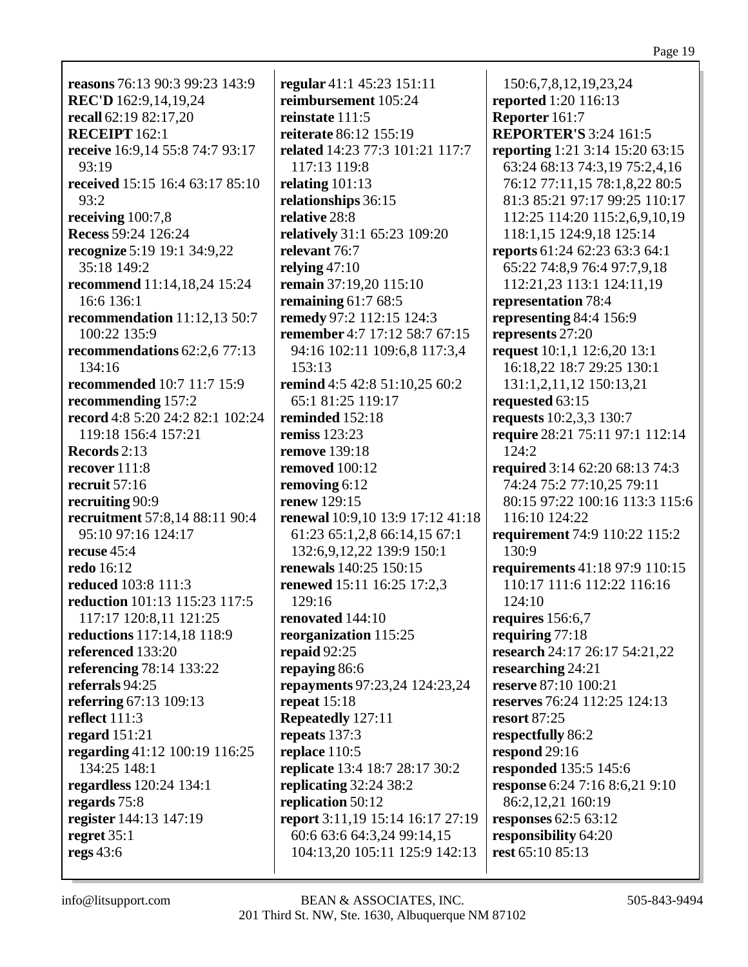**reasons** 76:13 90:3 99:23 143:9 **REC'D** 162:9,14,19,24 **recall** 62:19 82:17,20 **RECEIPT** 162:1 **receive** 16:9,14 55:8 74:7 93:17 93:19 **received** 15:15 16:4 63:17 85:10 93:2 **receiving** 100:7,8 **Recess** 59:24 126:24 **recognize** 5:19 19:1 34:9,22 35:18 149:2 **recommend** 11:14,18,24 15:24 16:6 136:1 **recommendation** 11:12,13 50:7 100:22 135:9 **recommendations** 62:2,6 77:13 134:16 **recommended** 10:7 11:7 15:9 **recommending** 157:2 **record** 4:8 5:20 24:2 82:1 102:24 119:18 156:4 157:21 **Records** 2:13 **recover** 111:8 **recruit** 57:16 **recruiting** 90:9 **recruitment** 57:8,14 88:11 90:4 95:10 97:16 124:17 **recuse** 45:4 **redo** 16:12 **reduced** 103:8 111:3 **reduction** 101:13 115:23 117:5 117:17 120:8,11 121:25 **reductions** 117:14,18 118:9 **referenced** 133:20 **referencing** 78:14 133:22 **referrals** 94:25 **referring** 67:13 109:13 **reflect** 111:3 **regard** 151:21 **regarding** 41:12 100:19 116:25 134:25 148:1 **regardless** 120:24 134:1 **regards** 75:8 **register** 144:13 147:19 **regret** 35:1 **regs** 43:6

**regular** 41:1 45:23 151:11 **reimbursement** 105:24 **reinstate** 111:5 **reiterate** 86:12 155:19 **related** 14:23 77:3 101:21 117:7 117:13 119:8 **relating** 101:13 **relationships** 36:15 **relative** 28:8 **relatively** 31:1 65:23 109:20 **relevant** 76:7 **relying** 47:10 **remain** 37:19,20 115:10 **remaining** 61:7 68:5 **remedy** 97:2 112:15 124:3 **remember** 4:7 17:12 58:7 67:15 94:16 102:11 109:6,8 117:3,4 153:13 **remind** 4:5 42:8 51:10,25 60:2 65:1 81:25 119:17 **reminded** 152:18 **remiss** 123:23 **remove** 139:18 **removed** 100:12 **removing** 6:12 **renew** 129:15 **renewal** 10:9,10 13:9 17:12 41:18 61:23 65:1,2,8 66:14,15 67:1 132:6,9,12,22 139:9 150:1 **renewals** 140:25 150:15 **renewed** 15:11 16:25 17:2,3 129:16 **renovated** 144:10 **reorganization** 115:25 **repaid** 92:25 **repaying** 86:6 **repayments** 97:23,24 124:23,24 **repeat** 15:18 **Repeatedly** 127:11 **repeats** 137:3 **replace** 110:5 **replicate** 13:4 18:7 28:17 30:2 **replicating** 32:24 38:2 **replication** 50:12 **report** 3:11,19 15:14 16:17 27:19 60:6 63:6 64:3,24 99:14,15 104:13,20 105:11 125:9 142:13

150:6,7,8,12,19,23,24 **reported** 1:20 116:13 **Reporter** 161:7 **REPORTER'S** 3:24 161:5 **reporting** 1:21 3:14 15:20 63:15 63:24 68:13 74:3,19 75:2,4,16 76:12 77:11,15 78:1,8,22 80:5 81:3 85:21 97:17 99:25 110:17 112:25 114:20 115:2,6,9,10,19 118:1,15 124:9,18 125:14 **reports** 61:24 62:23 63:3 64:1 65:22 74:8,9 76:4 97:7,9,18 112:21,23 113:1 124:11,19 **representation** 78:4 **representing** 84:4 156:9 **represents** 27:20 **request** 10:1,1 12:6,20 13:1 16:18,22 18:7 29:25 130:1 131:1,2,11,12 150:13,21 **requested** 63:15 **requests** 10:2,3,3 130:7 **require** 28:21 75:11 97:1 112:14 124:2 **required** 3:14 62:20 68:13 74:3 74:24 75:2 77:10,25 79:11 80:15 97:22 100:16 113:3 115:6 116:10 124:22 **requirement** 74:9 110:22 115:2 130:9 **requirements** 41:18 97:9 110:15 110:17 111:6 112:22 116:16 124:10 **requires** 156:6,7 **requiring** 77:18 **research** 24:17 26:17 54:21,22 **researching** 24:21 **reserve** 87:10 100:21 **reserves** 76:24 112:25 124:13 **resort** 87:25 **respectfully** 86:2 **respond** 29:16 **responded** 135:5 145:6 **response** 6:24 7:16 8:6,21 9:10 86:2,12,21 160:19 **responses** 62:5 63:12 **responsibility** 64:20 **rest** 65:10 85:13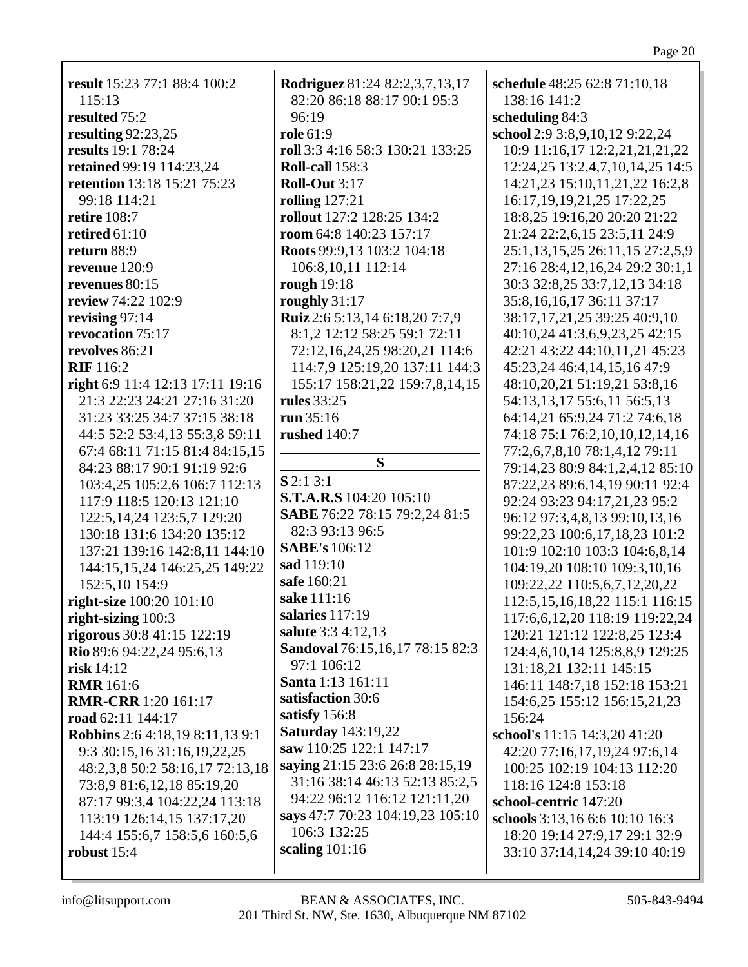**result** 15:23 77:1 88:4 100:2 115:13 **resulted** 75:2 **resulting** 92:23,25 **results** 19:1 78:24 **retained** 99:19 114:23,24 **retention** 13:18 15:21 75:23 99:18 114:21 **retire** 108:7 **retired** 61:10 **return** 88:9 **revenue** 120:9 **revenues** 80:15 **review** 74:22 102:9 **revising** 97:14 **revocation** 75:17 **revolves** 86:21 **RIF** 116:2 **right** 6:9 11:4 12:13 17:11 19:16 21:3 22:23 24:21 27:16 31:20 31:23 33:25 34:7 37:15 38:18 44:5 52:2 53:4,13 55:3,8 59:11 67:4 68:11 71:15 81:4 84:15,15 84:23 88:17 90:1 91:19 92:6 103:4,25 105:2,6 106:7 112:13 117:9 118:5 120:13 121:10 122:5,14,24 123:5,7 129:20 130:18 131:6 134:20 135:12 137:21 139:16 142:8,11 144:10 144:15,15,24 146:25,25 149:22 152:5,10 154:9 **right-size** 100:20 101:10 **right-sizing** 100:3 **rigorous** 30:8 41:15 122:19 **Rio** 89:6 94:22,24 95:6,13 **risk** 14:12 **RMR** 161:6 **RMR-CRR** 1:20 161:17 **road** 62:11 144:17 **Robbins** 2:6 4:18,19 8:11,13 9:1 9:3 30:15,16 31:16,19,22,25 48:2,3,8 50:2 58:16,17 72:13,18 73:8,9 81:6,12,18 85:19,20 87:17 99:3,4 104:22,24 113:18 113:19 126:14,15 137:17,20 144:4 155:6,7 158:5,6 160:5,6 **robust** 15:4

**Rodriguez** 81:24 82:2,3,7,13,17 82:20 86:18 88:17 90:1 95:3 96:19 **role** 61:9 **roll** 3:3 4:16 58:3 130:21 133:25 **Roll-call** 158:3 **Roll-Out** 3:17 **rolling** 127:21 **rollout** 127:2 128:25 134:2 **room** 64:8 140:23 157:17 **Roots** 99:9,13 103:2 104:18 106:8,10,11 112:14 **rough** 19:18 **roughly** 31:17 **Ruiz** 2:6 5:13,14 6:18,20 7:7,9 8:1,2 12:12 58:25 59:1 72:11 72:12,16,24,25 98:20,21 114:6 114:7,9 125:19,20 137:11 144:3 155:17 158:21,22 159:7,8,14,15 **rules** 33:25 **run** 35:16 **rushed** 140:7 **S S** 2:1 3:1 **S.T.A.R.S** 104:20 105:10 **SABE** 76:22 78:15 79:2,24 81:5 82:3 93:13 96:5 **SABE's** 106:12 **sad** 119:10 **safe** 160:21 **sake** 111:16 **salaries** 117:19 **salute** 3:3 4:12,13 **Sandoval** 76:15,16,17 78:15 82:3 97:1 106:12 **Santa** 1:13 161:11 **satisfaction** 30:6 **satisfy** 156:8 **Saturday** 143:19,22 **saw** 110:25 122:1 147:17 **saying** 21:15 23:6 26:8 28:15,19 31:16 38:14 46:13 52:13 85:2,5 94:22 96:12 116:12 121:11,20 **says** 47:7 70:23 104:19,23 105:10 106:3 132:25 **scaling** 101:16

**schedule** 48:25 62:8 71:10,18 138:16 141:2 **scheduling** 84:3 **school** 2:9 3:8,9,10,12 9:22,24 10:9 11:16,17 12:2,21,21,21,22 12:24,25 13:2,4,7,10,14,25 14:5 14:21,23 15:10,11,21,22 16:2,8 16:17,19,19,21,25 17:22,25 18:8,25 19:16,20 20:20 21:22 21:24 22:2,6,15 23:5,11 24:9 25:1,13,15,25 26:11,15 27:2,5,9 27:16 28:4,12,16,24 29:2 30:1,1 30:3 32:8,25 33:7,12,13 34:18 35:8,16,16,17 36:11 37:17 38:17,17,21,25 39:25 40:9,10 40:10,24 41:3,6,9,23,25 42:15 42:21 43:22 44:10,11,21 45:23 45:23,24 46:4,14,15,16 47:9 48:10,20,21 51:19,21 53:8,16 54:13,13,17 55:6,11 56:5,13 64:14,21 65:9,24 71:2 74:6,18 74:18 75:1 76:2,10,10,12,14,16 77:2,6,7,8,10 78:1,4,12 79:11 79:14,23 80:9 84:1,2,4,12 85:10 87:22,23 89:6,14,19 90:11 92:4 92:24 93:23 94:17,21,23 95:2 96:12 97:3,4,8,13 99:10,13,16 99:22,23 100:6,17,18,23 101:2 101:9 102:10 103:3 104:6,8,14 104:19,20 108:10 109:3,10,16 109:22,22 110:5,6,7,12,20,22 112:5,15,16,18,22 115:1 116:15 117:6,6,12,20 118:19 119:22,24 120:21 121:12 122:8,25 123:4 124:4,6,10,14 125:8,8,9 129:25 131:18,21 132:11 145:15 146:11 148:7,18 152:18 153:21 154:6,25 155:12 156:15,21,23 156:24 **school's** 11:15 14:3,20 41:20 42:20 77:16,17,19,24 97:6,14 100:25 102:19 104:13 112:20 118:16 124:8 153:18

**school-centric** 147:20 **schools** 3:13,16 6:6 10:10 16:3 18:20 19:14 27:9,17 29:1 32:9 33:10 37:14,14,24 39:10 40:19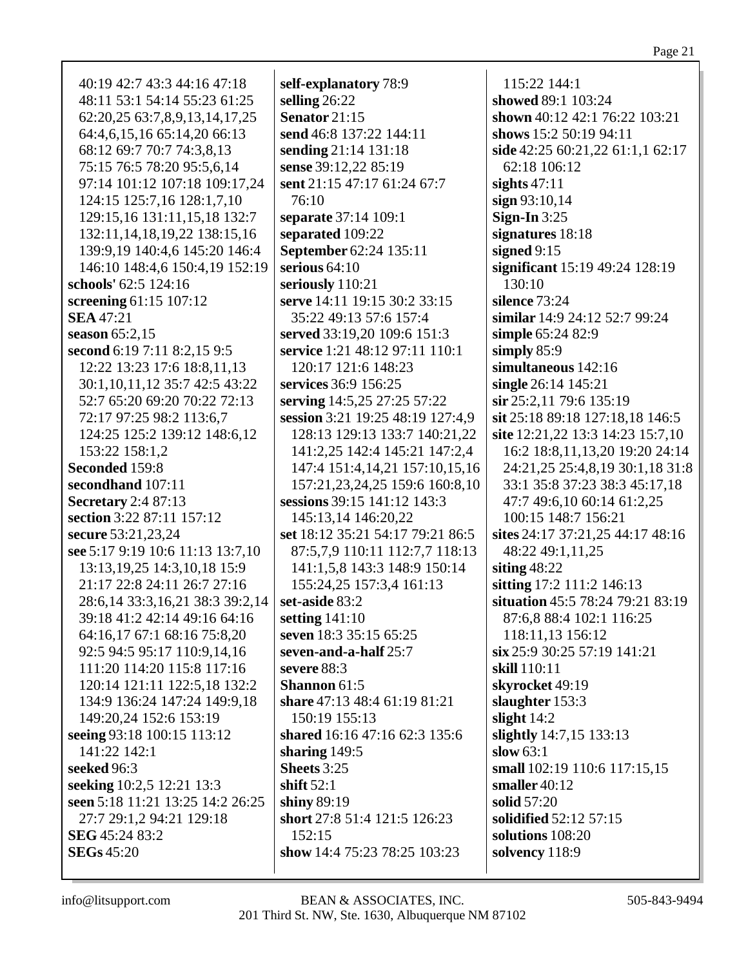40:19 42:7 43:3 44:16 47:18 48:11 53:1 54:14 55:23 61:25 62:20,25 63:7,8,9,13,14,17,25 64:4,6,15,16 65:14,20 66:13 68:12 69:7 70:7 74:3,8,13 75:15 76:5 78:20 95:5,6,14 97:14 101:12 107:18 109:17,24 124:15 125:7,16 128:1,7,10 129:15,16 131:11,15,18 132:7 132:11, 14, 18, 19, 22 138:15, 16 139:9.19 140:4.6 145:20 146:4 146:10 148:4,6 150:4,19 152:19 schools' 62:5 124:16 screening  $61:15$  107:12 **SEA** 47:21 season  $65:2.15$ second 6:19 7:11 8:2.15 9:5 12:22 13:23 17:6 18:8,11,13 30:1,10,11,12 35:7 42:5 43:22 52:7 65:20 69:20 70:22 72:13 72:17 97:25 98:2 113:6,7 124:25 125:2 139:12 148:6,12 153:22 158:1.2 Seconded 159:8 secondhand 107:11 **Secretary** 2:4 87:13 section 3:22 87:11 157:12 secure 53:21.23.24 see 5:17 9:19 10:6 11:13 13:7,10 13:13, 19, 25 14: 3, 10, 18 15: 9 21:17 22:8 24:11 26:7 27:16 28:6,14 33:3,16,21 38:3 39:2,14 39:18 41:2 42:14 49:16 64:16 64:16,17 67:1 68:16 75:8,20 92:5 94:5 95:17 110:9,14,16 111:20 114:20 115:8 117:16 120:14 121:11 122:5,18 132:2 134:9 136:24 147:24 149:9,18 149:20,24 152:6 153:19 seeing 93:18 100:15 113:12 141:22 142:1 seeked 96:3 seeking 10:2,5 12:21 13:3 seen 5:18 11:21 13:25 14:2 26:25 27:7 29:1.2 94:21 129:18 SEG 45:24 83:2 **SEGs** 45:20

self-explanatory 78:9 selling  $26:22$ Senator  $21:15$ send 46:8 137:22 144:11 sending 21:14 131:18 sense 39:12,22 85:19 sent 21:15 47:17 61:24 67:7  $76:10$ separate 37:14 109:1 separated 109:22 **September 62:24 135:11** serious  $64:10$ seriously 110:21 serve 14:11 19:15 30:2 33:15 35:22 49:13 57:6 157:4 served 33:19,20 109:6 151:3 service 1:21 48:12 97:11 110:1 120:17 121:6 148:23 services 36:9 156:25 serving 14:5,25 27:25 57:22 session 3:21 19:25 48:19 127:4,9 128:13 129:13 133:7 140:21,22 141:2.25 142:4 145:21 147:2.4 147:4 151:4,14,21 157:10,15,16 157:21,23,24,25 159:6 160:8,10 sessions 39:15 141:12 143:3 145:13.14 146:20.22 set 18:12 35:21 54:17 79:21 86:5 87:5,7,9 110:11 112:7.7 118:13 141:1,5,8 143:3 148:9 150:14 155:24,25 157:3,4 161:13 set-aside 83:2 setting  $141:10$ seven 18:3 35:15 65:25 seven-and-a-half 25:7 severe  $88:3$ **Shannon**  $61:5$ share 47:13 48:4 61:19 81:21 150:19 155:13 shared 16:16 47:16 62:3 135:6 sharing  $149:5$ Sheets 3:25 shift  $52:1$ shiny  $89:19$ short 27:8 51:4 121:5 126:23  $152:15$ show 14:4 75:23 78:25 103:23

115:22 144:1 showed 89:1 103:24 shown 40:12 42:1 76:22 103:21 shows 15:2 50:19 94:11 side 42:25 60:21,22 61:1,1 62:17 62:18 106:12 sights  $47:11$  $sign 93:10,14$ Sign-In  $3:25$ signatures  $18:18$ signed  $9:15$ significant 15:19 49:24 128:19  $130:10$ silence  $73:24$ similar 14:9 24:12 52:7 99:24 simple 65:24 82:9 simply  $85:9$ simultaneous 142:16 single 26:14 145:21  $\sin 25:2,11$  79:6 135:19 sit 25:18 89:18 127:18,18 146:5 site  $12:21,22$  13:3 14:23 15:7,10 16:2 18:8,11,13,20 19:20 24:14 24:21,25 25:4,8,19 30:1,18 31:8 33:1 35:8 37:23 38:3 45:17,18 47:7 49:6,10 60:14 61:2,25 100:15 148:7 156:21 sites  $24:17\,37:21.25\,44:17\,48:16$ 48:22 49:1,11,25 siting  $48:22$ sitting 17:2 111:2 146:13 situation 45:5 78:24 79:21 83:19 87:6.8 88:4 102:1 116:25 118:11,13 156:12 six 25:9 30:25 57:19 141:21 skill 110:11 skyrocket 49:19 slaughter  $153:3$ slight  $14:2$ slightly 14:7,15 133:13 slow  $63:1$ small 102:19 110:6 117:15,15 smaller  $40:12$ solid  $57:20$ solidified 52:12 57:15 solutions  $108:20$ solvency 118:9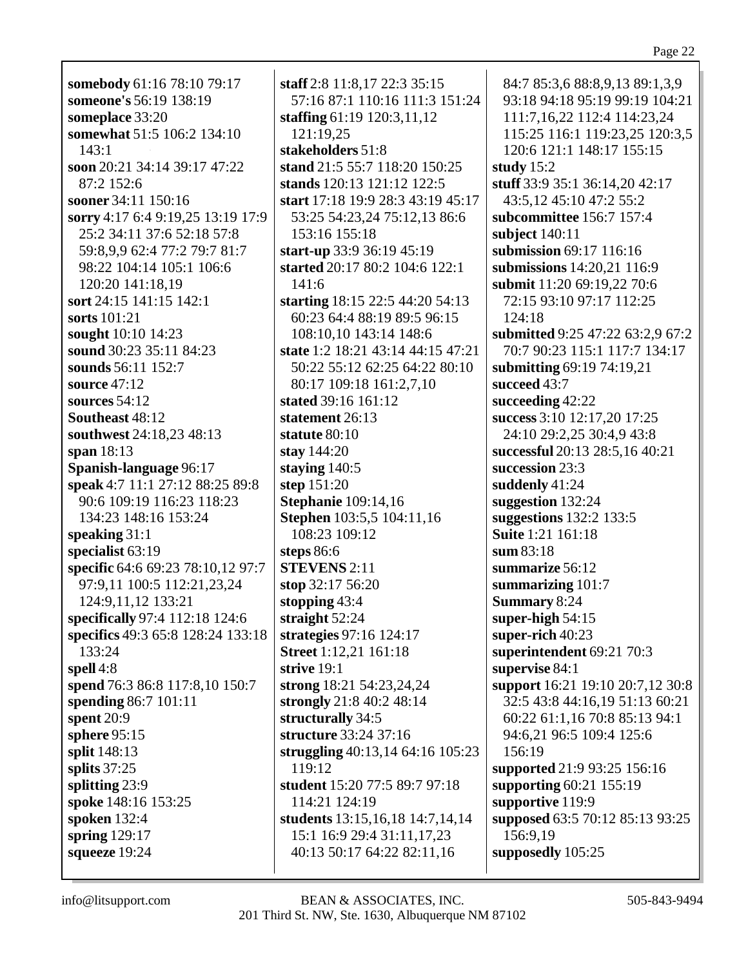Page 22

**somebody** 61:16 78:10 79:17 **someone's** 56:19 138:19 **someplace** 33:20 **somewhat** 51:5 106:2 134:10 143:1 **soon** 20:21 34:14 39:17 47:22 87:2 152:6 **sooner** 34:11 150:16 **sorry** 4:17 6:4 9:19,25 13:19 17:9 25:2 34:11 37:6 52:18 57:8 59:8,9,9 62:4 77:2 79:7 81:7 98:22 104:14 105:1 106:6 120:20 141:18,19 **sort** 24:15 141:15 142:1 **sorts** 101:21 **sought** 10:10 14:23 **sound** 30:23 35:11 84:23 **sounds** 56:11 152:7 **source** 47:12 **sources** 54:12 **Southeast** 48:12 **southwest** 24:18,23 48:13 **span** 18:13 **Spanish-language** 96:17 **speak** 4:7 11:1 27:12 88:25 89:8 90:6 109:19 116:23 118:23 134:23 148:16 153:24 **speaking** 31:1 **specialist** 63:19 **specific** 64:6 69:23 78:10,12 97:7 97:9,11 100:5 112:21,23,24 124:9,11,12 133:21 **specifically** 97:4 112:18 124:6 **specifics** 49:3 65:8 128:24 133:18 133:24 **spell** 4:8 **spend** 76:3 86:8 117:8,10 150:7 **spending** 86:7 101:11 **spent** 20:9 **sphere** 95:15 **split** 148:13 **splits** 37:25 **splitting** 23:9 **spoke** 148:16 153:25 **spoken** 132:4 **spring** 129:17 **squeeze** 19:24

**staff** 2:8 11:8,17 22:3 35:15 57:16 87:1 110:16 111:3 151:24 **staffing** 61:19 120:3,11,12 121:19,25 **stakeholders** 51:8 **stand** 21:5 55:7 118:20 150:25 **stands** 120:13 121:12 122:5 **start** 17:18 19:9 28:3 43:19 45:17 53:25 54:23,24 75:12,13 86:6 153:16 155:18 **start-up** 33:9 36:19 45:19 **started** 20:17 80:2 104:6 122:1 141:6 **starting** 18:15 22:5 44:20 54:13 60:23 64:4 88:19 89:5 96:15 108:10,10 143:14 148:6 **state** 1:2 18:21 43:14 44:15 47:21 50:22 55:12 62:25 64:22 80:10 80:17 109:18 161:2,7,10 **stated** 39:16 161:12 **statement** 26:13 **statute** 80:10 **stay** 144:20 **staying** 140:5 **step** 151:20 **Stephanie** 109:14,16 **Stephen** 103:5,5 104:11,16 108:23 109:12 **steps** 86:6 **STEVENS** 2:11 **stop** 32:17 56:20 **stopping** 43:4 **straight** 52:24 **strategies** 97:16 124:17 **Street** 1:12,21 161:18 **strive** 19:1 **strong** 18:21 54:23,24,24 **strongly** 21:8 40:2 48:14 **structurally** 34:5 **structure** 33:24 37:16 **struggling** 40:13,14 64:16 105:23 119:12 **student** 15:20 77:5 89:7 97:18 114:21 124:19 **students** 13:15,16,18 14:7,14,14 15:1 16:9 29:4 31:11,17,23 40:13 50:17 64:22 82:11,16

84:7 85:3,6 88:8,9,13 89:1,3,9 93:18 94:18 95:19 99:19 104:21 111:7,16,22 112:4 114:23,24 115:25 116:1 119:23,25 120:3,5 120:6 121:1 148:17 155:15 **study** 15:2 **stuff** 33:9 35:1 36:14,20 42:17 43:5,12 45:10 47:2 55:2 **subcommittee** 156:7 157:4 **subject** 140:11 **submission** 69:17 116:16 **submissions** 14:20,21 116:9 **submit** 11:20 69:19,22 70:6 72:15 93:10 97:17 112:25 124:18 **submitted** 9:25 47:22 63:2,9 67:2 70:7 90:23 115:1 117:7 134:17 **submitting** 69:19 74:19,21 **succeed** 43:7 **succeeding** 42:22 **success** 3:10 12:17,20 17:25 24:10 29:2,25 30:4,9 43:8 **successful** 20:13 28:5,16 40:21 **succession** 23:3 **suddenly** 41:24 **suggestion** 132:24 **suggestions** 132:2 133:5 **Suite** 1:21 161:18 **sum** 83:18 **summarize** 56:12 **summarizing** 101:7 **Summary** 8:24 **super-high** 54:15 **super-rich** 40:23 **superintendent** 69:21 70:3 **supervise** 84:1 **support** 16:21 19:10 20:7,12 30:8 32:5 43:8 44:16,19 51:13 60:21 60:22 61:1,16 70:8 85:13 94:1 94:6,21 96:5 109:4 125:6 156:19 **supported** 21:9 93:25 156:16 **supporting** 60:21 155:19 **supportive** 119:9 **supposed** 63:5 70:12 85:13 93:25 156:9,19 **supposedly** 105:25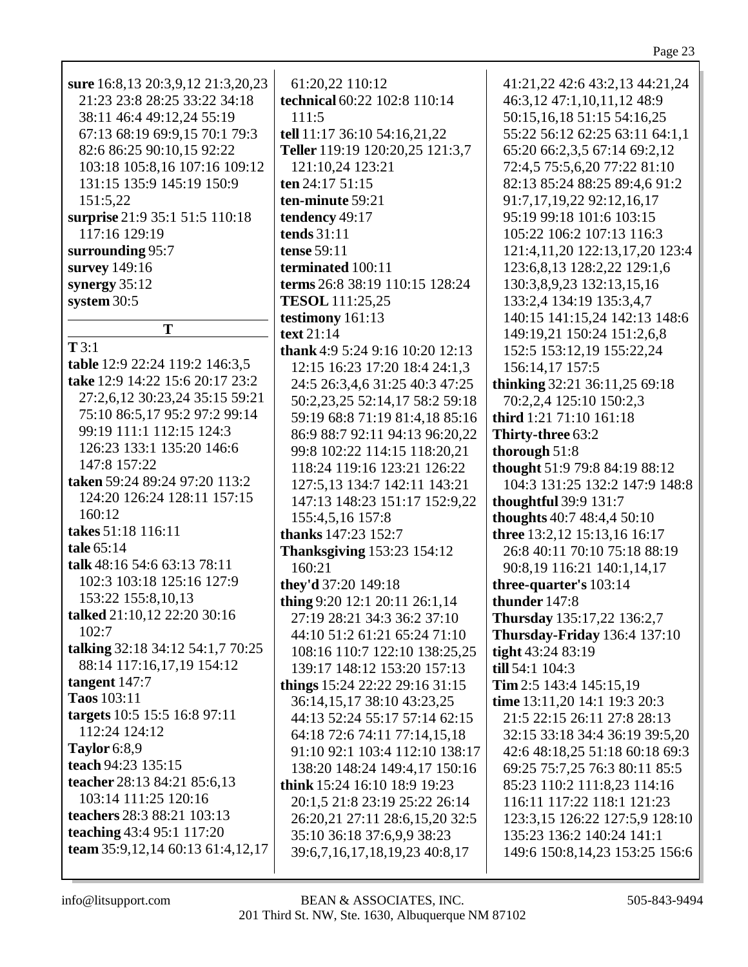| 21:23 23:8 28:25 33:22 34:18     | technical 60:22 102:8 110:14        | 46:3,12 47:1,10,11,12 48:9         |
|----------------------------------|-------------------------------------|------------------------------------|
| 38:11 46:4 49:12,24 55:19        | 111:5                               | 50:15,16,18 51:15 54:16,25         |
| 67:13 68:19 69:9,15 70:1 79:3    | tell 11:17 36:10 54:16,21,22        | 55:22 56:12 62:25 63:11 64:1,1     |
| 82:6 86:25 90:10,15 92:22        | Teller 119:19 120:20,25 121:3,7     | 65:20 66:2,3,5 67:14 69:2,12       |
| 103:18 105:8,16 107:16 109:12    | 121:10,24 123:21                    | 72:4,5 75:5,6,20 77:22 81:10       |
| 131:15 135:9 145:19 150:9        | ten 24:17 51:15                     | 82:13 85:24 88:25 89:4,6 91:2      |
| 151:5,22                         | ten-minute 59:21                    | 91:7,17,19,22 92:12,16,17          |
| surprise 21:9 35:1 51:5 110:18   | tendency 49:17                      | 95:19 99:18 101:6 103:15           |
| 117:16 129:19                    | tends $31:11$                       | 105:22 106:2 107:13 116:3          |
| surrounding 95:7                 | tense 59:11                         | 121:4,11,20 122:13,17,20 123:4     |
| survey 149:16                    | terminated 100:11                   | 123:6,8,13 128:2,22 129:1,6        |
| synergy $35:12$                  | terms 26:8 38:19 110:15 128:24      | 130:3,8,9,23 132:13,15,16          |
| system 30:5                      | <b>TESOL</b> 111:25,25              | 133:2,4 134:19 135:3,4,7           |
|                                  | testimony 161:13                    | 140:15 141:15,24 142:13 148:6      |
| T                                | text 21:14                          | 149:19,21 150:24 151:2,6,8         |
| T3:1                             | thank 4:9 5:24 9:16 10:20 12:13     | 152:5 153:12,19 155:22,24          |
| table 12:9 22:24 119:2 146:3,5   | 12:15 16:23 17:20 18:4 24:1,3       | 156:14,17 157:5                    |
| take 12:9 14:22 15:6 20:17 23:2  | 24:5 26:3,4,6 31:25 40:3 47:25      | thinking 32:21 36:11,25 69:18      |
| 27:2,6,12 30:23,24 35:15 59:21   | 50:2,23,25 52:14,17 58:2 59:18      | 70:2,2,4 125:10 150:2,3            |
| 75:10 86:5,17 95:2 97:2 99:14    | 59:19 68:8 71:19 81:4,18 85:16      | third 1:21 71:10 161:18            |
| 99:19 111:1 112:15 124:3         | 86:9 88:7 92:11 94:13 96:20,22      | Thirty-three 63:2                  |
| 126:23 133:1 135:20 146:6        | 99:8 102:22 114:15 118:20,21        | thorough 51:8                      |
| 147:8 157:22                     | 118:24 119:16 123:21 126:22         | thought 51:9 79:8 84:19 88:12      |
| taken 59:24 89:24 97:20 113:2    | 127:5,13 134:7 142:11 143:21        | 104:3 131:25 132:2 147:9 148:8     |
| 124:20 126:24 128:11 157:15      | 147:13 148:23 151:17 152:9,22       | thoughtful 39:9 131:7              |
| 160:12                           | 155:4,5,16 157:8                    | thoughts 40:7 48:4,4 50:10         |
| takes 51:18 116:11               | thanks 147:23 152:7                 | three 13:2,12 15:13,16 16:17       |
| tale 65:14                       | <b>Thanksgiving 153:23 154:12</b>   | 26:8 40:11 70:10 75:18 88:19       |
| talk 48:16 54:6 63:13 78:11      | 160:21                              | 90:8,19 116:21 140:1,14,17         |
| 102:3 103:18 125:16 127:9        | they'd 37:20 149:18                 | three-quarter's 103:14             |
| 153:22 155:8,10,13               | thing 9:20 12:1 20:11 26:1,14       | thunder 147:8                      |
| talked 21:10,12 22:20 30:16      | 27:19 28:21 34:3 36:2 37:10         | Thursday 135:17,22 136:2,7         |
| 102:7                            | 44:10 51:2 61:21 65:24 71:10        | Thursday-Friday 136:4 137:10       |
| talking 32:18 34:12 54:1,7 70:25 | 108:16 110:7 122:10 138:25,25       | tight 43:24 83:19                  |
| 88:14 117:16,17,19 154:12        | 139:17 148:12 153:20 157:13         | till 54:1 104:3                    |
| tangent $147:7$                  | things 15:24 22:22 29:16 31:15      | Tim 2:5 143:4 145:15,19            |
| Taos 103:11                      | 36:14,15,17 38:10 43:23,25          | time 13:11,20 14:1 19:3 20:3       |
| targets 10:5 15:5 16:8 97:11     | 44:13 52:24 55:17 57:14 62:15       | 21:5 22:15 26:11 27:8 28:13        |
| 112:24 124:12                    | 64:18 72:6 74:11 77:14,15,18        | 32:15 33:18 34:4 36:19 39:5,20     |
| Taylor 6:8,9                     | 91:10 92:1 103:4 112:10 138:17      | 42:6 48:18,25 51:18 60:18 69:3     |
| teach 94:23 135:15               | 138:20 148:24 149:4,17 150:16       | 69:25 75:7,25 76:3 80:11 85:5      |
| teacher 28:13 84:21 85:6,13      | <b>think</b> 15:24 16:10 18:9 19:23 | 85:23 110:2 111:8,23 114:16        |
| 103:14 111:25 120:16             | 20:1,5 21:8 23:19 25:22 26:14       | 116:11 117:22 118:1 121:23         |
| teachers 28:3 88:21 103:13       | 26:20,21 27:11 28:6,15,20 32:5      | 123:3,15 126:22 127:5,9 128:10     |
| teaching 43:4 95:1 117:20        | 35:10 36:18 37:6,9,9 38:23          | 135:23 136:2 140:24 141:1          |
| team 35:9,12,14 60:13 61:4,12,17 | 39:6,7,16,17,18,19,23 40:8,17       | 149:6 150:8, 14, 23 153: 25 156: 6 |
|                                  |                                     |                                    |

 $61:20,22$   $110:12$ 

sure 16:8,13 20:3,9,12 21:3,20,23

41:21,22 42:6 43:2,13 44:21,24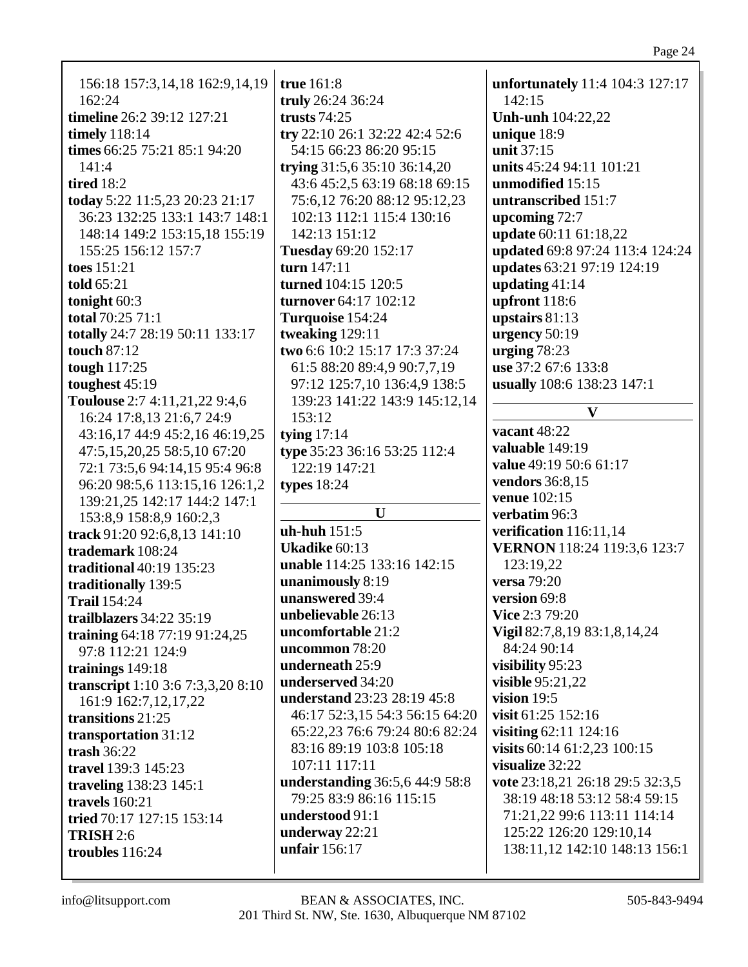| 156:18 157:3,14,18 162:9,14,19<br>162:24 | true 161:8<br>truly 26:24 36:24 | unfortunately 11:4 104:3 127:17<br>142:15 |
|------------------------------------------|---------------------------------|-------------------------------------------|
| timeline 26:2 39:12 127:21               | trusts $74:25$                  | <b>Unh-unh</b> 104:22,22                  |
| <b>timely</b> 118:14                     | try 22:10 26:1 32:22 42:4 52:6  | unique 18:9                               |
| times 66:25 75:21 85:1 94:20             | 54:15 66:23 86:20 95:15         | unit 37:15                                |
| 141:4                                    | trying 31:5,6 35:10 36:14,20    | units 45:24 94:11 101:21                  |
| tired $18:2$                             | 43:6 45:2,5 63:19 68:18 69:15   | unmodified 15:15                          |
| today 5:22 11:5,23 20:23 21:17           | 75:6,12 76:20 88:12 95:12,23    | untranscribed 151:7                       |
| 36:23 132:25 133:1 143:7 148:1           | 102:13 112:1 115:4 130:16       | upcoming 72:7                             |
| 148:14 149:2 153:15,18 155:19            | 142:13 151:12                   | update 60:11 61:18,22                     |
| 155:25 156:12 157:7                      | Tuesday 69:20 152:17            | updated 69:8 97:24 113:4 124:24           |
| toes 151:21                              | turn 147:11                     | updates 63:21 97:19 124:19                |
| told 65:21                               | turned 104:15 120:5             | updating $41:14$                          |
| tonight 60:3                             | turnover 64:17 102:12           | upfront 118:6                             |
| total 70:25 71:1                         | Turquoise 154:24                | upstairs $81:13$                          |
| totally 24:7 28:19 50:11 133:17          | tweaking 129:11                 | urgency 50:19                             |
| touch 87:12                              | two 6:6 10:2 15:17 17:3 37:24   | urging 78:23                              |
| tough 117:25                             | 61:5 88:20 89:4,9 90:7,7,19     | use 37:2 67:6 133:8                       |
| toughest $45:19$                         | 97:12 125:7,10 136:4,9 138:5    | usually 108:6 138:23 147:1                |
| Toulouse 2:7 4:11,21,22 9:4,6            | 139:23 141:22 143:9 145:12,14   |                                           |
| 16:24 17:8,13 21:6,7 24:9                | 153:12                          | $\mathbf{V}$                              |
| 43:16,17 44:9 45:2,16 46:19,25           | tying $17:14$                   | vacant 48:22                              |
| 47:5,15,20,25 58:5,10 67:20              | type 35:23 36:16 53:25 112:4    | valuable 149:19                           |
| 72:1 73:5,6 94:14,15 95:4 96:8           | 122:19 147:21                   | value 49:19 50:6 61:17                    |
| 96:20 98:5,6 113:15,16 126:1,2           | types $18:24$                   | vendors 36:8,15                           |
| 139:21,25 142:17 144:2 147:1             |                                 | venue 102:15                              |
| 153:8,9 158:8,9 160:2,3                  | $\mathbf U$                     | verbatim 96:3                             |
| track 91:20 92:6,8,13 141:10             | $uh-huh$ 151:5                  | verification 116:11,14                    |
| trademark 108:24                         | Ukadike 60:13                   | VERNON 118:24 119:3,6 123:7               |
| <b>traditional</b> 40:19 135:23          | unable 114:25 133:16 142:15     | 123:19,22                                 |
| traditionally 139:5                      | unanimously 8:19                | <b>versa</b> 79:20                        |
| <b>Trail 154:24</b>                      | unanswered 39:4                 | version 69:8                              |
| trailblazers 34:22 35:19                 | unbelievable 26:13              | <b>Vice 2:3 79:20</b>                     |
| training 64:18 77:19 91:24,25            | uncomfortable 21:2              | Vigil 82:7,8,19 83:1,8,14,24              |
| 97:8 112:21 124:9                        | uncommon 78:20                  | 84:24 90:14                               |
| trainings 149:18                         | underneath 25:9                 | visibility 95:23                          |
| transcript 1:10 3:6 7:3,3,20 8:10        | underserved 34:20               | visible $95:21,22$                        |
| 161:9 162:7,12,17,22                     | understand 23:23 28:19 45:8     | vision $19:5$                             |
| transitions 21:25                        | 46:17 52:3,15 54:3 56:15 64:20  | visit 61:25 152:16                        |
| transportation 31:12                     | 65:22,23 76:6 79:24 80:6 82:24  | visiting 62:11 124:16                     |
| trash $36:22$                            | 83:16 89:19 103:8 105:18        | visits $60:14$ $61:2,23$ $100:15$         |
| travel 139:3 145:23                      | 107:11 117:11                   | visualize 32:22                           |
| traveling 138:23 145:1                   | understanding 36:5,6 44:9 58:8  | vote 23:18,21 26:18 29:5 32:3,5           |
| travels $160:21$                         | 79:25 83:9 86:16 115:15         | 38:19 48:18 53:12 58:4 59:15              |
| tried 70:17 127:15 153:14                | understood 91:1                 | 71:21,22 99:6 113:11 114:14               |
| <b>TRISH 2:6</b>                         | underway 22:21                  | 125:22 126:20 129:10,14                   |
| troubles 116:24                          | unfair 156:17                   | 138:11,12 142:10 148:13 156:1             |
|                                          |                                 |                                           |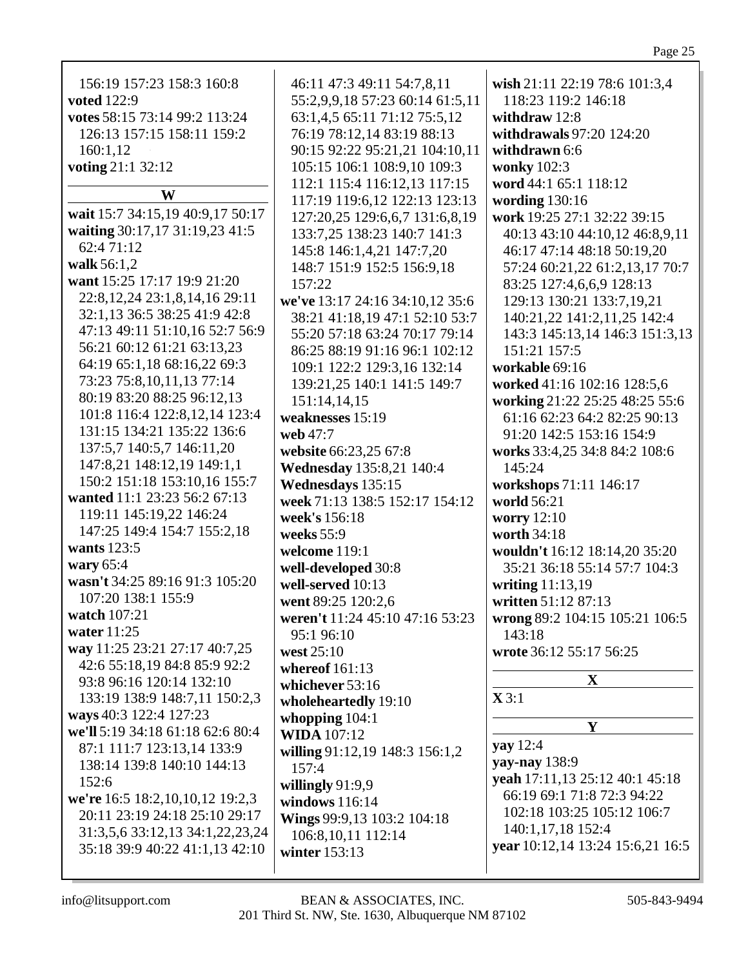Page 25

| 156:19 157:23 158:3 160:8          | 46:11 47:3 49:11 54:7,8,11      | wish 21:11 22:19 78:6 101:3,4    |
|------------------------------------|---------------------------------|----------------------------------|
| <b>voted</b> 122:9                 | 55:2,9,9,18 57:23 60:14 61:5,11 | 118:23 119:2 146:18              |
|                                    |                                 |                                  |
| votes 58:15 73:14 99:2 113:24      | 63:1,4,5 65:11 71:12 75:5,12    | withdraw $12:8$                  |
| 126:13 157:15 158:11 159:2         | 76:19 78:12,14 83:19 88:13      | withdrawals 97:20 124:20         |
| 160:1,12                           | 90:15 92:22 95:21,21 104:10,11  | withdrawn 6:6                    |
| voting 21:1 32:12                  | 105:15 106:1 108:9,10 109:3     | wonky 102:3                      |
|                                    | 112:1 115:4 116:12,13 117:15    | word 44:1 65:1 118:12            |
| W                                  | 117:19 119:6,12 122:13 123:13   | wording $130:16$                 |
| wait 15:7 34:15,19 40:9,17 50:17   | 127:20,25 129:6,6,7 131:6,8,19  | work 19:25 27:1 32:22 39:15      |
| waiting 30:17,17 31:19,23 41:5     | 133:7,25 138:23 140:7 141:3     | 40:13 43:10 44:10,12 46:8,9,11   |
| 62:4 71:12                         | 145:8 146:1,4,21 147:7,20       | 46:17 47:14 48:18 50:19,20       |
| walk 56:1,2                        | 148:7 151:9 152:5 156:9,18      | 57:24 60:21,22 61:2,13,17 70:7   |
| want 15:25 17:17 19:9 21:20        | 157:22                          | 83:25 127:4,6,6,9 128:13         |
| 22:8, 12, 24 23:1, 8, 14, 16 29:11 | we've 13:17 24:16 34:10,12 35:6 | 129:13 130:21 133:7,19,21        |
| 32:1,13 36:5 38:25 41:9 42:8       |                                 |                                  |
| 47:13 49:11 51:10,16 52:7 56:9     | 38:21 41:18,19 47:1 52:10 53:7  | 140:21,22 141:2,11,25 142:4      |
| 56:21 60:12 61:21 63:13,23         | 55:20 57:18 63:24 70:17 79:14   | 143:3 145:13,14 146:3 151:3,13   |
|                                    | 86:25 88:19 91:16 96:1 102:12   | 151:21 157:5                     |
| 64:19 65:1,18 68:16,22 69:3        | 109:1 122:2 129:3,16 132:14     | workable 69:16                   |
| 73:23 75:8,10,11,13 77:14          | 139:21,25 140:1 141:5 149:7     | worked 41:16 102:16 128:5,6      |
| 80:19 83:20 88:25 96:12,13         | 151:14,14,15                    | working 21:22 25:25 48:25 55:6   |
| 101:8 116:4 122:8,12,14 123:4      | weaknesses 15:19                | 61:16 62:23 64:2 82:25 90:13     |
| 131:15 134:21 135:22 136:6         | web 47:7                        | 91:20 142:5 153:16 154:9         |
| 137:5,7 140:5,7 146:11,20          | website 66:23,25 67:8           | works 33:4,25 34:8 84:2 108:6    |
| 147:8,21 148:12,19 149:1,1         | Wednesday 135:8,21 140:4        | 145:24                           |
| 150:2 151:18 153:10,16 155:7       | Wednesdays 135:15               | workshops 71:11 146:17           |
| wanted 11:1 23:23 56:2 67:13       | week 71:13 138:5 152:17 154:12  | world 56:21                      |
| 119:11 145:19,22 146:24            |                                 |                                  |
| 147:25 149:4 154:7 155:2,18        | week's 156:18                   | <b>worry</b> 12:10               |
| wants 123:5                        | weeks $55:9$                    | worth 34:18                      |
|                                    | welcome 119:1                   | wouldn't 16:12 18:14,20 35:20    |
| wary 65:4                          | well-developed 30:8             | 35:21 36:18 55:14 57:7 104:3     |
| wasn't 34:25 89:16 91:3 105:20     | well-served 10:13               | writing 11:13,19                 |
| 107:20 138:1 155:9                 | went 89:25 120:2.6              | written 51:12 87:13              |
| watch 107:21                       | weren't 11:24 45:10 47:16 53:23 | wrong 89:2 104:15 105:21 106:5   |
| water 11:25                        | 95:1 96:10                      | 143:18                           |
| way 11:25 23:21 27:17 40:7,25      | west 25:10                      | wrote 36:12 55:17 56:25          |
| 42:6 55:18,19 84:8 85:9 92:2       | whereof $161:13$                |                                  |
| 93:8 96:16 120:14 132:10           | whichever 53:16                 | $\mathbf X$                      |
| 133:19 138:9 148:7,11 150:2,3      | wholeheartedly 19:10            | $\mathbf{X}$ 3:1                 |
| ways 40:3 122:4 127:23             |                                 |                                  |
| we'll 5:19 34:18 61:18 62:6 80:4   | whopping $104:1$                | Y                                |
| 87:1 111:7 123:13,14 133:9         | <b>WIDA</b> 107:12              | yay $12:4$                       |
| 138:14 139:8 140:10 144:13         | willing 91:12,19 148:3 156:1,2  | yay-nay 138:9                    |
|                                    | 157:4                           | yeah 17:11,13 25:12 40:1 45:18   |
| 152:6                              | willingly $91:9,9$              | 66:19 69:1 71:8 72:3 94:22       |
| we're 16:5 18:2,10,10,12 19:2,3    | windows 116:14                  |                                  |
| 20:11 23:19 24:18 25:10 29:17      | Wings 99:9,13 103:2 104:18      | 102:18 103:25 105:12 106:7       |
| 31:3,5,6 33:12,13 34:1,22,23,24    | 106:8,10,11 112:14              | 140:1,17,18 152:4                |
| 35:18 39:9 40:22 41:1,13 42:10     | winter 153:13                   | year 10:12,14 13:24 15:6,21 16:5 |
|                                    |                                 |                                  |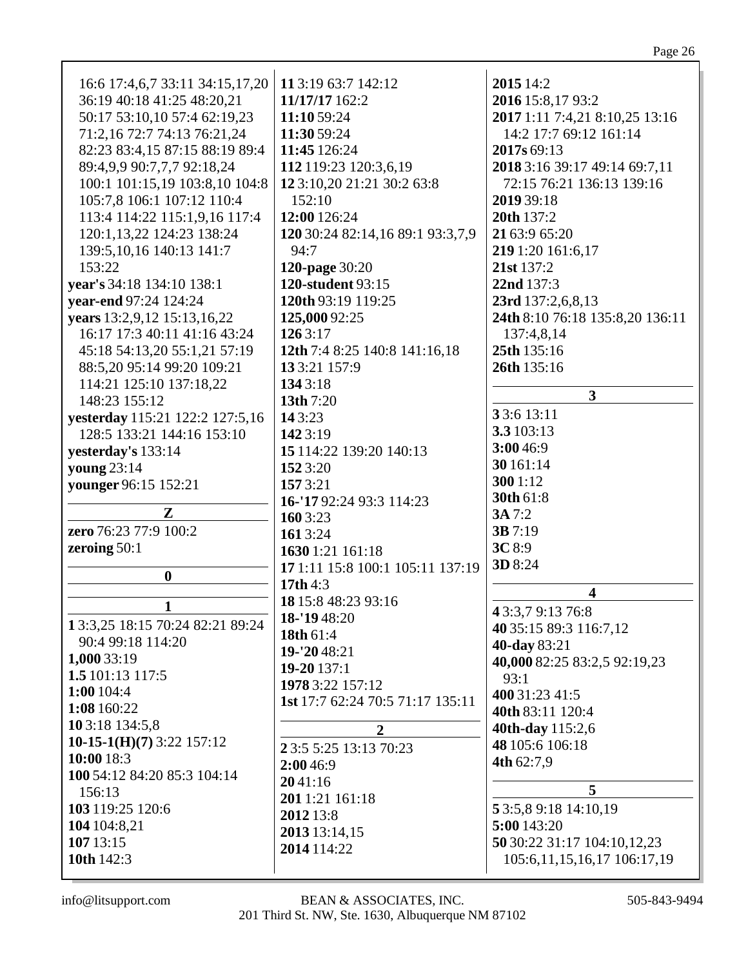| 16:6 17:4,6,7 33:11 34:15,17,20 | 11 3:19 63:7 142:12              | 2015 14:2                         |
|---------------------------------|----------------------------------|-----------------------------------|
| 36:19 40:18 41:25 48:20,21      | 11/17/17 162:2                   | 2016 15:8,17 93:2                 |
| 50:17 53:10,10 57:4 62:19,23    | 11:10 59:24                      | 2017 1:11 7:4,21 8:10,25 13:16    |
| 71:2,16 72:7 74:13 76:21,24     | 11:30 59:24                      | 14:2 17:7 69:12 161:14            |
|                                 |                                  |                                   |
| 82:23 83:4,15 87:15 88:19 89:4  | 11:45 126:24                     | 2017s 69:13                       |
| 89:4,9,9 90:7,7,7 92:18,24      | 112 119:23 120:3,6,19            | 2018 3:16 39:17 49:14 69:7,11     |
| 100:1 101:15,19 103:8,10 104:8  | 12 3:10,20 21:21 30:2 63:8       | 72:15 76:21 136:13 139:16         |
| 105:7,8 106:1 107:12 110:4      | 152:10                           | 2019 39:18                        |
| 113:4 114:22 115:1,9,16 117:4   | 12:00 126:24                     | 20th 137:2                        |
| 120:1,13,22 124:23 138:24       | 120 30:24 82:14,16 89:1 93:3,7,9 | 21 63:9 65:20                     |
| 139:5, 10, 16 140: 13 141: 7    | 94:7                             | 219 1:20 161:6,17                 |
| 153:22                          | 120-page 30:20                   | 21st 137:2                        |
|                                 |                                  |                                   |
| year's 34:18 134:10 138:1       | 120-student 93:15                | 22nd 137:3                        |
| year-end 97:24 124:24           | 120th 93:19 119:25               | 23rd 137:2,6,8,13                 |
| years 13:2,9,12 15:13,16,22     | 125,000 92:25                    | 24th 8:10 76:18 135:8,20 136:11   |
| 16:17 17:3 40:11 41:16 43:24    | 1263:17                          | 137:4,8,14                        |
| 45:18 54:13,20 55:1,21 57:19    | 12th 7:4 8:25 140:8 141:16,18    | 25th 135:16                       |
| 88:5,20 95:14 99:20 109:21      | 13 3:21 157:9                    | 26th 135:16                       |
| 114:21 125:10 137:18,22         | 1343:18                          |                                   |
| 148:23 155:12                   | 13th 7:20                        | 3                                 |
| yesterday 115:21 122:2 127:5,16 | 143:23                           | 33:6 13:11                        |
| 128:5 133:21 144:16 153:10      | 1423:19                          | 3.3 103:13                        |
|                                 | 15 114:22 139:20 140:13          | 3:00 46:9                         |
| yesterday's 133:14              |                                  | 30 161:14                         |
| <b>young</b> 23:14              | 152 3:20                         | 300 1:12                          |
| younger 96:15 152:21            | 1573:21                          |                                   |
|                                 | 16-'17 92:24 93:3 114:23         | 30th 61:8                         |
| ${\bf Z}$                       | 160 3:23                         | 3A 7:2                            |
| zero 76:23 77:9 100:2           | 1613:24                          | 3B 7:19                           |
| zeroing $50:1$                  | 1630 1:21 161:18                 | 3C 8:9                            |
|                                 | 17 1:11 15:8 100:1 105:11 137:19 | 3D 8:24                           |
| $\boldsymbol{0}$                | 17th $4:3$                       |                                   |
|                                 | 18 15:8 48:23 93:16              | $\overline{\mathbf{4}}$           |
| 1                               | 18-'1948:20                      | 43:3,79:1376:8                    |
| 13:3,25 18:15 70:24 82:21 89:24 | 18th 61:4                        | 40 35:15 89:3 116:7,12            |
| 90:4 99:18 114:20               | 19-'20 48:21                     | 40-day 83:21                      |
| 1,000 33:19                     | $19 - 20137:1$                   | 40,000 82:25 83:2,5 92:19,23      |
| 1.5 101:13 117:5                | 1978 3:22 157:12                 | 93:1                              |
| 1:00 104:4                      |                                  | 400 31:23 41:5                    |
| 1:08 160:22                     | 1st 17:7 62:24 70:5 71:17 135:11 | 40th 83:11 120:4                  |
| 10 3:18 134:5,8                 | $\overline{2}$                   | 40th-day 115:2,6                  |
| 10-15-1(H)(7) 3:22 157:12       |                                  | 48 105:6 106:18                   |
| 10:00 18:3                      | 2 3:5 5:25 13:13 70:23           | 4th 62:7,9                        |
| 100 54:12 84:20 85:3 104:14     | 2:00 46:9                        |                                   |
| 156:13                          | 2041:16                          | 5                                 |
| 103 119:25 120:6                | 2011:21 161:18                   | 5 3:5,8 9:18 14:10,19             |
| 104 104:8,21                    | 2012 13:8                        | 5:00 143:20                       |
|                                 | 2013 13:14,15                    |                                   |
| 107 13:15                       | 2014 114:22                      | 50 30:22 31:17 104:10,12,23       |
| 10th 142:3                      |                                  | 105:6, 11, 15, 16, 17 106: 17, 19 |